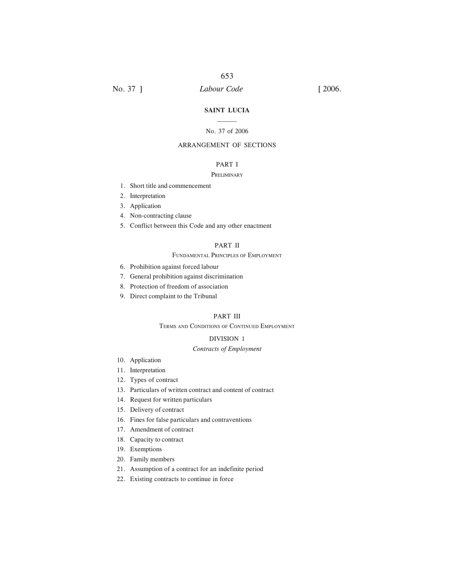#### **SAINT LUCIA**  $\mathcal{L}$

#### No. 37 of 2006

## ARRANGEMENT OF SECTIONS

# PART I

#### **PRELIMINARY**

- 1. Short title and commencement
- 2. Interpretation
- 3. Application
- 4. Non-contracting clause
- 5. Conflict between this Code and any other enactment

#### PART II

#### FUNDAMENTAL PRINCIPLES OF EMPLOYMENT

- 6. Prohibition against forced labour
- 7. General prohibition against discrimination
- 8. Protection of freedom of association
- 9. Direct complaint to the Tribunal

## PART III

#### TERMS AND CONDITIONS OF CONTINUED EMPLOYMENT

#### DIVISION 1

#### *Contracts of Employment*

- 10. Application
- 11. Interpretation
- 12. Types of contract
- 13. Particulars of written contract and content of contract
- 14. Request for written particulars
- 15. Delivery of contract
- 16. Fines for false particulars and contraventions
- 17. Amendment of contract
- 18. Capacity to contract
- 19. Exemptions
- 20. Family members
- 21. Assumption of a contract for an indefinite period
- 22. Existing contracts to continue in force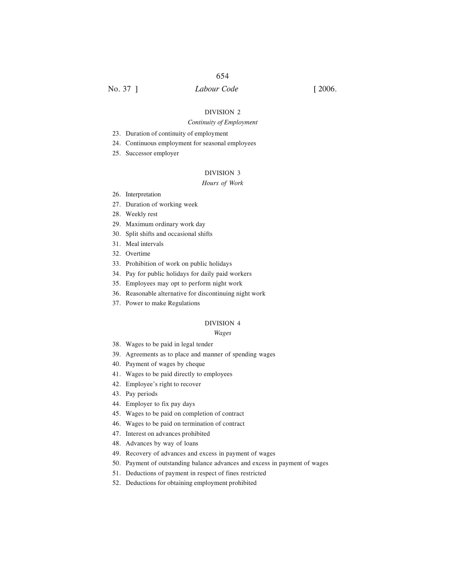# No. 37 ] *Labour Code* [ 2006.

#### DIVISION 2

#### *Continuity of Employment*

- 23. Duration of continuity of employment
- 24. Continuous employment for seasonal employees
- 25. Successor employer

# DIVISION 3

#### *Hours of Work*

- 26. Interpretation
- 27. Duration of working week
- 28. Weekly rest
- 29. Maximum ordinary work day
- 30. Split shifts and occasional shifts
- 31. Meal intervals
- 32. Overtime
- 33. Prohibition of work on public holidays
- 34. Pay for public holidays for daily paid workers
- 35. Employees may opt to perform night work
- 36. Reasonable alternative for discontinuing night work
- 37. Power to make Regulations

#### DIVISION 4

#### *Wages*

- 38. Wages to be paid in legal tender
- 39. Agreements as to place and manner of spending wages
- 40. Payment of wages by cheque
- 41. Wages to be paid directly to employees
- 42. Employee's right to recover
- 43. Pay periods
- 44. Employer to fix pay days
- 45. Wages to be paid on completion of contract
- 46. Wages to be paid on termination of contract
- 47. Interest on advances prohibited
- 48. Advances by way of loans
- 49. Recovery of advances and excess in payment of wages
- 50. Payment of outstanding balance advances and excess in payment of wages
- 51. Deductions of payment in respect of fines restricted
- 52. Deductions for obtaining employment prohibited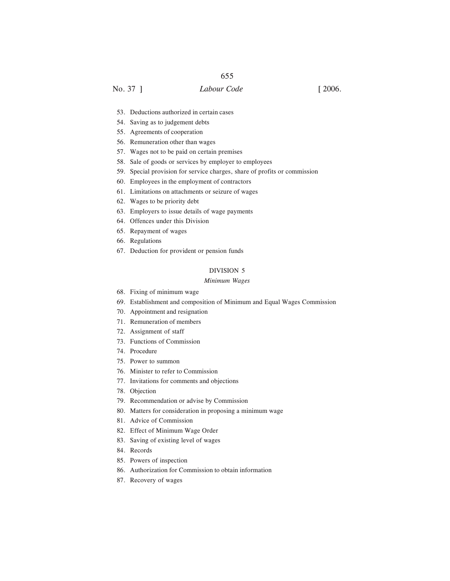# No. 37 ] *Labour Code* [ 2006.

- 53. Deductions authorized in certain cases
- 54. Saving as to judgement debts
- 55. Agreements of cooperation
- 56. Remuneration other than wages
- 57. Wages not to be paid on certain premises
- 58. Sale of goods or services by employer to employees
- 59. Special provision for service charges, share of profits or commission
- 60. Employees in the employment of contractors
- 61. Limitations on attachments or seizure of wages
- 62. Wages to be priority debt
- 63. Employers to issue details of wage payments
- 64. Offences under this Division
- 65. Repayment of wages
- 66. Regulations
- 67. Deduction for provident or pension funds

# DIVISION 5

#### *Minimum Wages*

- 68. Fixing of minimum wage
- 69. Establishment and composition of Minimum and Equal Wages Commission
- 70. Appointment and resignation
- 71. Remuneration of members
- 72. Assignment of staff
- 73. Functions of Commission
- 74. Procedure
- 75. Power to summon
- 76. Minister to refer to Commission
- 77. Invitations for comments and objections
- 78. Objection
- 79. Recommendation or advise by Commission
- 80. Matters for consideration in proposing a minimum wage
- 81. Advice of Commission
- 82. Effect of Minimum Wage Order
- 83. Saving of existing level of wages
- 84. Records
- 85. Powers of inspection
- 86. Authorization for Commission to obtain information
- 87. Recovery of wages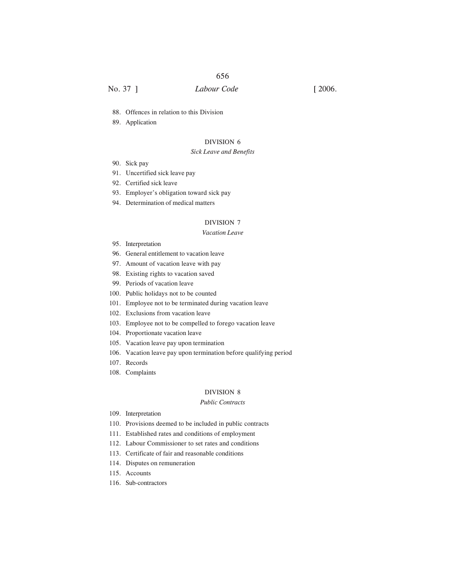# No. 37 ] *Labour Code* [ 2006.

- 88. Offences in relation to this Division
- 89. Application

# DIVISION 6

#### *Sick Leave and Benefits*

- 90. Sick pay
- 91. Uncertified sick leave pay
- 92. Certified sick leave
- 93. Employer's obligation toward sick pay
- 94. Determination of medical matters

#### DIVISION 7

#### *Vacation Leave*

- 95. Interpretation
- 96. General entitlement to vacation leave
- 97. Amount of vacation leave with pay
- 98. Existing rights to vacation saved
- 99. Periods of vacation leave
- 100. Public holidays not to be counted
- 101. Employee not to be terminated during vacation leave
- 102. Exclusions from vacation leave
- 103. Employee not to be compelled to forego vacation leave
- 104. Proportionate vacation leave
- 105. Vacation leave pay upon termination
- 106. Vacation leave pay upon termination before qualifying period
- 107. Records
- 108. Complaints

#### DIVISION 8

#### *Public Contracts*

- 109. Interpretation
- 110. Provisions deemed to be included in public contracts
- 111. Established rates and conditions of employment
- 112. Labour Commissioner to set rates and conditions
- 113. Certificate of fair and reasonable conditions
- 114. Disputes on remuneration
- 115. Accounts
- 116. Sub-contractors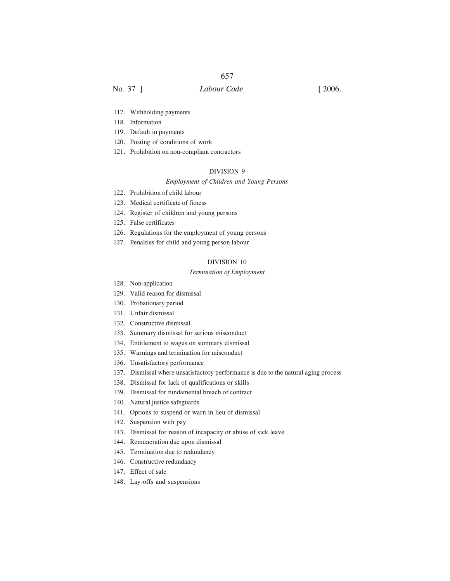- 117. Withholding payments
- 118. Information
- 119. Default in payments
- 120. Posting of conditions of work
- 121. Prohibition on non-compliant contractors

## DIVISION 9

#### *Employment of Children and Young Persons*

- 122. Prohibition of child labour
- 123. Medical certificate of fitness
- 124. Register of children and young persons
- 125. False certificates
- 126. Regulations for the employment of young persons
- 127. Penalties for child and young person labour

## DIVISION 10

#### *Termination of Employment*

- 128. Non-application
- 129. Valid reason for dismissal
- 130. Probationary period
- 131. Unfair dismissal
- 132. Constructive dismissal
- 133. Summary dismissal for serious misconduct
- 134. Entitlement to wages on summary dismissal
- 135. Warnings and termination for misconduct
- 136. Unsatisfactory performance
- 137. Dismissal where unsatisfactory performance is due to the natural aging process
- 138. Dismissal for lack of qualifications or skills
- 139. Dismissal for fundamental breach of contract
- 140. Natural justice safeguards
- 141. Options to suspend or warn in lieu of dismissal
- 142. Suspension with pay
- 143. Dismissal for reason of incapacity or abuse of sick leave
- 144. Remuneration due upon dismissal
- 145. Termination due to redundancy
- 146. Constructive redundancy
- 147. Effect of sale
- 148. Lay-offs and suspensions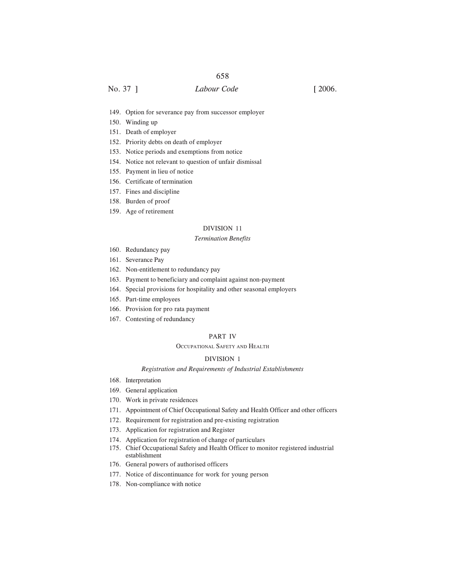# No. 37 ] *Labour Code* [ 2006.

- 149. Option for severance pay from successor employer
- 150. Winding up
- 151. Death of employer
- 152. Priority debts on death of employer
- 153. Notice periods and exemptions from notice
- 154. Notice not relevant to question of unfair dismissal
- 155. Payment in lieu of notice
- 156. Certificate of termination
- 157. Fines and discipline
- 158. Burden of proof
- 159. Age of retirement

#### DIVISION 11

#### *Termination Benefits*

- 160. Redundancy pay
- 161. Severance Pay
- 162. Non-entitlement to redundancy pay
- 163. Payment to beneficiary and complaint against non-payment
- 164. Special provisions for hospitality and other seasonal employers
- 165. Part-time employees
- 166. Provision for pro rata payment
- 167. Contesting of redundancy

#### PART IV

#### OCCUPATIONAL SAFETY AND HEALTH

#### DIVISION 1

#### *Registration and Requirements of Industrial Establishments*

- 168. Interpretation
- 169. General application
- 170. Work in private residences
- 171. Appointment of Chief Occupational Safety and Health Officer and other officers
- 172. Requirement for registration and pre-existing registration
- 173. Application for registration and Register
- 174. Application for registration of change of particulars
- 175. Chief Occupational Safety and Health Officer to monitor registered industrial establishment
- 176. General powers of authorised officers
- 177. Notice of discontinuance for work for young person
- 178. Non-compliance with notice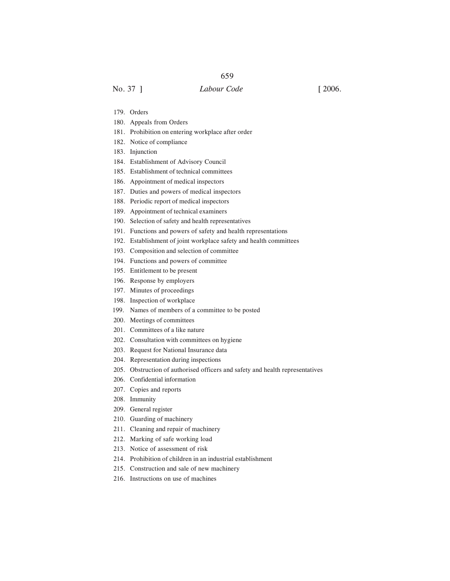- 179. Orders
- 180. Appeals from Orders
- 181. Prohibition on entering workplace after order
- 182. Notice of compliance
- 183. Injunction
- 184. Establishment of Advisory Council
- 185. Establishment of technical committees
- 186. Appointment of medical inspectors
- 187. Duties and powers of medical inspectors
- 188. Periodic report of medical inspectors
- 189. Appointment of technical examiners
- 190. Selection of safety and health representatives
- 191. Functions and powers of safety and health representations
- 192. Establishment of joint workplace safety and health committees
- 193. Composition and selection of committee
- 194. Functions and powers of committee
- 195. Entitlement to be present
- 196. Response by employers
- 197. Minutes of proceedings
- 198. Inspection of workplace
- 199. Names of members of a committee to be posted
- 200. Meetings of committees
- 201. Committees of a like nature
- 202. Consultation with committees on hygiene
- 203. Request for National Insurance data
- 204. Representation during inspections
- 205. Obstruction of authorised officers and safety and health representatives
- 206. Confidential information
- 207. Copies and reports
- 208. Immunity
- 209. General register
- 210. Guarding of machinery
- 211. Cleaning and repair of machinery
- 212. Marking of safe working load
- 213. Notice of assessment of risk
- 214. Prohibition of children in an industrial establishment
- 215. Construction and sale of new machinery
- 216. Instructions on use of machines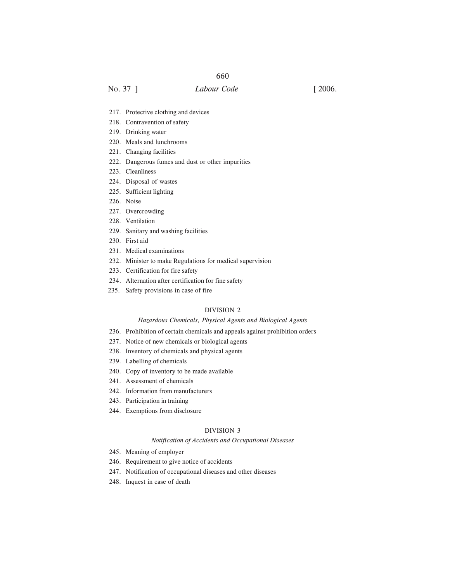No. 37 ] *Labour Code* [ 2006.

- 217. Protective clothing and devices
- 218. Contravention of safety
- 219. Drinking water
- 220. Meals and lunchrooms
- 221. Changing facilities
- 222. Dangerous fumes and dust or other impurities
- 223. Cleanliness
- 224. Disposal of wastes
- 225. Sufficient lighting
- 226. Noise
- 227. Overcrowding
- 228. Ventilation
- 229. Sanitary and washing facilities
- 230. First aid
- 231. Medical examinations
- 232. Minister to make Regulations for medical supervision
- 233. Certification for fire safety
- 234. Alternation after certification for fine safety
- 235. Safety provisions in case of fire

#### DIVISION 2

#### *Hazardous Chemicals, Physical Agents and Biological Agents*

- 236. Prohibition of certain chemicals and appeals against prohibition orders
- 237. Notice of new chemicals or biological agents
- 238. Inventory of chemicals and physical agents
- 239. Labelling of chemicals
- 240. Copy of inventory to be made available
- 241. Assessment of chemicals
- 242. Information from manufacturers
- 243. Participation in training
- 244. Exemptions from disclosure

#### DIVISION 3

#### *Notification of Accidents and Occupational Diseases*

- 245. Meaning of employer
- 246. Requirement to give notice of accidents
- 247. Notification of occupational diseases and other diseases
- 248. Inquest in case of death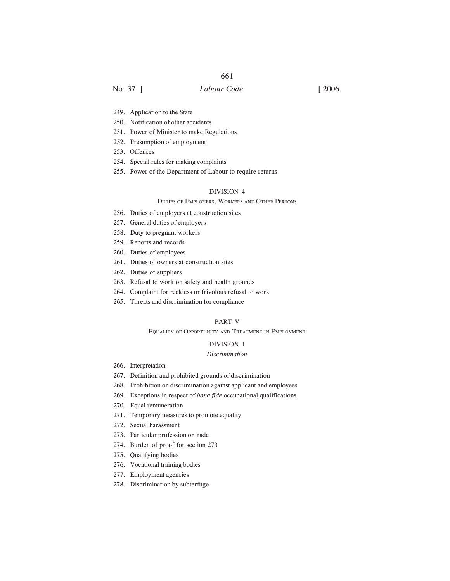No. 37 ] *Labour Code* [ 2006.

- 249. Application to the State
- 250. Notification of other accidents
- 251. Power of Minister to make Regulations
- 252. Presumption of employment
- 253. Offences
- 254. Special rules for making complaints
- 255. Power of the Department of Labour to require returns

#### DIVISION 4

#### DUTIES OF EMPLOYERS, WORKERS AND OTHER PERSONS

- 256. Duties of employers at construction sites
- 257. General duties of employers
- 258. Duty to pregnant workers
- 259. Reports and records
- 260. Duties of employees
- 261. Duties of owners at construction sites
- 262. Duties of suppliers
- 263. Refusal to work on safety and health grounds
- 264. Complaint for reckless or frivolous refusal to work
- 265. Threats and discrimination for compliance

#### PART V

#### EQUALITY OF OPPORTUNITY AND TREATMENT IN EMPLOYMENT

#### DIVISION 1

#### *Discrimination*

- 266. Interpretation
- 267. Definition and prohibited grounds of discrimination
- 268. Prohibition on discrimination against applicant and employees
- 269. Exceptions in respect of *bona fide* occupational qualifications
- 270. Equal remuneration
- 271. Temporary measures to promote equality
- 272. Sexual harassment
- 273. Particular profession or trade
- 274. Burden of proof for section 273
- 275. Qualifying bodies
- 276. Vocational training bodies
- 277. Employment agencies
- 278. Discrimination by subterfuge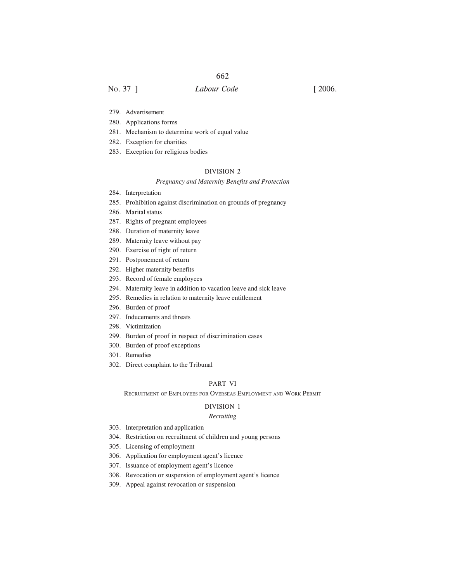# No. 37 ] *Labour Code* [ 2006.

- 279. Advertisement
- 280. Applications forms
- 281. Mechanism to determine work of equal value
- 282. Exception for charities
- 283. Exception for religious bodies

# DIVISION 2

#### *Pregnancy and Maternity Benefits and Protection*

- 284. Interpretation
- 285. Prohibition against discrimination on grounds of pregnancy
- 286. Marital status
- 287. Rights of pregnant employees
- 288. Duration of maternity leave
- 289. Maternity leave without pay
- 290. Exercise of right of return
- 291. Postponement of return
- 292. Higher maternity benefits
- 293. Record of female employees
- 294. Maternity leave in addition to vacation leave and sick leave
- 295. Remedies in relation to maternity leave entitlement
- 296. Burden of proof
- 297. Inducements and threats
- 298. Victimization
- 299. Burden of proof in respect of discrimination cases
- 300. Burden of proof exceptions
- 301. Remedies
- 302. Direct complaint to the Tribunal

#### PART VI

RECRUITMENT OF EMPLOYEES FOR OVERSEAS EMPLOYMENT AND WORK PERMIT

#### DIVISION 1

#### *Recruiting*

- 303. Interpretation and application
- 304. Restriction on recruitment of children and young persons
- 305. Licensing of employment
- 306. Application for employment agent's licence
- 307. Issuance of employment agent's licence
- 308. Revocation or suspension of employment agent's licence
- 309. Appeal against revocation or suspension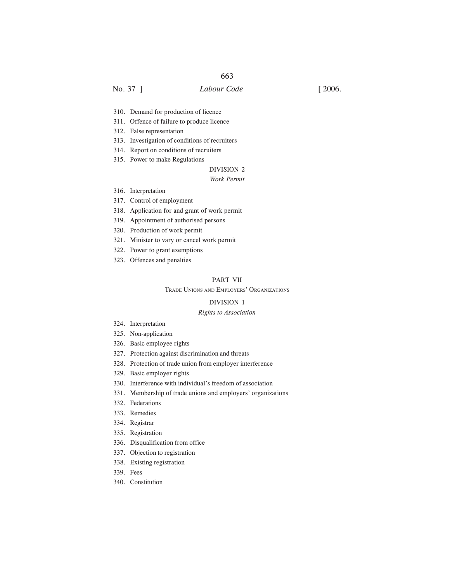# No. 37 ] *Labour Code* [ 2006.

- 310. Demand for production of licence
- 311. Offence of failure to produce licence
- 312. False representation
- 313. Investigation of conditions of recruiters
- 314. Report on conditions of recruiters
- 315. Power to make Regulations

# DIVISION 2

## *Work Permit*

- 316. Interpretation
- 317. Control of employment
- 318. Application for and grant of work permit
- 319. Appointment of authorised persons
- 320. Production of work permit
- 321. Minister to vary or cancel work permit
- 322. Power to grant exemptions
- 323. Offences and penalties

#### PART VII

#### TRADE UNIONS AND EMPLOYERS' ORGANIZATIONS

#### DIVISION 1

#### *Rights to Association*

- 324. Interpretation
- 325. Non-application
- 326. Basic employee rights
- 327. Protection against discrimination and threats
- 328. Protection of trade union from employer interference
- 329. Basic employer rights
- 330. Interference with individual's freedom of association
- 331. Membership of trade unions and employers' organizations
- 332. Federations
- 333. Remedies
- 334. Registrar
- 335. Registration
- 336. Disqualification from office
- 337. Objection to registration
- 338. Existing registration
- 339. Fees
- 340. Constitution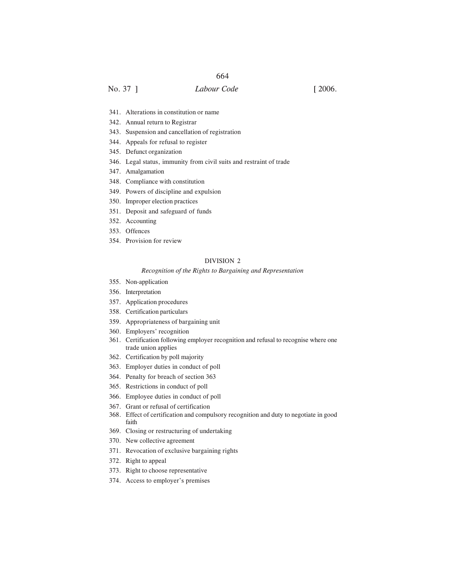No. 37 ] *Labour Code* [ 2006.

- 341. Alterations in constitution or name
- 342. Annual return to Registrar
- 343. Suspension and cancellation of registration
- 344. Appeals for refusal to register
- 345. Defunct organization
- 346. Legal status, immunity from civil suits and restraint of trade
- 347. Amalgamation
- 348. Compliance with constitution
- 349. Powers of discipline and expulsion
- 350. Improper election practices
- 351. Deposit and safeguard of funds
- 352. Accounting
- 353. Offences
- 354. Provision for review

#### DIVISION 2

#### *Recognition of the Rights to Bargaining and Representation*

- 355. Non-application
- 356. Interpretation
- 357. Application procedures
- 358. Certification particulars
- 359. Appropriateness of bargaining unit
- 360. Employers' recognition
- 361. Certification following employer recognition and refusal to recognise where one trade union applies
- 362. Certification by poll majority
- 363. Employer duties in conduct of poll
- 364. Penalty for breach of section 363
- 365. Restrictions in conduct of poll
- 366. Employee duties in conduct of poll
- 367. Grant or refusal of certification
- 368. Effect of certification and compulsory recognition and duty to negotiate in good faith
- 369. Closing or restructuring of undertaking
- 370. New collective agreement
- 371. Revocation of exclusive bargaining rights
- 372. Right to appeal
- 373. Right to choose representative
- 374. Access to employer's premises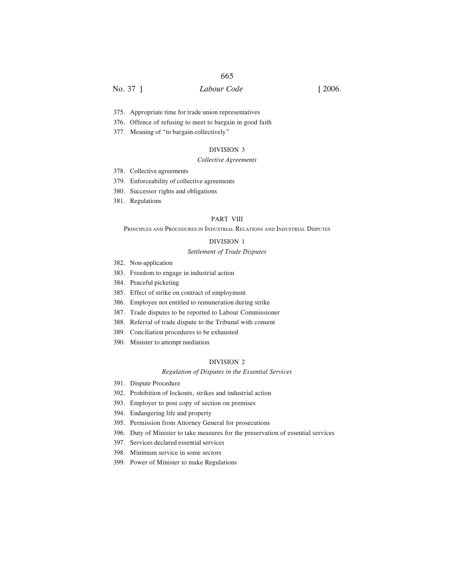No. 37 ] *Labour Code* [ 2006.

- 375. Appropriate time for trade union representatives
- 376. Offence of refusing to meet to bargain in good faith
- 377. Meaning of "to bargain collectively"

#### DIVISION 3

#### *Collective Agreements*

- 378. Collective agreements
- 379. Enforceability of collective agreements
- 380. Successor rights and obligations
- 381. Regulations

#### PART VIII

#### PRINCIPLES AND PROCEDURES IN INDUSTRIAL RELATIONS AND INDUSTRIAL DISPUTES

#### DIVISION 1

#### *Settlement of Trade Disputes*

- 382. Non-application
- 383. Freedom to engage in industrial action
- 384. Peaceful picketing
- 385. Effect of strike on contract of employment
- 386. Employee not entitled to remuneration during strike
- 387. Trade disputes to be reported to Labour Commissioner
- 388. Referral of trade dispute to the Tribunal with consent
- 389. Conciliation procedures to be exhausted
- 390. Minister to attempt mediation

#### DIVISION 2

#### *Regulation of Disputes in the Essential Services*

- 391. Dispute Procedure
- 392. Prohibition of lockouts, strikes and industrial action
- 393. Employer to post copy of section on premises
- 394. Endangering life and property
- 395. Permission from Attorney General for prosecutions
- 396. Duty of Minister to take measures for the preservation of essential services
- 397. Services declared essential services
- 398. Minimum service in some sectors
- 399. Power of Minister to make Regulations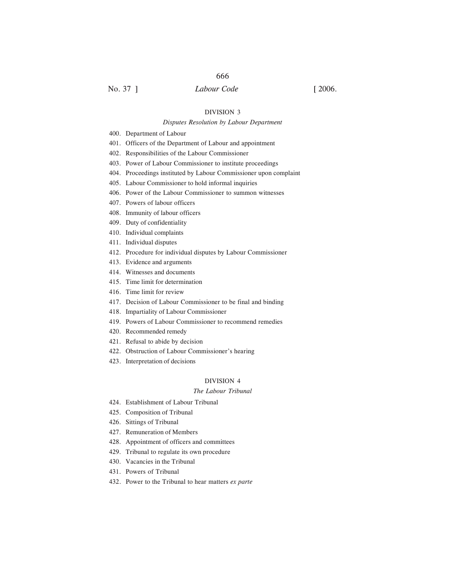No. 37 ] *Labour Code* [ 2006.

#### DIVISION 3

## *Disputes Resolution by Labour Department*

400. Department of Labour

- 401. Officers of the Department of Labour and appointment
- 402. Responsibilities of the Labour Commissioner
- 403. Power of Labour Commissioner to institute proceedings
- 404. Proceedings instituted by Labour Commissioner upon complaint
- 405. Labour Commissioner to hold informal inquiries
- 406. Power of the Labour Commissioner to summon witnesses
- 407. Powers of labour officers
- 408. Immunity of labour officers
- 409. Duty of confidentiality
- 410. Individual complaints
- 411. Individual disputes
- 412. Procedure for individual disputes by Labour Commissioner
- 413. Evidence and arguments
- 414. Witnesses and documents
- 415. Time limit for determination
- 416. Time limit for review
- 417. Decision of Labour Commissioner to be final and binding
- 418. Impartiality of Labour Commissioner
- 419. Powers of Labour Commissioner to recommend remedies
- 420. Recommended remedy
- 421. Refusal to abide by decision
- 422. Obstruction of Labour Commissioner's hearing
- 423. Interpretation of decisions

#### DIVISION 4

#### *The Labour Tribunal*

- 424. Establishment of Labour Tribunal
- 425. Composition of Tribunal
- 426. Sittings of Tribunal
- 427. Remuneration of Members
- 428. Appointment of officers and committees
- 429. Tribunal to regulate its own procedure
- 430. Vacancies in the Tribunal
- 431. Powers of Tribunal
- 432. Power to the Tribunal to hear matters *ex parte*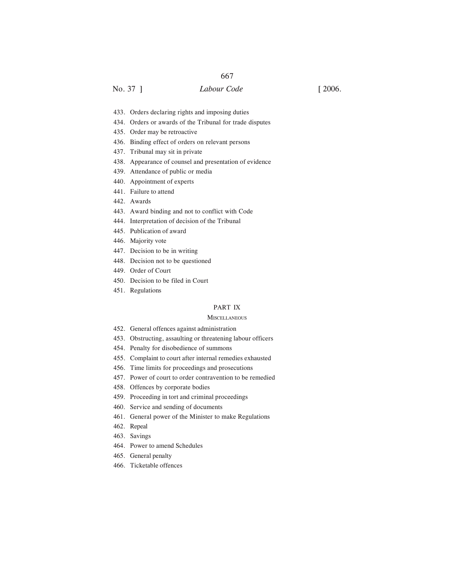# No. 37 ] *Labour Code* [ 2006.

- 433. Orders declaring rights and imposing duties
- 434. Orders or awards of the Tribunal for trade disputes
- 435. Order may be retroactive
- 436. Binding effect of orders on relevant persons
- 437. Tribunal may sit in private
- 438. Appearance of counsel and presentation of evidence
- 439. Attendance of public or media
- 440. Appointment of experts
- 441. Failure to attend
- 442. Awards
- 443. Award binding and not to conflict with Code
- 444. Interpretation of decision of the Tribunal
- 445. Publication of award
- 446. Majority vote
- 447. Decision to be in writing
- 448. Decision not to be questioned
- 449. Order of Court
- 450. Decision to be filed in Court
- 451. Regulations

#### PART IX

#### **MISCELLANEOUS**

- 452. General offences against administration
- 453. Obstructing, assaulting or threatening labour officers
- 454. Penalty for disobedience of summons
- 455. Complaint to court after internal remedies exhausted
- 456. Time limits for proceedings and prosecutions
- 457. Power of court to order contravention to be remedied
- 458. Offences by corporate bodies
- 459. Proceeding in tort and criminal proceedings
- 460. Service and sending of documents
- 461. General power of the Minister to make Regulations
- 462. Repeal
- 463. Savings
- 464. Power to amend Schedules
- 465. General penalty
- 466. Ticketable offences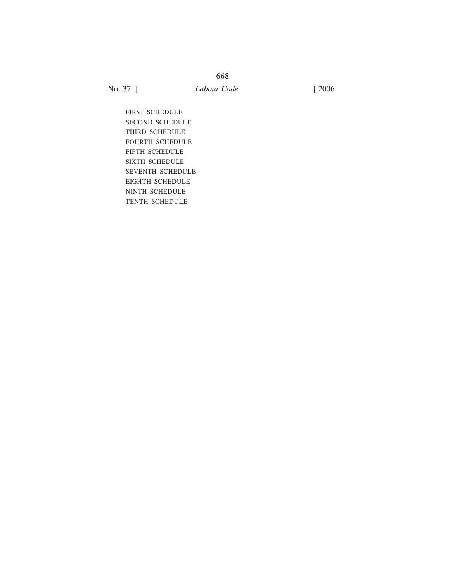FIRST SCHEDULE SECOND SCHEDULE THIRD SCHEDULE FOURTH SCHEDULE FIFTH SCHEDULE SIXTH SCHEDULE SEVENTH SCHEDULE EIGHTH SCHEDULE NINTH SCHEDULE TENTH SCHEDULE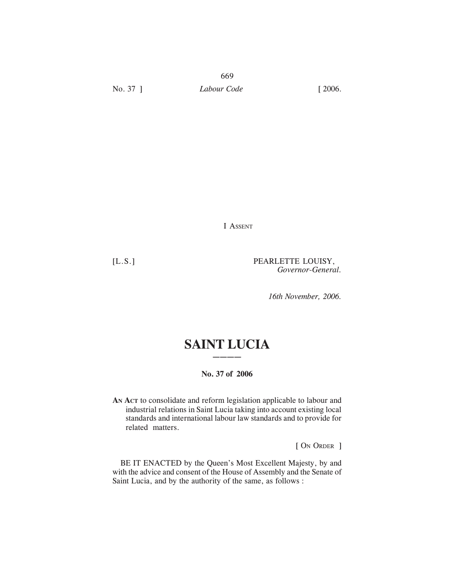I ASSENT

[L.S.] PEARLETTE LOUISY, *Governor-General.*

*16th November, 2006.*

# **SAINT LUCIA ————**

# **No. 37 of 2006**

**AN ACT** to consolidate and reform legislation applicable to labour and industrial relations in Saint Lucia taking into account existing local standards and international labour law standards and to provide for related matters.

[ ON ORDER ]

BE IT ENACTED by the Queen's Most Excellent Majesty, by and with the advice and consent of the House of Assembly and the Senate of Saint Lucia, and by the authority of the same, as follows :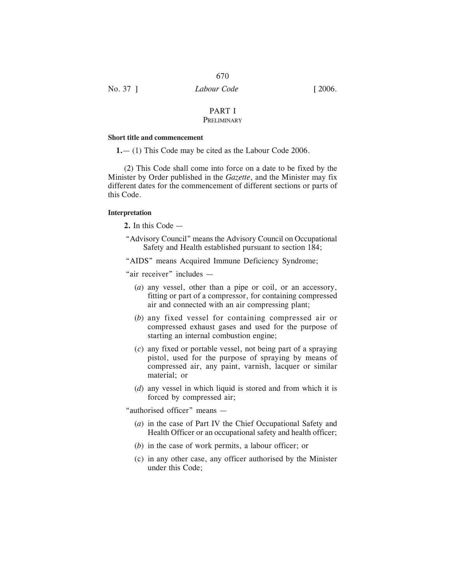# PART I

# **PRELIMINARY**

### **Short title and commencement**

**1.**— (1) This Code may be cited as the Labour Code 2006.

(2) This Code shall come into force on a date to be fixed by the Minister by Order published in the *Gazette*, and the Minister may fix different dates for the commencement of different sections or parts of this Code.

#### **Interpretation**

- **2.** In this Code —
- "Advisory Council" means the Advisory Council on Occupational Safety and Health established pursuant to section 184;

"AIDS" means Acquired Immune Deficiency Syndrome;

"air receiver" includes —

- (*a*) any vessel, other than a pipe or coil, or an accessory, fitting or part of a compressor, for containing compressed air and connected with an air compressing plant;
- (*b*) any fixed vessel for containing compressed air or compressed exhaust gases and used for the purpose of starting an internal combustion engine;
- (*c*) any fixed or portable vessel, not being part of a spraying pistol, used for the purpose of spraying by means of compressed air, any paint, varnish, lacquer or similar material; or
- (*d*) any vessel in which liquid is stored and from which it is forced by compressed air;

"authorised officer" means —

- (*a*) in the case of Part IV the Chief Occupational Safety and Health Officer or an occupational safety and health officer;
- (*b*) in the case of work permits, a labour officer; or
- (c) in any other case, any officer authorised by the Minister under this Code;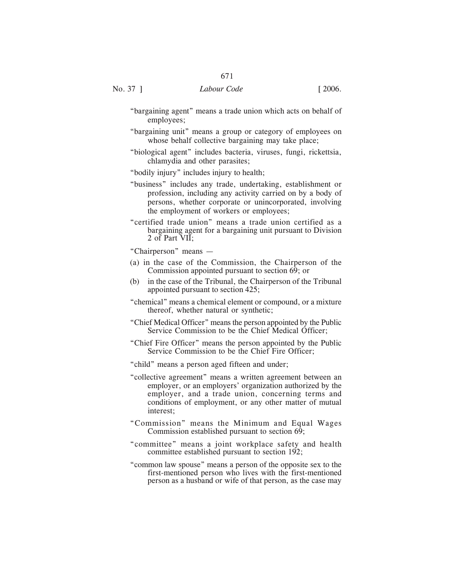- "bargaining agent" means a trade union which acts on behalf of employees;
- "bargaining unit" means a group or category of employees on whose behalf collective bargaining may take place;
- "biological agent" includes bacteria, viruses, fungi, rickettsia, chlamydia and other parasites;

"bodily injury" includes injury to health;

- "business" includes any trade, undertaking, establishment or profession, including any activity carried on by a body of persons, whether corporate or unincorporated, involving the employment of workers or employees;
- "certified trade union" means a trade union certified as a bargaining agent for a bargaining unit pursuant to Division 2 of Part VII;

"Chairperson" means —

- (a) in the case of the Commission, the Chairperson of the Commission appointed pursuant to section 69; or
- (b) in the case of the Tribunal, the Chairperson of the Tribunal appointed pursuant to section 425;
- "chemical" means a chemical element or compound, or a mixture thereof, whether natural or synthetic;
- "Chief Medical Officer" means the person appointed by the Public Service Commission to be the Chief Medical Officer;
- "Chief Fire Officer" means the person appointed by the Public Service Commission to be the Chief Fire Officer;
- "child" means a person aged fifteen and under;
- "collective agreement" means a written agreement between an employer, or an employers' organization authorized by the employer, and a trade union, concerning terms and conditions of employment, or any other matter of mutual interest;
- "Commission" means the Minimum and Equal Wages Commission established pursuant to section 69;
- "committee" means a joint workplace safety and health committee established pursuant to section 192;
- "common law spouse" means a person of the opposite sex to the first-mentioned person who lives with the first-mentioned person as a husband or wife of that person, as the case may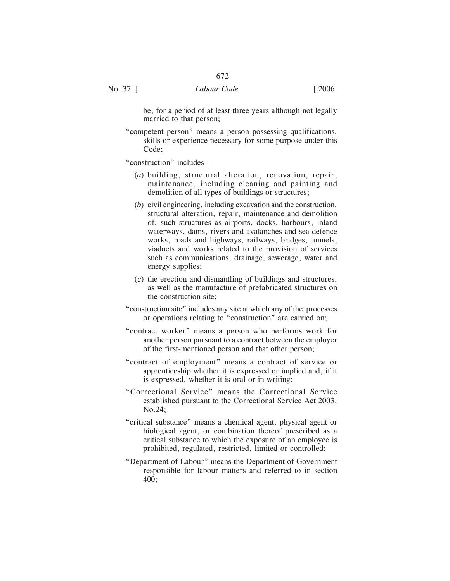be, for a period of at least three years although not legally married to that person;

"competent person" means a person possessing qualifications, skills or experience necessary for some purpose under this Code;

"construction" includes —

- (*a*) building, structural alteration, renovation, repair, maintenance, including cleaning and painting and demolition of all types of buildings or structures;
- (*b*) civil engineering, including excavation and the construction, structural alteration, repair, maintenance and demolition of, such structures as airports, docks, harbours, inland waterways, dams, rivers and avalanches and sea defence works, roads and highways, railways, bridges, tunnels, viaducts and works related to the provision of services such as communications, drainage, sewerage, water and energy supplies;
- (*c*) the erection and dismantling of buildings and structures, as well as the manufacture of prefabricated structures on the construction site;
- "construction site" includes any site at which any of the processes or operations relating to "construction" are carried on;
- "contract worker" means a person who performs work for another person pursuant to a contract between the employer of the first-mentioned person and that other person;
- "contract of employment" means a contract of service or apprenticeship whether it is expressed or implied and, if it is expressed, whether it is oral or in writing;
- "Correctional Service" means the Correctional Service established pursuant to the Correctional Service Act 2003, No.24;
- "critical substance" means a chemical agent, physical agent or biological agent, or combination thereof prescribed as a critical substance to which the exposure of an employee is prohibited, regulated, restricted, limited or controlled;
- "Department of Labour" means the Department of Government responsible for labour matters and referred to in section 400;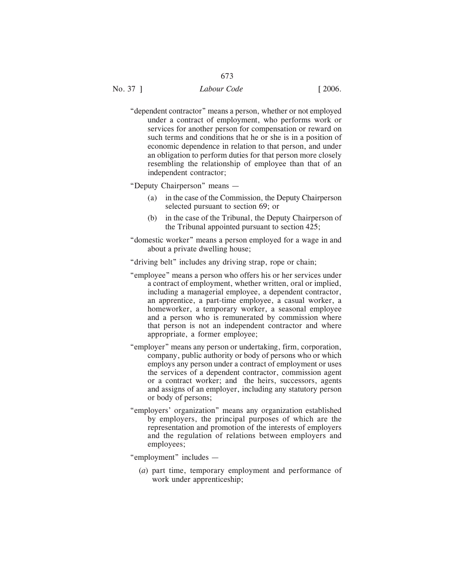"dependent contractor" means a person, whether or not employed under a contract of employment, who performs work or services for another person for compensation or reward on such terms and conditions that he or she is in a position of economic dependence in relation to that person, and under an obligation to perform duties for that person more closely resembling the relationship of employee than that of an independent contractor;

"Deputy Chairperson" means —

- (a) in the case of the Commission, the Deputy Chairperson selected pursuant to section 69; or
- (b) in the case of the Tribunal, the Deputy Chairperson of the Tribunal appointed pursuant to section 425;
- "domestic worker" means a person employed for a wage in and about a private dwelling house;

"driving belt" includes any driving strap, rope or chain;

- "employee" means a person who offers his or her services under a contract of employment, whether written, oral or implied, including a managerial employee, a dependent contractor, an apprentice, a part-time employee, a casual worker, a homeworker, a temporary worker, a seasonal employee and a person who is remunerated by commission where that person is not an independent contractor and where appropriate, a former employee;
- "employer" means any person or undertaking, firm, corporation, company, public authority or body of persons who or which employs any person under a contract of employment or uses the services of a dependent contractor, commission agent or a contract worker; and the heirs, successors, agents and assigns of an employer, including any statutory person or body of persons;
- "employers' organization" means any organization established by employers, the principal purposes of which are the representation and promotion of the interests of employers and the regulation of relations between employers and employees;
- "employment" includes
	- (*a*) part time, temporary employment and performance of work under apprenticeship;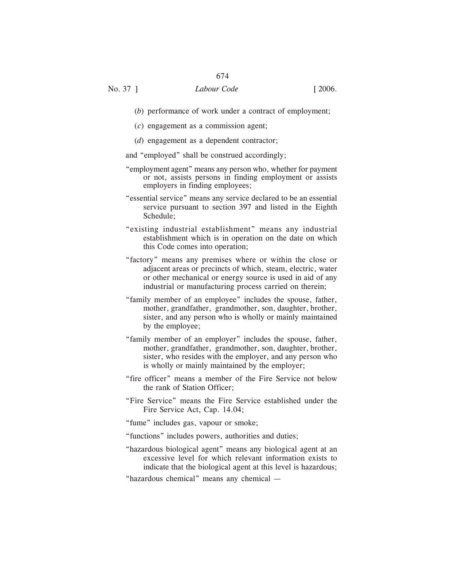- (*b*) performance of work under a contract of employment;
- (*c*) engagement as a commission agent;
- (*d*) engagement as a dependent contractor;
- and "employed" shall be construed accordingly;
- "employment agent" means any person who, whether for payment or not, assists persons in finding employment or assists employers in finding employees;
- "essential service" means any service declared to be an essential service pursuant to section 397 and listed in the Eighth Schedule;
- "existing industrial establishment" means any industrial establishment which is in operation on the date on which this Code comes into operation;
- "factory" means any premises where or within the close or adjacent areas or precincts of which, steam, electric, water or other mechanical or energy source is used in aid of any industrial or manufacturing process carried on therein;
- "family member of an employee" includes the spouse, father, mother, grandfather, grandmother, son, daughter, brother, sister, and any person who is wholly or mainly maintained by the employee;
- "family member of an employer" includes the spouse, father, mother, grandfather, grandmother, son, daughter, brother, sister, who resides with the employer, and any person who is wholly or mainly maintained by the employer;
- "fire officer" means a member of the Fire Service not below the rank of Station Officer;
- "Fire Service" means the Fire Service established under the Fire Service Act, Cap. 14.04;
- "fume" includes gas, vapour or smoke;
- "functions" includes powers, authorities and duties;
- "hazardous biological agent" means any biological agent at an excessive level for which relevant information exists to indicate that the biological agent at this level is hazardous;
- "hazardous chemical" means any chemical —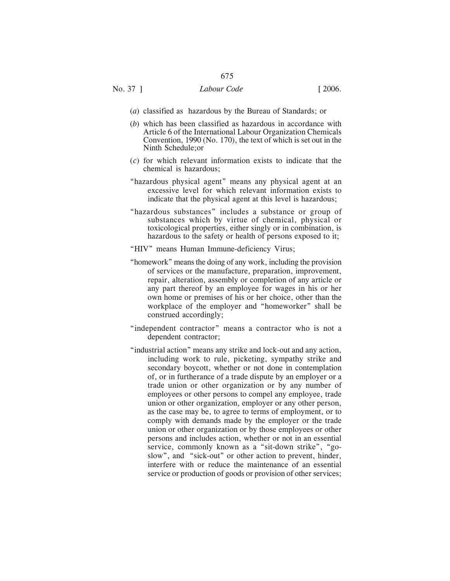- (*a*) classified as hazardous by the Bureau of Standards; or
- (*b*) which has been classified as hazardous in accordance with Article 6 of the International Labour Organization Chemicals Convention, 1990 (No. 170), the text of which is set out in the Ninth Schedule;or
- (*c*) for which relevant information exists to indicate that the chemical is hazardous;
- "hazardous physical agent" means any physical agent at an excessive level for which relevant information exists to indicate that the physical agent at this level is hazardous;
- "hazardous substances" includes a substance or group of substances which by virtue of chemical, physical or toxicological properties, either singly or in combination, is hazardous to the safety or health of persons exposed to it;
- "HIV" means Human Immune-deficiency Virus;
- "homework" means the doing of any work, including the provision of services or the manufacture, preparation, improvement, repair, alteration, assembly or completion of any article or any part thereof by an employee for wages in his or her own home or premises of his or her choice, other than the workplace of the employer and "homeworker" shall be construed accordingly;
- "independent contractor" means a contractor who is not a dependent contractor;
- "industrial action" means any strike and lock-out and any action, including work to rule, picketing, sympathy strike and secondary boycott, whether or not done in contemplation of, or in furtherance of a trade dispute by an employer or a trade union or other organization or by any number of employees or other persons to compel any employee, trade union or other organization, employer or any other person, as the case may be, to agree to terms of employment, or to comply with demands made by the employer or the trade union or other organization or by those employees or other persons and includes action, whether or not in an essential service, commonly known as a "sit-down strike", "goslow", and "sick-out" or other action to prevent, hinder, interfere with or reduce the maintenance of an essential service or production of goods or provision of other services;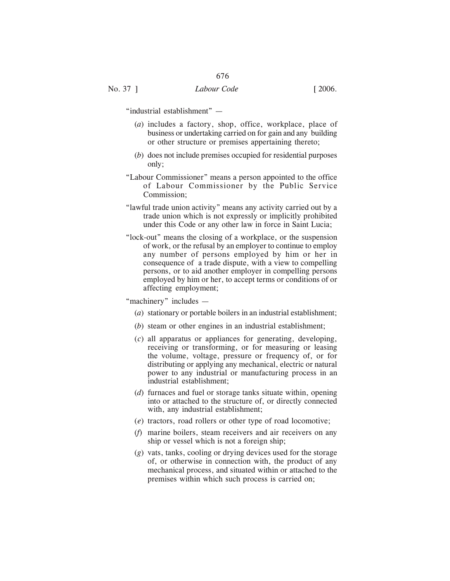"industrial establishment" —

- (*a*) includes a factory, shop, office, workplace, place of business or undertaking carried on for gain and any building or other structure or premises appertaining thereto;
- (*b*) does not include premises occupied for residential purposes only;
- "Labour Commissioner" means a person appointed to the office of Labour Commissioner by the Public Service Commission;
- "lawful trade union activity" means any activity carried out by a trade union which is not expressly or implicitly prohibited under this Code or any other law in force in Saint Lucia;
- "lock-out" means the closing of a workplace, or the suspension of work, or the refusal by an employer to continue to employ any number of persons employed by him or her in consequence of a trade dispute, with a view to compelling persons, or to aid another employer in compelling persons employed by him or her, to accept terms or conditions of or affecting employment;

#### "machinery" includes —

- (*a*) stationary or portable boilers in an industrial establishment;
- (*b*) steam or other engines in an industrial establishment;
- (*c*) all apparatus or appliances for generating, developing, receiving or transforming, or for measuring or leasing the volume, voltage, pressure or frequency of, or for distributing or applying any mechanical, electric or natural power to any industrial or manufacturing process in an industrial establishment;
- (*d*) furnaces and fuel or storage tanks situate within, opening into or attached to the structure of, or directly connected with, any industrial establishment;
- (*e*) tractors, road rollers or other type of road locomotive;
- (*f*) marine boilers, steam receivers and air receivers on any ship or vessel which is not a foreign ship;
- (*g*) vats, tanks, cooling or drying devices used for the storage of, or otherwise in connection with, the product of any mechanical process, and situated within or attached to the premises within which such process is carried on;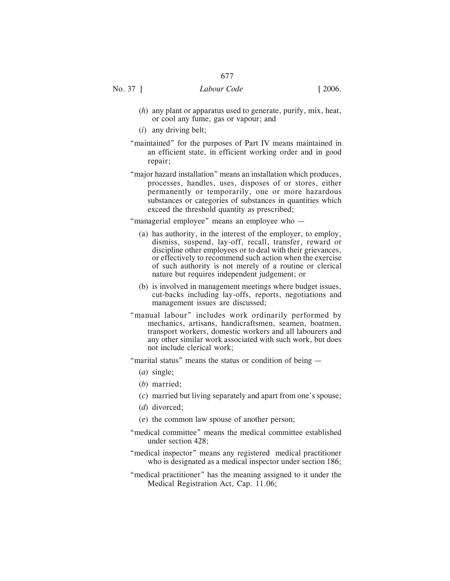- (*h*) any plant or apparatus used to generate, purify, mix, heat, or cool any fume, gas or vapour; and
- (*i*) any driving belt;
- "maintained" for the purposes of Part IV means maintained in an efficient state, in efficient working order and in good repair;
- "major hazard installation" means an installation which produces, processes, handles, uses, disposes of or stores, either permanently or temporarily, one or more hazardous substances or categories of substances in quantities which exceed the threshold quantity as prescribed;

"managerial employee" means an employee who —

- (a) has authority, in the interest of the employer, to employ, dismiss, suspend, lay-off, recall, transfer, reward or discipline other employees or to deal with their grievances, or effectively to recommend such action when the exercise of such authority is not merely of a routine or clerical nature but requires independent judgement; or
- (b) is involved in management meetings where budget issues, cut-backs including lay-offs, reports, negotiations and management issues are discussed;
- "manual labour" includes work ordinarily performed by mechanics, artisans, handicraftsmen, seamen, boatmen, transport workers, domestic workers and all labourers and any other similar work associated with such work, but does not include clerical work;
- "marital status" means the status or condition of being
	- (*a*) single;
	- (*b*) married;
	- (*c*) married but living separately and apart from one's spouse;
	- (*d*) divorced;
	- (*e*) the common law spouse of another person;
- "medical committee" means the medical committee established under section 428;
- "medical inspector" means any registered medical practitioner who is designated as a medical inspector under section 186;
- "medical practitioner" has the meaning assigned to it under the Medical Registration Act, Cap. 11.06;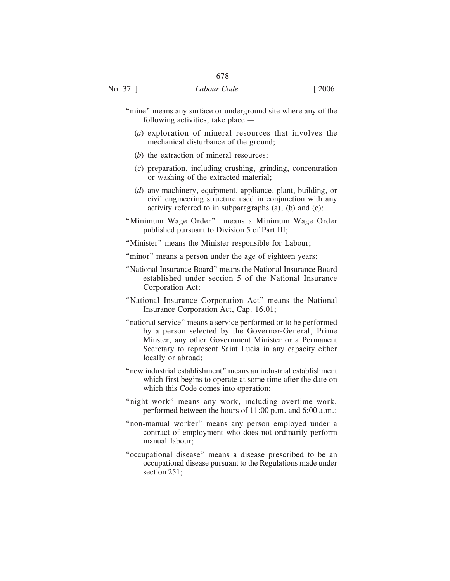- "mine" means any surface or underground site where any of the following activities, take place —
	- (*a*) exploration of mineral resources that involves the mechanical disturbance of the ground;
	- (*b*) the extraction of mineral resources;
	- (*c*) preparation, including crushing, grinding, concentration or washing of the extracted material;
	- (*d*) any machinery, equipment, appliance, plant, building, or civil engineering structure used in conjunction with any activity referred to in subparagraphs (a), (b) and (c);
- "Minimum Wage Order" means a Minimum Wage Order published pursuant to Division 5 of Part III;
- "Minister" means the Minister responsible for Labour;
- "minor" means a person under the age of eighteen years;
- "National Insurance Board" means the National Insurance Board established under section 5 of the National Insurance Corporation Act;
- "National Insurance Corporation Act" means the National Insurance Corporation Act, Cap. 16.01;
- "national service" means a service performed or to be performed by a person selected by the Governor-General, Prime Minster, any other Government Minister or a Permanent Secretary to represent Saint Lucia in any capacity either locally or abroad;
- "new industrial establishment" means an industrial establishment which first begins to operate at some time after the date on which this Code comes into operation;
- "night work" means any work, including overtime work, performed between the hours of 11:00 p.m. and 6:00 a.m.;
- "non-manual worker" means any person employed under a contract of employment who does not ordinarily perform manual labour;
- "occupational disease" means a disease prescribed to be an occupational disease pursuant to the Regulations made under section 251;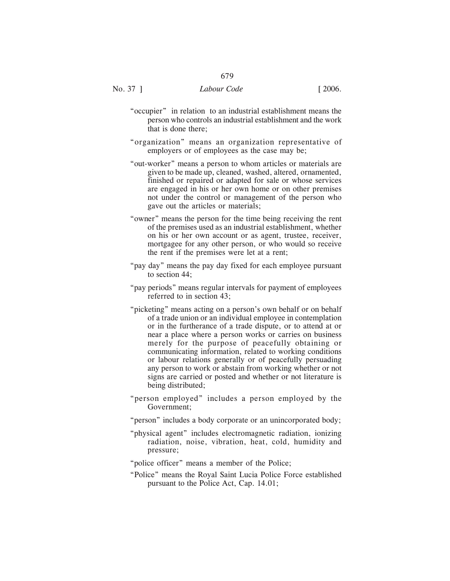- "occupier" in relation to an industrial establishment means the person who controls an industrial establishment and the work that is done there;
- "organization" means an organization representative of employers or of employees as the case may be;
- "out-worker" means a person to whom articles or materials are given to be made up, cleaned, washed, altered, ornamented, finished or repaired or adapted for sale or whose services are engaged in his or her own home or on other premises not under the control or management of the person who gave out the articles or materials;
- "owner" means the person for the time being receiving the rent of the premises used as an industrial establishment, whether on his or her own account or as agent, trustee, receiver, mortgagee for any other person, or who would so receive the rent if the premises were let at a rent;
- "pay day" means the pay day fixed for each employee pursuant to section 44;
- "pay periods" means regular intervals for payment of employees referred to in section 43;
- "picketing" means acting on a person's own behalf or on behalf of a trade union or an individual employee in contemplation or in the furtherance of a trade dispute, or to attend at or near a place where a person works or carries on business merely for the purpose of peacefully obtaining or communicating information, related to working conditions or labour relations generally or of peacefully persuading any person to work or abstain from working whether or not signs are carried or posted and whether or not literature is being distributed;
- "person employed" includes a person employed by the Government;
- "person" includes a body corporate or an unincorporated body;
- "physical agent" includes electromagnetic radiation, ionizing radiation, noise, vibration, heat, cold, humidity and pressure;
- "police officer" means a member of the Police;
- "Police" means the Royal Saint Lucia Police Force established pursuant to the Police Act, Cap. 14.01;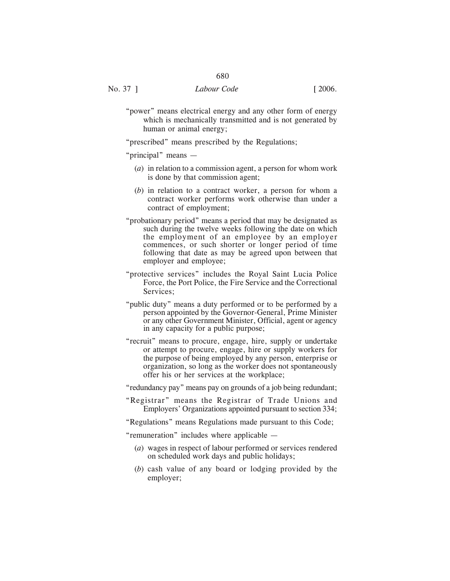"power" means electrical energy and any other form of energy which is mechanically transmitted and is not generated by human or animal energy;

"prescribed" means prescribed by the Regulations;

"principal" means —

- (*a*) in relation to a commission agent, a person for whom work is done by that commission agent;
- (*b*) in relation to a contract worker, a person for whom a contract worker performs work otherwise than under a contract of employment;
- "probationary period" means a period that may be designated as such during the twelve weeks following the date on which the employment of an employee by an employer commences, or such shorter or longer period of time following that date as may be agreed upon between that employer and employee;
- "protective services" includes the Royal Saint Lucia Police Force, the Port Police, the Fire Service and the Correctional Services;
- "public duty" means a duty performed or to be performed by a person appointed by the Governor-General, Prime Minister or any other Government Minister, Official, agent or agency in any capacity for a public purpose;
- "recruit" means to procure, engage, hire, supply or undertake or attempt to procure, engage, hire or supply workers for the purpose of being employed by any person, enterprise or organization, so long as the worker does not spontaneously offer his or her services at the workplace;

"redundancy pay" means pay on grounds of a job being redundant;

"Registrar" means the Registrar of Trade Unions and Employers' Organizations appointed pursuant to section 334;

"Regulations" means Regulations made pursuant to this Code;

"remuneration" includes where applicable —

- (*a*) wages in respect of labour performed or services rendered on scheduled work days and public holidays;
- (*b*) cash value of any board or lodging provided by the employer;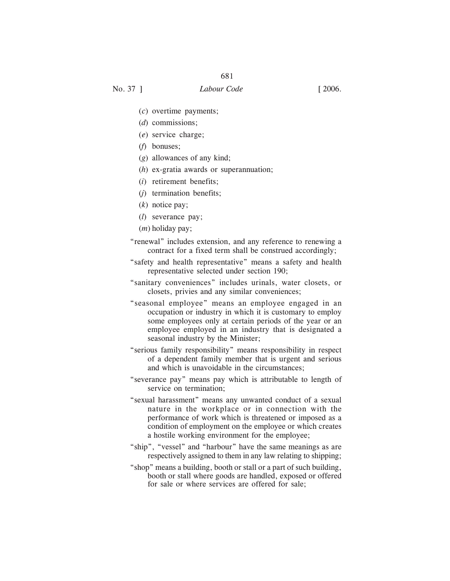- (*c*) overtime payments;
- (*d*) commissions;
- (*e*) service charge;
- (*f*) bonuses;
- (*g*) allowances of any kind;
- (*h*) ex-gratia awards or superannuation;
- (*i*) retirement benefits;
- (*j*) termination benefits;
- (*k*) notice pay;
- (*l*) severance pay;
- (*m*) holiday pay;
- "renewal" includes extension, and any reference to renewing a contract for a fixed term shall be construed accordingly;
- "safety and health representative" means a safety and health representative selected under section 190;
- "sanitary conveniences" includes urinals, water closets, or closets, privies and any similar conveniences;
- "seasonal employee" means an employee engaged in an occupation or industry in which it is customary to employ some employees only at certain periods of the year or an employee employed in an industry that is designated a seasonal industry by the Minister;
- "serious family responsibility" means responsibility in respect of a dependent family member that is urgent and serious and which is unavoidable in the circumstances;
- "severance pay" means pay which is attributable to length of service on termination;
- "sexual harassment" means any unwanted conduct of a sexual nature in the workplace or in connection with the performance of work which is threatened or imposed as a condition of employment on the employee or which creates a hostile working environment for the employee;
- "ship", "vessel" and "harbour" have the same meanings as are respectively assigned to them in any law relating to shipping;
- "shop" means a building, booth or stall or a part of such building, booth or stall where goods are handled, exposed or offered for sale or where services are offered for sale;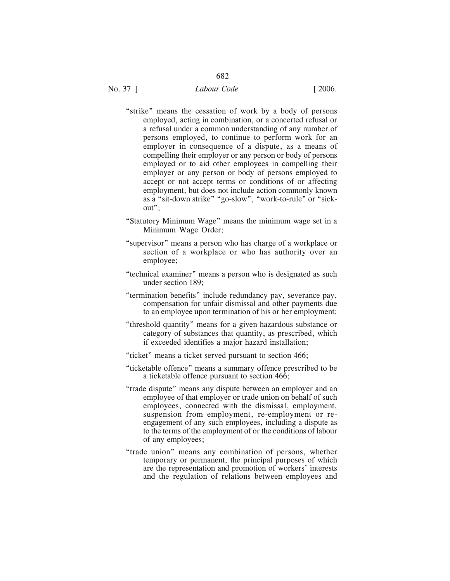- "strike" means the cessation of work by a body of persons employed, acting in combination, or a concerted refusal or a refusal under a common understanding of any number of persons employed, to continue to perform work for an employer in consequence of a dispute, as a means of compelling their employer or any person or body of persons employed or to aid other employees in compelling their employer or any person or body of persons employed to accept or not accept terms or conditions of or affecting employment, but does not include action commonly known as a "sit-down strike" "go-slow", "work-to-rule" or "sickout";
- "Statutory Minimum Wage" means the minimum wage set in a Minimum Wage Order;
- "supervisor" means a person who has charge of a workplace or section of a workplace or who has authority over an employee;
- "technical examiner" means a person who is designated as such under section 189;
- "termination benefits" include redundancy pay, severance pay, compensation for unfair dismissal and other payments due to an employee upon termination of his or her employment;
- "threshold quantity" means for a given hazardous substance or category of substances that quantity, as prescribed, which if exceeded identifies a major hazard installation;
- "ticket" means a ticket served pursuant to section 466;
- "ticketable offence" means a summary offence prescribed to be a ticketable offence pursuant to section 466;
- "trade dispute" means any dispute between an employer and an employee of that employer or trade union on behalf of such employees, connected with the dismissal, employment, suspension from employment, re-employment or reengagement of any such employees, including a dispute as to the terms of the employment of or the conditions of labour of any employees;
- "trade union" means any combination of persons, whether temporary or permanent, the principal purposes of which are the representation and promotion of workers' interests and the regulation of relations between employees and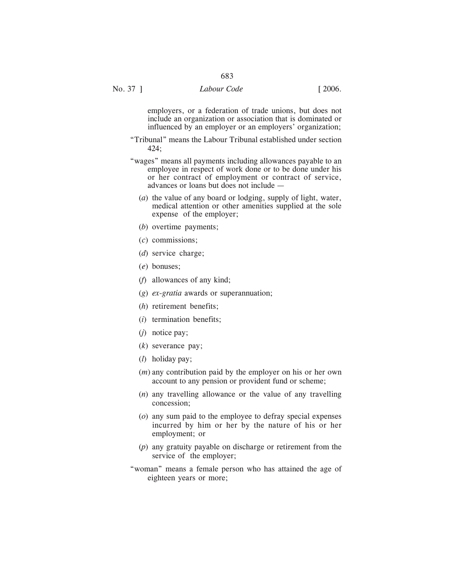employers, or a federation of trade unions, but does not include an organization or association that is dominated or influenced by an employer or an employers' organization;

- "Tribunal" means the Labour Tribunal established under section 424;
- "wages" means all payments including allowances payable to an employee in respect of work done or to be done under his or her contract of employment or contract of service, advances or loans but does not include —
	- (*a*) the value of any board or lodging, supply of light, water, medical attention or other amenities supplied at the sole expense of the employer;
	- (*b*) overtime payments;
	- (*c*) commissions;
	- (*d*) service charge;
	- (*e*) bonuses;
	- (*f*) allowances of any kind;
	- (*g*) *ex-gratia* awards or superannuation;
	- (*h*) retirement benefits;
	- (*i*) termination benefits;
	- (*j*) notice pay;
	- (*k*) severance pay;
	- (*l*) holiday pay;
	- (*m*) any contribution paid by the employer on his or her own account to any pension or provident fund or scheme;
	- (*n*) any travelling allowance or the value of any travelling concession;
	- (*o*) any sum paid to the employee to defray special expenses incurred by him or her by the nature of his or her employment; or
	- (*p*) any gratuity payable on discharge or retirement from the service of the employer;
- "woman" means a female person who has attained the age of eighteen years or more;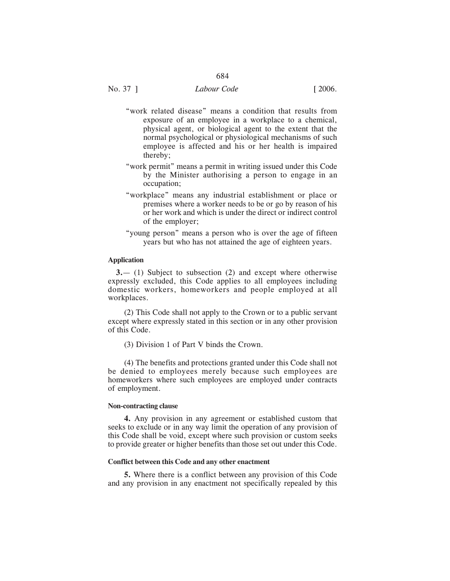- "work related disease" means a condition that results from exposure of an employee in a workplace to a chemical, physical agent, or biological agent to the extent that the normal psychological or physiological mechanisms of such employee is affected and his or her health is impaired thereby;
- "work permit" means a permit in writing issued under this Code by the Minister authorising a person to engage in an occupation;
- "workplace" means any industrial establishment or place or premises where a worker needs to be or go by reason of his or her work and which is under the direct or indirect control of the employer;
- "young person" means a person who is over the age of fifteen years but who has not attained the age of eighteen years.

#### **Application**

**3.**— (1) Subject to subsection (2) and except where otherwise expressly excluded, this Code applies to all employees including domestic workers, homeworkers and people employed at all workplaces.

(2) This Code shall not apply to the Crown or to a public servant except where expressly stated in this section or in any other provision of this Code.

(3) Division 1 of Part V binds the Crown.

(4) The benefits and protections granted under this Code shall not be denied to employees merely because such employees are homeworkers where such employees are employed under contracts of employment.

#### **Non-contracting clause**

**4.** Any provision in any agreement or established custom that seeks to exclude or in any way limit the operation of any provision of this Code shall be void, except where such provision or custom seeks to provide greater or higher benefits than those set out under this Code.

#### **Conflict between this Code and any other enactment**

**5.** Where there is a conflict between any provision of this Code and any provision in any enactment not specifically repealed by this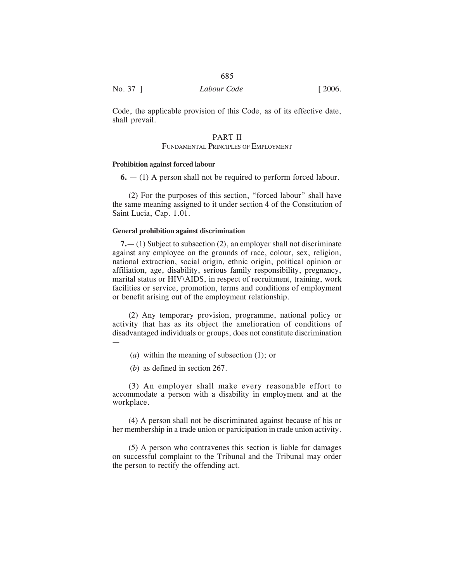| No. 37 ] | Labour Code | [2006] |
|----------|-------------|--------|
|          |             |        |

Code, the applicable provision of this Code, as of its effective date, shall prevail.

# PART II

### FUNDAMENTAL PRINCIPLES OF EMPLOYMENT

#### **Prohibition against forced labour**

**6.** — (1) A person shall not be required to perform forced labour.

(2) For the purposes of this section, "forced labour" shall have the same meaning assigned to it under section 4 of the Constitution of Saint Lucia, Cap. 1.01.

#### **General prohibition against discrimination**

**7.**— (1) Subject to subsection (2), an employer shall not discriminate against any employee on the grounds of race, colour, sex, religion, national extraction, social origin, ethnic origin, political opinion or affiliation, age, disability, serious family responsibility, pregnancy, marital status or HIV\AIDS, in respect of recruitment, training, work facilities or service, promotion, terms and conditions of employment or benefit arising out of the employment relationship.

(2) Any temporary provision, programme, national policy or activity that has as its object the amelioration of conditions of disadvantaged individuals or groups, does not constitute discrimination —

- (*a*) within the meaning of subsection (1); or
- (*b*) as defined in section 267.

(3) An employer shall make every reasonable effort to accommodate a person with a disability in employment and at the workplace.

(4) A person shall not be discriminated against because of his or her membership in a trade union or participation in trade union activity.

(5) A person who contravenes this section is liable for damages on successful complaint to the Tribunal and the Tribunal may order the person to rectify the offending act.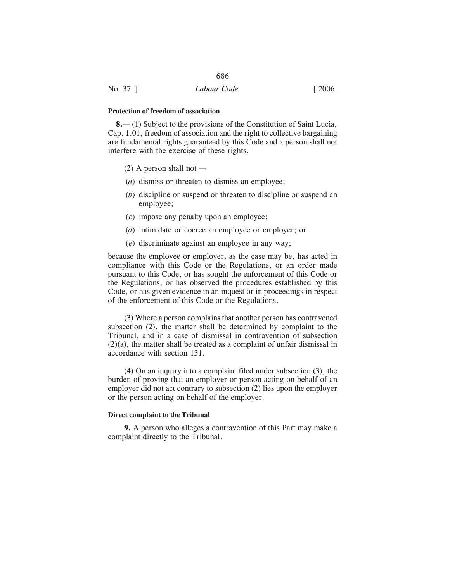#### **Protection of freedom of association**

**8.**— (1) Subject to the provisions of the Constitution of Saint Lucia, Cap. 1.01, freedom of association and the right to collective bargaining are fundamental rights guaranteed by this Code and a person shall not interfere with the exercise of these rights.

- $(2)$  A person shall not —
- (*a*) dismiss or threaten to dismiss an employee;
- (*b*) discipline or suspend or threaten to discipline or suspend an employee;
- (*c*) impose any penalty upon an employee;
- (*d*) intimidate or coerce an employee or employer; or
- (*e*) discriminate against an employee in any way;

because the employee or employer, as the case may be, has acted in compliance with this Code or the Regulations, or an order made pursuant to this Code, or has sought the enforcement of this Code or the Regulations, or has observed the procedures established by this Code, or has given evidence in an inquest or in proceedings in respect of the enforcement of this Code or the Regulations.

(3) Where a person complains that another person has contravened subsection (2), the matter shall be determined by complaint to the Tribunal, and in a case of dismissal in contravention of subsection (2)(a), the matter shall be treated as a complaint of unfair dismissal in accordance with section 131.

(4) On an inquiry into a complaint filed under subsection (3), the burden of proving that an employer or person acting on behalf of an employer did not act contrary to subsection (2) lies upon the employer or the person acting on behalf of the employer.

## **Direct complaint to the Tribunal**

**9.** A person who alleges a contravention of this Part may make a complaint directly to the Tribunal.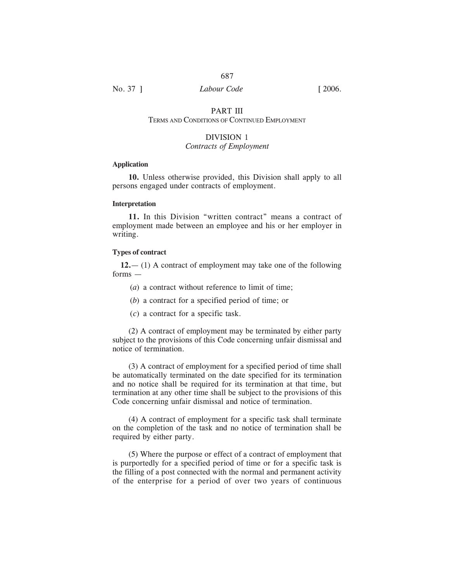# PART III

# TERMS AND CONDITIONS OF CONTINUED EMPLOYMENT

# DIVISION 1

# *Contracts of Employment*

#### **Application**

**10.** Unless otherwise provided, this Division shall apply to all persons engaged under contracts of employment.

#### **Interpretation**

**11.** In this Division "written contract" means a contract of employment made between an employee and his or her employer in writing.

#### **Types of contract**

**12.**— (1) A contract of employment may take one of the following forms —

(*a*) a contract without reference to limit of time;

- (*b*) a contract for a specified period of time; or
- (*c*) a contract for a specific task.

(2) A contract of employment may be terminated by either party subject to the provisions of this Code concerning unfair dismissal and notice of termination.

(3) A contract of employment for a specified period of time shall be automatically terminated on the date specified for its termination and no notice shall be required for its termination at that time, but termination at any other time shall be subject to the provisions of this Code concerning unfair dismissal and notice of termination.

(4) A contract of employment for a specific task shall terminate on the completion of the task and no notice of termination shall be required by either party.

(5) Where the purpose or effect of a contract of employment that is purportedly for a specified period of time or for a specific task is the filling of a post connected with the normal and permanent activity of the enterprise for a period of over two years of continuous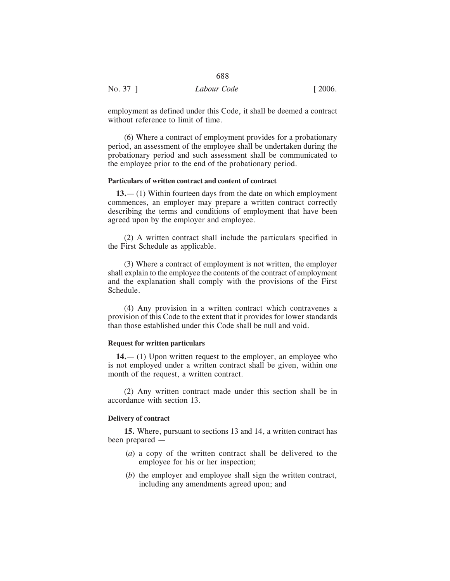|          | 688         |                       |
|----------|-------------|-----------------------|
| No. 37 ] | Labour Code | $\lceil 2006. \rceil$ |

employment as defined under this Code, it shall be deemed a contract without reference to limit of time.

(6) Where a contract of employment provides for a probationary period, an assessment of the employee shall be undertaken during the probationary period and such assessment shall be communicated to the employee prior to the end of the probationary period.

#### **Particulars of written contract and content of contract**

**13.**— (1) Within fourteen days from the date on which employment commences, an employer may prepare a written contract correctly describing the terms and conditions of employment that have been agreed upon by the employer and employee.

(2) A written contract shall include the particulars specified in the First Schedule as applicable.

(3) Where a contract of employment is not written, the employer shall explain to the employee the contents of the contract of employment and the explanation shall comply with the provisions of the First Schedule.

(4) Any provision in a written contract which contravenes a provision of this Code to the extent that it provides for lower standards than those established under this Code shall be null and void.

#### **Request for written particulars**

**14.**— (1) Upon written request to the employer, an employee who is not employed under a written contract shall be given, within one month of the request, a written contract.

(2) Any written contract made under this section shall be in accordance with section 13.

#### **Delivery of contract**

**15.** Where, pursuant to sections 13 and 14, a written contract has been prepared —

- (*a*) a copy of the written contract shall be delivered to the employee for his or her inspection;
- (*b*) the employer and employee shall sign the written contract, including any amendments agreed upon; and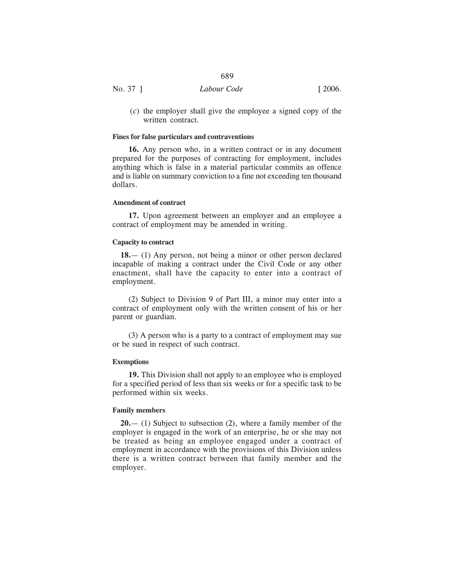|          | 689         |        |
|----------|-------------|--------|
| No. 37 ] | Labour Code | [2006] |

(*c*) the employer shall give the employee a signed copy of the written contract.

# **Fines for false particulars and contraventions**

**16.** Any person who, in a written contract or in any document prepared for the purposes of contracting for employment, includes anything which is false in a material particular commits an offence and is liable on summary conviction to a fine not exceeding ten thousand dollars.

#### **Amendment of contract**

**17.** Upon agreement between an employer and an employee a contract of employment may be amended in writing.

# **Capacity to contract**

**18.**— (1) Any person, not being a minor or other person declared incapable of making a contract under the Civil Code or any other enactment, shall have the capacity to enter into a contract of employment.

(2) Subject to Division 9 of Part III, a minor may enter into a contract of employment only with the written consent of his or her parent or guardian.

(3) A person who is a party to a contract of employment may sue or be sued in respect of such contract.

#### **Exemptions**

**19.** This Division shall not apply to an employee who is employed for a specified period of less than six weeks or for a specific task to be performed within six weeks.

#### **Family members**

**20.**— (1) Subject to subsection (2), where a family member of the employer is engaged in the work of an enterprise, he or she may not be treated as being an employee engaged under a contract of employment in accordance with the provisions of this Division unless there is a written contract between that family member and the employer.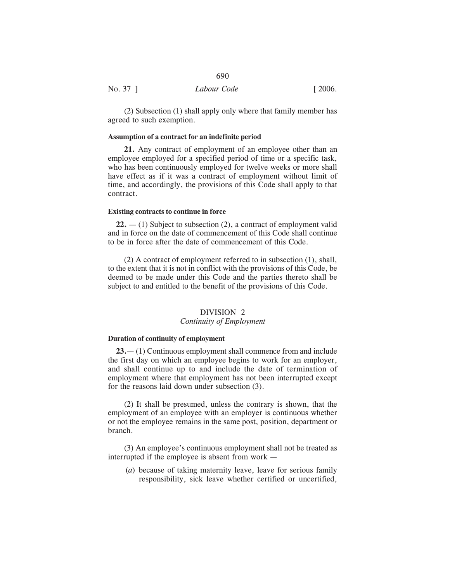|          | 690         |                       |
|----------|-------------|-----------------------|
| No. 37 ] | Labour Code | $\lceil 2006. \rceil$ |

(2) Subsection (1) shall apply only where that family member has agreed to such exemption.

# **Assumption of a contract for an indefinite period**

**21.** Any contract of employment of an employee other than an employee employed for a specified period of time or a specific task, who has been continuously employed for twelve weeks or more shall have effect as if it was a contract of employment without limit of time, and accordingly, the provisions of this Code shall apply to that contract.

## **Existing contracts to continue in force**

**22.** — (1) Subject to subsection (2), a contract of employment valid and in force on the date of commencement of this Code shall continue to be in force after the date of commencement of this Code.

(2) A contract of employment referred to in subsection (1), shall, to the extent that it is not in conflict with the provisions of this Code, be deemed to be made under this Code and the parties thereto shall be subject to and entitled to the benefit of the provisions of this Code.

# DIVISION 2

# *Continuity of Employment*

# **Duration of continuity of employment**

**23.**— (1) Continuous employment shall commence from and include the first day on which an employee begins to work for an employer, and shall continue up to and include the date of termination of employment where that employment has not been interrupted except for the reasons laid down under subsection (3).

(2) It shall be presumed, unless the contrary is shown, that the employment of an employee with an employer is continuous whether or not the employee remains in the same post, position, department or branch.

(3) An employee's continuous employment shall not be treated as interrupted if the employee is absent from work —

(*a*) because of taking maternity leave, leave for serious family responsibility, sick leave whether certified or uncertified,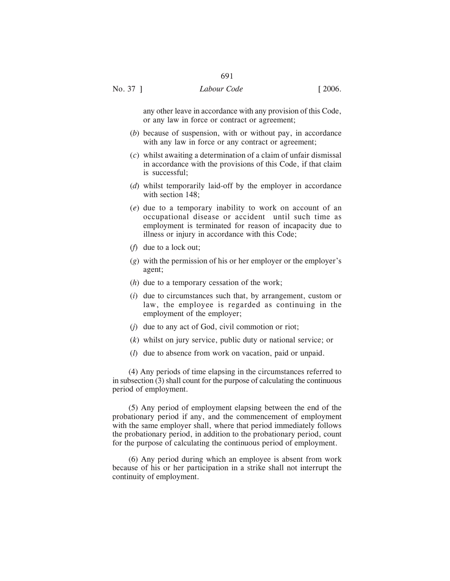any other leave in accordance with any provision of this Code, or any law in force or contract or agreement;

- (*b*) because of suspension, with or without pay, in accordance with any law in force or any contract or agreement;
- (*c*) whilst awaiting a determination of a claim of unfair dismissal in accordance with the provisions of this Code, if that claim is successful;
- (*d*) whilst temporarily laid-off by the employer in accordance with section 148;
- (*e*) due to a temporary inability to work on account of an occupational disease or accident until such time as employment is terminated for reason of incapacity due to illness or injury in accordance with this Code;
- (*f*) due to a lock out;
- (*g*) with the permission of his or her employer or the employer's agent;
- (*h*) due to a temporary cessation of the work;
- (*i*) due to circumstances such that, by arrangement, custom or law, the employee is regarded as continuing in the employment of the employer;
- (*j*) due to any act of God, civil commotion or riot;
- (*k*) whilst on jury service, public duty or national service; or
- (*l*) due to absence from work on vacation, paid or unpaid.

(4) Any periods of time elapsing in the circumstances referred to in subsection (3) shall count for the purpose of calculating the continuous period of employment.

(5) Any period of employment elapsing between the end of the probationary period if any, and the commencement of employment with the same employer shall, where that period immediately follows the probationary period, in addition to the probationary period, count for the purpose of calculating the continuous period of employment.

(6) Any period during which an employee is absent from work because of his or her participation in a strike shall not interrupt the continuity of employment.

No. 37 ] *Labour Code* [ 2006.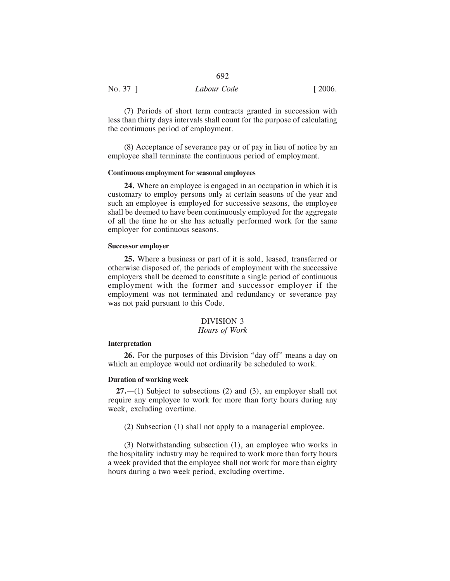| No. 37 ] | Labour Code | $\lceil 2006. \rceil$ |
|----------|-------------|-----------------------|

(7) Periods of short term contracts granted in succession with less than thirty days intervals shall count for the purpose of calculating the continuous period of employment.

(8) Acceptance of severance pay or of pay in lieu of notice by an employee shall terminate the continuous period of employment.

### **Continuous employment for seasonal employees**

**24.** Where an employee is engaged in an occupation in which it is customary to employ persons only at certain seasons of the year and such an employee is employed for successive seasons, the employee shall be deemed to have been continuously employed for the aggregate of all the time he or she has actually performed work for the same employer for continuous seasons.

# **Successor employer**

**25.** Where a business or part of it is sold, leased, transferred or otherwise disposed of, the periods of employment with the successive employers shall be deemed to constitute a single period of continuous employment with the former and successor employer if the employment was not terminated and redundancy or severance pay was not paid pursuant to this Code.

# DIVISION 3

# *Hours of Work*

# **Interpretation**

**26.** For the purposes of this Division "day off" means a day on which an employee would not ordinarily be scheduled to work.

# **Duration of working week**

**27.**—(1) Subject to subsections (2) and (3), an employer shall not require any employee to work for more than forty hours during any week, excluding overtime.

(2) Subsection (1) shall not apply to a managerial employee.

(3) Notwithstanding subsection (1), an employee who works in the hospitality industry may be required to work more than forty hours a week provided that the employee shall not work for more than eighty hours during a two week period, excluding overtime.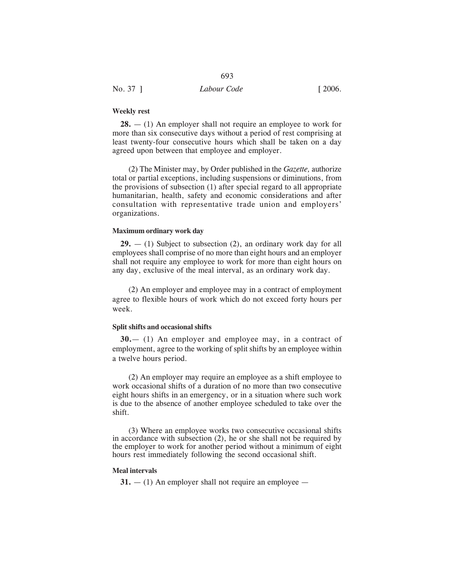**28.** — (1) An employer shall not require an employee to work for more than six consecutive days without a period of rest comprising at least twenty-four consecutive hours which shall be taken on a day agreed upon between that employee and employer.

693

(2) The Minister may, by Order published in the *Gazette,* authorize total or partial exceptions, including suspensions or diminutions, from the provisions of subsection (1) after special regard to all appropriate humanitarian, health, safety and economic considerations and after consultation with representative trade union and employers' organizations.

#### **Maximum ordinary work day**

**29.** — (1) Subject to subsection (2), an ordinary work day for all employees shall comprise of no more than eight hours and an employer shall not require any employee to work for more than eight hours on any day, exclusive of the meal interval, as an ordinary work day.

(2) An employer and employee may in a contract of employment agree to flexible hours of work which do not exceed forty hours per week.

#### **Split shifts and occasional shifts**

**30.**— (1) An employer and employee may, in a contract of employment, agree to the working of split shifts by an employee within a twelve hours period.

(2) An employer may require an employee as a shift employee to work occasional shifts of a duration of no more than two consecutive eight hours shifts in an emergency, or in a situation where such work is due to the absence of another employee scheduled to take over the shift.

(3) Where an employee works two consecutive occasional shifts in accordance with subsection (2), he or she shall not be required by the employer to work for another period without a minimum of eight hours rest immediately following the second occasional shift.

#### **Meal intervals**

 $31. - (1)$  An employer shall not require an employee  $-$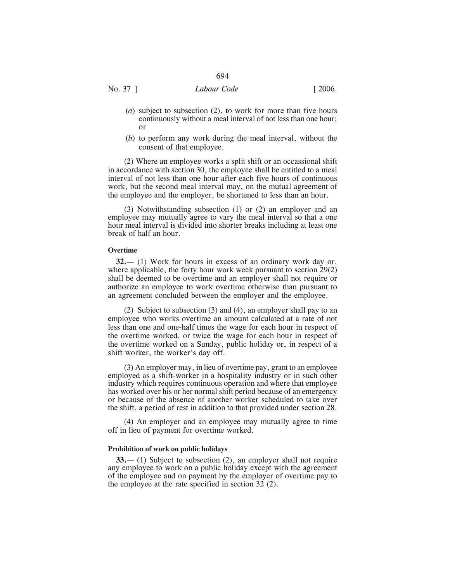No. 37 ] *Labour Code* [ 2006.

- (*a*) subject to subsection (2), to work for more than five hours continuously without a meal interval of not less than one hour; or
- (*b*) to perform any work during the meal interval, without the consent of that employee.

(2) Where an employee works a split shift or an occassional shift in accordance with section 30, the employee shall be entitled to a meal interval of not less than one hour after each five hours of continuous work, but the second meal interval may, on the mutual agreement of the employee and the employer, be shortened to less than an hour.

(3) Notwithstanding subsection (1) or (2) an employer and an employee may mutually agree to vary the meal interval so that a one hour meal interval is divided into shorter breaks including at least one break of half an hour.

#### **Overtime**

**32.**— (1) Work for hours in excess of an ordinary work day or, where applicable, the forty hour work week pursuant to section 29(2) shall be deemed to be overtime and an employer shall not require or authorize an employee to work overtime otherwise than pursuant to an agreement concluded between the employer and the employee.

(2) Subject to subsection (3) and (4), an employer shall pay to an employee who works overtime an amount calculated at a rate of not less than one and one-half times the wage for each hour in respect of the overtime worked, or twice the wage for each hour in respect of the overtime worked on a Sunday, public holiday or, in respect of a shift worker, the worker's day off.

(3) An employer may, in lieu of overtime pay, grant to an employee employed as a shift-worker in a hospitality industry or in such other industry which requires continuous operation and where that employee has worked over his or her normal shift period because of an emergency or because of the absence of another worker scheduled to take over the shift, a period of rest in addition to that provided under section 28.

(4) An employer and an employee may mutually agree to time off in lieu of payment for overtime worked.

#### **Prohibition of work on public holidays**

**33.**— (1) Subject to subsection (2), an employer shall not require any employee to work on a public holiday except with the agreement of the employee and on payment by the employer of overtime pay to the employee at the rate specified in section 32 (2).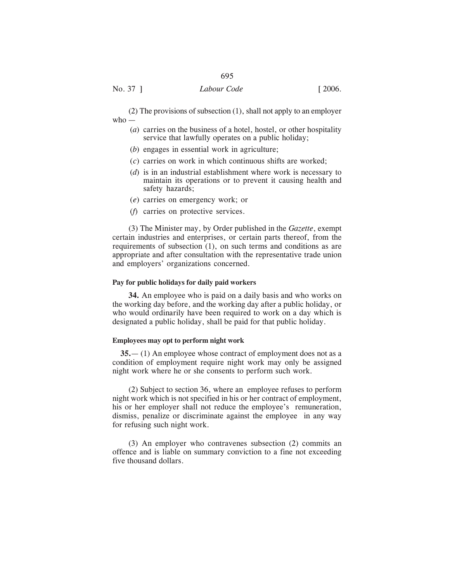(2) The provisions of subsection (1), shall not apply to an employer who —

- (*a*) carries on the business of a hotel, hostel, or other hospitality service that lawfully operates on a public holiday;
- (*b*) engages in essential work in agriculture;
- (*c*) carries on work in which continuous shifts are worked;
- (*d*) is in an industrial establishment where work is necessary to maintain its operations or to prevent it causing health and safety hazards;
- (*e*) carries on emergency work; or
- (*f*) carries on protective services.

(3) The Minister may, by Order published in the *Gazette*, exempt certain industries and enterprises, or certain parts thereof, from the requirements of subsection (1), on such terms and conditions as are appropriate and after consultation with the representative trade union and employers' organizations concerned.

#### **Pay for public holidays for daily paid workers**

**34.** An employee who is paid on a daily basis and who works on the working day before, and the working day after a public holiday, or who would ordinarily have been required to work on a day which is designated a public holiday, shall be paid for that public holiday.

#### **Employees may opt to perform night work**

**35.**— (1) An employee whose contract of employment does not as a condition of employment require night work may only be assigned night work where he or she consents to perform such work.

(2) Subject to section 36, where an employee refuses to perform night work which is not specified in his or her contract of employment, his or her employer shall not reduce the employee's remuneration, dismiss, penalize or discriminate against the employee in any way for refusing such night work.

(3) An employer who contravenes subsection (2) commits an offence and is liable on summary conviction to a fine not exceeding five thousand dollars.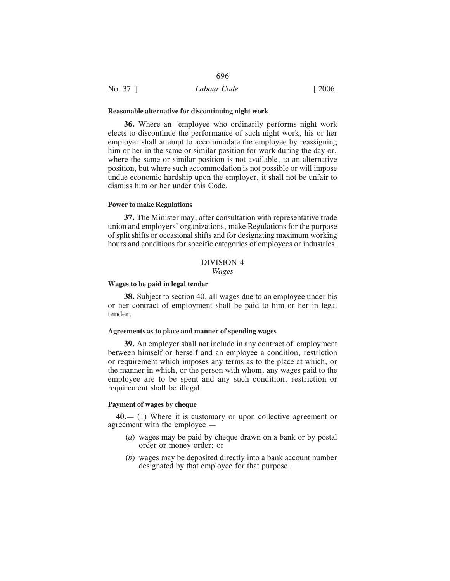| No. 37 1 | Labour Code | $\lceil 2006. \rceil$ |
|----------|-------------|-----------------------|
|          |             |                       |

#### **Reasonable alternative for discontinuing night work**

**36.** Where an employee who ordinarily performs night work elects to discontinue the performance of such night work, his or her employer shall attempt to accommodate the employee by reassigning him or her in the same or similar position for work during the day or, where the same or similar position is not available, to an alternative position, but where such accommodation is not possible or will impose undue economic hardship upon the employer, it shall not be unfair to dismiss him or her under this Code.

696

# **Power to make Regulations**

**37.** The Minister may, after consultation with representative trade union and employers' organizations, make Regulations for the purpose of split shifts or occasional shifts and for designating maximum working hours and conditions for specific categories of employees or industries.

# DIVISION 4 *Wages*

#### **Wages to be paid in legal tender**

**38.** Subject to section 40, all wages due to an employee under his or her contract of employment shall be paid to him or her in legal tender.

#### **Agreements as to place and manner of spending wages**

**39.** An employer shall not include in any contract of employment between himself or herself and an employee a condition, restriction or requirement which imposes any terms as to the place at which, or the manner in which, or the person with whom, any wages paid to the employee are to be spent and any such condition, restriction or requirement shall be illegal.

#### **Payment of wages by cheque**

**40.**— (1) Where it is customary or upon collective agreement or agreement with the employee —

- (*a*) wages may be paid by cheque drawn on a bank or by postal order or money order; or
- (*b*) wages may be deposited directly into a bank account number designated by that employee for that purpose.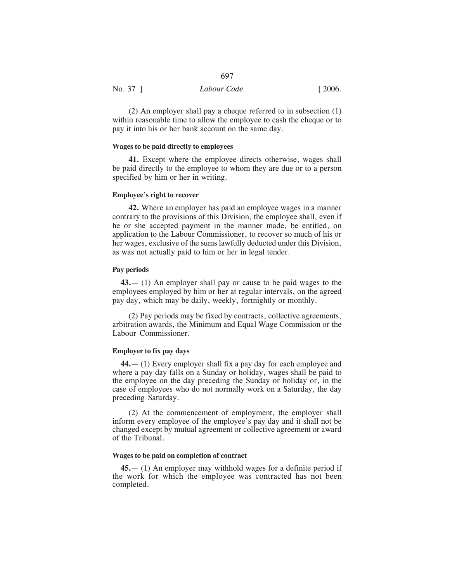|          | Labour Code |                       |
|----------|-------------|-----------------------|
| No. 37 ] |             | $\lceil 2006. \rceil$ |

(2) An employer shall pay a cheque referred to in subsection (1) within reasonable time to allow the employee to cash the cheque or to pay it into his or her bank account on the same day.

#### **Wages to be paid directly to employees**

**41.** Except where the employee directs otherwise, wages shall be paid directly to the employee to whom they are due or to a person specified by him or her in writing.

#### **Employee's right to recover**

**42.** Where an employer has paid an employee wages in a manner contrary to the provisions of this Division, the employee shall, even if he or she accepted payment in the manner made, be entitled, on application to the Labour Commissioner, to recover so much of his or her wages, exclusive of the sums lawfully deducted under this Division, as was not actually paid to him or her in legal tender.

# **Pay periods**

**43.**— (1) An employer shall pay or cause to be paid wages to the employees employed by him or her at regular intervals, on the agreed pay day, which may be daily, weekly, fortnightly or monthly.

(2) Pay periods may be fixed by contracts, collective agreements, arbitration awards, the Minimum and Equal Wage Commission or the Labour Commissioner.

# **Employer to fix pay days**

**44.**— (1) Every employer shall fix a pay day for each employee and where a pay day falls on a Sunday or holiday, wages shall be paid to the employee on the day preceding the Sunday or holiday or, in the case of employees who do not normally work on a Saturday, the day preceding Saturday.

(2) At the commencement of employment, the employer shall inform every employee of the employee's pay day and it shall not be changed except by mutual agreement or collective agreement or award of the Tribunal.

# **Wages to be paid on completion of contract**

**45.**— (1) An employer may withhold wages for a definite period if the work for which the employee was contracted has not been completed.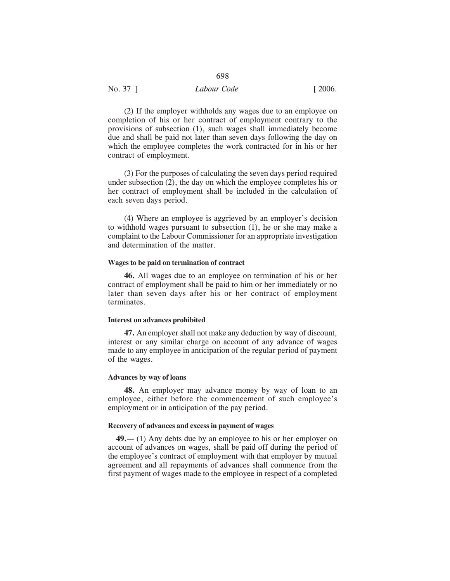| No. 37 ] | Labour Code | $\lceil 2006. \rceil$ |
|----------|-------------|-----------------------|
|          |             |                       |

(2) If the employer withholds any wages due to an employee on completion of his or her contract of employment contrary to the provisions of subsection (1), such wages shall immediately become due and shall be paid not later than seven days following the day on which the employee completes the work contracted for in his or her contract of employment.

(3) For the purposes of calculating the seven days period required under subsection (2), the day on which the employee completes his or her contract of employment shall be included in the calculation of each seven days period.

(4) Where an employee is aggrieved by an employer's decision to withhold wages pursuant to subsection (1), he or she may make a complaint to the Labour Commissioner for an appropriate investigation and determination of the matter.

#### **Wages to be paid on termination of contract**

**46.** All wages due to an employee on termination of his or her contract of employment shall be paid to him or her immediately or no later than seven days after his or her contract of employment terminates.

# **Interest on advances prohibited**

**47.** An employer shall not make any deduction by way of discount, interest or any similar charge on account of any advance of wages made to any employee in anticipation of the regular period of payment of the wages.

#### **Advances by way of loans**

**48.** An employer may advance money by way of loan to an employee, either before the commencement of such employee's employment or in anticipation of the pay period.

#### **Recovery of advances and excess in payment of wages**

**49.**— (1) Any debts due by an employee to his or her employer on account of advances on wages, shall be paid off during the period of the employee's contract of employment with that employer by mutual agreement and all repayments of advances shall commence from the first payment of wages made to the employee in respect of a completed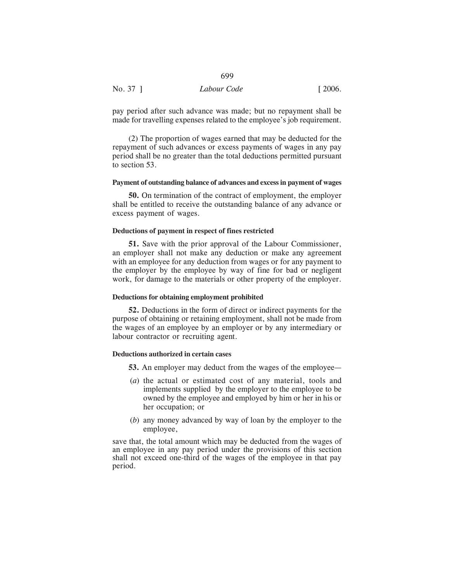| No. 37 ] | Labour Code | [2006] |
|----------|-------------|--------|

pay period after such advance was made; but no repayment shall be made for travelling expenses related to the employee's job requirement.

699

(2) The proportion of wages earned that may be deducted for the repayment of such advances or excess payments of wages in any pay period shall be no greater than the total deductions permitted pursuant to section 53.

# **Payment of outstanding balance of advances and excess in payment of wages**

**50.** On termination of the contract of employment, the employer shall be entitled to receive the outstanding balance of any advance or excess payment of wages.

# **Deductions of payment in respect of fines restricted**

**51.** Save with the prior approval of the Labour Commissioner, an employer shall not make any deduction or make any agreement with an employee for any deduction from wages or for any payment to the employer by the employee by way of fine for bad or negligent work, for damage to the materials or other property of the employer.

#### **Deductions for obtaining employment prohibited**

**52.** Deductions in the form of direct or indirect payments for the purpose of obtaining or retaining employment, shall not be made from the wages of an employee by an employer or by any intermediary or labour contractor or recruiting agent.

#### **Deductions authorized in certain cases**

- **53.** An employer may deduct from the wages of the employee—
- (*a*) the actual or estimated cost of any material, tools and implements supplied by the employer to the employee to be owned by the employee and employed by him or her in his or her occupation; or
- (*b*) any money advanced by way of loan by the employer to the employee,

save that, the total amount which may be deducted from the wages of an employee in any pay period under the provisions of this section shall not exceed one-third of the wages of the employee in that pay period.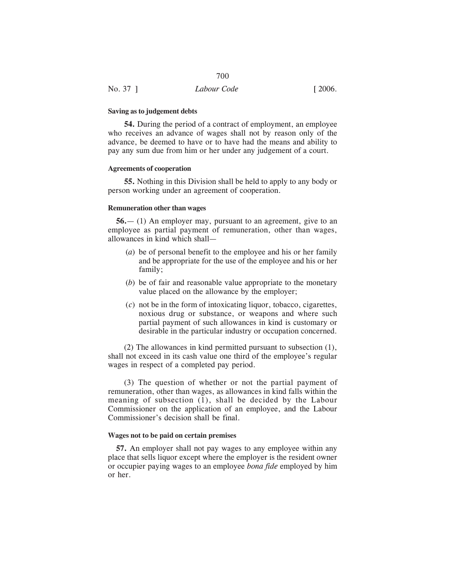#### **Saving as to judgement debts**

**54.** During the period of a contract of employment, an employee who receives an advance of wages shall not by reason only of the advance, be deemed to have or to have had the means and ability to pay any sum due from him or her under any judgement of a court.

# **Agreements of cooperation**

**55.** Nothing in this Division shall be held to apply to any body or person working under an agreement of cooperation.

#### **Remuneration other than wages**

**56.**— (1) An employer may, pursuant to an agreement, give to an employee as partial payment of remuneration, other than wages, allowances in kind which shall—

- (*a*) be of personal benefit to the employee and his or her family and be appropriate for the use of the employee and his or her family;
- (*b*) be of fair and reasonable value appropriate to the monetary value placed on the allowance by the employer;
- (*c*) not be in the form of intoxicating liquor, tobacco, cigarettes, noxious drug or substance, or weapons and where such partial payment of such allowances in kind is customary or desirable in the particular industry or occupation concerned.

(2) The allowances in kind permitted pursuant to subsection (1), shall not exceed in its cash value one third of the employee's regular wages in respect of a completed pay period.

(3) The question of whether or not the partial payment of remuneration, other than wages, as allowances in kind falls within the meaning of subsection (1), shall be decided by the Labour Commissioner on the application of an employee, and the Labour Commissioner's decision shall be final.

#### **Wages not to be paid on certain premises**

**57.** An employer shall not pay wages to any employee within any place that sells liquor except where the employer is the resident owner or occupier paying wages to an employee *bona fide* employed by him or her.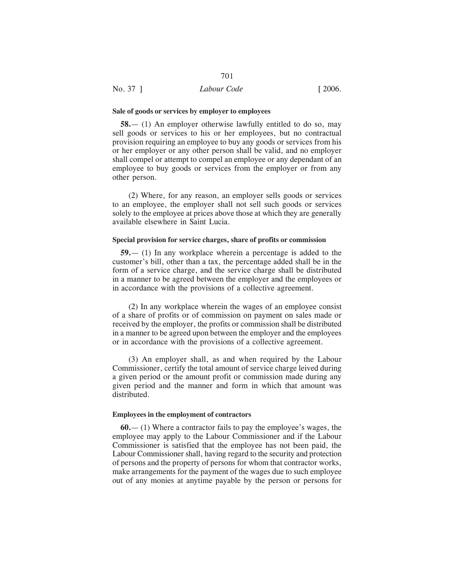#### **Sale of goods or services by employer to employees**

**58.**— (1) An employer otherwise lawfully entitled to do so, may sell goods or services to his or her employees, but no contractual provision requiring an employee to buy any goods or services from his or her employer or any other person shall be valid, and no employer shall compel or attempt to compel an employee or any dependant of an employee to buy goods or services from the employer or from any other person.

(2) Where, for any reason, an employer sells goods or services to an employee, the employer shall not sell such goods or services solely to the employee at prices above those at which they are generally available elsewhere in Saint Lucia.

#### **Special provision for service charges, share of profits or commission**

**59.**— (1) In any workplace wherein a percentage is added to the customer's bill, other than a tax, the percentage added shall be in the form of a service charge, and the service charge shall be distributed in a manner to be agreed between the employer and the employees or in accordance with the provisions of a collective agreement.

(2) In any workplace wherein the wages of an employee consist of a share of profits or of commission on payment on sales made or received by the employer, the profits or commission shall be distributed in a manner to be agreed upon between the employer and the employees or in accordance with the provisions of a collective agreement.

(3) An employer shall, as and when required by the Labour Commissioner, certify the total amount of service charge leived during a given period or the amount profit or commission made during any given period and the manner and form in which that amount was distributed.

#### **Employees in the employment of contractors**

**60.**— (1) Where a contractor fails to pay the employee's wages, the employee may apply to the Labour Commissioner and if the Labour Commissioner is satisfied that the employee has not been paid, the Labour Commissioner shall, having regard to the security and protection of persons and the property of persons for whom that contractor works, make arrangements for the payment of the wages due to such employee out of any monies at anytime payable by the person or persons for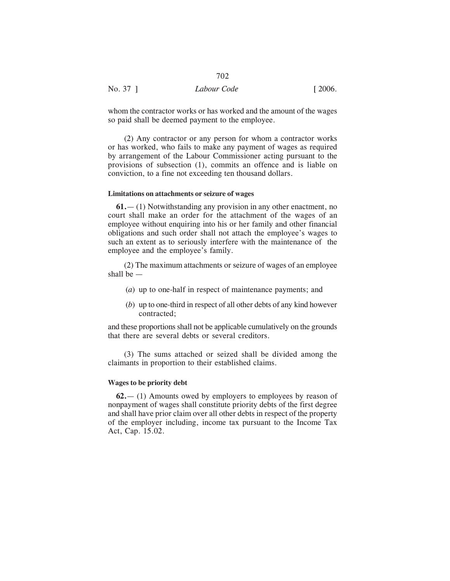|          | 702         |                       |
|----------|-------------|-----------------------|
| No. 37 ] | Labour Code | $\lceil 2006. \rceil$ |

whom the contractor works or has worked and the amount of the wages so paid shall be deemed payment to the employee.

(2) Any contractor or any person for whom a contractor works or has worked, who fails to make any payment of wages as required by arrangement of the Labour Commissioner acting pursuant to the provisions of subsection (1), commits an offence and is liable on conviction, to a fine not exceeding ten thousand dollars.

# **Limitations on attachments or seizure of wages**

**61.**— (1) Notwithstanding any provision in any other enactment, no court shall make an order for the attachment of the wages of an employee without enquiring into his or her family and other financial obligations and such order shall not attach the employee's wages to such an extent as to seriously interfere with the maintenance of the employee and the employee's family.

(2) The maximum attachments or seizure of wages of an employee shall be —

- (*a*) up to one-half in respect of maintenance payments; and
- (*b*) up to one-third in respect of all other debts of any kind however contracted;

and these proportions shall not be applicable cumulatively on the grounds that there are several debts or several creditors.

(3) The sums attached or seized shall be divided among the claimants in proportion to their established claims.

# **Wages to be priority debt**

**62.**— (1) Amounts owed by employers to employees by reason of nonpayment of wages shall constitute priority debts of the first degree and shall have prior claim over all other debts in respect of the property of the employer including, income tax pursuant to the Income Tax Act, Cap. 15.02.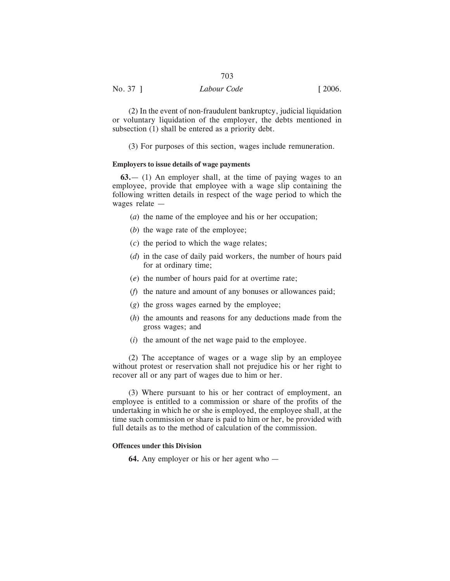(2) In the event of non-fraudulent bankruptcy, judicial liquidation or voluntary liquidation of the employer, the debts mentioned in subsection (1) shall be entered as a priority debt.

(3) For purposes of this section, wages include remuneration.

#### **Employers to issue details of wage payments**

**63.**— (1) An employer shall, at the time of paying wages to an employee, provide that employee with a wage slip containing the following written details in respect of the wage period to which the wages relate —

- (*a*) the name of the employee and his or her occupation;
- (*b*) the wage rate of the employee;
- (*c*) the period to which the wage relates;
- (*d*) in the case of daily paid workers, the number of hours paid for at ordinary time;
- (*e*) the number of hours paid for at overtime rate;
- (*f*) the nature and amount of any bonuses or allowances paid;
- (*g*) the gross wages earned by the employee;
- (*h*) the amounts and reasons for any deductions made from the gross wages; and
- (*i*) the amount of the net wage paid to the employee.

(2) The acceptance of wages or a wage slip by an employee without protest or reservation shall not prejudice his or her right to recover all or any part of wages due to him or her.

(3) Where pursuant to his or her contract of employment, an employee is entitled to a commission or share of the profits of the undertaking in which he or she is employed, the employee shall, at the time such commission or share is paid to him or her, be provided with full details as to the method of calculation of the commission.

# **Offences under this Division**

**64.** Any employer or his or her agent who —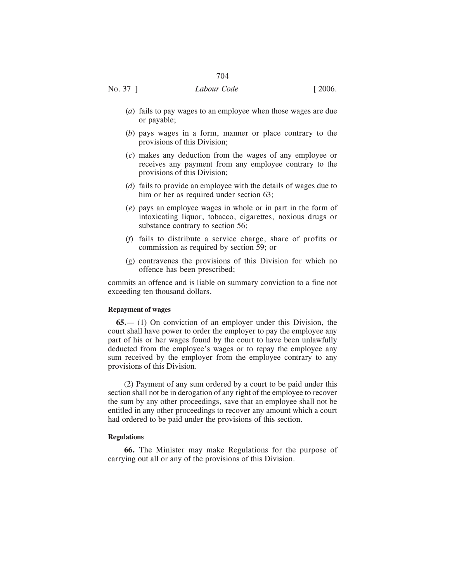- (*a*) fails to pay wages to an employee when those wages are due or payable;
- (*b*) pays wages in a form, manner or place contrary to the provisions of this Division;
- (*c*) makes any deduction from the wages of any employee or receives any payment from any employee contrary to the provisions of this Division;
- (*d*) fails to provide an employee with the details of wages due to him or her as required under section 63;
- (*e*) pays an employee wages in whole or in part in the form of intoxicating liquor, tobacco, cigarettes, noxious drugs or substance contrary to section 56;
- (*f*) fails to distribute a service charge, share of profits or commission as required by section 59; or
- (g) contravenes the provisions of this Division for which no offence has been prescribed;

commits an offence and is liable on summary conviction to a fine not exceeding ten thousand dollars.

# **Repayment of wages**

**65.**— (1) On conviction of an employer under this Division, the court shall have power to order the employer to pay the employee any part of his or her wages found by the court to have been unlawfully deducted from the employee's wages or to repay the employee any sum received by the employer from the employee contrary to any provisions of this Division.

(2) Payment of any sum ordered by a court to be paid under this section shall not be in derogation of any right of the employee to recover the sum by any other proceedings, save that an employee shall not be entitled in any other proceedings to recover any amount which a court had ordered to be paid under the provisions of this section.

#### **Regulations**

**66.** The Minister may make Regulations for the purpose of carrying out all or any of the provisions of this Division.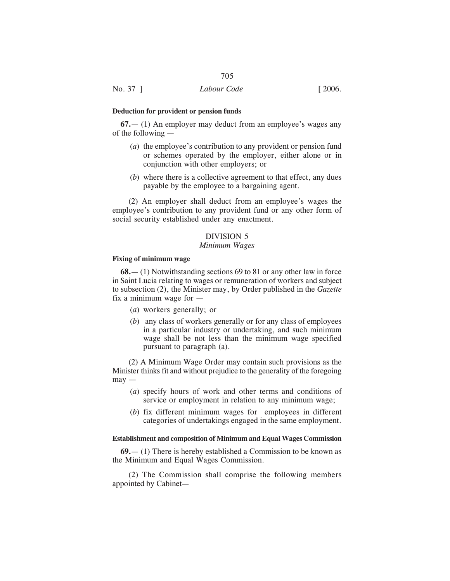#### **Deduction for provident or pension funds**

**67.**— (1) An employer may deduct from an employee's wages any of the following —

- (*a*) the employee's contribution to any provident or pension fund or schemes operated by the employer, either alone or in conjunction with other employers; or
- (*b*) where there is a collective agreement to that effect, any dues payable by the employee to a bargaining agent.

(2) An employer shall deduct from an employee's wages the employee's contribution to any provident fund or any other form of social security established under any enactment.

# DIVISION 5

# *Minimum Wages*

#### **Fixing of minimum wage**

**68.**— (1) Notwithstanding sections 69 to 81 or any other law in force in Saint Lucia relating to wages or remuneration of workers and subject to subsection (2), the Minister may, by Order published in the *Gazette* fix a minimum wage for  $-$ 

- (*a*) workers generally; or
- (*b*) any class of workers generally or for any class of employees in a particular industry or undertaking, and such minimum wage shall be not less than the minimum wage specified pursuant to paragraph (a).

(2) A Minimum Wage Order may contain such provisions as the Minister thinks fit and without prejudice to the generality of the foregoing  $may -$ 

- (*a*) specify hours of work and other terms and conditions of service or employment in relation to any minimum wage;
- (*b*) fix different minimum wages for employees in different categories of undertakings engaged in the same employment.

#### **Establishment and composition of Minimum and Equal Wages Commission**

**69.**— (1) There is hereby established a Commission to be known as the Minimum and Equal Wages Commission.

(2) The Commission shall comprise the following members appointed by Cabinet—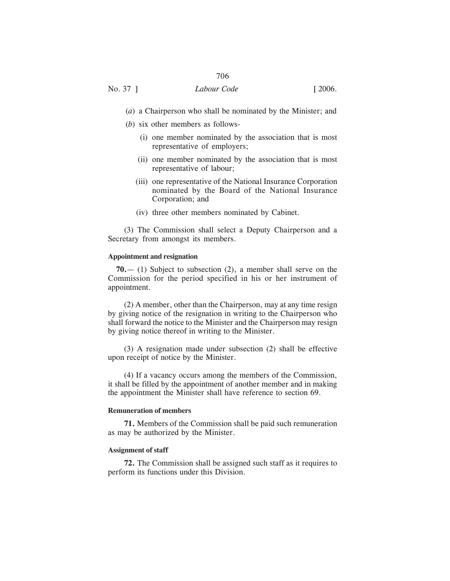- (*a*) a Chairperson who shall be nominated by the Minister; and
- (*b*) six other members as follows-
	- (i) one member nominated by the association that is most representative of employers;
	- (ii) one member nominated by the association that is most representative of labour;
	- (iii) one representative of the National Insurance Corporation nominated by the Board of the National Insurance Corporation; and
	- (iv) three other members nominated by Cabinet.

(3) The Commission shall select a Deputy Chairperson and a Secretary from amongst its members.

#### **Appointment and resignation**

**70.**— (1) Subject to subsection (2), a member shall serve on the Commission for the period specified in his or her instrument of appointment.

(2) A member, other than the Chairperson, may at any time resign by giving notice of the resignation in writing to the Chairperson who shall forward the notice to the Minister and the Chairperson may resign by giving notice thereof in writing to the Minister.

(3) A resignation made under subsection (2) shall be effective upon receipt of notice by the Minister.

(4) If a vacancy occurs among the members of the Commission, it shall be filled by the appointment of another member and in making the appointment the Minister shall have reference to section 69.

# **Remuneration of members**

**71.** Members of the Commission shall be paid such remuneration as may be authorized by the Minister.

# **Assignment of staff**

**72.** The Commission shall be assigned such staff as it requires to perform its functions under this Division.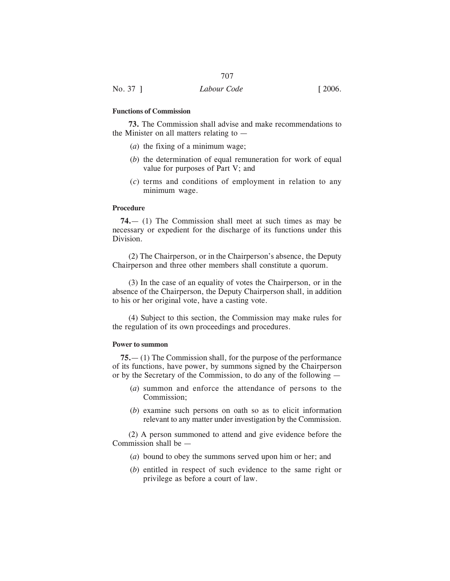# **Functions of Commission**

**73.** The Commission shall advise and make recommendations to the Minister on all matters relating to  $-$ 

- (*a*) the fixing of a minimum wage;
- (*b*) the determination of equal remuneration for work of equal value for purposes of Part V; and
- (*c*) terms and conditions of employment in relation to any minimum wage.

# **Procedure**

**74.**— (1) The Commission shall meet at such times as may be necessary or expedient for the discharge of its functions under this Division.

(2) The Chairperson, or in the Chairperson's absence, the Deputy Chairperson and three other members shall constitute a quorum.

(3) In the case of an equality of votes the Chairperson, or in the absence of the Chairperson, the Deputy Chairperson shall, in addition to his or her original vote, have a casting vote.

(4) Subject to this section, the Commission may make rules for the regulation of its own proceedings and procedures.

#### **Power to summon**

**75.**— (1) The Commission shall, for the purpose of the performance of its functions, have power, by summons signed by the Chairperson or by the Secretary of the Commission, to do any of the following —

- (*a*) summon and enforce the attendance of persons to the Commission;
- (*b*) examine such persons on oath so as to elicit information relevant to any matter under investigation by the Commission.

(2) A person summoned to attend and give evidence before the Commission shall be —

- (*a*) bound to obey the summons served upon him or her; and
- (*b*) entitled in respect of such evidence to the same right or privilege as before a court of law.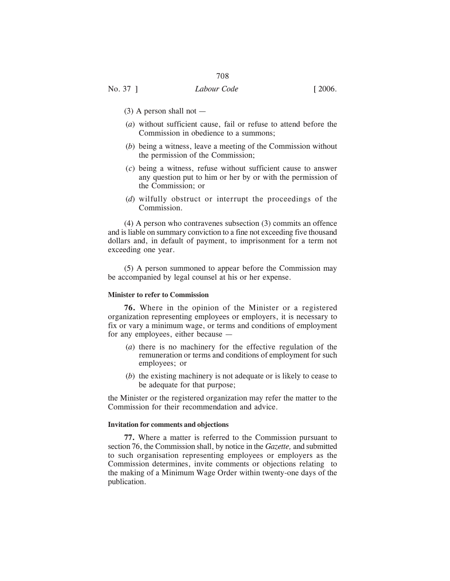No. 37 ] *Labour Code* [ 2006.

- $(3)$  A person shall not  $-$
- (*a*) without sufficient cause, fail or refuse to attend before the Commission in obedience to a summons;
- (*b*) being a witness, leave a meeting of the Commission without the permission of the Commission;
- (*c*) being a witness, refuse without sufficient cause to answer any question put to him or her by or with the permission of the Commission; or
- (*d*) wilfully obstruct or interrupt the proceedings of the Commission.

(4) A person who contravenes subsection (3) commits an offence and is liable on summary conviction to a fine not exceeding five thousand dollars and, in default of payment, to imprisonment for a term not exceeding one year.

(5) A person summoned to appear before the Commission may be accompanied by legal counsel at his or her expense.

# **Minister to refer to Commission**

**76.** Where in the opinion of the Minister or a registered organization representing employees or employers, it is necessary to fix or vary a minimum wage, or terms and conditions of employment for any employees, either because —

- (*a*) there is no machinery for the effective regulation of the remuneration or terms and conditions of employment for such employees; or
- (*b*) the existing machinery is not adequate or is likely to cease to be adequate for that purpose;

the Minister or the registered organization may refer the matter to the Commission for their recommendation and advice.

## **Invitation for comments and objections**

**77.** Where a matter is referred to the Commission pursuant to section 76, the Commission shall, by notice in the *Gazette,* and submitted to such organisation representing employees or employers as the Commission determines, invite comments or objections relating to the making of a Minimum Wage Order within twenty-one days of the publication.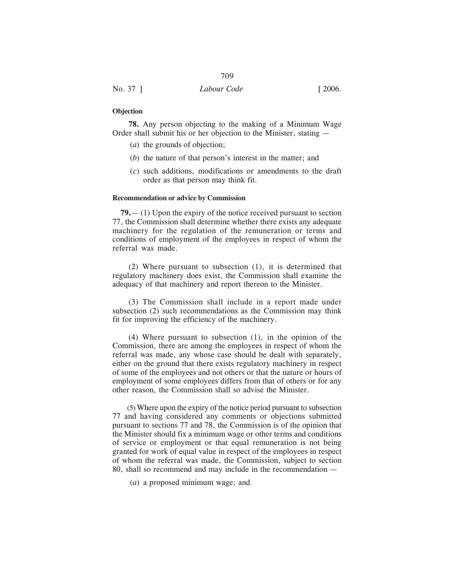| No. 37 ] | Labour Code | $\lceil 2006. \rceil$ |
|----------|-------------|-----------------------|

#### **Objection**

**78.** Any person objecting to the making of a Minimum Wage Order shall submit his or her objection to the Minister, stating —

- (*a*) the grounds of objection;
- (*b*) the nature of that person's interest in the matter; and
- (*c*) such additions, modifications or amendments to the draft order as that person may think fit.

# **Recommendation or advice by Commission**

**79.**— (1) Upon the expiry of the notice received pursuant to section 77, the Commission shall determine whether there exists any adequate machinery for the regulation of the remuneration or terms and conditions of employment of the employees in respect of whom the referral was made.

(2) Where pursuant to subsection (1), it is determined that regulatory machinery does exist, the Commission shall examine the adequacy of that machinery and report thereon to the Minister.

(3) The Commission shall include in a report made under subsection (2) such recommendations as the Commission may think fit for improving the efficiency of the machinery.

(4) Where pursuant to subsection (1), in the opinion of the Commission, there are among the employees in respect of whom the referral was made, any whose case should be dealt with separately, either on the ground that there exists regulatory machinery in respect of some of the employees and not others or that the nature or hours of employment of some employees differs from that of others or for any other reason, the Commission shall so advise the Minister.

(5) Where upon the expiry of the notice period pursuant to subsection 77 and having considered any comments or objections submitted pursuant to sections 77 and 78, the Commission is of the opinion that the Minister should fix a minimum wage or other terms and conditions of service or employment or that equal remuneration is not being granted for work of equal value in respect of the employees in respect of whom the referral was made, the Commission, subject to section 80, shall so recommend and may include in the recommendation —

(*a*) a proposed minimum wage; and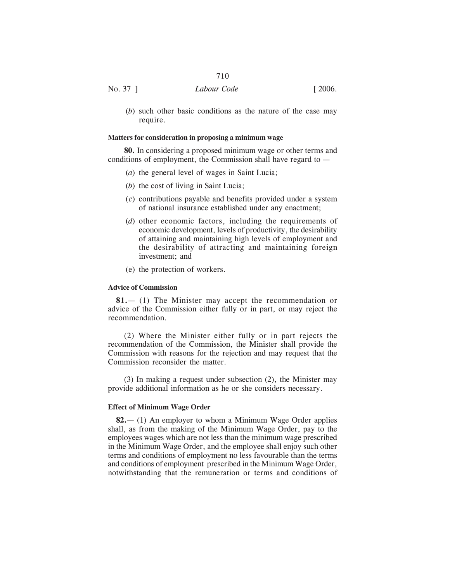# No. 37 ] *Labour Code* [ 2006.

710

(*b*) such other basic conditions as the nature of the case may require.

# **Matters for consideration in proposing a minimum wage**

**80.** In considering a proposed minimum wage or other terms and conditions of employment, the Commission shall have regard to —

- (*a*) the general level of wages in Saint Lucia;
- (*b*) the cost of living in Saint Lucia;
- (*c*) contributions payable and benefits provided under a system of national insurance established under any enactment;
- (*d*) other economic factors, including the requirements of economic development, levels of productivity, the desirability of attaining and maintaining high levels of employment and the desirability of attracting and maintaining foreign investment; and
- (e) the protection of workers.

# **Advice of Commission**

**81.**— (1) The Minister may accept the recommendation or advice of the Commission either fully or in part, or may reject the recommendation.

(2) Where the Minister either fully or in part rejects the recommendation of the Commission, the Minister shall provide the Commission with reasons for the rejection and may request that the Commission reconsider the matter.

(3) In making a request under subsection (2), the Minister may provide additional information as he or she considers necessary.

# **Effect of Minimum Wage Order**

**82.**— (1) An employer to whom a Minimum Wage Order applies shall, as from the making of the Minimum Wage Order, pay to the employees wages which are not less than the minimum wage prescribed in the Minimum Wage Order, and the employee shall enjoy such other terms and conditions of employment no less favourable than the terms and conditions of employment prescribed in the Minimum Wage Order, notwithstanding that the remuneration or terms and conditions of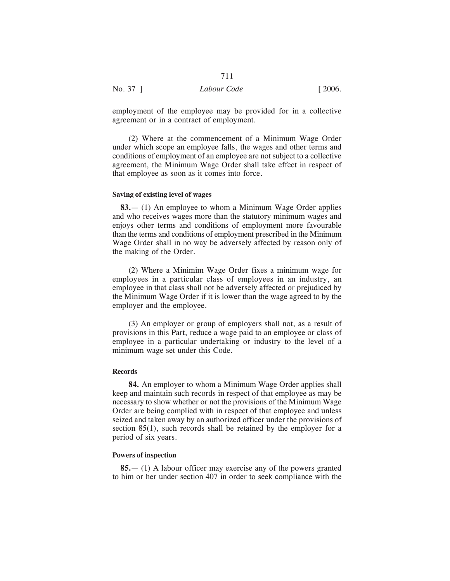employment of the employee may be provided for in a collective agreement or in a contract of employment.

711

(2) Where at the commencement of a Minimum Wage Order under which scope an employee falls, the wages and other terms and conditions of employment of an employee are not subject to a collective agreement, the Minimum Wage Order shall take effect in respect of that employee as soon as it comes into force.

#### **Saving of existing level of wages**

**83.**— (1) An employee to whom a Minimum Wage Order applies and who receives wages more than the statutory minimum wages and enjoys other terms and conditions of employment more favourable than the terms and conditions of employment prescribed in the Minimum Wage Order shall in no way be adversely affected by reason only of the making of the Order.

(2) Where a Minimim Wage Order fixes a minimum wage for employees in a particular class of employees in an industry, an employee in that class shall not be adversely affected or prejudiced by the Minimum Wage Order if it is lower than the wage agreed to by the employer and the employee.

(3) An employer or group of employers shall not, as a result of provisions in this Part, reduce a wage paid to an employee or class of employee in a particular undertaking or industry to the level of a minimum wage set under this Code.

#### **Records**

**84.** An employer to whom a Minimum Wage Order applies shall keep and maintain such records in respect of that employee as may be necessary to show whether or not the provisions of the Minimum Wage Order are being complied with in respect of that employee and unless seized and taken away by an authorized officer under the provisions of section 85(1), such records shall be retained by the employer for a period of six years.

# **Powers of inspection**

**85.**— (1) A labour officer may exercise any of the powers granted to him or her under section 407 in order to seek compliance with the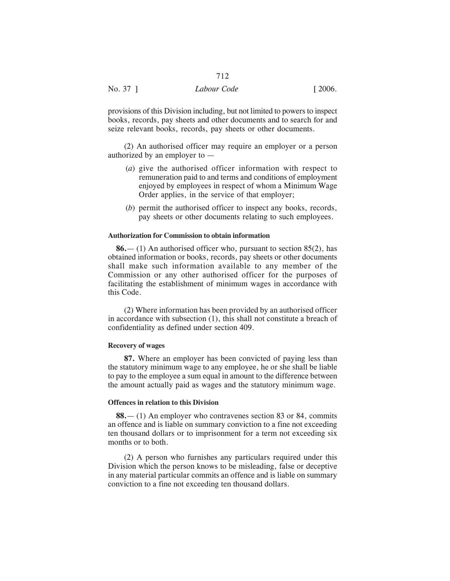|          | 712         |                       |
|----------|-------------|-----------------------|
| No. 37 ] | Labour Code | $\lceil 2006. \rceil$ |

provisions of this Division including, but not limited to powers to inspect books, records, pay sheets and other documents and to search for and seize relevant books, records, pay sheets or other documents.

(2) An authorised officer may require an employer or a person authorized by an employer to —

- (*a*) give the authorised officer information with respect to remuneration paid to and terms and conditions of employment enjoyed by employees in respect of whom a Minimum Wage Order applies, in the service of that employer;
- (*b*) permit the authorised officer to inspect any books, records, pay sheets or other documents relating to such employees.

# **Authorization for Commission to obtain information**

**86.**— (1) An authorised officer who, pursuant to section 85(2), has obtained information or books, records, pay sheets or other documents shall make such information available to any member of the Commission or any other authorised officer for the purposes of facilitating the establishment of minimum wages in accordance with this Code.

(2) Where information has been provided by an authorised officer in accordance with subsection (1), this shall not constitute a breach of confidentiality as defined under section 409.

# **Recovery of wages**

**87.** Where an employer has been convicted of paying less than the statutory minimum wage to any employee, he or she shall be liable to pay to the employee a sum equal in amount to the difference between the amount actually paid as wages and the statutory minimum wage.

#### **Offences in relation to this Division**

**88.**— (1) An employer who contravenes section 83 or 84, commits an offence and is liable on summary conviction to a fine not exceeding ten thousand dollars or to imprisonment for a term not exceeding six months or to both.

(2) A person who furnishes any particulars required under this Division which the person knows to be misleading, false or deceptive in any material particular commits an offence and is liable on summary conviction to a fine not exceeding ten thousand dollars.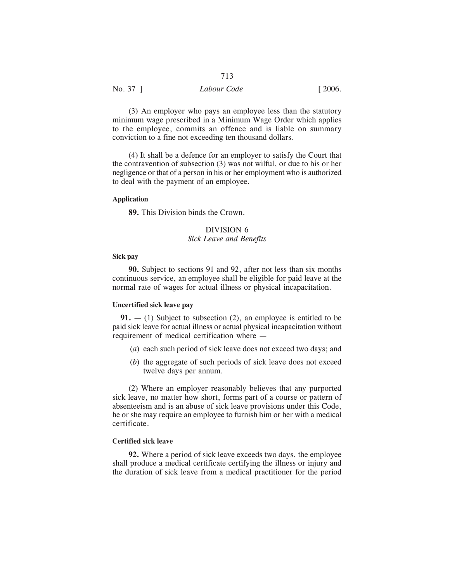| No. 37 ] | Labour Code | $\lceil 2006. \rceil$ |
|----------|-------------|-----------------------|

(3) An employer who pays an employee less than the statutory minimum wage prescribed in a Minimum Wage Order which applies to the employee, commits an offence and is liable on summary conviction to a fine not exceeding ten thousand dollars.

(4) It shall be a defence for an employer to satisfy the Court that the contravention of subsection (3) was not wilful, or due to his or her negligence or that of a person in his or her employment who is authorized to deal with the payment of an employee.

#### **Application**

**89.** This Division binds the Crown.

# DIVISION 6 *Sick Leave and Benefits*

# **Sick pay**

**90.** Subject to sections 91 and 92, after not less than six months continuous service, an employee shall be eligible for paid leave at the normal rate of wages for actual illness or physical incapacitation.

#### **Uncertified sick leave pay**

**91.** — (1) Subject to subsection (2), an employee is entitled to be paid sick leave for actual illness or actual physical incapacitation without requirement of medical certification where —

- (*a*) each such period of sick leave does not exceed two days; and
- (*b*) the aggregate of such periods of sick leave does not exceed twelve days per annum.

(2) Where an employer reasonably believes that any purported sick leave, no matter how short, forms part of a course or pattern of absenteeism and is an abuse of sick leave provisions under this Code, he or she may require an employee to furnish him or her with a medical certificate.

#### **Certified sick leave**

**92.** Where a period of sick leave exceeds two days, the employee shall produce a medical certificate certifying the illness or injury and the duration of sick leave from a medical practitioner for the period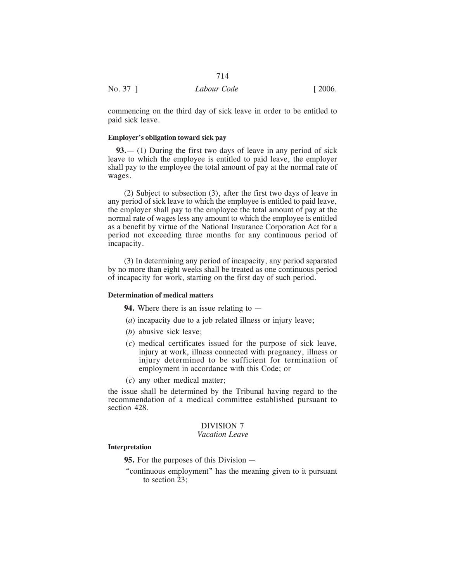|          | 714         |                       |
|----------|-------------|-----------------------|
| No. 37 ] | Labour Code | $\lceil 2006. \rceil$ |

commencing on the third day of sick leave in order to be entitled to paid sick leave.

# **Employer's obligation toward sick pay**

**93.**— (1) During the first two days of leave in any period of sick leave to which the employee is entitled to paid leave, the employer shall pay to the employee the total amount of pay at the normal rate of wages.

(2) Subject to subsection (3), after the first two days of leave in any period of sick leave to which the employee is entitled to paid leave, the employer shall pay to the employee the total amount of pay at the normal rate of wages less any amount to which the employee is entitled as a benefit by virtue of the National Insurance Corporation Act for a period not exceeding three months for any continuous period of incapacity.

(3) In determining any period of incapacity, any period separated by no more than eight weeks shall be treated as one continuous period of incapacity for work, starting on the first day of such period.

#### **Determination of medical matters**

**94.** Where there is an issue relating to —

- (*a*) incapacity due to a job related illness or injury leave;
- (*b*) abusive sick leave;
- (*c*) medical certificates issued for the purpose of sick leave, injury at work, illness connected with pregnancy, illness or injury determined to be sufficient for termination of employment in accordance with this Code; or
- (*c*) any other medical matter;

the issue shall be determined by the Tribunal having regard to the recommendation of a medical committee established pursuant to section 428.

# DIVISION 7

# *Vacation Leave*

# **Interpretation**

**95.** For the purposes of this Division —

"continuous employment" has the meaning given to it pursuant to section 23;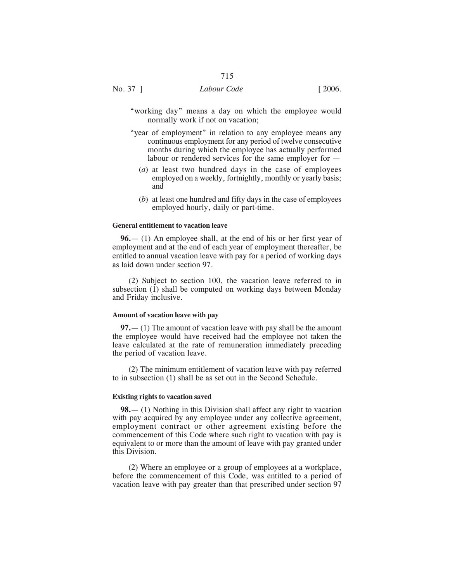- "working day" means a day on which the employee would normally work if not on vacation;
- "year of employment" in relation to any employee means any continuous employment for any period of twelve consecutive months during which the employee has actually performed labour or rendered services for the same employer for —
	- (*a*) at least two hundred days in the case of employees employed on a weekly, fortnightly, monthly or yearly basis; and
	- (*b*) at least one hundred and fifty days in the case of employees employed hourly, daily or part-time.

# **General entitlement to vacation leave**

**96.**— (1) An employee shall, at the end of his or her first year of employment and at the end of each year of employment thereafter, be entitled to annual vacation leave with pay for a period of working days as laid down under section 97.

(2) Subject to section 100, the vacation leave referred to in subsection (1) shall be computed on working days between Monday and Friday inclusive.

# **Amount of vacation leave with pay**

**97.**— (1) The amount of vacation leave with pay shall be the amount the employee would have received had the employee not taken the leave calculated at the rate of remuneration immediately preceding the period of vacation leave.

(2) The minimum entitlement of vacation leave with pay referred to in subsection (1) shall be as set out in the Second Schedule.

#### **Existing rights to vacation saved**

**98.**— (1) Nothing in this Division shall affect any right to vacation with pay acquired by any employee under any collective agreement, employment contract or other agreement existing before the commencement of this Code where such right to vacation with pay is equivalent to or more than the amount of leave with pay granted under this Division.

(2) Where an employee or a group of employees at a workplace, before the commencement of this Code, was entitled to a period of vacation leave with pay greater than that prescribed under section 97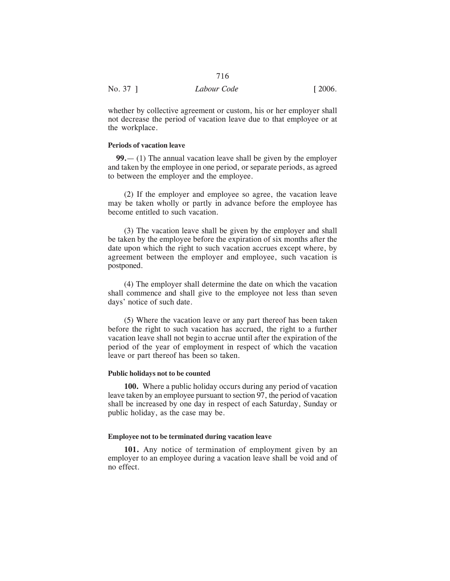|          | 716         |                       |
|----------|-------------|-----------------------|
| No. 37 ] | Labour Code | $\lceil 2006. \rceil$ |

whether by collective agreement or custom, his or her employer shall not decrease the period of vacation leave due to that employee or at the workplace.

# **Periods of vacation leave**

**99.**— (1) The annual vacation leave shall be given by the employer and taken by the employee in one period, or separate periods, as agreed to between the employer and the employee.

(2) If the employer and employee so agree, the vacation leave may be taken wholly or partly in advance before the employee has become entitled to such vacation.

(3) The vacation leave shall be given by the employer and shall be taken by the employee before the expiration of six months after the date upon which the right to such vacation accrues except where, by agreement between the employer and employee, such vacation is postponed.

(4) The employer shall determine the date on which the vacation shall commence and shall give to the employee not less than seven days' notice of such date.

(5) Where the vacation leave or any part thereof has been taken before the right to such vacation has accrued, the right to a further vacation leave shall not begin to accrue until after the expiration of the period of the year of employment in respect of which the vacation leave or part thereof has been so taken.

#### **Public holidays not to be counted**

**100.** Where a public holiday occurs during any period of vacation leave taken by an employee pursuant to section 97, the period of vacation shall be increased by one day in respect of each Saturday, Sunday or public holiday, as the case may be.

# **Employee not to be terminated during vacation leave**

**101.** Any notice of termination of employment given by an employer to an employee during a vacation leave shall be void and of no effect.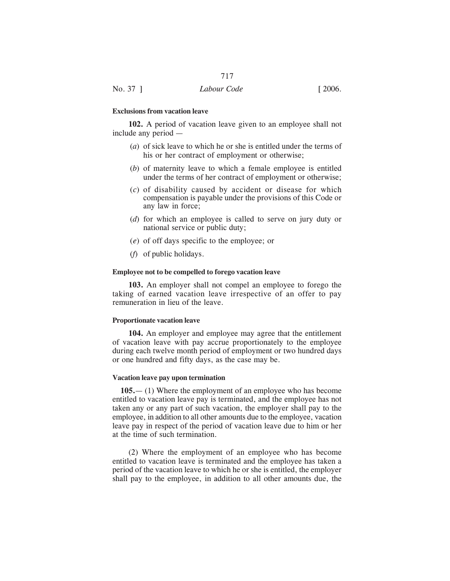#### **Exclusions from vacation leave**

**102.** A period of vacation leave given to an employee shall not include any period —

- (*a*) of sick leave to which he or she is entitled under the terms of his or her contract of employment or otherwise;
- (*b*) of maternity leave to which a female employee is entitled under the terms of her contract of employment or otherwise;
- (*c*) of disability caused by accident or disease for which compensation is payable under the provisions of this Code or any law in force;
- (*d*) for which an employee is called to serve on jury duty or national service or public duty;
- (*e*) of off days specific to the employee; or
- (*f*) of public holidays.

#### **Employee not to be compelled to forego vacation leave**

**103.** An employer shall not compel an employee to forego the taking of earned vacation leave irrespective of an offer to pay remuneration in lieu of the leave.

#### **Proportionate vacation leave**

**104.** An employer and employee may agree that the entitlement of vacation leave with pay accrue proportionately to the employee during each twelve month period of employment or two hundred days or one hundred and fifty days, as the case may be.

#### **Vacation leave pay upon termination**

**105.**— (1) Where the employment of an employee who has become entitled to vacation leave pay is terminated, and the employee has not taken any or any part of such vacation, the employer shall pay to the employee, in addition to all other amounts due to the employee, vacation leave pay in respect of the period of vacation leave due to him or her at the time of such termination.

(2) Where the employment of an employee who has become entitled to vacation leave is terminated and the employee has taken a period of the vacation leave to which he or she is entitled, the employer shall pay to the employee, in addition to all other amounts due, the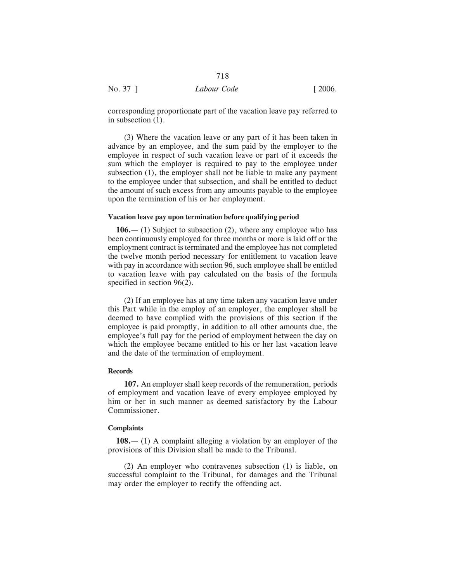corresponding proportionate part of the vacation leave pay referred to in subsection (1).

(3) Where the vacation leave or any part of it has been taken in advance by an employee, and the sum paid by the employer to the employee in respect of such vacation leave or part of it exceeds the sum which the employer is required to pay to the employee under subsection (1), the employer shall not be liable to make any payment to the employee under that subsection, and shall be entitled to deduct the amount of such excess from any amounts payable to the employee upon the termination of his or her employment.

# **Vacation leave pay upon termination before qualifying period**

**106.**— (1) Subject to subsection (2), where any employee who has been continuously employed for three months or more is laid off or the employment contract is terminated and the employee has not completed the twelve month period necessary for entitlement to vacation leave with pay in accordance with section 96, such employee shall be entitled to vacation leave with pay calculated on the basis of the formula specified in section 96(2).

(2) If an employee has at any time taken any vacation leave under this Part while in the employ of an employer, the employer shall be deemed to have complied with the provisions of this section if the employee is paid promptly, in addition to all other amounts due, the employee's full pay for the period of employment between the day on which the employee became entitled to his or her last vacation leave and the date of the termination of employment.

#### **Records**

**107.** An employer shall keep records of the remuneration, periods of employment and vacation leave of every employee employed by him or her in such manner as deemed satisfactory by the Labour Commissioner.

#### **Complaints**

**108.**— (1) A complaint alleging a violation by an employer of the provisions of this Division shall be made to the Tribunal.

(2) An employer who contravenes subsection (1) is liable, on successful complaint to the Tribunal, for damages and the Tribunal may order the employer to rectify the offending act.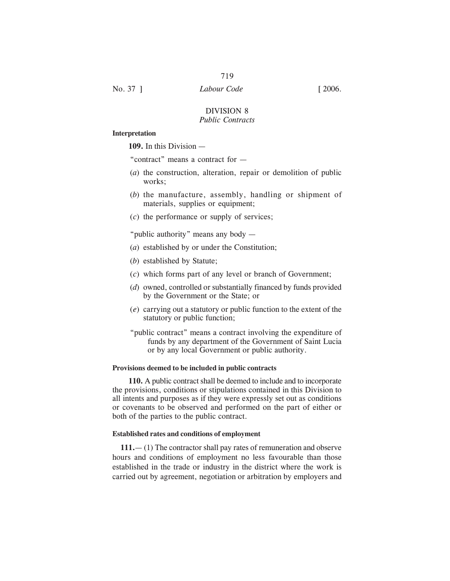No. 37 ] *Labour Code* [ 2006.

### DIVISION 8 *Public Contracts*

#### **Interpretation**

**109.** In this Division —

"contract" means a contract for —

- (*a*) the construction, alteration, repair or demolition of public works;
- (*b*) the manufacture, assembly, handling or shipment of materials, supplies or equipment;
- (*c*) the performance or supply of services;

"public authority" means any body —

- (*a*) established by or under the Constitution;
- (*b*) established by Statute;
- (*c*) which forms part of any level or branch of Government;
- (*d*) owned, controlled or substantially financed by funds provided by the Government or the State; or
- (*e*) carrying out a statutory or public function to the extent of the statutory or public function;
- "public contract" means a contract involving the expenditure of funds by any department of the Government of Saint Lucia or by any local Government or public authority.

#### **Provisions deemed to be included in public contracts**

**110.** A public contract shall be deemed to include and to incorporate the provisions, conditions or stipulations contained in this Division to all intents and purposes as if they were expressly set out as conditions or covenants to be observed and performed on the part of either or both of the parties to the public contract.

#### **Established rates and conditions of employment**

**111.**— (1) The contractor shall pay rates of remuneration and observe hours and conditions of employment no less favourable than those established in the trade or industry in the district where the work is carried out by agreement, negotiation or arbitration by employers and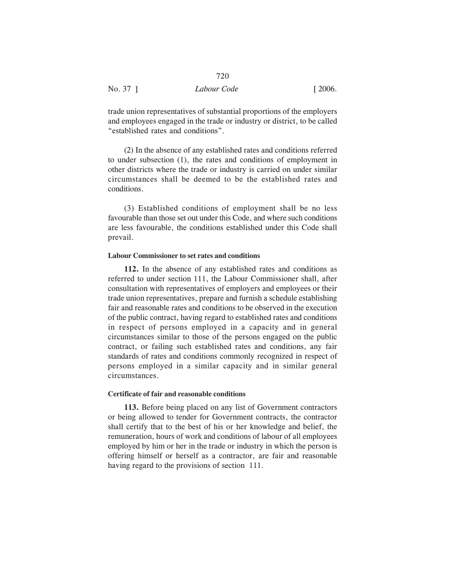|          | 720         |                       |
|----------|-------------|-----------------------|
| No. 37 ] | Labour Code | $\lceil 2006. \rceil$ |

trade union representatives of substantial proportions of the employers and employees engaged in the trade or industry or district, to be called "established rates and conditions".

(2) In the absence of any established rates and conditions referred to under subsection (1), the rates and conditions of employment in other districts where the trade or industry is carried on under similar circumstances shall be deemed to be the established rates and conditions.

(3) Established conditions of employment shall be no less favourable than those set out under this Code, and where such conditions are less favourable, the conditions established under this Code shall prevail.

#### **Labour Commissioner to set rates and conditions**

**112.** In the absence of any established rates and conditions as referred to under section 111, the Labour Commissioner shall, after consultation with representatives of employers and employees or their trade union representatives, prepare and furnish a schedule establishing fair and reasonable rates and conditions to be observed in the execution of the public contract, having regard to established rates and conditions in respect of persons employed in a capacity and in general circumstances similar to those of the persons engaged on the public contract, or failing such established rates and conditions, any fair standards of rates and conditions commonly recognized in respect of persons employed in a similar capacity and in similar general circumstances.

# **Certificate of fair and reasonable conditions**

**113.** Before being placed on any list of Government contractors or being allowed to tender for Government contracts, the contractor shall certify that to the best of his or her knowledge and belief, the remuneration, hours of work and conditions of labour of all employees employed by him or her in the trade or industry in which the person is offering himself or herself as a contractor, are fair and reasonable having regard to the provisions of section 111.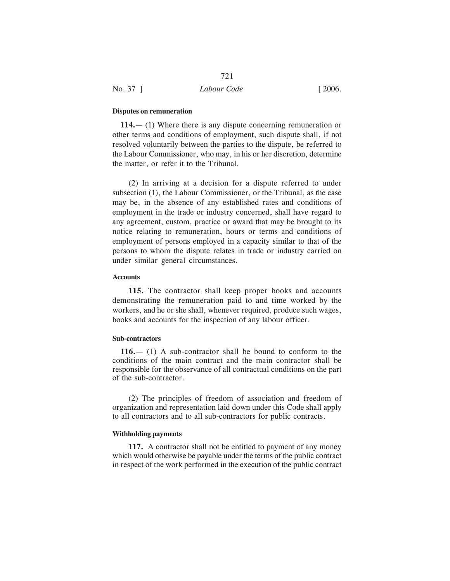#### **Disputes on remuneration**

**114.**— (1) Where there is any dispute concerning remuneration or other terms and conditions of employment, such dispute shall, if not resolved voluntarily between the parties to the dispute, be referred to the Labour Commissioner, who may, in his or her discretion, determine the matter, or refer it to the Tribunal.

(2) In arriving at a decision for a dispute referred to under subsection (1), the Labour Commissioner, or the Tribunal, as the case may be, in the absence of any established rates and conditions of employment in the trade or industry concerned, shall have regard to any agreement, custom, practice or award that may be brought to its notice relating to remuneration, hours or terms and conditions of employment of persons employed in a capacity similar to that of the persons to whom the dispute relates in trade or industry carried on under similar general circumstances.

#### **Accounts**

**115.** The contractor shall keep proper books and accounts demonstrating the remuneration paid to and time worked by the workers, and he or she shall, whenever required, produce such wages, books and accounts for the inspection of any labour officer.

#### **Sub-contractors**

**116.**— (1) A sub-contractor shall be bound to conform to the conditions of the main contract and the main contractor shall be responsible for the observance of all contractual conditions on the part of the sub-contractor.

(2) The principles of freedom of association and freedom of organization and representation laid down under this Code shall apply to all contractors and to all sub-contractors for public contracts.

## **Withholding payments**

**117.** A contractor shall not be entitled to payment of any money which would otherwise be payable under the terms of the public contract in respect of the work performed in the execution of the public contract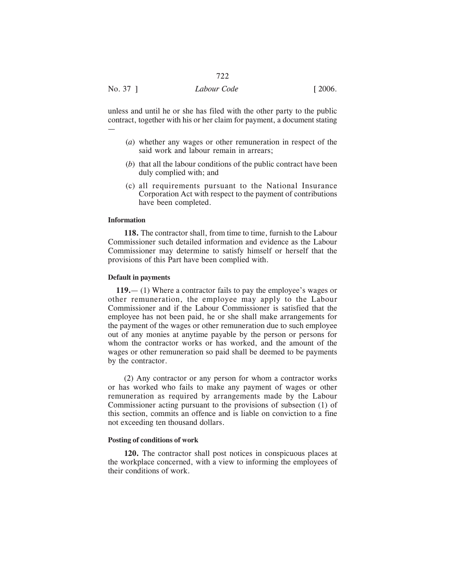unless and until he or she has filed with the other party to the public contract, together with his or her claim for payment, a document stating —

- (*a*) whether any wages or other remuneration in respect of the said work and labour remain in arrears;
- (*b*) that all the labour conditions of the public contract have been duly complied with; and
- (c) all requirements pursuant to the National Insurance Corporation Act with respect to the payment of contributions have been completed.

#### **Information**

**118.** The contractor shall, from time to time, furnish to the Labour Commissioner such detailed information and evidence as the Labour Commissioner may determine to satisfy himself or herself that the provisions of this Part have been complied with.

# **Default in payments**

**119.**— (1) Where a contractor fails to pay the employee's wages or other remuneration, the employee may apply to the Labour Commissioner and if the Labour Commissioner is satisfied that the employee has not been paid, he or she shall make arrangements for the payment of the wages or other remuneration due to such employee out of any monies at anytime payable by the person or persons for whom the contractor works or has worked, and the amount of the wages or other remuneration so paid shall be deemed to be payments by the contractor.

(2) Any contractor or any person for whom a contractor works or has worked who fails to make any payment of wages or other remuneration as required by arrangements made by the Labour Commissioner acting pursuant to the provisions of subsection (1) of this section, commits an offence and is liable on conviction to a fine not exceeding ten thousand dollars.

#### **Posting of conditions of work**

**120.** The contractor shall post notices in conspicuous places at the workplace concerned, with a view to informing the employees of their conditions of work.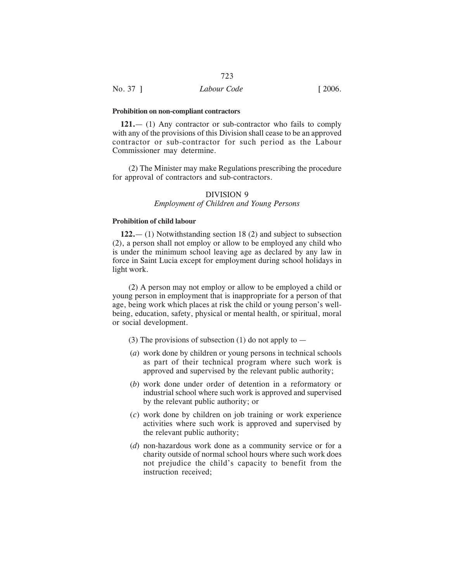#### **Prohibition on non-compliant contractors**

**121.**— (1) Any contractor or sub-contractor who fails to comply with any of the provisions of this Division shall cease to be an approved contractor or sub-contractor for such period as the Labour Commissioner may determine.

(2) The Minister may make Regulations prescribing the procedure for approval of contractors and sub-contractors.

# DIVISION 9

# *Employment of Children and Young Persons*

# **Prohibition of child labour**

**122.**— (1) Notwithstanding section 18 (2) and subject to subsection (2), a person shall not employ or allow to be employed any child who is under the minimum school leaving age as declared by any law in force in Saint Lucia except for employment during school holidays in light work.

(2) A person may not employ or allow to be employed a child or young person in employment that is inappropriate for a person of that age, being work which places at risk the child or young person's wellbeing, education, safety, physical or mental health, or spiritual, moral or social development.

- (3) The provisions of subsection (1) do not apply to  $-$
- (*a*) work done by children or young persons in technical schools as part of their technical program where such work is approved and supervised by the relevant public authority;
- (*b*) work done under order of detention in a reformatory or industrial school where such work is approved and supervised by the relevant public authority; or
- (*c*) work done by children on job training or work experience activities where such work is approved and supervised by the relevant public authority;
- (*d*) non-hazardous work done as a community service or for a charity outside of normal school hours where such work does not prejudice the child's capacity to benefit from the instruction received;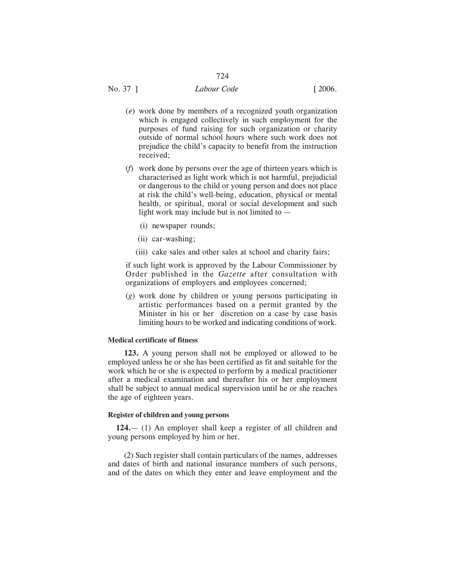# No. 37 ] *Labour Code* [ 2006.

- (*e*) work done by members of a recognized youth organization which is engaged collectively in such employment for the purposes of fund raising for such organization or charity outside of normal school hours where such work does not prejudice the child's capacity to benefit from the instruction received;
- (*f*) work done by persons over the age of thirteen years which is characterised as light work which is not harmful, prejudicial or dangerous to the child or young person and does not place at risk the child's well-being, education, physical or mental health, or spiritual, moral or social development and such light work may include but is not limited to —
	- (i) newspaper rounds;
	- (ii) car-washing;
	- (iii) cake sales and other sales at school and charity fairs;

if such light work is approved by the Labour Commissioner by Order published in the *Gazette* after consultation with organizations of employers and employees concerned;

(*g*) work done by children or young persons participating in artistic performances based on a permit granted by the Minister in his or her discretion on a case by case basis limiting hours to be worked and indicating conditions of work.

# **Medical certificate of fitness**

**123.** A young person shall not be employed or allowed to be employed unless he or she has been certified as fit and suitable for the work which he or she is expected to perform by a medical practitioner after a medical examination and thereafter his or her employment shall be subject to annual medical supervision until he or she reaches the age of eighteen years.

# **Register of children and young persons**

**124.**— (1) An employer shall keep a register of all children and young persons employed by him or her.

(2) Such register shall contain particulars of the names, addresses and dates of birth and national insurance numbers of such persons, and of the dates on which they enter and leave employment and the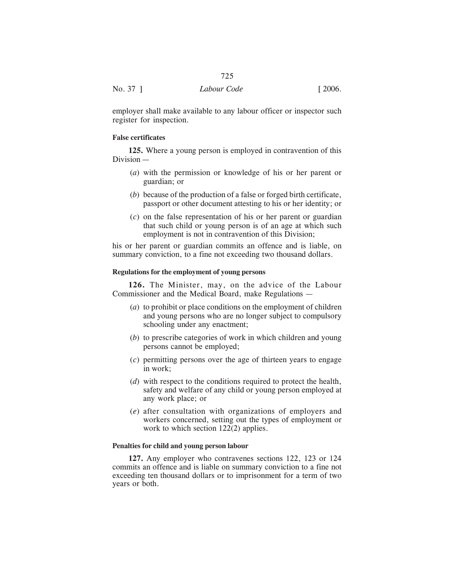|          | 725         |        |
|----------|-------------|--------|
| No. 37 ] | Labour Code | [2006] |

employer shall make available to any labour officer or inspector such register for inspection.

## **False certificates**

**125.** Where a young person is employed in contravention of this Division —

- (*a*) with the permission or knowledge of his or her parent or guardian; or
- (*b*) because of the production of a false or forged birth certificate, passport or other document attesting to his or her identity; or
- (*c*) on the false representation of his or her parent or guardian that such child or young person is of an age at which such employment is not in contravention of this Division;

his or her parent or guardian commits an offence and is liable, on summary conviction, to a fine not exceeding two thousand dollars.

## **Regulations for the employment of young persons**

**126.** The Minister, may, on the advice of the Labour Commissioner and the Medical Board, make Regulations —

- (*a*) to prohibit or place conditions on the employment of children and young persons who are no longer subject to compulsory schooling under any enactment;
- (*b*) to prescribe categories of work in which children and young persons cannot be employed;
- (*c*) permitting persons over the age of thirteen years to engage in work;
- (*d*) with respect to the conditions required to protect the health, safety and welfare of any child or young person employed at any work place; or
- (*e*) after consultation with organizations of employers and workers concerned, setting out the types of employment or work to which section 122(2) applies.

## **Penalties for child and young person labour**

**127.** Any employer who contravenes sections 122, 123 or 124 commits an offence and is liable on summary conviction to a fine not exceeding ten thousand dollars or to imprisonment for a term of two years or both.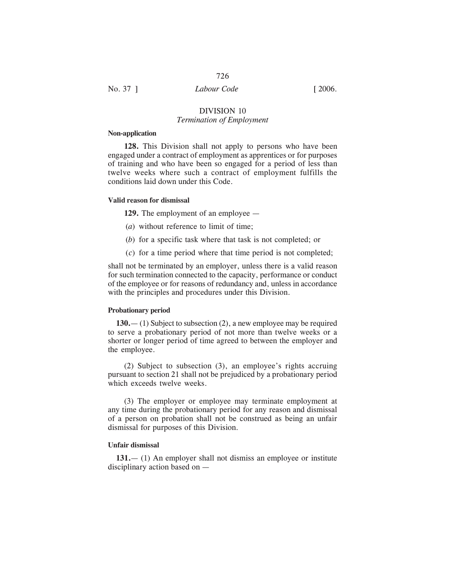# No. 37 ] *Labour Code* [ 2006.

## DIVISION 10 *Termination of Employment*

## **Non-application**

**128.** This Division shall not apply to persons who have been engaged under a contract of employment as apprentices or for purposes of training and who have been so engaged for a period of less than twelve weeks where such a contract of employment fulfills the conditions laid down under this Code.

## **Valid reason for dismissal**

**129.** The employment of an employee —

- (*a*) without reference to limit of time;
- (*b*) for a specific task where that task is not completed; or
- (*c*) for a time period where that time period is not completed;

shall not be terminated by an employer, unless there is a valid reason for such termination connected to the capacity, performance or conduct of the employee or for reasons of redundancy and, unless in accordance with the principles and procedures under this Division.

## **Probationary period**

**130.**— (1) Subject to subsection (2), a new employee may be required to serve a probationary period of not more than twelve weeks or a shorter or longer period of time agreed to between the employer and the employee.

(2) Subject to subsection (3), an employee's rights accruing pursuant to section 21 shall not be prejudiced by a probationary period which exceeds twelve weeks.

(3) The employer or employee may terminate employment at any time during the probationary period for any reason and dismissal of a person on probation shall not be construed as being an unfair dismissal for purposes of this Division.

#### **Unfair dismissal**

**131.**— (1) An employer shall not dismiss an employee or institute disciplinary action based on —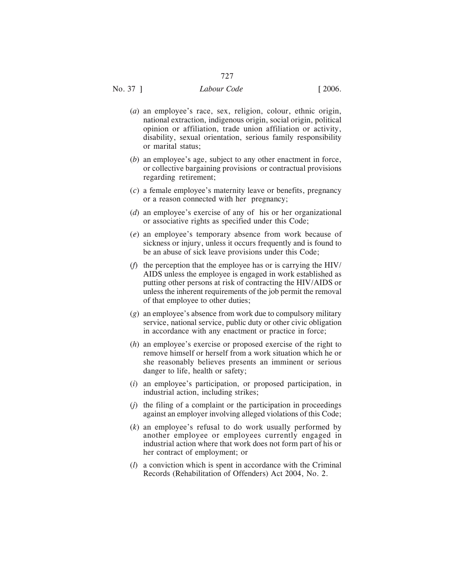- (*a*) an employee's race, sex, religion, colour, ethnic origin, national extraction, indigenous origin, social origin, political opinion or affiliation, trade union affiliation or activity, disability, sexual orientation, serious family responsibility or marital status;
- (*b*) an employee's age, subject to any other enactment in force, or collective bargaining provisions or contractual provisions regarding retirement;
- (*c*) a female employee's maternity leave or benefits, pregnancy or a reason connected with her pregnancy;
- (*d*) an employee's exercise of any of his or her organizational or associative rights as specified under this Code;
- (*e*) an employee's temporary absence from work because of sickness or injury, unless it occurs frequently and is found to be an abuse of sick leave provisions under this Code;
- (*f*) the perception that the employee has or is carrying the HIV/ AIDS unless the employee is engaged in work established as putting other persons at risk of contracting the HIV/AIDS or unless the inherent requirements of the job permit the removal of that employee to other duties;
- (*g*) an employee's absence from work due to compulsory military service, national service, public duty or other civic obligation in accordance with any enactment or practice in force;
- (*h*) an employee's exercise or proposed exercise of the right to remove himself or herself from a work situation which he or she reasonably believes presents an imminent or serious danger to life, health or safety;
- (*i*) an employee's participation, or proposed participation, in industrial action, including strikes;
- (*j*) the filing of a complaint or the participation in proceedings against an employer involving alleged violations of this Code;
- (*k*) an employee's refusal to do work usually performed by another employee or employees currently engaged in industrial action where that work does not form part of his or her contract of employment; or
- (*l*) a conviction which is spent in accordance with the Criminal Records (Rehabilitation of Offenders) Act 2004, No. 2.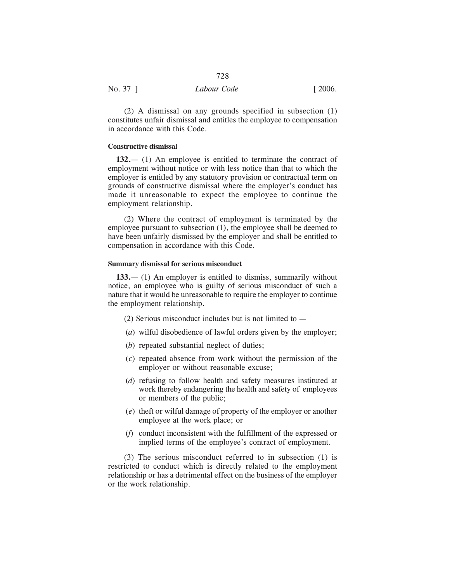| No. 37 1 | Labour Code | [2006] |
|----------|-------------|--------|
|          |             |        |

(2) A dismissal on any grounds specified in subsection (1) constitutes unfair dismissal and entitles the employee to compensation in accordance with this Code.

## **Constructive dismissal**

**132.**— (1) An employee is entitled to terminate the contract of employment without notice or with less notice than that to which the employer is entitled by any statutory provision or contractual term on grounds of constructive dismissal where the employer's conduct has made it unreasonable to expect the employee to continue the employment relationship.

(2) Where the contract of employment is terminated by the employee pursuant to subsection (1), the employee shall be deemed to have been unfairly dismissed by the employer and shall be entitled to compensation in accordance with this Code.

## **Summary dismissal for serious misconduct**

**133.**— (1) An employer is entitled to dismiss, summarily without notice, an employee who is guilty of serious misconduct of such a nature that it would be unreasonable to require the employer to continue the employment relationship.

- (2) Serious misconduct includes but is not limited to —
- (*a*) wilful disobedience of lawful orders given by the employer;
- (*b*) repeated substantial neglect of duties;
- (*c*) repeated absence from work without the permission of the employer or without reasonable excuse;
- (*d*) refusing to follow health and safety measures instituted at work thereby endangering the health and safety of employees or members of the public;
- (*e*) theft or wilful damage of property of the employer or another employee at the work place; or
- (*f*) conduct inconsistent with the fulfillment of the expressed or implied terms of the employee's contract of employment.

(3) The serious misconduct referred to in subsection (1) is restricted to conduct which is directly related to the employment relationship or has a detrimental effect on the business of the employer or the work relationship.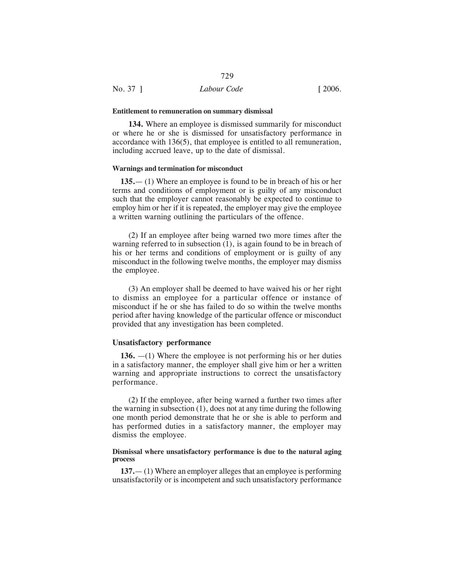#### **Entitlement to remuneration on summary dismissal**

**134.** Where an employee is dismissed summarily for misconduct or where he or she is dismissed for unsatisfactory performance in accordance with 136(5), that employee is entitled to all remuneration, including accrued leave, up to the date of dismissal.

729

## **Warnings and termination for misconduct**

**135.**— (1) Where an employee is found to be in breach of his or her terms and conditions of employment or is guilty of any misconduct such that the employer cannot reasonably be expected to continue to employ him or her if it is repeated, the employer may give the employee a written warning outlining the particulars of the offence.

(2) If an employee after being warned two more times after the warning referred to in subsection  $(1)$ , is again found to be in breach of his or her terms and conditions of employment or is guilty of any misconduct in the following twelve months, the employer may dismiss the employee.

(3) An employer shall be deemed to have waived his or her right to dismiss an employee for a particular offence or instance of misconduct if he or she has failed to do so within the twelve months period after having knowledge of the particular offence or misconduct provided that any investigation has been completed.

## **Unsatisfactory performance**

**136.** —(1) Where the employee is not performing his or her duties in a satisfactory manner, the employer shall give him or her a written warning and appropriate instructions to correct the unsatisfactory performance.

(2) If the employee, after being warned a further two times after the warning in subsection (1), does not at any time during the following one month period demonstrate that he or she is able to perform and has performed duties in a satisfactory manner, the employer may dismiss the employee.

## **Dismissal where unsatisfactory performance is due to the natural aging process**

**137.**— (1) Where an employer alleges that an employee is performing unsatisfactorily or is incompetent and such unsatisfactory performance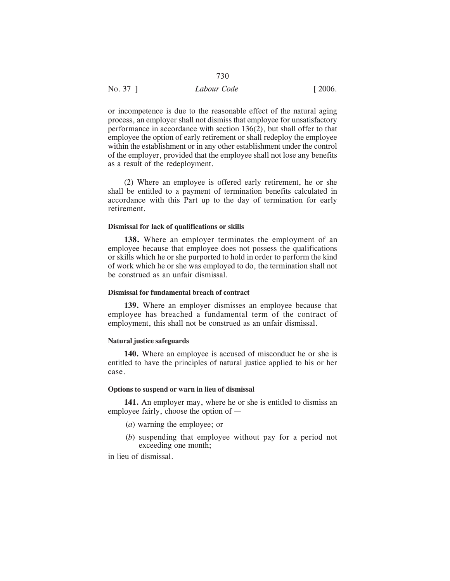| No. 37 1 | Labour Code | $\lceil 2006. \rceil$ |
|----------|-------------|-----------------------|

or incompetence is due to the reasonable effect of the natural aging process, an employer shall not dismiss that employee for unsatisfactory performance in accordance with section 136(2), but shall offer to that employee the option of early retirement or shall redeploy the employee within the establishment or in any other establishment under the control of the employer, provided that the employee shall not lose any benefits as a result of the redeployment.

(2) Where an employee is offered early retirement, he or she shall be entitled to a payment of termination benefits calculated in accordance with this Part up to the day of termination for early retirement.

## **Dismissal for lack of qualifications or skills**

**138.** Where an employer terminates the employment of an employee because that employee does not possess the qualifications or skills which he or she purported to hold in order to perform the kind of work which he or she was employed to do, the termination shall not be construed as an unfair dismissal.

## **Dismissal for fundamental breach of contract**

**139.** Where an employer dismisses an employee because that employee has breached a fundamental term of the contract of employment, this shall not be construed as an unfair dismissal.

## **Natural justice safeguards**

**140.** Where an employee is accused of misconduct he or she is entitled to have the principles of natural justice applied to his or her case.

## **Options to suspend or warn in lieu of dismissal**

**141.** An employer may, where he or she is entitled to dismiss an employee fairly, choose the option of —

- (*a*) warning the employee; or
- (*b*) suspending that employee without pay for a period not exceeding one month;

in lieu of dismissal.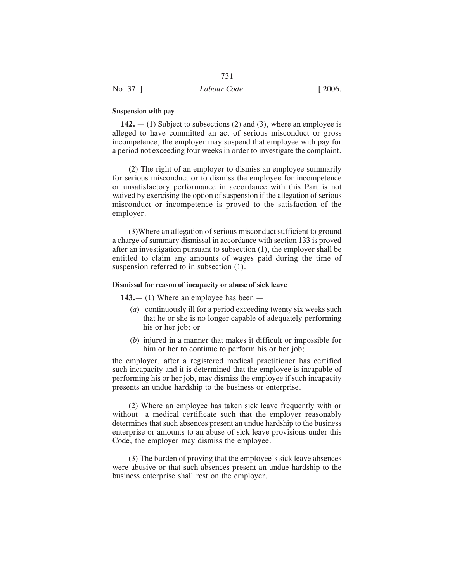## **Suspension with pay**

**142.** — (1) Subject to subsections (2) and (3), where an employee is alleged to have committed an act of serious misconduct or gross incompetence, the employer may suspend that employee with pay for a period not exceeding four weeks in order to investigate the complaint.

731

(2) The right of an employer to dismiss an employee summarily for serious misconduct or to dismiss the employee for incompetence or unsatisfactory performance in accordance with this Part is not waived by exercising the option of suspension if the allegation of serious misconduct or incompetence is proved to the satisfaction of the employer.

(3)Where an allegation of serious misconduct sufficient to ground a charge of summary dismissal in accordance with section 133 is proved after an investigation pursuant to subsection (1), the employer shall be entitled to claim any amounts of wages paid during the time of suspension referred to in subsection  $(1)$ .

## **Dismissal for reason of incapacity or abuse of sick leave**

**143.**— (1) Where an employee has been —

- (*a*) continuously ill for a period exceeding twenty six weeks such that he or she is no longer capable of adequately performing his or her job; or
- (*b*) injured in a manner that makes it difficult or impossible for him or her to continue to perform his or her job;

the employer, after a registered medical practitioner has certified such incapacity and it is determined that the employee is incapable of performing his or her job, may dismiss the employee if such incapacity presents an undue hardship to the business or enterprise.

(2) Where an employee has taken sick leave frequently with or without a medical certificate such that the employer reasonably determines that such absences present an undue hardship to the business enterprise or amounts to an abuse of sick leave provisions under this Code, the employer may dismiss the employee.

(3) The burden of proving that the employee's sick leave absences were abusive or that such absences present an undue hardship to the business enterprise shall rest on the employer.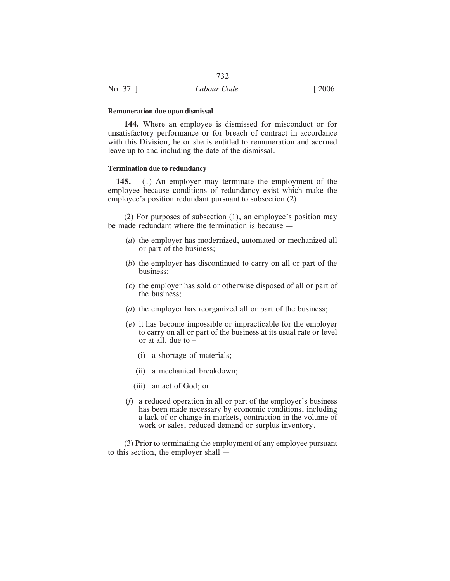|          | 732         |                       |
|----------|-------------|-----------------------|
| No. 37 1 | Labour Code | $\lceil 2006. \rceil$ |

#### **Remuneration due upon dismissal**

**144.** Where an employee is dismissed for misconduct or for unsatisfactory performance or for breach of contract in accordance with this Division, he or she is entitled to remuneration and accrued leave up to and including the date of the dismissal.

## **Termination due to redundancy**

**145.**— (1) An employer may terminate the employment of the employee because conditions of redundancy exist which make the employee's position redundant pursuant to subsection (2).

(2) For purposes of subsection (1), an employee's position may be made redundant where the termination is because —

- (*a*) the employer has modernized, automated or mechanized all or part of the business;
- (*b*) the employer has discontinued to carry on all or part of the business;
- (*c*) the employer has sold or otherwise disposed of all or part of the business;
- (*d*) the employer has reorganized all or part of the business;
- (*e*) it has become impossible or impracticable for the employer to carry on all or part of the business at its usual rate or level or at all, due to –
	- (i) a shortage of materials;
	- (ii) a mechanical breakdown;
	- (iii) an act of God; or
- (*f*) a reduced operation in all or part of the employer's business has been made necessary by economic conditions, including a lack of or change in markets, contraction in the volume of work or sales, reduced demand or surplus inventory.

(3) Prior to terminating the employment of any employee pursuant to this section, the employer shall —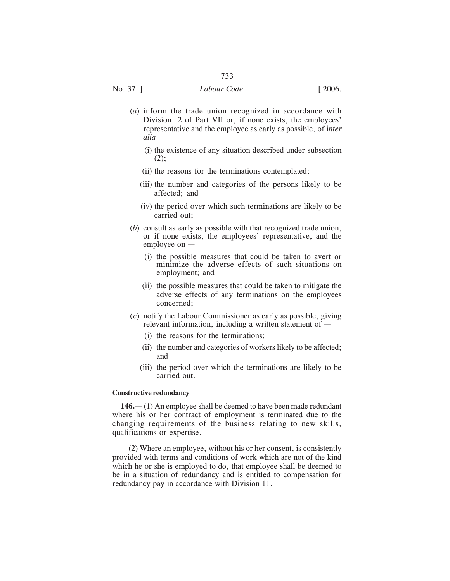- (*a*) inform the trade union recognized in accordance with Division 2 of Part VII or, if none exists, the employees' representative and the employee as early as possible, of i*nter alia* —
	- (i) the existence of any situation described under subsection  $(2)$ :
	- (ii) the reasons for the terminations contemplated;
	- (iii) the number and categories of the persons likely to be affected; and
	- (iv) the period over which such terminations are likely to be carried out;
- (*b*) consult as early as possible with that recognized trade union, or if none exists, the employees' representative, and the employee on —
	- (i) the possible measures that could be taken to avert or minimize the adverse effects of such situations on employment; and
	- (ii) the possible measures that could be taken to mitigate the adverse effects of any terminations on the employees concerned;
- (*c*) notify the Labour Commissioner as early as possible, giving relevant information, including a written statement of —
	- (i) the reasons for the terminations;
	- (ii) the number and categories of workers likely to be affected; and
	- (iii) the period over which the terminations are likely to be carried out.

## **Constructive redundancy**

**146.**— (1) An employee shall be deemed to have been made redundant where his or her contract of employment is terminated due to the changing requirements of the business relating to new skills, qualifications or expertise.

(2) Where an employee, without his or her consent, is consistently provided with terms and conditions of work which are not of the kind which he or she is employed to do, that employee shall be deemed to be in a situation of redundancy and is entitled to compensation for redundancy pay in accordance with Division 11.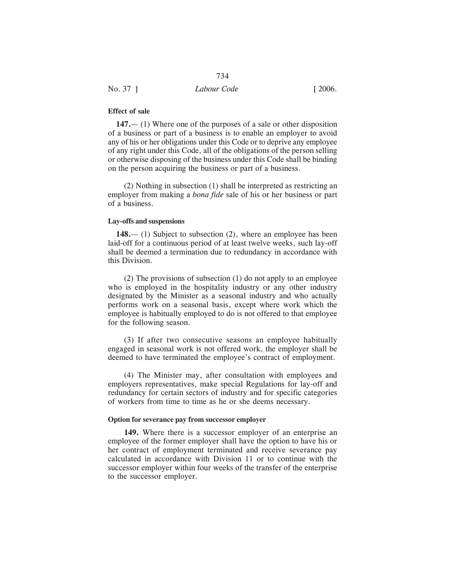| No. 37 ] | Labour Code | $\lceil 2006. \rceil$ |
|----------|-------------|-----------------------|

## **Effect of sale**

**147.**— (1) Where one of the purposes of a sale or other disposition of a business or part of a business is to enable an employer to avoid any of his or her obligations under this Code or to deprive any employee of any right under this Code, all of the obligations of the person selling or otherwise disposing of the business under this Code shall be binding on the person acquiring the business or part of a business.

(2) Nothing in subsection (1) shall be interpreted as restricting an employer from making a *bona fide* sale of his or her business or part of a business.

## **Lay-offs and suspensions**

**148.**— (1) Subject to subsection (2), where an employee has been laid-off for a continuous period of at least twelve weeks, such lay-off shall be deemed a termination due to redundancy in accordance with this Division.

(2) The provisions of subsection (1) do not apply to an employee who is employed in the hospitality industry or any other industry designated by the Minister as a seasonal industry and who actually performs work on a seasonal basis, except where work which the employee is habitually employed to do is not offered to that employee for the following season.

(3) If after two consecutive seasons an employee habitually engaged in seasonal work is not offered work, the employer shall be deemed to have terminated the employee's contract of employment.

(4) The Minister may, after consultation with employees and employers representatives, make special Regulations for lay-off and redundancy for certain sectors of industry and for specific categories of workers from time to time as he or she deems necessary.

## **Option for severance pay from successor employer**

**149.** Where there is a successor employer of an enterprise an employee of the former employer shall have the option to have his or her contract of employment terminated and receive severance pay calculated in accordance with Division 11 or to continue with the successor employer within four weeks of the transfer of the enterprise to the successor employer.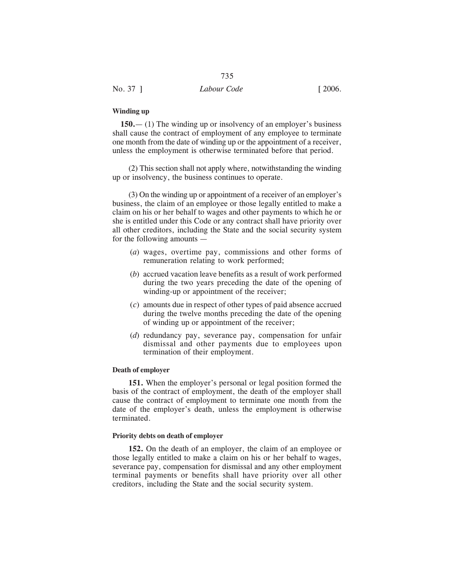| No. 37 ] | Labour Code | $\lceil 2006. \rceil$ |
|----------|-------------|-----------------------|

#### **Winding up**

**150.**— (1) The winding up or insolvency of an employer's business shall cause the contract of employment of any employee to terminate one month from the date of winding up or the appointment of a receiver, unless the employment is otherwise terminated before that period.

(2) This section shall not apply where, notwithstanding the winding up or insolvency, the business continues to operate.

(3) On the winding up or appointment of a receiver of an employer's business, the claim of an employee or those legally entitled to make a claim on his or her behalf to wages and other payments to which he or she is entitled under this Code or any contract shall have priority over all other creditors, including the State and the social security system for the following amounts —

- (*a*) wages, overtime pay, commissions and other forms of remuneration relating to work performed;
- (*b*) accrued vacation leave benefits as a result of work performed during the two years preceding the date of the opening of winding-up or appointment of the receiver;
- (*c*) amounts due in respect of other types of paid absence accrued during the twelve months preceding the date of the opening of winding up or appointment of the receiver;
- (*d*) redundancy pay, severance pay, compensation for unfair dismissal and other payments due to employees upon termination of their employment.

## **Death of employer**

**151.** When the employer's personal or legal position formed the basis of the contract of employment, the death of the employer shall cause the contract of employment to terminate one month from the date of the employer's death, unless the employment is otherwise terminated.

#### **Priority debts on death of employer**

**152.** On the death of an employer, the claim of an employee or those legally entitled to make a claim on his or her behalf to wages, severance pay, compensation for dismissal and any other employment terminal payments or benefits shall have priority over all other creditors, including the State and the social security system.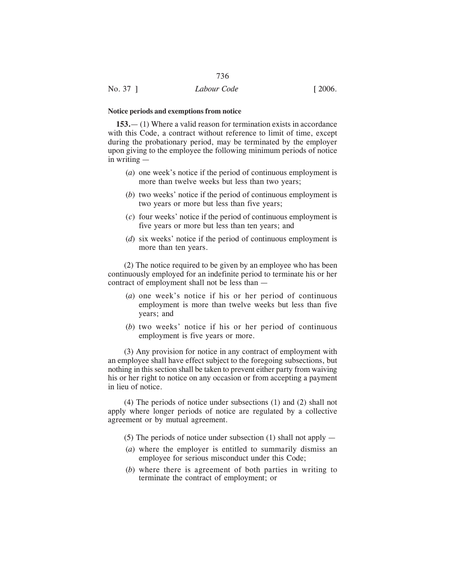## **Notice periods and exemptions from notice**

**153.**— (1) Where a valid reason for termination exists in accordance with this Code, a contract without reference to limit of time, except during the probationary period, may be terminated by the employer upon giving to the employee the following minimum periods of notice in writing —

- (*a*) one week's notice if the period of continuous employment is more than twelve weeks but less than two years;
- (*b*) two weeks' notice if the period of continuous employment is two years or more but less than five years;
- (*c*) four weeks' notice if the period of continuous employment is five years or more but less than ten years; and
- (*d*) six weeks' notice if the period of continuous employment is more than ten years.

(2) The notice required to be given by an employee who has been continuously employed for an indefinite period to terminate his or her contract of employment shall not be less than —

- (*a*) one week's notice if his or her period of continuous employment is more than twelve weeks but less than five years; and
- (*b*) two weeks' notice if his or her period of continuous employment is five years or more.

(3) Any provision for notice in any contract of employment with an employee shall have effect subject to the foregoing subsections, but nothing in this section shall be taken to prevent either party from waiving his or her right to notice on any occasion or from accepting a payment in lieu of notice.

(4) The periods of notice under subsections (1) and (2) shall not apply where longer periods of notice are regulated by a collective agreement or by mutual agreement.

- (5) The periods of notice under subsection (1) shall not apply  $-$
- (*a*) where the employer is entitled to summarily dismiss an employee for serious misconduct under this Code;
- (*b*) where there is agreement of both parties in writing to terminate the contract of employment; or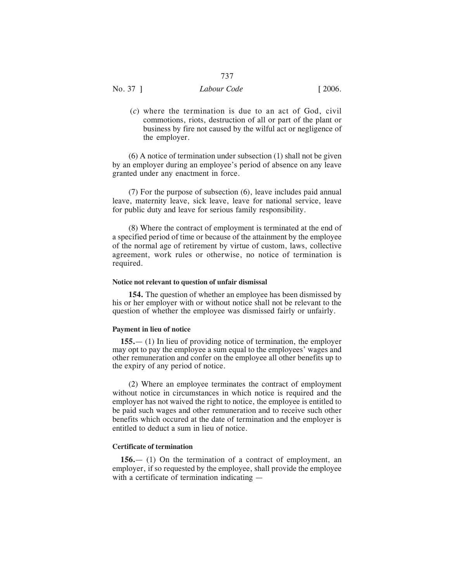(*c*) where the termination is due to an act of God, civil commotions, riots, destruction of all or part of the plant or business by fire not caused by the wilful act or negligence of the employer.

(6) A notice of termination under subsection (1) shall not be given by an employer during an employee's period of absence on any leave granted under any enactment in force.

(7) For the purpose of subsection (6), leave includes paid annual leave, maternity leave, sick leave, leave for national service, leave for public duty and leave for serious family responsibility.

(8) Where the contract of employment is terminated at the end of a specified period of time or because of the attainment by the employee of the normal age of retirement by virtue of custom, laws, collective agreement, work rules or otherwise, no notice of termination is required.

## **Notice not relevant to question of unfair dismissal**

**154.** The question of whether an employee has been dismissed by his or her employer with or without notice shall not be relevant to the question of whether the employee was dismissed fairly or unfairly.

### **Payment in lieu of notice**

**155.**— (1) In lieu of providing notice of termination, the employer may opt to pay the employee a sum equal to the employees' wages and other remuneration and confer on the employee all other benefits up to the expiry of any period of notice.

(2) Where an employee terminates the contract of employment without notice in circumstances in which notice is required and the employer has not waived the right to notice, the employee is entitled to be paid such wages and other remuneration and to receive such other benefits which occured at the date of termination and the employer is entitled to deduct a sum in lieu of notice.

## **Certificate of termination**

**156.**— (1) On the termination of a contract of employment, an employer, if so requested by the employee, shall provide the employee with a certificate of termination indicating —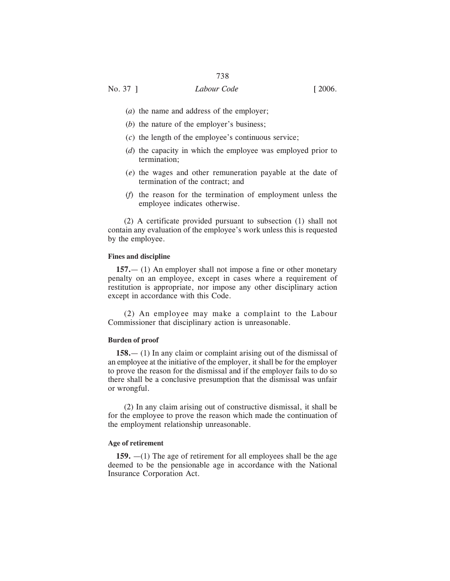- (*a*) the name and address of the employer;
- (*b*) the nature of the employer's business;
- (*c*) the length of the employee's continuous service;
- (*d*) the capacity in which the employee was employed prior to termination;
- (*e*) the wages and other remuneration payable at the date of termination of the contract; and
- (*f*) the reason for the termination of employment unless the employee indicates otherwise.

(2) A certificate provided pursuant to subsection (1) shall not contain any evaluation of the employee's work unless this is requested by the employee.

## **Fines and discipline**

**157.**— (1) An employer shall not impose a fine or other monetary penalty on an employee, except in cases where a requirement of restitution is appropriate, nor impose any other disciplinary action except in accordance with this Code.

(2) An employee may make a complaint to the Labour Commissioner that disciplinary action is unreasonable.

## **Burden of proof**

**158.**— (1) In any claim or complaint arising out of the dismissal of an employee at the initiative of the employer, it shall be for the employer to prove the reason for the dismissal and if the employer fails to do so there shall be a conclusive presumption that the dismissal was unfair or wrongful.

(2) In any claim arising out of constructive dismissal, it shall be for the employee to prove the reason which made the continuation of the employment relationship unreasonable.

## **Age of retirement**

**159.** —(1) The age of retirement for all employees shall be the age deemed to be the pensionable age in accordance with the National Insurance Corporation Act.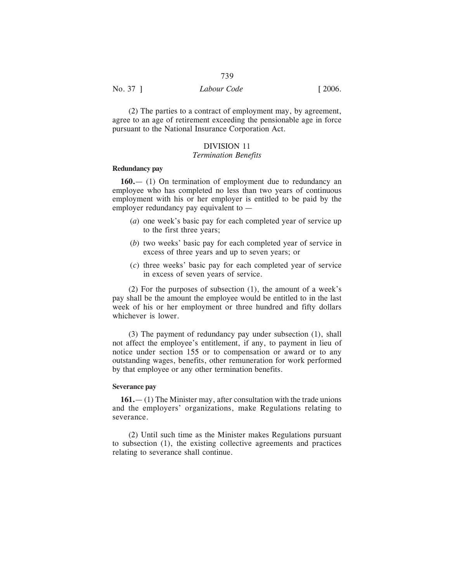| No. 37 ]<br>$\lceil 2006. \rceil$<br>Labour Code |  |
|--------------------------------------------------|--|

(2) The parties to a contract of employment may, by agreement, agree to an age of retirement exceeding the pensionable age in force pursuant to the National Insurance Corporation Act.

## DIVISION 11 *Termination Benefits*

# **Redundancy pay**

**160.**— (1) On termination of employment due to redundancy an employee who has completed no less than two years of continuous employment with his or her employer is entitled to be paid by the employer redundancy pay equivalent to —

- (*a*) one week's basic pay for each completed year of service up to the first three years;
- (*b*) two weeks' basic pay for each completed year of service in excess of three years and up to seven years; or
- (*c*) three weeks' basic pay for each completed year of service in excess of seven years of service.

(2) For the purposes of subsection (1), the amount of a week's pay shall be the amount the employee would be entitled to in the last week of his or her employment or three hundred and fifty dollars whichever is lower.

(3) The payment of redundancy pay under subsection (1), shall not affect the employee's entitlement, if any, to payment in lieu of notice under section 155 or to compensation or award or to any outstanding wages, benefits, other remuneration for work performed by that employee or any other termination benefits.

## **Severance pay**

**161.**— (1) The Minister may, after consultation with the trade unions and the employers' organizations, make Regulations relating to severance.

(2) Until such time as the Minister makes Regulations pursuant to subsection (1), the existing collective agreements and practices relating to severance shall continue.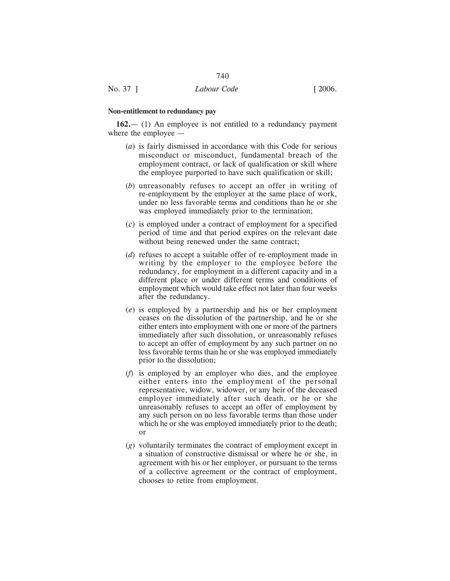#### **Non-entitlement to redundancy pay**

**162.**— (1) An employee is not entitled to a redundancy payment where the employee —

740

- (*a*) is fairly dismissed in accordance with this Code for serious misconduct or misconduct, fundamental breach of the employment contract, or lack of qualification or skill where the employee purported to have such qualification or skill;
- (*b*) unreasonably refuses to accept an offer in writing of re-employment by the employer at the same place of work, under no less favorable terms and conditions than he or she was employed immediately prior to the termination;
- (*c*) is employed under a contract of employment for a specified period of time and that period expires on the relevant date without being renewed under the same contract;
- (*d*) refuses to accept a suitable offer of re-employment made in writing by the employer to the employee before the redundancy, for employment in a different capacity and in a different place or under different terms and conditions of employment which would take effect not later than four weeks after the redundancy.
- (*e*) is employed by a partnership and his or her employment ceases on the dissolution of the partnership, and he or she either enters into employment with one or more of the partners immediately after such dissolution, or unreasonably refuses to accept an offer of employment by any such partner on no less favorable terms than he or she was employed immediately prior to the dissolution;
- (*f*) is employed by an employer who dies, and the employee either enters into the employment of the personal representative, widow, widower, or any heir of the deceased employer immediately after such death, or he or she unreasonably refuses to accept an offer of employment by any such person on no less favorable terms than those under which he or she was employed immediately prior to the death; or
- (*g*) voluntarily terminates the contract of employment except in a situation of constructive dismissal or where he or she, in agreement with his or her employer, or pursuant to the terms of a collective agreement or the contract of employment, chooses to retire from employment.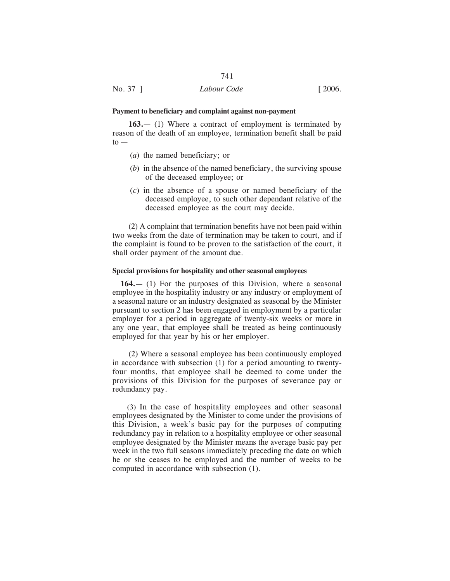#### **Payment to beneficiary and complaint against non-payment**

**163.**— (1) Where a contract of employment is terminated by reason of the death of an employee, termination benefit shall be paid  $to -$ 

- (*a*) the named beneficiary; or
- (*b*) in the absence of the named beneficiary, the surviving spouse of the deceased employee; or
- (*c*) in the absence of a spouse or named beneficiary of the deceased employee, to such other dependant relative of the deceased employee as the court may decide.

(2) A complaint that termination benefits have not been paid within two weeks from the date of termination may be taken to court, and if the complaint is found to be proven to the satisfaction of the court, it shall order payment of the amount due.

#### **Special provisions for hospitality and other seasonal employees**

**164.**— (1) For the purposes of this Division, where a seasonal employee in the hospitality industry or any industry or employment of a seasonal nature or an industry designated as seasonal by the Minister pursuant to section 2 has been engaged in employment by a particular employer for a period in aggregate of twenty-six weeks or more in any one year, that employee shall be treated as being continuously employed for that year by his or her employer.

(2) Where a seasonal employee has been continuously employed in accordance with subsection (1) for a period amounting to twentyfour months, that employee shall be deemed to come under the provisions of this Division for the purposes of severance pay or redundancy pay.

(3) In the case of hospitality employees and other seasonal employees designated by the Minister to come under the provisions of this Division, a week's basic pay for the purposes of computing redundancy pay in relation to a hospitality employee or other seasonal employee designated by the Minister means the average basic pay per week in the two full seasons immediately preceding the date on which he or she ceases to be employed and the number of weeks to be computed in accordance with subsection (1).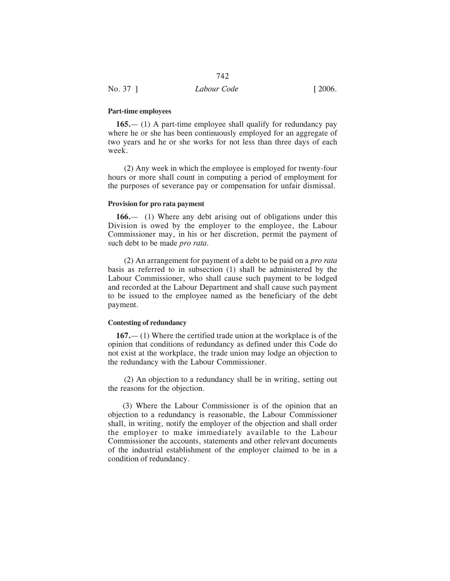## **Part-time employees**

**165.**— (1) A part-time employee shall qualify for redundancy pay where he or she has been continuously employed for an aggregate of two years and he or she works for not less than three days of each week.

(2) Any week in which the employee is employed for twenty-four hours or more shall count in computing a period of employment for the purposes of severance pay or compensation for unfair dismissal.

## **Provision for pro rata payment**

**166.**— (1) Where any debt arising out of obligations under this Division is owed by the employer to the employee, the Labour Commissioner may, in his or her discretion, permit the payment of such debt to be made *pro rata.*

(2) An arrangement for payment of a debt to be paid on a *pro rata* basis as referred to in subsection (1) shall be administered by the Labour Commissioner, who shall cause such payment to be lodged and recorded at the Labour Department and shall cause such payment to be issued to the employee named as the beneficiary of the debt payment.

## **Contesting of redundancy**

**167.**— (1) Where the certified trade union at the workplace is of the opinion that conditions of redundancy as defined under this Code do not exist at the workplace, the trade union may lodge an objection to the redundancy with the Labour Commissioner.

(2) An objection to a redundancy shall be in writing, setting out the reasons for the objection.

(3) Where the Labour Commissioner is of the opinion that an objection to a redundancy is reasonable, the Labour Commissioner shall, in writing, notify the employer of the objection and shall order the employer to make immediately available to the Labour Commissioner the accounts, statements and other relevant documents of the industrial establishment of the employer claimed to be in a condition of redundancy.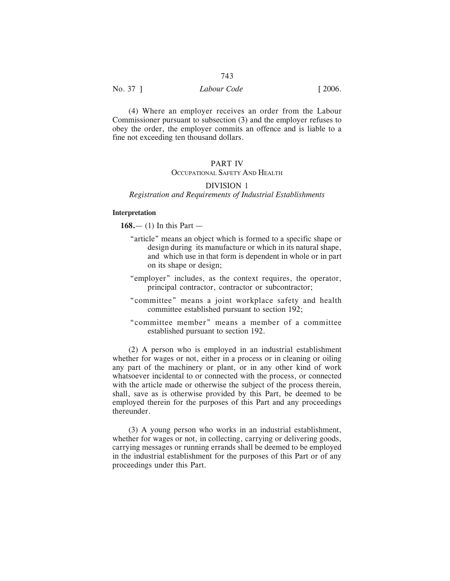## No. 37 ] *Labour Code* [ 2006.

(4) Where an employer receives an order from the Labour Commissioner pursuant to subsection (3) and the employer refuses to obey the order, the employer commits an offence and is liable to a fine not exceeding ten thousand dollars.

## PART IV

## OCCUPATIONAL SAFETY AND HEALTH

## DIVISION 1 *Registration and Requirements of Industrial Establishments*

#### **Interpretation**

**168.**— (1) In this Part —

- "article" means an object which is formed to a specific shape or design during its manufacture or which in its natural shape, and which use in that form is dependent in whole or in part on its shape or design;
- "employer" includes, as the context requires, the operator, principal contractor, contractor or subcontractor;
- "committee" means a joint workplace safety and health committee established pursuant to section 192;
- "committee member" means a member of a committee established pursuant to section 192.

(2) A person who is employed in an industrial establishment whether for wages or not, either in a process or in cleaning or oiling any part of the machinery or plant, or in any other kind of work whatsoever incidental to or connected with the process, or connected with the article made or otherwise the subject of the process therein, shall, save as is otherwise provided by this Part, be deemed to be employed therein for the purposes of this Part and any proceedings thereunder.

(3) A young person who works in an industrial establishment, whether for wages or not, in collecting, carrying or delivering goods, carrying messages or running errands shall be deemed to be employed in the industrial establishment for the purposes of this Part or of any proceedings under this Part.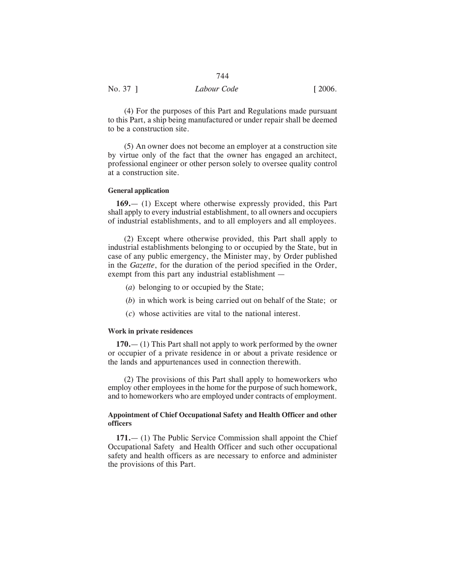| No. 37 ] | Labour Code | $\lceil 2006. \rceil$ |
|----------|-------------|-----------------------|
|          |             |                       |

(4) For the purposes of this Part and Regulations made pursuant to this Part, a ship being manufactured or under repair shall be deemed to be a construction site.

(5) An owner does not become an employer at a construction site by virtue only of the fact that the owner has engaged an architect, professional engineer or other person solely to oversee quality control at a construction site.

## **General application**

**169.**— (1) Except where otherwise expressly provided, this Part shall apply to every industrial establishment, to all owners and occupiers of industrial establishments, and to all employers and all employees.

(2) Except where otherwise provided, this Part shall apply to industrial establishments belonging to or occupied by the State, but in case of any public emergency, the Minister may, by Order published in the *Gazette*, for the duration of the period specified in the Order, exempt from this part any industrial establishment —

- (*a*) belonging to or occupied by the State;
- (*b*) in which work is being carried out on behalf of the State; or
- (*c*) whose activities are vital to the national interest.

## **Work in private residences**

**170.**— (1) This Part shall not apply to work performed by the owner or occupier of a private residence in or about a private residence or the lands and appurtenances used in connection therewith.

(2) The provisions of this Part shall apply to homeworkers who employ other employees in the home for the purpose of such homework, and to homeworkers who are employed under contracts of employment.

## **Appointment of Chief Occupational Safety and Health Officer and other officers**

**171.**— (1) The Public Service Commission shall appoint the Chief Occupational Safety and Health Officer and such other occupational safety and health officers as are necessary to enforce and administer the provisions of this Part.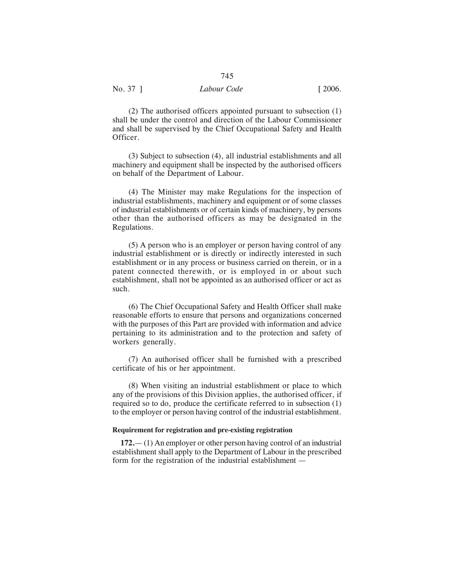(2) The authorised officers appointed pursuant to subsection (1) shall be under the control and direction of the Labour Commissioner and shall be supervised by the Chief Occupational Safety and Health Officer.

745

(3) Subject to subsection (4), all industrial establishments and all machinery and equipment shall be inspected by the authorised officers on behalf of the Department of Labour.

(4) The Minister may make Regulations for the inspection of industrial establishments, machinery and equipment or of some classes of industrial establishments or of certain kinds of machinery, by persons other than the authorised officers as may be designated in the Regulations.

(5) A person who is an employer or person having control of any industrial establishment or is directly or indirectly interested in such establishment or in any process or business carried on therein, or in a patent connected therewith, or is employed in or about such establishment, shall not be appointed as an authorised officer or act as such.

(6) The Chief Occupational Safety and Health Officer shall make reasonable efforts to ensure that persons and organizations concerned with the purposes of this Part are provided with information and advice pertaining to its administration and to the protection and safety of workers generally.

(7) An authorised officer shall be furnished with a prescribed certificate of his or her appointment.

(8) When visiting an industrial establishment or place to which any of the provisions of this Division applies, the authorised officer, if required so to do, produce the certificate referred to in subsection (1) to the employer or person having control of the industrial establishment.

## **Requirement for registration and pre-existing registration**

**172.**— (1) An employer or other person having control of an industrial establishment shall apply to the Department of Labour in the prescribed form for the registration of the industrial establishment —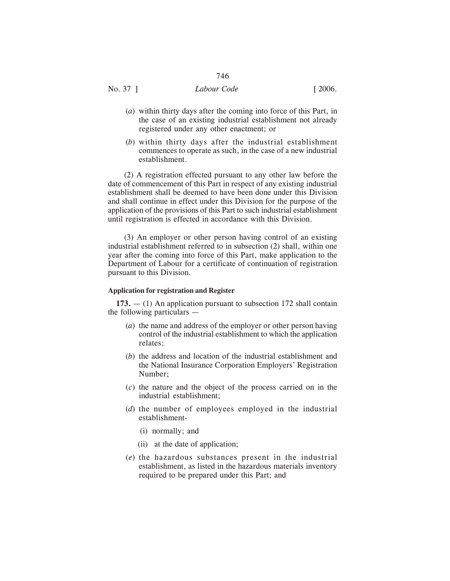## No. 37 ] *Labour Code* [ 2006.

- (*a*) within thirty days after the coming into force of this Part, in the case of an existing industrial establishment not already registered under any other enactment; or
- (*b*) within thirty days after the industrial establishment commences to operate as such, in the case of a new industrial establishment.

(2) A registration effected pursuant to any other law before the date of commencement of this Part in respect of any existing industrial establishment shall be deemed to have been done under this Division and shall continue in effect under this Division for the purpose of the application of the provisions of this Part to such industrial establishment until registration is effected in accordance with this Division.

(3) An employer or other person having control of an existing industrial establishment referred to in subsection (2) shall, within one year after the coming into force of this Part, make application to the Department of Labour for a certificate of continuation of registration pursuant to this Division.

## **Application for registration and Register**

**173.** — (1) An application pursuant to subsection 172 shall contain the following particulars —

- (*a*) the name and address of the employer or other person having control of the industrial establishment to which the application relates;
- (*b*) the address and location of the industrial establishment and the National Insurance Corporation Employers' Registration Number;
- (*c*) the nature and the object of the process carried on in the industrial establishment;
- (*d*) the number of employees employed in the industrial establishment-
	- (i) normally; and
	- (ii) at the date of application;
- (*e*) the hazardous substances present in the industrial establishment, as listed in the hazardous materials inventory required to be prepared under this Part; and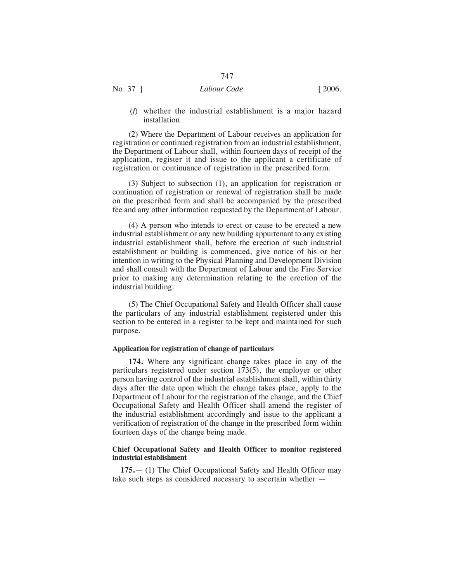(*f*) whether the industrial establishment is a major hazard installation.

(2) Where the Department of Labour receives an application for registration or continued registration from an industrial establishment, the Department of Labour shall, within fourteen days of receipt of the application, register it and issue to the applicant a certificate of registration or continuance of registration in the prescribed form.

(3) Subject to subsection (1), an application for registration or continuation of registration or renewal of registration shall be made on the prescribed form and shall be accompanied by the prescribed fee and any other information requested by the Department of Labour.

(4) A person who intends to erect or cause to be erected a new industrial establishment or any new building appurtenant to any existing industrial establishment shall, before the erection of such industrial establishment or building is commenced, give notice of his or her intention in writing to the Physical Planning and Development Division and shall consult with the Department of Labour and the Fire Service prior to making any determination relating to the erection of the industrial building.

(5) The Chief Occupational Safety and Health Officer shall cause the particulars of any industrial establishment registered under this section to be entered in a register to be kept and maintained for such purpose.

## **Application for registration of change of particulars**

**174.** Where any significant change takes place in any of the particulars registered under section 173(5), the employer or other person having control of the industrial establishment shall, within thirty days after the date upon which the change takes place, apply to the Department of Labour for the registration of the change, and the Chief Occupational Safety and Health Officer shall amend the register of the industrial establishment accordingly and issue to the applicant a verification of registration of the change in the prescribed form within fourteen days of the change being made.

## **Chief Occupational Safety and Health Officer to monitor registered industrial establishment**

**175.**— (1) The Chief Occupational Safety and Health Officer may take such steps as considered necessary to ascertain whether —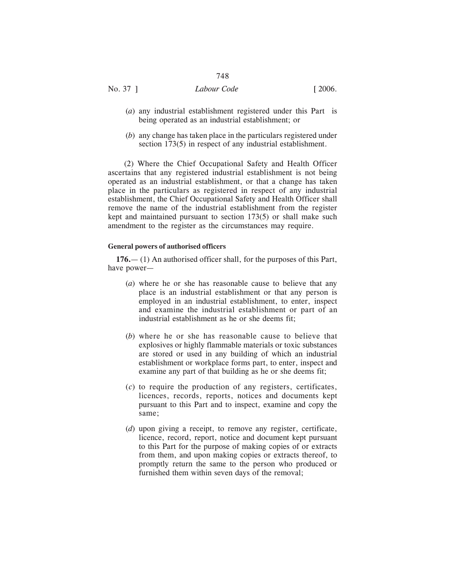# No. 37 ] *Labour Code* [ 2006.

- (*a*) any industrial establishment registered under this Part is being operated as an industrial establishment; or
- (*b*) any change has taken place in the particulars registered under section 173(5) in respect of any industrial establishment.

(2) Where the Chief Occupational Safety and Health Officer ascertains that any registered industrial establishment is not being operated as an industrial establishment, or that a change has taken place in the particulars as registered in respect of any industrial establishment, the Chief Occupational Safety and Health Officer shall remove the name of the industrial establishment from the register kept and maintained pursuant to section 173(5) or shall make such amendment to the register as the circumstances may require.

## **General powers of authorised officers**

**176.**— (1) An authorised officer shall, for the purposes of this Part, have power—

- (*a*) where he or she has reasonable cause to believe that any place is an industrial establishment or that any person is employed in an industrial establishment, to enter, inspect and examine the industrial establishment or part of an industrial establishment as he or she deems fit;
- (*b*) where he or she has reasonable cause to believe that explosives or highly flammable materials or toxic substances are stored or used in any building of which an industrial establishment or workplace forms part, to enter, inspect and examine any part of that building as he or she deems fit;
- (*c*) to require the production of any registers, certificates, licences, records, reports, notices and documents kept pursuant to this Part and to inspect, examine and copy the same;
- (*d*) upon giving a receipt, to remove any register, certificate, licence, record, report, notice and document kept pursuant to this Part for the purpose of making copies of or extracts from them, and upon making copies or extracts thereof, to promptly return the same to the person who produced or furnished them within seven days of the removal;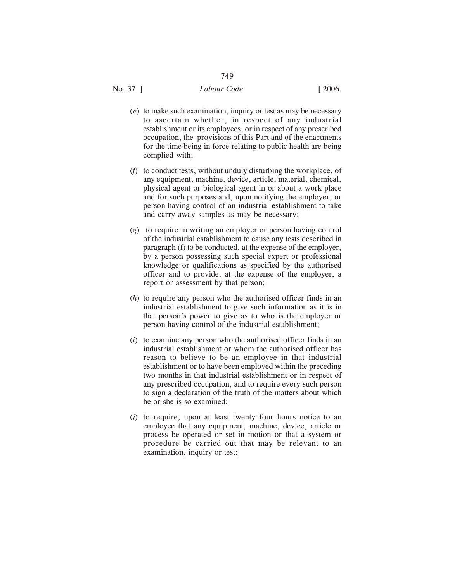- (*e*) to make such examination, inquiry or test as may be necessary to ascertain whether, in respect of any industrial establishment or its employees, or in respect of any prescribed occupation, the provisions of this Part and of the enactments for the time being in force relating to public health are being complied with;
- (*f*) to conduct tests, without unduly disturbing the workplace, of any equipment, machine, device, article, material, chemical, physical agent or biological agent in or about a work place and for such purposes and, upon notifying the employer, or person having control of an industrial establishment to take and carry away samples as may be necessary;
- (*g*) to require in writing an employer or person having control of the industrial establishment to cause any tests described in paragraph (f) to be conducted, at the expense of the employer, by a person possessing such special expert or professional knowledge or qualifications as specified by the authorised officer and to provide, at the expense of the employer, a report or assessment by that person;
- (*h*) to require any person who the authorised officer finds in an industrial establishment to give such information as it is in that person's power to give as to who is the employer or person having control of the industrial establishment;
- (*i*) to examine any person who the authorised officer finds in an industrial establishment or whom the authorised officer has reason to believe to be an employee in that industrial establishment or to have been employed within the preceding two months in that industrial establishment or in respect of any prescribed occupation, and to require every such person to sign a declaration of the truth of the matters about which he or she is so examined;
- (*j*) to require, upon at least twenty four hours notice to an employee that any equipment, machine, device, article or process be operated or set in motion or that a system or procedure be carried out that may be relevant to an examination, inquiry or test;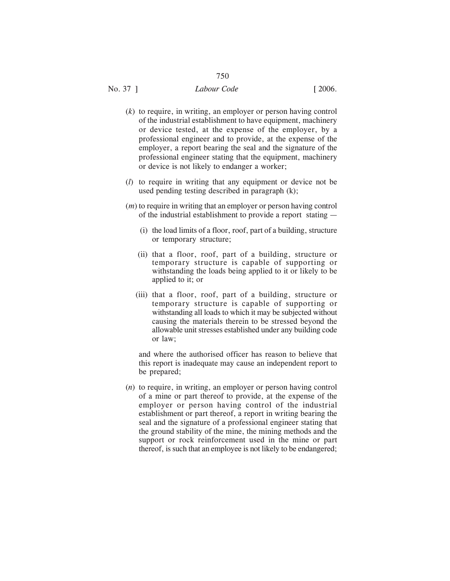# No. 37 ] *Labour Code* [ 2006.

- (*k*) to require, in writing, an employer or person having control of the industrial establishment to have equipment, machinery or device tested, at the expense of the employer, by a professional engineer and to provide, at the expense of the employer, a report bearing the seal and the signature of the professional engineer stating that the equipment, machinery or device is not likely to endanger a worker;
- (*l*) to require in writing that any equipment or device not be used pending testing described in paragraph (k);
- (*m*) to require in writing that an employer or person having control of the industrial establishment to provide a report stating —
	- (i) the load limits of a floor, roof, part of a building, structure or temporary structure;
	- (ii) that a floor, roof, part of a building, structure or temporary structure is capable of supporting or withstanding the loads being applied to it or likely to be applied to it; or
	- (iii) that a floor, roof, part of a building, structure or temporary structure is capable of supporting or withstanding all loads to which it may be subjected without causing the materials therein to be stressed beyond the allowable unit stresses established under any building code or law;

and where the authorised officer has reason to believe that this report is inadequate may cause an independent report to be prepared;

(*n*) to require, in writing, an employer or person having control of a mine or part thereof to provide, at the expense of the employer or person having control of the industrial establishment or part thereof, a report in writing bearing the seal and the signature of a professional engineer stating that the ground stability of the mine, the mining methods and the support or rock reinforcement used in the mine or part thereof, is such that an employee is not likely to be endangered;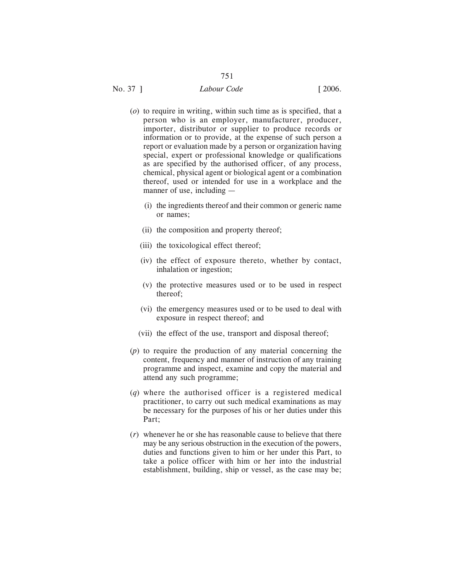# No. 37 ] *Labour Code* [ 2006.

751

- (*o*) to require in writing, within such time as is specified, that a person who is an employer, manufacturer, producer, importer, distributor or supplier to produce records or information or to provide, at the expense of such person a report or evaluation made by a person or organization having special, expert or professional knowledge or qualifications as are specified by the authorised officer, of any process, chemical, physical agent or biological agent or a combination thereof, used or intended for use in a workplace and the manner of use, including —
	- (i) the ingredients thereof and their common or generic name or names;
	- (ii) the composition and property thereof;
	- (iii) the toxicological effect thereof;
	- (iv) the effect of exposure thereto, whether by contact, inhalation or ingestion;
	- (v) the protective measures used or to be used in respect thereof;
	- (vi) the emergency measures used or to be used to deal with exposure in respect thereof; and
	- (vii) the effect of the use, transport and disposal thereof;
- (*p*) to require the production of any material concerning the content, frequency and manner of instruction of any training programme and inspect, examine and copy the material and attend any such programme;
- (*q*) where the authorised officer is a registered medical practitioner, to carry out such medical examinations as may be necessary for the purposes of his or her duties under this Part;
- (*r*) whenever he or she has reasonable cause to believe that there may be any serious obstruction in the execution of the powers, duties and functions given to him or her under this Part, to take a police officer with him or her into the industrial establishment, building, ship or vessel, as the case may be;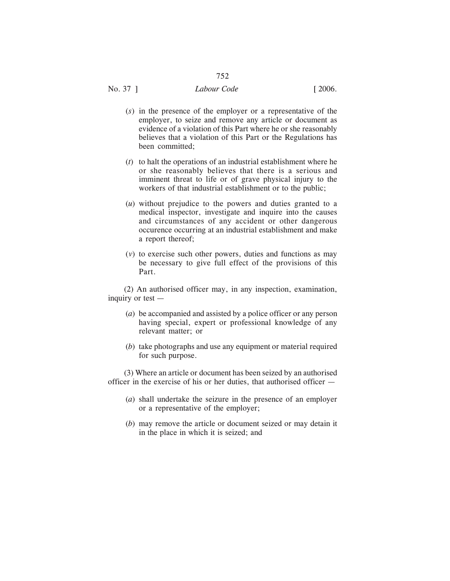# No. 37 ] *Labour Code* [ 2006.

- (*s*) in the presence of the employer or a representative of the employer, to seize and remove any article or document as evidence of a violation of this Part where he or she reasonably believes that a violation of this Part or the Regulations has been committed;
- (*t*) to halt the operations of an industrial establishment where he or she reasonably believes that there is a serious and imminent threat to life or of grave physical injury to the workers of that industrial establishment or to the public;
- (*u*) without prejudice to the powers and duties granted to a medical inspector, investigate and inquire into the causes and circumstances of any accident or other dangerous occurence occurring at an industrial establishment and make a report thereof;
- (*v*) to exercise such other powers, duties and functions as may be necessary to give full effect of the provisions of this Part.

(2) An authorised officer may, in any inspection, examination, inquiry or test —

- (*a*) be accompanied and assisted by a police officer or any person having special, expert or professional knowledge of any relevant matter; or
- (*b*) take photographs and use any equipment or material required for such purpose.

(3) Where an article or document has been seized by an authorised officer in the exercise of his or her duties, that authorised officer —

- (*a*) shall undertake the seizure in the presence of an employer or a representative of the employer;
- (*b*) may remove the article or document seized or may detain it in the place in which it is seized; and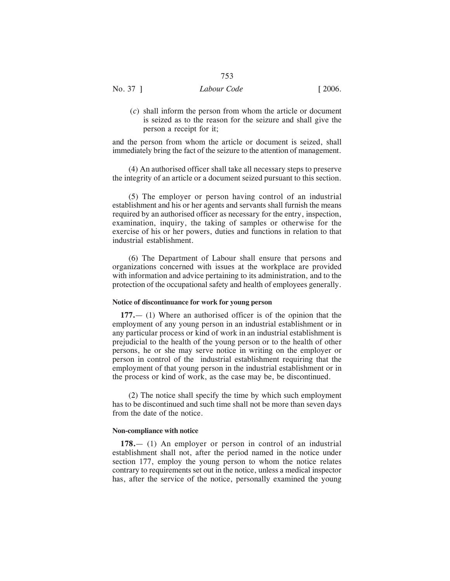No. 37 ] *Labour Code* [ 2006.

(*c*) shall inform the person from whom the article or document is seized as to the reason for the seizure and shall give the person a receipt for it;

and the person from whom the article or document is seized, shall immediately bring the fact of the seizure to the attention of management.

(4) An authorised officer shall take all necessary steps to preserve the integrity of an article or a document seized pursuant to this section.

(5) The employer or person having control of an industrial establishment and his or her agents and servants shall furnish the means required by an authorised officer as necessary for the entry, inspection, examination, inquiry, the taking of samples or otherwise for the exercise of his or her powers, duties and functions in relation to that industrial establishment.

(6) The Department of Labour shall ensure that persons and organizations concerned with issues at the workplace are provided with information and advice pertaining to its administration, and to the protection of the occupational safety and health of employees generally.

## **Notice of discontinuance for work for young person**

**177.**— (1) Where an authorised officer is of the opinion that the employment of any young person in an industrial establishment or in any particular process or kind of work in an industrial establishment is prejudicial to the health of the young person or to the health of other persons, he or she may serve notice in writing on the employer or person in control of the industrial establishment requiring that the employment of that young person in the industrial establishment or in the process or kind of work, as the case may be, be discontinued.

(2) The notice shall specify the time by which such employment has to be discontinued and such time shall not be more than seven days from the date of the notice.

## **Non-compliance with notice**

**178.**— (1) An employer or person in control of an industrial establishment shall not, after the period named in the notice under section 177, employ the young person to whom the notice relates contrary to requirements set out in the notice, unless a medical inspector has, after the service of the notice, personally examined the young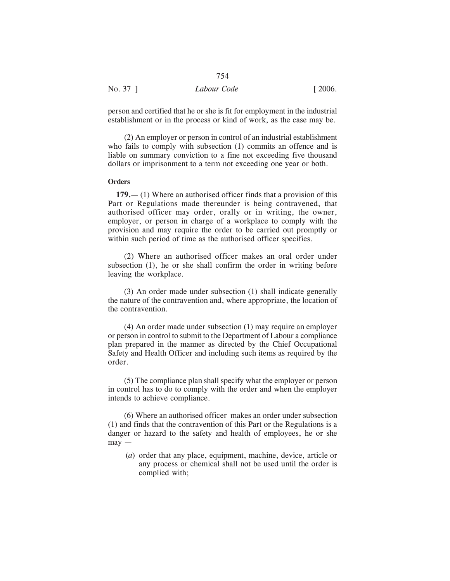|          | 754         |                       |
|----------|-------------|-----------------------|
| No. 37 1 | Labour Code | $\lceil 2006. \rceil$ |

person and certified that he or she is fit for employment in the industrial establishment or in the process or kind of work, as the case may be.

(2) An employer or person in control of an industrial establishment who fails to comply with subsection (1) commits an offence and is liable on summary conviction to a fine not exceeding five thousand dollars or imprisonment to a term not exceeding one year or both.

## **Orders**

**179.**— (1) Where an authorised officer finds that a provision of this Part or Regulations made thereunder is being contravened, that authorised officer may order, orally or in writing, the owner, employer, or person in charge of a workplace to comply with the provision and may require the order to be carried out promptly or within such period of time as the authorised officer specifies.

(2) Where an authorised officer makes an oral order under subsection (1), he or she shall confirm the order in writing before leaving the workplace.

(3) An order made under subsection (1) shall indicate generally the nature of the contravention and, where appropriate, the location of the contravention.

(4) An order made under subsection (1) may require an employer or person in control to submit to the Department of Labour a compliance plan prepared in the manner as directed by the Chief Occupational Safety and Health Officer and including such items as required by the order.

(5) The compliance plan shall specify what the employer or person in control has to do to comply with the order and when the employer intends to achieve compliance.

(6) Where an authorised officer makes an order under subsection (1) and finds that the contravention of this Part or the Regulations is a danger or hazard to the safety and health of employees, he or she  $\text{max}$  —

(*a*) order that any place, equipment, machine, device, article or any process or chemical shall not be used until the order is complied with;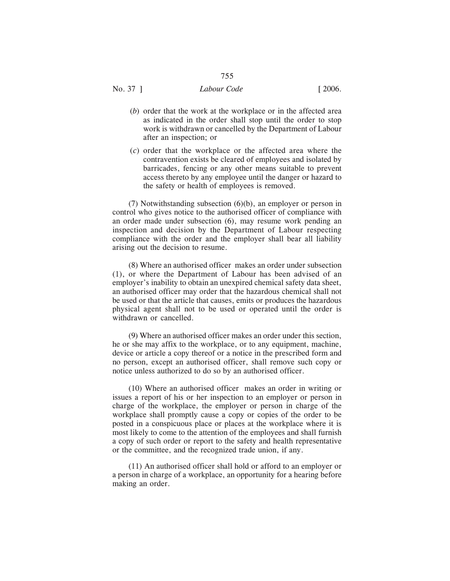No. 37 ] *Labour Code* [ 2006.

- (*b*) order that the work at the workplace or in the affected area as indicated in the order shall stop until the order to stop work is withdrawn or cancelled by the Department of Labour after an inspection; or
- (*c*) order that the workplace or the affected area where the contravention exists be cleared of employees and isolated by barricades, fencing or any other means suitable to prevent access thereto by any employee until the danger or hazard to the safety or health of employees is removed.

(7) Notwithstanding subsection (6)(b), an employer or person in control who gives notice to the authorised officer of compliance with an order made under subsection (6), may resume work pending an inspection and decision by the Department of Labour respecting compliance with the order and the employer shall bear all liability arising out the decision to resume.

(8) Where an authorised officer makes an order under subsection (1), or where the Department of Labour has been advised of an employer's inability to obtain an unexpired chemical safety data sheet, an authorised officer may order that the hazardous chemical shall not be used or that the article that causes, emits or produces the hazardous physical agent shall not to be used or operated until the order is withdrawn or cancelled.

(9) Where an authorised officer makes an order under this section, he or she may affix to the workplace, or to any equipment, machine, device or article a copy thereof or a notice in the prescribed form and no person, except an authorised officer, shall remove such copy or notice unless authorized to do so by an authorised officer.

(10) Where an authorised officer makes an order in writing or issues a report of his or her inspection to an employer or person in charge of the workplace, the employer or person in charge of the workplace shall promptly cause a copy or copies of the order to be posted in a conspicuous place or places at the workplace where it is most likely to come to the attention of the employees and shall furnish a copy of such order or report to the safety and health representative or the committee, and the recognized trade union, if any.

(11) An authorised officer shall hold or afford to an employer or a person in charge of a workplace, an opportunity for a hearing before making an order.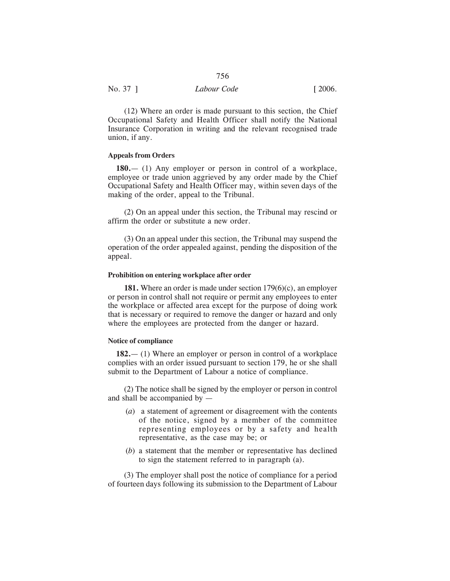| No. 37 ] | Labour Code | $\lceil 2006. \rceil$ |
|----------|-------------|-----------------------|
|          |             |                       |

(12) Where an order is made pursuant to this section, the Chief Occupational Safety and Health Officer shall notify the National Insurance Corporation in writing and the relevant recognised trade union, if any.

## **Appeals from Orders**

**180.**— (1) Any employer or person in control of a workplace, employee or trade union aggrieved by any order made by the Chief Occupational Safety and Health Officer may, within seven days of the making of the order, appeal to the Tribunal.

(2) On an appeal under this section, the Tribunal may rescind or affirm the order or substitute a new order.

(3) On an appeal under this section, the Tribunal may suspend the operation of the order appealed against, pending the disposition of the appeal.

## **Prohibition on entering workplace after order**

**181.** Where an order is made under section 179(6)(c), an employer or person in control shall not require or permit any employees to enter the workplace or affected area except for the purpose of doing work that is necessary or required to remove the danger or hazard and only where the employees are protected from the danger or hazard.

## **Notice of compliance**

**182.**— (1) Where an employer or person in control of a workplace complies with an order issued pursuant to section 179, he or she shall submit to the Department of Labour a notice of compliance.

(2) The notice shall be signed by the employer or person in control and shall be accompanied by —

- (*a*) a statement of agreement or disagreement with the contents of the notice, signed by a member of the committee representing employees or by a safety and health representative, as the case may be; or
- (*b*) a statement that the member or representative has declined to sign the statement referred to in paragraph (a).

(3) The employer shall post the notice of compliance for a period of fourteen days following its submission to the Department of Labour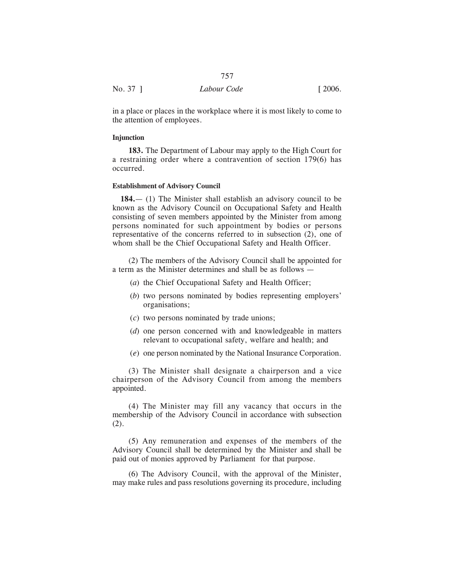|          | 757         |                       |
|----------|-------------|-----------------------|
| No. 37 ] | Labour Code | $\lceil 2006. \rceil$ |

in a place or places in the workplace where it is most likely to come to the attention of employees.

## **Injunction**

**183.** The Department of Labour may apply to the High Court for a restraining order where a contravention of section 179(6) has occurred.

## **Establishment of Advisory Council**

**184.**— (1) The Minister shall establish an advisory council to be known as the Advisory Council on Occupational Safety and Health consisting of seven members appointed by the Minister from among persons nominated for such appointment by bodies or persons representative of the concerns referred to in subsection (2), one of whom shall be the Chief Occupational Safety and Health Officer.

(2) The members of the Advisory Council shall be appointed for a term as the Minister determines and shall be as follows —

- (*a*) the Chief Occupational Safety and Health Officer;
- (*b*) two persons nominated by bodies representing employers' organisations;
- (*c*) two persons nominated by trade unions;
- (*d*) one person concerned with and knowledgeable in matters relevant to occupational safety, welfare and health; and
- (*e*) one person nominated by the National Insurance Corporation.

(3) The Minister shall designate a chairperson and a vice chairperson of the Advisory Council from among the members appointed.

(4) The Minister may fill any vacancy that occurs in the membership of the Advisory Council in accordance with subsection (2).

(5) Any remuneration and expenses of the members of the Advisory Council shall be determined by the Minister and shall be paid out of monies approved by Parliament for that purpose.

(6) The Advisory Council, with the approval of the Minister, may make rules and pass resolutions governing its procedure, including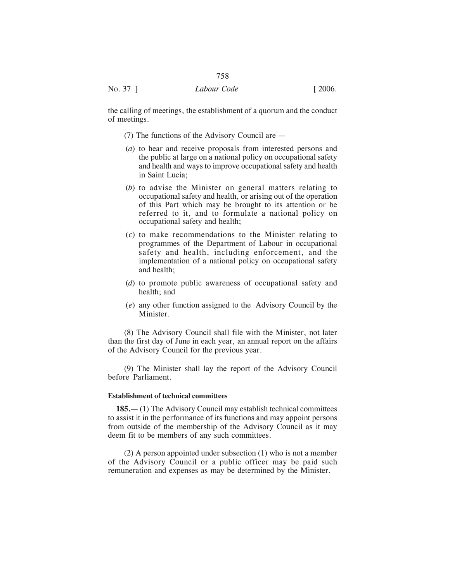the calling of meetings, the establishment of a quorum and the conduct of meetings.

- (7) The functions of the Advisory Council are —
- (*a*) to hear and receive proposals from interested persons and the public at large on a national policy on occupational safety and health and ways to improve occupational safety and health in Saint Lucia;
- (*b*) to advise the Minister on general matters relating to occupational safety and health, or arising out of the operation of this Part which may be brought to its attention or be referred to it, and to formulate a national policy on occupational safety and health;
- (*c*) to make recommendations to the Minister relating to programmes of the Department of Labour in occupational safety and health, including enforcement, and the implementation of a national policy on occupational safety and health;
- (*d*) to promote public awareness of occupational safety and health; and
- (*e*) any other function assigned to the Advisory Council by the Minister.

(8) The Advisory Council shall file with the Minister, not later than the first day of June in each year, an annual report on the affairs of the Advisory Council for the previous year.

(9) The Minister shall lay the report of the Advisory Council before Parliament.

## **Establishment of technical committees**

**185.**— (1) The Advisory Council may establish technical committees to assist it in the performance of its functions and may appoint persons from outside of the membership of the Advisory Council as it may deem fit to be members of any such committees.

(2) A person appointed under subsection (1) who is not a member of the Advisory Council or a public officer may be paid such remuneration and expenses as may be determined by the Minister.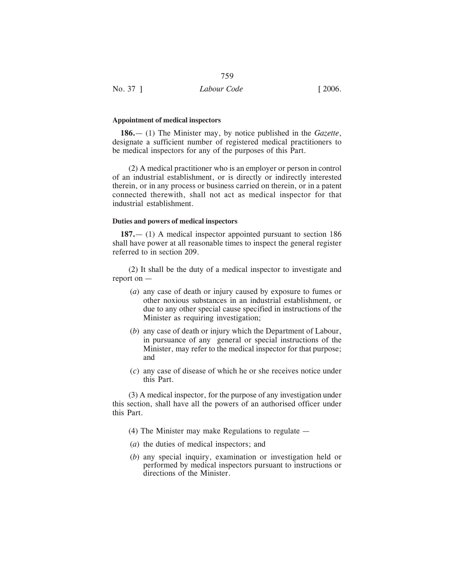| No. 37 ]<br>$\lceil 2006. \rceil$<br>Labour Code |  |
|--------------------------------------------------|--|

## **Appointment of medical inspectors**

**186.**— (1) The Minister may, by notice published in the *Gazette*, designate a sufficient number of registered medical practitioners to be medical inspectors for any of the purposes of this Part.

(2) A medical practitioner who is an employer or person in control of an industrial establishment, or is directly or indirectly interested therein, or in any process or business carried on therein, or in a patent connected therewith, shall not act as medical inspector for that industrial establishment.

## **Duties and powers of medical inspectors**

**187.**— (1) A medical inspector appointed pursuant to section 186 shall have power at all reasonable times to inspect the general register referred to in section 209.

(2) It shall be the duty of a medical inspector to investigate and report on —

- (*a*) any case of death or injury caused by exposure to fumes or other noxious substances in an industrial establishment, or due to any other special cause specified in instructions of the Minister as requiring investigation;
- (*b*) any case of death or injury which the Department of Labour, in pursuance of any general or special instructions of the Minister, may refer to the medical inspector for that purpose; and
- (*c*) any case of disease of which he or she receives notice under this Part.

(3) A medical inspector, for the purpose of any investigation under this section, shall have all the powers of an authorised officer under this Part.

- (4) The Minister may make Regulations to regulate —
- (*a*) the duties of medical inspectors; and
- (*b*) any special inquiry, examination or investigation held or performed by medical inspectors pursuant to instructions or directions of the Minister.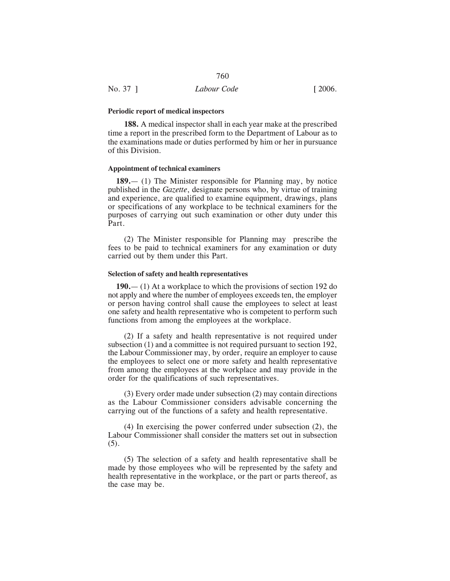#### **Periodic report of medical inspectors**

**188.** A medical inspector shall in each year make at the prescribed time a report in the prescribed form to the Department of Labour as to the examinations made or duties performed by him or her in pursuance of this Division.

## **Appointment of technical examiners**

**189.**— (1) The Minister responsible for Planning may, by notice published in the *Gazette*, designate persons who, by virtue of training and experience, are qualified to examine equipment, drawings, plans or specifications of any workplace to be technical examiners for the purposes of carrying out such examination or other duty under this Part.

(2) The Minister responsible for Planning may prescribe the fees to be paid to technical examiners for any examination or duty carried out by them under this Part.

## **Selection of safety and health representatives**

**190.**— (1) At a workplace to which the provisions of section 192 do not apply and where the number of employees exceeds ten, the employer or person having control shall cause the employees to select at least one safety and health representative who is competent to perform such functions from among the employees at the workplace.

(2) If a safety and health representative is not required under subsection (1) and a committee is not required pursuant to section 192, the Labour Commissioner may, by order, require an employer to cause the employees to select one or more safety and health representative from among the employees at the workplace and may provide in the order for the qualifications of such representatives.

(3) Every order made under subsection (2) may contain directions as the Labour Commissioner considers advisable concerning the carrying out of the functions of a safety and health representative.

(4) In exercising the power conferred under subsection (2), the Labour Commissioner shall consider the matters set out in subsection (5).

(5) The selection of a safety and health representative shall be made by those employees who will be represented by the safety and health representative in the workplace, or the part or parts thereof, as the case may be.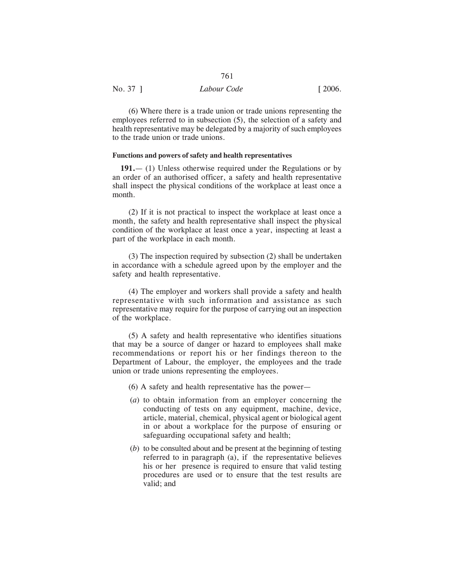| No. 37 ] | Labour Code | $\lceil 2006. \rceil$ |
|----------|-------------|-----------------------|
|          |             |                       |

(6) Where there is a trade union or trade unions representing the employees referred to in subsection (5), the selection of a safety and health representative may be delegated by a majority of such employees to the trade union or trade unions.

## **Functions and powers of safety and health representatives**

**191.**— (1) Unless otherwise required under the Regulations or by an order of an authorised officer, a safety and health representative shall inspect the physical conditions of the workplace at least once a month.

(2) If it is not practical to inspect the workplace at least once a month, the safety and health representative shall inspect the physical condition of the workplace at least once a year, inspecting at least a part of the workplace in each month.

(3) The inspection required by subsection (2) shall be undertaken in accordance with a schedule agreed upon by the employer and the safety and health representative.

(4) The employer and workers shall provide a safety and health representative with such information and assistance as such representative may require for the purpose of carrying out an inspection of the workplace.

(5) A safety and health representative who identifies situations that may be a source of danger or hazard to employees shall make recommendations or report his or her findings thereon to the Department of Labour, the employer, the employees and the trade union or trade unions representing the employees.

(6) A safety and health representative has the power—

- (*a*) to obtain information from an employer concerning the conducting of tests on any equipment, machine, device, article, material, chemical, physical agent or biological agent in or about a workplace for the purpose of ensuring or safeguarding occupational safety and health;
- (*b*) to be consulted about and be present at the beginning of testing referred to in paragraph (a), if the representative believes his or her presence is required to ensure that valid testing procedures are used or to ensure that the test results are valid; and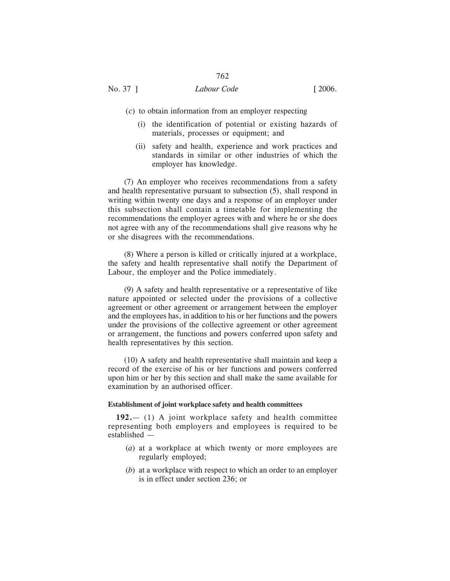# No. 37 ] *Labour Code* [ 2006.

- (*c*) to obtain information from an employer respecting
	- (i) the identification of potential or existing hazards of materials, processes or equipment; and
	- (ii) safety and health, experience and work practices and standards in similar or other industries of which the employer has knowledge.

(7) An employer who receives recommendations from a safety and health representative pursuant to subsection (5), shall respond in writing within twenty one days and a response of an employer under this subsection shall contain a timetable for implementing the recommendations the employer agrees with and where he or she does not agree with any of the recommendations shall give reasons why he or she disagrees with the recommendations.

(8) Where a person is killed or critically injured at a workplace, the safety and health representative shall notify the Department of Labour, the employer and the Police immediately.

(9) A safety and health representative or a representative of like nature appointed or selected under the provisions of a collective agreement or other agreement or arrangement between the employer and the employees has, in addition to his or her functions and the powers under the provisions of the collective agreement or other agreement or arrangement, the functions and powers conferred upon safety and health representatives by this section.

(10) A safety and health representative shall maintain and keep a record of the exercise of his or her functions and powers conferred upon him or her by this section and shall make the same available for examination by an authorised officer.

#### **Establishment of joint workplace safety and health committees**

**192.**— (1) A joint workplace safety and health committee representing both employers and employees is required to be established —

- (*a*) at a workplace at which twenty or more employees are regularly employed;
- (*b*) at a workplace with respect to which an order to an employer is in effect under section 236; or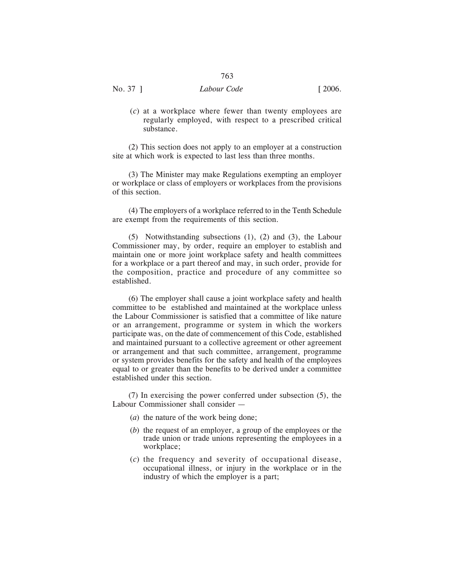| ۰,<br>×<br>۰.<br>w<br>× |
|-------------------------|
|-------------------------|

(*c*) at a workplace where fewer than twenty employees are regularly employed, with respect to a prescribed critical substance.

(2) This section does not apply to an employer at a construction site at which work is expected to last less than three months.

(3) The Minister may make Regulations exempting an employer or workplace or class of employers or workplaces from the provisions of this section.

(4) The employers of a workplace referred to in the Tenth Schedule are exempt from the requirements of this section.

(5) Notwithstanding subsections (1), (2) and (3), the Labour Commissioner may, by order, require an employer to establish and maintain one or more joint workplace safety and health committees for a workplace or a part thereof and may, in such order, provide for the composition, practice and procedure of any committee so established.

(6) The employer shall cause a joint workplace safety and health committee to be established and maintained at the workplace unless the Labour Commissioner is satisfied that a committee of like nature or an arrangement, programme or system in which the workers participate was, on the date of commencement of this Code, established and maintained pursuant to a collective agreement or other agreement or arrangement and that such committee, arrangement, programme or system provides benefits for the safety and health of the employees equal to or greater than the benefits to be derived under a committee established under this section.

(7) In exercising the power conferred under subsection (5), the Labour Commissioner shall consider —

- (*a*) the nature of the work being done;
- (*b*) the request of an employer, a group of the employees or the trade union or trade unions representing the employees in a workplace;
- (*c*) the frequency and severity of occupational disease, occupational illness, or injury in the workplace or in the industry of which the employer is a part;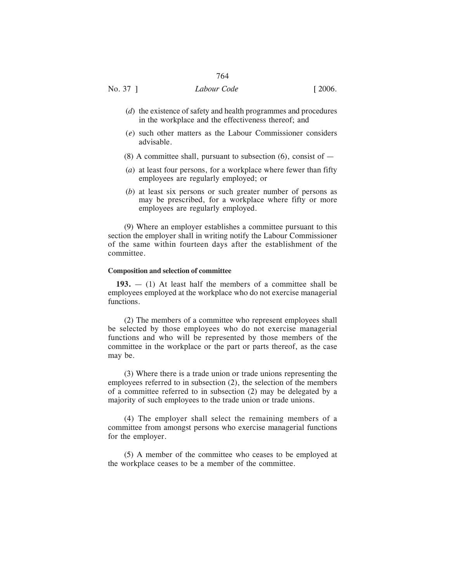- (*d*) the existence of safety and health programmes and procedures in the workplace and the effectiveness thereof; and
- (*e*) such other matters as the Labour Commissioner considers advisable.
- $(8)$  A committee shall, pursuant to subsection  $(6)$ , consist of  $-$
- (*a*) at least four persons, for a workplace where fewer than fifty employees are regularly employed; or
- (*b*) at least six persons or such greater number of persons as may be prescribed, for a workplace where fifty or more employees are regularly employed.

(9) Where an employer establishes a committee pursuant to this section the employer shall in writing notify the Labour Commissioner of the same within fourteen days after the establishment of the committee.

#### **Composition and selection of committee**

**193.** — (1) At least half the members of a committee shall be employees employed at the workplace who do not exercise managerial functions.

(2) The members of a committee who represent employees shall be selected by those employees who do not exercise managerial functions and who will be represented by those members of the committee in the workplace or the part or parts thereof, as the case may be.

(3) Where there is a trade union or trade unions representing the employees referred to in subsection (2), the selection of the members of a committee referred to in subsection (2) may be delegated by a majority of such employees to the trade union or trade unions.

(4) The employer shall select the remaining members of a committee from amongst persons who exercise managerial functions for the employer.

(5) A member of the committee who ceases to be employed at the workplace ceases to be a member of the committee.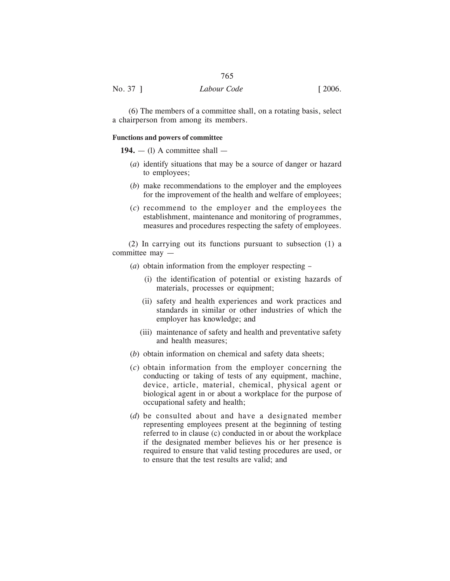| No. 37 ] | Labour Code | [2006] |
|----------|-------------|--------|
|          |             |        |

(6) The members of a committee shall, on a rotating basis, select a chairperson from among its members.

## **Functions and powers of committee**

## $194. - (1)$  A committee shall  $-$

- (*a*) identify situations that may be a source of danger or hazard to employees;
- (*b*) make recommendations to the employer and the employees for the improvement of the health and welfare of employees;
- (*c*) recommend to the employer and the employees the establishment, maintenance and monitoring of programmes, measures and procedures respecting the safety of employees.

(2) In carrying out its functions pursuant to subsection (1) a committee may —

- (*a*) obtain information from the employer respecting
	- (i) the identification of potential or existing hazards of materials, processes or equipment;
	- (ii) safety and health experiences and work practices and standards in similar or other industries of which the employer has knowledge; and
	- (iii) maintenance of safety and health and preventative safety and health measures;
- (*b*) obtain information on chemical and safety data sheets;
- (*c*) obtain information from the employer concerning the conducting or taking of tests of any equipment, machine, device, article, material, chemical, physical agent or biological agent in or about a workplace for the purpose of occupational safety and health;
- (*d*) be consulted about and have a designated member representing employees present at the beginning of testing referred to in clause (c) conducted in or about the workplace if the designated member believes his or her presence is required to ensure that valid testing procedures are used, or to ensure that the test results are valid; and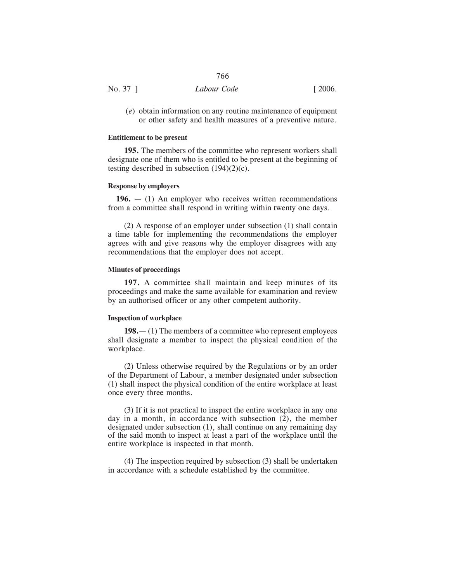| No. 37 ] | Labour Code | [2006] |
|----------|-------------|--------|

(*e*) obtain information on any routine maintenance of equipment or other safety and health measures of a preventive nature.

#### **Entitlement to be present**

**195.** The members of the committee who represent workers shall designate one of them who is entitled to be present at the beginning of testing described in subsection  $(194)(2)(c)$ .

## **Response by employers**

**196.** — (1) An employer who receives written recommendations from a committee shall respond in writing within twenty one days.

(2) A response of an employer under subsection (1) shall contain a time table for implementing the recommendations the employer agrees with and give reasons why the employer disagrees with any recommendations that the employer does not accept.

## **Minutes of proceedings**

**197.** A committee shall maintain and keep minutes of its proceedings and make the same available for examination and review by an authorised officer or any other competent authority.

## **Inspection of workplace**

**198.**— (1) The members of a committee who represent employees shall designate a member to inspect the physical condition of the workplace.

(2) Unless otherwise required by the Regulations or by an order of the Department of Labour, a member designated under subsection (1) shall inspect the physical condition of the entire workplace at least once every three months.

(3) If it is not practical to inspect the entire workplace in any one day in a month, in accordance with subsection (2), the member designated under subsection (1), shall continue on any remaining day of the said month to inspect at least a part of the workplace until the entire workplace is inspected in that month.

(4) The inspection required by subsection (3) shall be undertaken in accordance with a schedule established by the committee.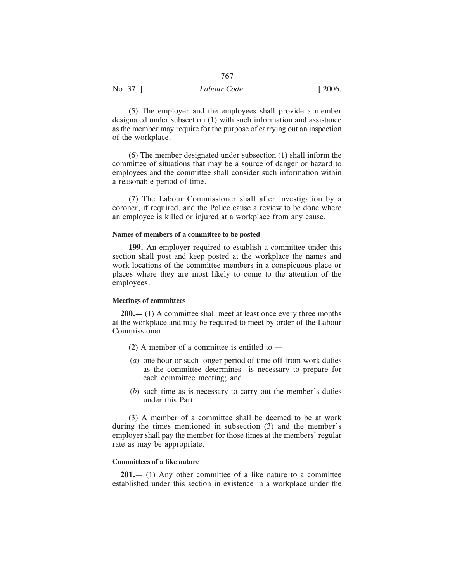| No. 37 ] | Labour Code | $\lceil 2006. \rceil$ |
|----------|-------------|-----------------------|
|          |             |                       |

(5) The employer and the employees shall provide a member designated under subsection (1) with such information and assistance as the member may require for the purpose of carrying out an inspection of the workplace.

767

(6) The member designated under subsection (1) shall inform the committee of situations that may be a source of danger or hazard to employees and the committee shall consider such information within a reasonable period of time.

(7) The Labour Commissioner shall after investigation by a coroner, if required, and the Police cause a review to be done where an employee is killed or injured at a workplace from any cause.

## **Names of members of a committee to be posted**

**199.** An employer required to establish a committee under this section shall post and keep posted at the workplace the names and work locations of the committee members in a conspicuous place or places where they are most likely to come to the attention of the employees.

## **Meetings of committees**

**200.—** (1) A committee shall meet at least once every three months at the workplace and may be required to meet by order of the Labour Commissioner.

- (2) A member of a committee is entitled to  $-$
- (*a*) one hour or such longer period of time off from work duties as the committee determines is necessary to prepare for each committee meeting; and
- (*b*) such time as is necessary to carry out the member's duties under this Part.

(3) A member of a committee shall be deemed to be at work during the times mentioned in subsection (3) and the member's employer shall pay the member for those times at the members' regular rate as may be appropriate.

## **Committees of a like nature**

**201.**— (1) Any other committee of a like nature to a committee established under this section in existence in a workplace under the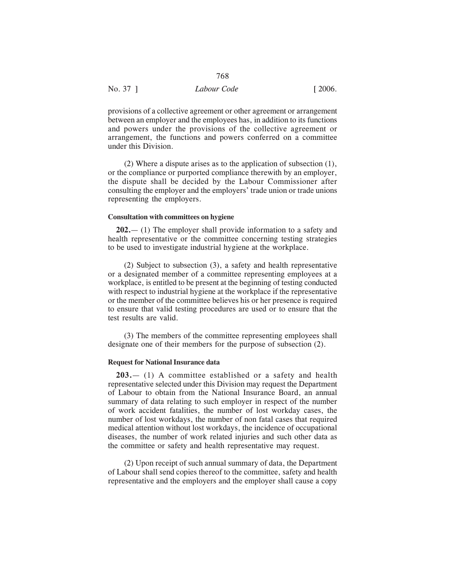| No. 37 ] | Labour Code | $\lceil 2006. \rceil$ |
|----------|-------------|-----------------------|
|          |             |                       |

provisions of a collective agreement or other agreement or arrangement between an employer and the employees has, in addition to its functions and powers under the provisions of the collective agreement or arrangement, the functions and powers conferred on a committee under this Division.

768

(2) Where a dispute arises as to the application of subsection (1), or the compliance or purported compliance therewith by an employer, the dispute shall be decided by the Labour Commissioner after consulting the employer and the employers' trade union or trade unions representing the employers.

## **Consultation with committees on hygiene**

**202.**— (1) The employer shall provide information to a safety and health representative or the committee concerning testing strategies to be used to investigate industrial hygiene at the workplace.

(2) Subject to subsection (3), a safety and health representative or a designated member of a committee representing employees at a workplace, is entitled to be present at the beginning of testing conducted with respect to industrial hygiene at the workplace if the representative or the member of the committee believes his or her presence is required to ensure that valid testing procedures are used or to ensure that the test results are valid.

(3) The members of the committee representing employees shall designate one of their members for the purpose of subsection (2).

### **Request for National Insurance data**

**203.**— (1) A committee established or a safety and health representative selected under this Division may request the Department of Labour to obtain from the National Insurance Board, an annual summary of data relating to such employer in respect of the number of work accident fatalities, the number of lost workday cases, the number of lost workdays, the number of non fatal cases that required medical attention without lost workdays, the incidence of occupational diseases, the number of work related injuries and such other data as the committee or safety and health representative may request.

(2) Upon receipt of such annual summary of data, the Department of Labour shall send copies thereof to the committee, safety and health representative and the employers and the employer shall cause a copy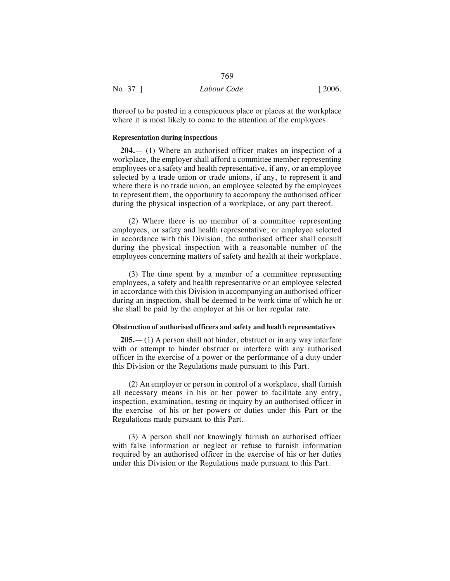| No. 37 ] | Labour Code | $\lceil 2006. \rceil$ |
|----------|-------------|-----------------------|

thereof to be posted in a conspicuous place or places at the workplace where it is most likely to come to the attention of the employees.

769

## **Representation during inspections**

**204.**— (1) Where an authorised officer makes an inspection of a workplace, the employer shall afford a committee member representing employees or a safety and health representative, if any, or an employee selected by a trade union or trade unions, if any, to represent it and where there is no trade union, an employee selected by the employees to represent them, the opportunity to accompany the authorised officer during the physical inspection of a workplace, or any part thereof.

(2) Where there is no member of a committee representing employees, or safety and health representative, or employee selected in accordance with this Division, the authorised officer shall consult during the physical inspection with a reasonable number of the employees concerning matters of safety and health at their workplace.

(3) The time spent by a member of a committee representing employees, a safety and health representative or an employee selected in accordance with this Division in accompanying an authorised officer during an inspection, shall be deemed to be work time of which he or she shall be paid by the employer at his or her regular rate.

### **Obstruction of authorised officers and safety and health representatives**

**205.**— (1) A person shall not hinder, obstruct or in any way interfere with or attempt to hinder obstruct or interfere with any authorised officer in the exercise of a power or the performance of a duty under this Division or the Regulations made pursuant to this Part.

(2) An employer or person in control of a workplace, shall furnish all necessary means in his or her power to facilitate any entry, inspection, examination, testing or inquiry by an authorised officer in the exercise of his or her powers or duties under this Part or the Regulations made pursuant to this Part.

(3) A person shall not knowingly furnish an authorised officer with false information or neglect or refuse to furnish information required by an authorised officer in the exercise of his or her duties under this Division or the Regulations made pursuant to this Part.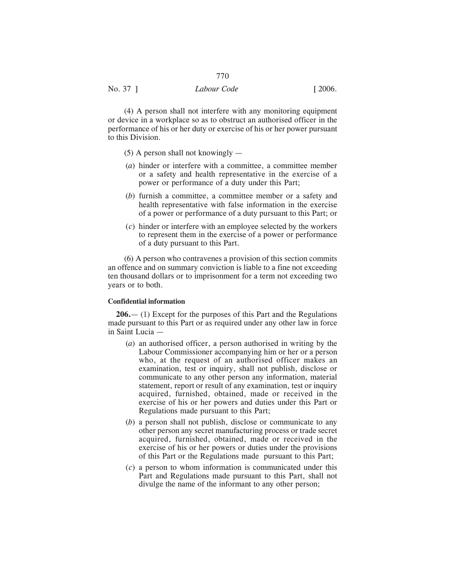(4) A person shall not interfere with any monitoring equipment or device in a workplace so as to obstruct an authorised officer in the performance of his or her duty or exercise of his or her power pursuant to this Division.

770

- (5) A person shall not knowingly —
- (*a*) hinder or interfere with a committee, a committee member or a safety and health representative in the exercise of a power or performance of a duty under this Part;
- (*b*) furnish a committee, a committee member or a safety and health representative with false information in the exercise of a power or performance of a duty pursuant to this Part; or
- (*c*) hinder or interfere with an employee selected by the workers to represent them in the exercise of a power or performance of a duty pursuant to this Part.

(6) A person who contravenes a provision of this section commits an offence and on summary conviction is liable to a fine not exceeding ten thousand dollars or to imprisonment for a term not exceeding two years or to both.

#### **Confidential information**

**206.**— (1) Except for the purposes of this Part and the Regulations made pursuant to this Part or as required under any other law in force in Saint Lucia —

- (*a*) an authorised officer, a person authorised in writing by the Labour Commissioner accompanying him or her or a person who, at the request of an authorised officer makes an examination, test or inquiry, shall not publish, disclose or communicate to any other person any information, material statement, report or result of any examination, test or inquiry acquired, furnished, obtained, made or received in the exercise of his or her powers and duties under this Part or Regulations made pursuant to this Part;
- (*b*) a person shall not publish, disclose or communicate to any other person any secret manufacturing process or trade secret acquired, furnished, obtained, made or received in the exercise of his or her powers or duties under the provisions of this Part or the Regulations made pursuant to this Part;
- (*c*) a person to whom information is communicated under this Part and Regulations made pursuant to this Part, shall not divulge the name of the informant to any other person;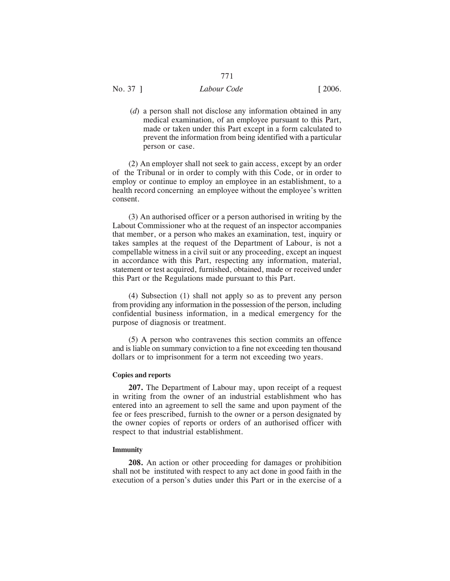# No. 37 ] *Labour Code* [ 2006.

(*d*) a person shall not disclose any information obtained in any medical examination, of an employee pursuant to this Part, made or taken under this Part except in a form calculated to prevent the information from being identified with a particular person or case.

(2) An employer shall not seek to gain access, except by an order of the Tribunal or in order to comply with this Code, or in order to employ or continue to employ an employee in an establishment, to a health record concerning an employee without the employee's written consent.

(3) An authorised officer or a person authorised in writing by the Labout Commissioner who at the request of an inspector accompanies that member, or a person who makes an examination, test, inquiry or takes samples at the request of the Department of Labour, is not a compellable witness in a civil suit or any proceeding, except an inquest in accordance with this Part, respecting any information, material, statement or test acquired, furnished, obtained, made or received under this Part or the Regulations made pursuant to this Part.

(4) Subsection (1) shall not apply so as to prevent any person from providing any information in the possession of the person, including confidential business information, in a medical emergency for the purpose of diagnosis or treatment.

(5) A person who contravenes this section commits an offence and is liable on summary conviction to a fine not exceeding ten thousand dollars or to imprisonment for a term not exceeding two years.

#### **Copies and reports**

**207.** The Department of Labour may, upon receipt of a request in writing from the owner of an industrial establishment who has entered into an agreement to sell the same and upon payment of the fee or fees prescribed, furnish to the owner or a person designated by the owner copies of reports or orders of an authorised officer with respect to that industrial establishment.

#### **Immunity**

**208.** An action or other proceeding for damages or prohibition shall not be instituted with respect to any act done in good faith in the execution of a person's duties under this Part or in the exercise of a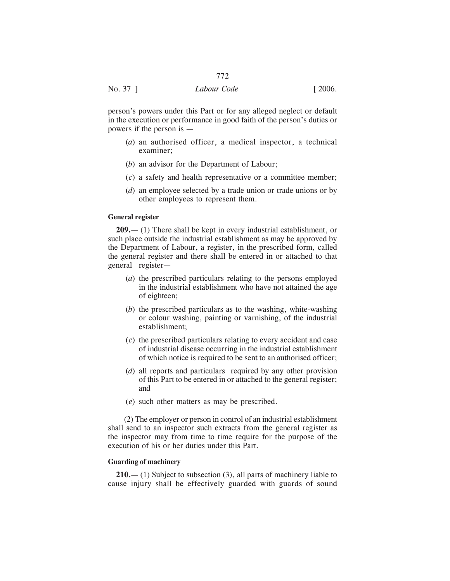# No. 37 ] *Labour Code* [ 2006.

person's powers under this Part or for any alleged neglect or default in the execution or performance in good faith of the person's duties or powers if the person is —

- (*a*) an authorised officer, a medical inspector, a technical examiner;
- (*b*) an advisor for the Department of Labour;
- (*c*) a safety and health representative or a committee member;
- (*d*) an employee selected by a trade union or trade unions or by other employees to represent them.

## **General register**

**209.**— (1) There shall be kept in every industrial establishment, or such place outside the industrial establishment as may be approved by the Department of Labour, a register, in the prescribed form, called the general register and there shall be entered in or attached to that general register—

- (*a*) the prescribed particulars relating to the persons employed in the industrial establishment who have not attained the age of eighteen;
- (*b*) the prescribed particulars as to the washing, white-washing or colour washing, painting or varnishing, of the industrial establishment;
- (*c*) the prescribed particulars relating to every accident and case of industrial disease occurring in the industrial establishment of which notice is required to be sent to an authorised officer;
- (*d*) all reports and particulars required by any other provision of this Part to be entered in or attached to the general register; and
- (*e*) such other matters as may be prescribed.

(2) The employer or person in control of an industrial establishment shall send to an inspector such extracts from the general register as the inspector may from time to time require for the purpose of the execution of his or her duties under this Part.

## **Guarding of machinery**

**210.**— (1) Subject to subsection (3), all parts of machinery liable to cause injury shall be effectively guarded with guards of sound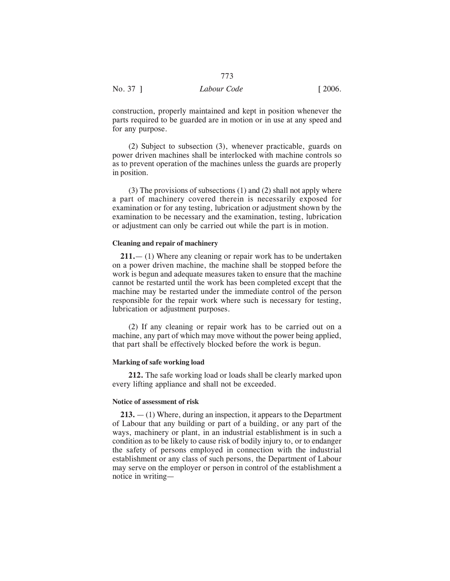construction, properly maintained and kept in position whenever the parts required to be guarded are in motion or in use at any speed and for any purpose.

(2) Subject to subsection (3), whenever practicable, guards on power driven machines shall be interlocked with machine controls so as to prevent operation of the machines unless the guards are properly in position.

(3) The provisions of subsections (1) and (2) shall not apply where a part of machinery covered therein is necessarily exposed for examination or for any testing, lubrication or adjustment shown by the examination to be necessary and the examination, testing, lubrication or adjustment can only be carried out while the part is in motion.

#### **Cleaning and repair of machinery**

**211.**— (1) Where any cleaning or repair work has to be undertaken on a power driven machine, the machine shall be stopped before the work is begun and adequate measures taken to ensure that the machine cannot be restarted until the work has been completed except that the machine may be restarted under the immediate control of the person responsible for the repair work where such is necessary for testing, lubrication or adjustment purposes.

(2) If any cleaning or repair work has to be carried out on a machine, any part of which may move without the power being applied, that part shall be effectively blocked before the work is begun.

## **Marking of safe working load**

**212.** The safe working load or loads shall be clearly marked upon every lifting appliance and shall not be exceeded.

#### **Notice of assessment of risk**

**213.** — (1) Where, during an inspection, it appears to the Department of Labour that any building or part of a building, or any part of the ways, machinery or plant, in an industrial establishment is in such a condition as to be likely to cause risk of bodily injury to, or to endanger the safety of persons employed in connection with the industrial establishment or any class of such persons, the Department of Labour may serve on the employer or person in control of the establishment a notice in writing—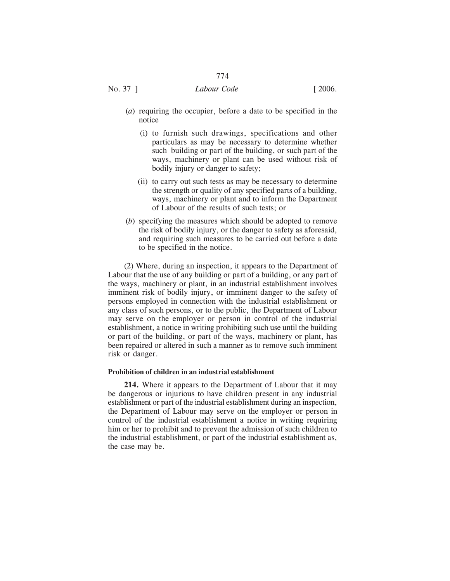# No. 37 ] *Labour Code* [ 2006.

- (*a*) requiring the occupier, before a date to be specified in the notice
	- (i) to furnish such drawings, specifications and other particulars as may be necessary to determine whether such building or part of the building, or such part of the ways, machinery or plant can be used without risk of bodily injury or danger to safety;
	- (ii) to carry out such tests as may be necessary to determine the strength or quality of any specified parts of a building, ways, machinery or plant and to inform the Department of Labour of the results of such tests; or
- (*b*) specifying the measures which should be adopted to remove the risk of bodily injury, or the danger to safety as aforesaid, and requiring such measures to be carried out before a date to be specified in the notice.

(2) Where, during an inspection, it appears to the Department of Labour that the use of any building or part of a building, or any part of the ways, machinery or plant, in an industrial establishment involves imminent risk of bodily injury, or imminent danger to the safety of persons employed in connection with the industrial establishment or any class of such persons, or to the public, the Department of Labour may serve on the employer or person in control of the industrial establishment, a notice in writing prohibiting such use until the building or part of the building, or part of the ways, machinery or plant, has been repaired or altered in such a manner as to remove such imminent risk or danger.

## **Prohibition of children in an industrial establishment**

**214.** Where it appears to the Department of Labour that it may be dangerous or injurious to have children present in any industrial establishment or part of the industrial establishment during an inspection, the Department of Labour may serve on the employer or person in control of the industrial establishment a notice in writing requiring him or her to prohibit and to prevent the admission of such children to the industrial establishment, or part of the industrial establishment as, the case may be.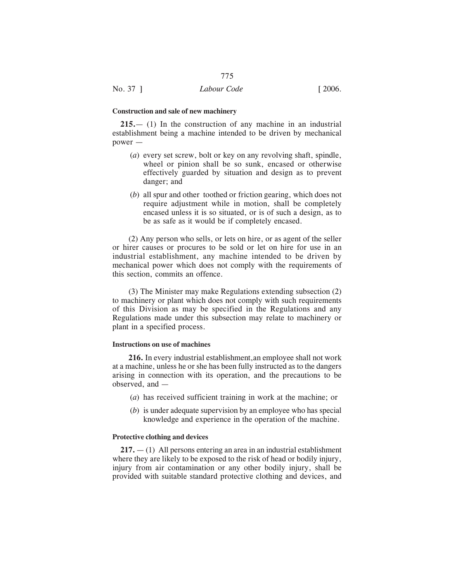#### **Construction and sale of new machinery**

**215.**— (1) In the construction of any machine in an industrial establishment being a machine intended to be driven by mechanical power —

- (*a*) every set screw, bolt or key on any revolving shaft, spindle, wheel or pinion shall be so sunk, encased or otherwise effectively guarded by situation and design as to prevent danger; and
- (*b*) all spur and other toothed or friction gearing, which does not require adjustment while in motion, shall be completely encased unless it is so situated, or is of such a design, as to be as safe as it would be if completely encased.

(2) Any person who sells, or lets on hire, or as agent of the seller or hirer causes or procures to be sold or let on hire for use in an industrial establishment, any machine intended to be driven by mechanical power which does not comply with the requirements of this section, commits an offence.

(3) The Minister may make Regulations extending subsection (2) to machinery or plant which does not comply with such requirements of this Division as may be specified in the Regulations and any Regulations made under this subsection may relate to machinery or plant in a specified process.

#### **Instructions on use of machines**

**216.** In every industrial establishment,an employee shall not work at a machine, unless he or she has been fully instructed as to the dangers arising in connection with its operation, and the precautions to be observed, and —

- (*a*) has received sufficient training in work at the machine; or
- (*b*) is under adequate supervision by an employee who has special knowledge and experience in the operation of the machine.

#### **Protective clothing and devices**

**217.** — (1) All persons entering an area in an industrial establishment where they are likely to be exposed to the risk of head or bodily injury, injury from air contamination or any other bodily injury, shall be provided with suitable standard protective clothing and devices, and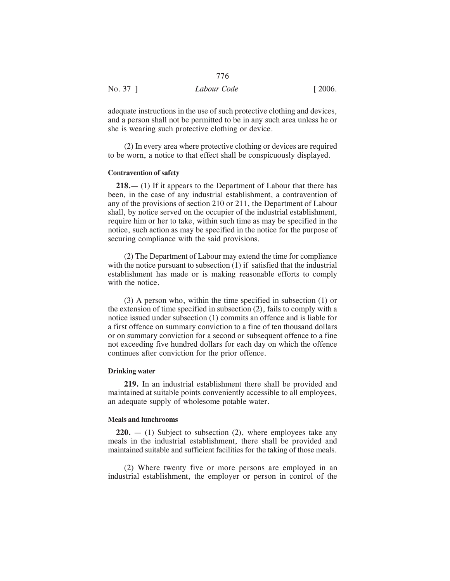|          | 776         |                       |
|----------|-------------|-----------------------|
| No. 37 ] | Labour Code | $\lceil 2006. \rceil$ |

adequate instructions in the use of such protective clothing and devices, and a person shall not be permitted to be in any such area unless he or she is wearing such protective clothing or device.

(2) In every area where protective clothing or devices are required to be worn, a notice to that effect shall be conspicuously displayed.

## **Contravention of safety**

**218.**— (1) If it appears to the Department of Labour that there has been, in the case of any industrial establishment, a contravention of any of the provisions of section 210 or 211, the Department of Labour shall, by notice served on the occupier of the industrial establishment, require him or her to take, within such time as may be specified in the notice, such action as may be specified in the notice for the purpose of securing compliance with the said provisions.

(2) The Department of Labour may extend the time for compliance with the notice pursuant to subsection (1) if satisfied that the industrial establishment has made or is making reasonable efforts to comply with the notice.

(3) A person who, within the time specified in subsection (1) or the extension of time specified in subsection (2), fails to comply with a notice issued under subsection (1) commits an offence and is liable for a first offence on summary conviction to a fine of ten thousand dollars or on summary conviction for a second or subsequent offence to a fine not exceeding five hundred dollars for each day on which the offence continues after conviction for the prior offence.

#### **Drinking water**

**219.** In an industrial establishment there shall be provided and maintained at suitable points conveniently accessible to all employees, an adequate supply of wholesome potable water.

#### **Meals and lunchrooms**

**220.** — (1) Subject to subsection (2), where employees take any meals in the industrial establishment, there shall be provided and maintained suitable and sufficient facilities for the taking of those meals.

(2) Where twenty five or more persons are employed in an industrial establishment, the employer or person in control of the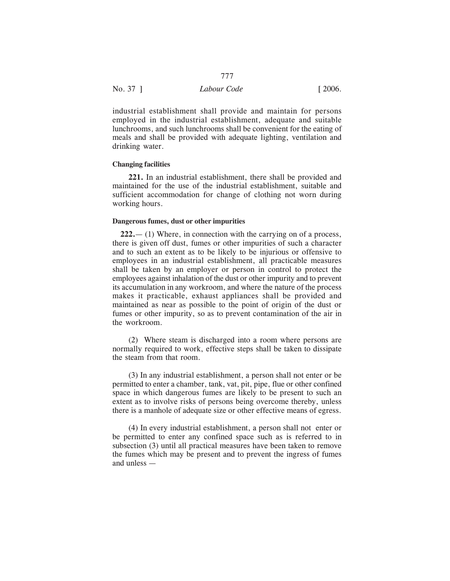| No. 37 ] | Labour Code | $\lceil 2006. \rceil$ |
|----------|-------------|-----------------------|

industrial establishment shall provide and maintain for persons employed in the industrial establishment, adequate and suitable lunchrooms, and such lunchrooms shall be convenient for the eating of meals and shall be provided with adequate lighting, ventilation and drinking water.

#### **Changing facilities**

**221.** In an industrial establishment, there shall be provided and maintained for the use of the industrial establishment, suitable and sufficient accommodation for change of clothing not worn during working hours.

## **Dangerous fumes, dust or other impurities**

**222.**— (1) Where, in connection with the carrying on of a process, there is given off dust, fumes or other impurities of such a character and to such an extent as to be likely to be injurious or offensive to employees in an industrial establishment, all practicable measures shall be taken by an employer or person in control to protect the employees against inhalation of the dust or other impurity and to prevent its accumulation in any workroom, and where the nature of the process makes it practicable, exhaust appliances shall be provided and maintained as near as possible to the point of origin of the dust or fumes or other impurity, so as to prevent contamination of the air in the workroom.

(2) Where steam is discharged into a room where persons are normally required to work, effective steps shall be taken to dissipate the steam from that room.

(3) In any industrial establishment, a person shall not enter or be permitted to enter a chamber, tank, vat, pit, pipe, flue or other confined space in which dangerous fumes are likely to be present to such an extent as to involve risks of persons being overcome thereby, unless there is a manhole of adequate size or other effective means of egress.

(4) In every industrial establishment, a person shall not enter or be permitted to enter any confined space such as is referred to in subsection (3) until all practical measures have been taken to remove the fumes which may be present and to prevent the ingress of fumes and unless —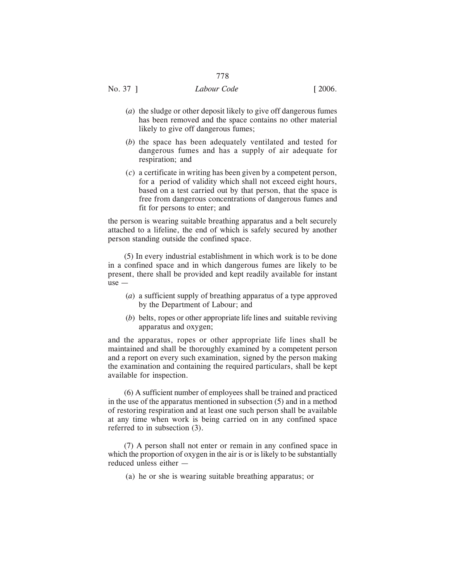- (*a*) the sludge or other deposit likely to give off dangerous fumes has been removed and the space contains no other material likely to give off dangerous fumes;
- (*b*) the space has been adequately ventilated and tested for dangerous fumes and has a supply of air adequate for respiration; and
- (*c*) a certificate in writing has been given by a competent person, for a period of validity which shall not exceed eight hours, based on a test carried out by that person, that the space is free from dangerous concentrations of dangerous fumes and fit for persons to enter; and

the person is wearing suitable breathing apparatus and a belt securely attached to a lifeline, the end of which is safely secured by another person standing outside the confined space.

(5) In every industrial establishment in which work is to be done in a confined space and in which dangerous fumes are likely to be present, there shall be provided and kept readily available for instant use —

- (*a*) a sufficient supply of breathing apparatus of a type approved by the Department of Labour; and
- (*b*) belts, ropes or other appropriate life lines and suitable reviving apparatus and oxygen;

and the apparatus, ropes or other appropriate life lines shall be maintained and shall be thoroughly examined by a competent person and a report on every such examination, signed by the person making the examination and containing the required particulars, shall be kept available for inspection.

(6) A sufficient number of employees shall be trained and practiced in the use of the apparatus mentioned in subsection (5) and in a method of restoring respiration and at least one such person shall be available at any time when work is being carried on in any confined space referred to in subsection (3).

(7) A person shall not enter or remain in any confined space in which the proportion of oxygen in the air is or is likely to be substantially reduced unless either —

(a) he or she is wearing suitable breathing apparatus; or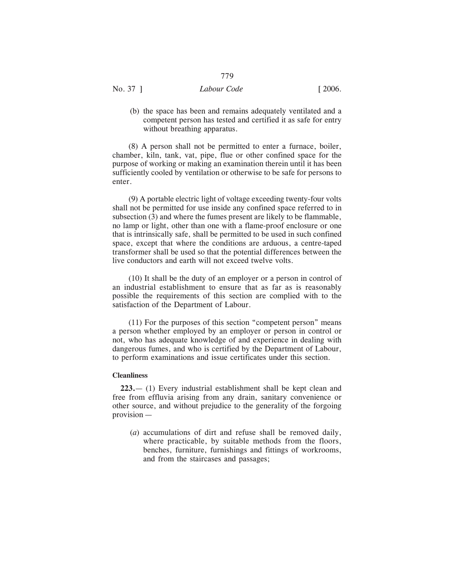(b) the space has been and remains adequately ventilated and a competent person has tested and certified it as safe for entry without breathing apparatus.

(8) A person shall not be permitted to enter a furnace, boiler, chamber, kiln, tank, vat, pipe, flue or other confined space for the purpose of working or making an examination therein until it has been sufficiently cooled by ventilation or otherwise to be safe for persons to enter.

(9) A portable electric light of voltage exceeding twenty-four volts shall not be permitted for use inside any confined space referred to in subsection (3) and where the fumes present are likely to be flammable, no lamp or light, other than one with a flame-proof enclosure or one that is intrinsically safe, shall be permitted to be used in such confined space, except that where the conditions are arduous, a centre-taped transformer shall be used so that the potential differences between the live conductors and earth will not exceed twelve volts.

(10) It shall be the duty of an employer or a person in control of an industrial establishment to ensure that as far as is reasonably possible the requirements of this section are complied with to the satisfaction of the Department of Labour.

(11) For the purposes of this section "competent person" means a person whether employed by an employer or person in control or not, who has adequate knowledge of and experience in dealing with dangerous fumes, and who is certified by the Department of Labour, to perform examinations and issue certificates under this section.

#### **Cleanliness**

**223.**— (1) Every industrial establishment shall be kept clean and free from effluvia arising from any drain, sanitary convenience or other source, and without prejudice to the generality of the forgoing provision —

(*a*) accumulations of dirt and refuse shall be removed daily, where practicable, by suitable methods from the floors, benches, furniture, furnishings and fittings of workrooms, and from the staircases and passages;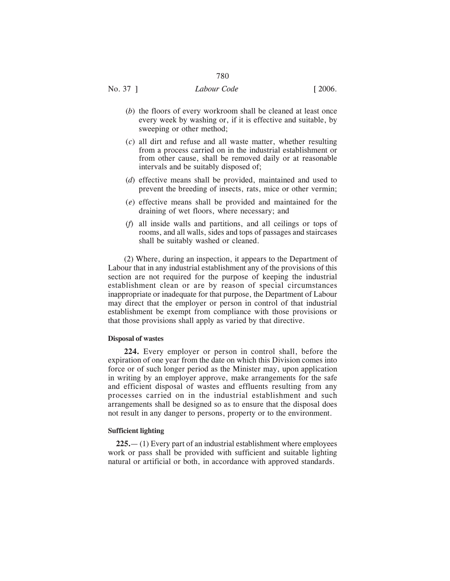- (*b*) the floors of every workroom shall be cleaned at least once every week by washing or, if it is effective and suitable, by sweeping or other method;
- (*c*) all dirt and refuse and all waste matter, whether resulting from a process carried on in the industrial establishment or from other cause, shall be removed daily or at reasonable intervals and be suitably disposed of;
- (*d*) effective means shall be provided, maintained and used to prevent the breeding of insects, rats, mice or other vermin;
- (*e*) effective means shall be provided and maintained for the draining of wet floors, where necessary; and
- (*f*) all inside walls and partitions, and all ceilings or tops of rooms, and all walls, sides and tops of passages and staircases shall be suitably washed or cleaned.

(2) Where, during an inspection, it appears to the Department of Labour that in any industrial establishment any of the provisions of this section are not required for the purpose of keeping the industrial establishment clean or are by reason of special circumstances inappropriate or inadequate for that purpose, the Department of Labour may direct that the employer or person in control of that industrial establishment be exempt from compliance with those provisions or that those provisions shall apply as varied by that directive.

#### **Disposal of wastes**

**224.** Every employer or person in control shall, before the expiration of one year from the date on which this Division comes into force or of such longer period as the Minister may, upon application in writing by an employer approve, make arrangements for the safe and efficient disposal of wastes and effluents resulting from any processes carried on in the industrial establishment and such arrangements shall be designed so as to ensure that the disposal does not result in any danger to persons, property or to the environment.

#### **Sufficient lighting**

**225.**— (1) Every part of an industrial establishment where employees work or pass shall be provided with sufficient and suitable lighting natural or artificial or both, in accordance with approved standards.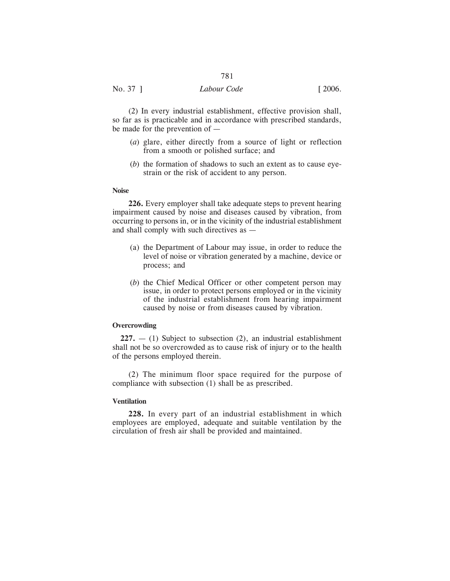(2) In every industrial establishment, effective provision shall, so far as is practicable and in accordance with prescribed standards, be made for the prevention of —

- (*a*) glare, either directly from a source of light or reflection from a smooth or polished surface; and
- (*b*) the formation of shadows to such an extent as to cause eyestrain or the risk of accident to any person.

## **Noise**

**226.** Every employer shall take adequate steps to prevent hearing impairment caused by noise and diseases caused by vibration, from occurring to persons in, or in the vicinity of the industrial establishment and shall comply with such directives as —

- (a) the Department of Labour may issue, in order to reduce the level of noise or vibration generated by a machine, device or process; and
- (*b*) the Chief Medical Officer or other competent person may issue, in order to protect persons employed or in the vicinity of the industrial establishment from hearing impairment caused by noise or from diseases caused by vibration.

#### **Overcrowding**

**227.** — (1) Subject to subsection (2), an industrial establishment shall not be so overcrowded as to cause risk of injury or to the health of the persons employed therein.

(2) The minimum floor space required for the purpose of compliance with subsection (1) shall be as prescribed.

## **Ventilation**

**228.** In every part of an industrial establishment in which employees are employed, adequate and suitable ventilation by the circulation of fresh air shall be provided and maintained.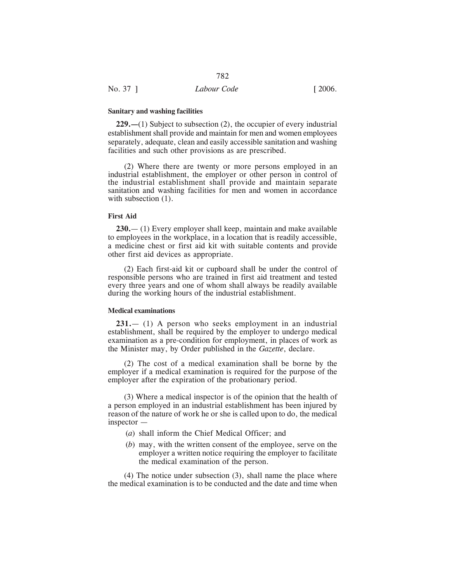**229.—**(1) Subject to subsection (2), the occupier of every industrial establishment shall provide and maintain for men and women employees separately, adequate, clean and easily accessible sanitation and washing facilities and such other provisions as are prescribed.

(2) Where there are twenty or more persons employed in an industrial establishment, the employer or other person in control of the industrial establishment shall provide and maintain separate sanitation and washing facilities for men and women in accordance with subsection  $(1)$ .

#### **First Aid**

**230.**— (1) Every employer shall keep, maintain and make available to employees in the workplace, in a location that is readily accessible, a medicine chest or first aid kit with suitable contents and provide other first aid devices as appropriate.

(2) Each first-aid kit or cupboard shall be under the control of responsible persons who are trained in first aid treatment and tested every three years and one of whom shall always be readily available during the working hours of the industrial establishment.

## **Medical examinations**

**231.**— (1) A person who seeks employment in an industrial establishment, shall be required by the employer to undergo medical examination as a pre-condition for employment, in places of work as the Minister may, by Order published in the *Gazette*, declare.

(2) The cost of a medical examination shall be borne by the employer if a medical examination is required for the purpose of the employer after the expiration of the probationary period.

(3) Where a medical inspector is of the opinion that the health of a person employed in an industrial establishment has been injured by reason of the nature of work he or she is called upon to do, the medical inspector —

- (*a*) shall inform the Chief Medical Officer; and
- (*b*) may, with the written consent of the employee, serve on the employer a written notice requiring the employer to facilitate the medical examination of the person.

(4) The notice under subsection (3), shall name the place where the medical examination is to be conducted and the date and time when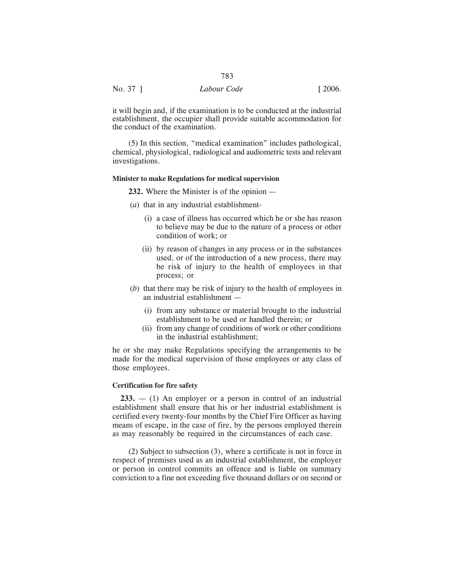| No. 37 ] | Labour Code | [2006] |
|----------|-------------|--------|
|          |             |        |

it will begin and, if the examination is to be conducted at the industrial establishment, the occupier shall provide suitable accommodation for the conduct of the examination.

(5) In this section, "medical examination" includes pathological, chemical, physiological, radiological and audiometric tests and relevant investigations.

## **Minister to make Regulations for medical supervision**

**232.** Where the Minister is of the opinion —

- (*a*) that in any industrial establishment-
	- (i) a case of illness has occurred which he or she has reason to believe may be due to the nature of a process or other condition of work; or
	- (ii) by reason of changes in any process or in the substances used, or of the introduction of a new process, there may be risk of injury to the health of employees in that process; or
- (*b*) that there may be risk of injury to the health of employees in an industrial establishment —
	- (i) from any substance or material brought to the industrial establishment to be used or handled therein; or
	- (ii) from any change of conditions of work or other conditions in the industrial establishment;

he or she may make Regulations specifying the arrangements to be made for the medical supervision of those employees or any class of those employees.

#### **Certification for fire safety**

**233.** — (1) An employer or a person in control of an industrial establishment shall ensure that his or her industrial establishment is certified every twenty-four months by the Chief Fire Officer as having means of escape, in the case of fire, by the persons employed therein as may reasonably be required in the circumstances of each case.

(2) Subject to subsection (3), where a certificate is not in force in respect of premises used as an industrial establishment, the employer or person in control commits an offence and is liable on summary conviction to a fine not exceeding five thousand dollars or on second or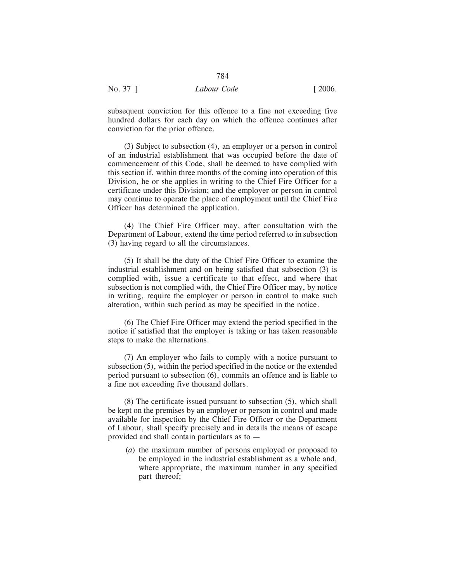subsequent conviction for this offence to a fine not exceeding five hundred dollars for each day on which the offence continues after conviction for the prior offence.

(3) Subject to subsection (4), an employer or a person in control of an industrial establishment that was occupied before the date of commencement of this Code, shall be deemed to have complied with this section if, within three months of the coming into operation of this Division, he or she applies in writing to the Chief Fire Officer for a certificate under this Division; and the employer or person in control may continue to operate the place of employment until the Chief Fire Officer has determined the application.

(4) The Chief Fire Officer may, after consultation with the Department of Labour, extend the time period referred to in subsection (3) having regard to all the circumstances.

(5) It shall be the duty of the Chief Fire Officer to examine the industrial establishment and on being satisfied that subsection (3) is complied with, issue a certificate to that effect, and where that subsection is not complied with, the Chief Fire Officer may, by notice in writing, require the employer or person in control to make such alteration, within such period as may be specified in the notice.

(6) The Chief Fire Officer may extend the period specified in the notice if satisfied that the employer is taking or has taken reasonable steps to make the alternations.

(7) An employer who fails to comply with a notice pursuant to subsection (5), within the period specified in the notice or the extended period pursuant to subsection (6), commits an offence and is liable to a fine not exceeding five thousand dollars.

(8) The certificate issued pursuant to subsection (5), which shall be kept on the premises by an employer or person in control and made available for inspection by the Chief Fire Officer or the Department of Labour, shall specify precisely and in details the means of escape provided and shall contain particulars as to —

(*a*) the maximum number of persons employed or proposed to be employed in the industrial establishment as a whole and, where appropriate, the maximum number in any specified part thereof;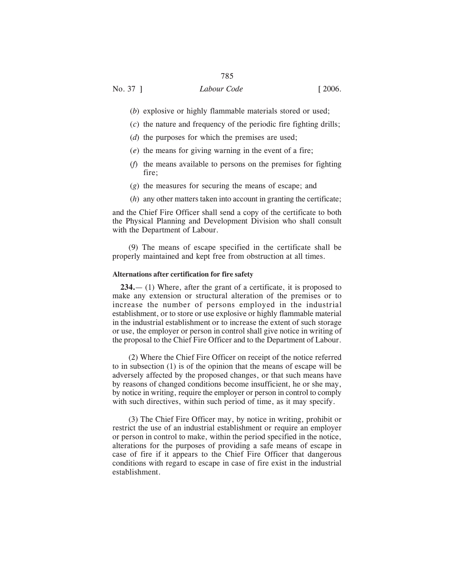- (*b*) explosive or highly flammable materials stored or used;
- (*c*) the nature and frequency of the periodic fire fighting drills;
- (*d*) the purposes for which the premises are used;
- (*e*) the means for giving warning in the event of a fire;
- (*f*) the means available to persons on the premises for fighting fire;
- (*g*) the measures for securing the means of escape; and
- (*h*) any other matters taken into account in granting the certificate;

and the Chief Fire Officer shall send a copy of the certificate to both the Physical Planning and Development Division who shall consult with the Department of Labour.

(9) The means of escape specified in the certificate shall be properly maintained and kept free from obstruction at all times.

#### **Alternations after certification for fire safety**

**234.**— (1) Where, after the grant of a certificate, it is proposed to make any extension or structural alteration of the premises or to increase the number of persons employed in the industrial establishment, or to store or use explosive or highly flammable material in the industrial establishment or to increase the extent of such storage or use, the employer or person in control shall give notice in writing of the proposal to the Chief Fire Officer and to the Department of Labour.

(2) Where the Chief Fire Officer on receipt of the notice referred to in subsection (1) is of the opinion that the means of escape will be adversely affected by the proposed changes, or that such means have by reasons of changed conditions become insufficient, he or she may, by notice in writing, require the employer or person in control to comply with such directives, within such period of time, as it may specify.

(3) The Chief Fire Officer may, by notice in writing, prohibit or restrict the use of an industrial establishment or require an employer or person in control to make, within the period specified in the notice, alterations for the purposes of providing a safe means of escape in case of fire if it appears to the Chief Fire Officer that dangerous conditions with regard to escape in case of fire exist in the industrial establishment.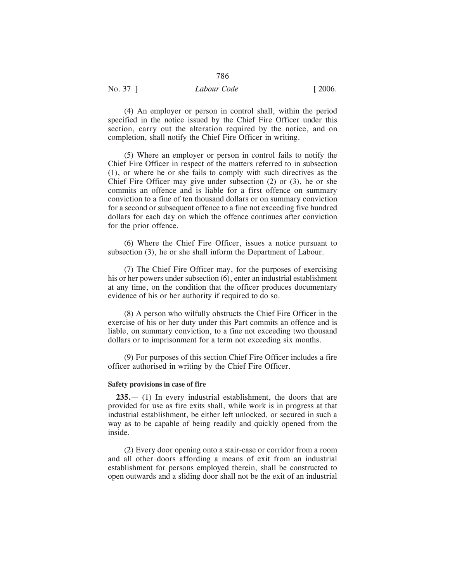# No. 37 ] *Labour Code* [ 2006.

(4) An employer or person in control shall, within the period specified in the notice issued by the Chief Fire Officer under this section, carry out the alteration required by the notice, and on completion, shall notify the Chief Fire Officer in writing.

(5) Where an employer or person in control fails to notify the Chief Fire Officer in respect of the matters referred to in subsection (1), or where he or she fails to comply with such directives as the Chief Fire Officer may give under subsection (2) or (3), he or she commits an offence and is liable for a first offence on summary conviction to a fine of ten thousand dollars or on summary conviction for a second or subsequent offence to a fine not exceeding five hundred dollars for each day on which the offence continues after conviction for the prior offence.

(6) Where the Chief Fire Officer, issues a notice pursuant to subsection (3), he or she shall inform the Department of Labour.

(7) The Chief Fire Officer may, for the purposes of exercising his or her powers under subsection (6), enter an industrial establishment at any time, on the condition that the officer produces documentary evidence of his or her authority if required to do so.

(8) A person who wilfully obstructs the Chief Fire Officer in the exercise of his or her duty under this Part commits an offence and is liable, on summary conviction, to a fine not exceeding two thousand dollars or to imprisonment for a term not exceeding six months.

(9) For purposes of this section Chief Fire Officer includes a fire officer authorised in writing by the Chief Fire Officer.

#### **Safety provisions in case of fire**

**235.**— (1) In every industrial establishment, the doors that are provided for use as fire exits shall, while work is in progress at that industrial establishment, be either left unlocked, or secured in such a way as to be capable of being readily and quickly opened from the inside.

(2) Every door opening onto a stair-case or corridor from a room and all other doors affording a means of exit from an industrial establishment for persons employed therein, shall be constructed to open outwards and a sliding door shall not be the exit of an industrial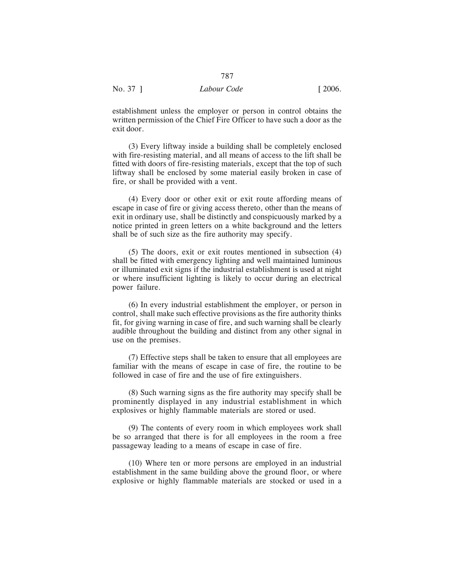establishment unless the employer or person in control obtains the written permission of the Chief Fire Officer to have such a door as the exit door.

(3) Every liftway inside a building shall be completely enclosed with fire-resisting material, and all means of access to the lift shall be fitted with doors of fire-resisting materials, except that the top of such liftway shall be enclosed by some material easily broken in case of fire, or shall be provided with a vent.

(4) Every door or other exit or exit route affording means of escape in case of fire or giving access thereto, other than the means of exit in ordinary use, shall be distinctly and conspicuously marked by a notice printed in green letters on a white background and the letters shall be of such size as the fire authority may specify.

(5) The doors, exit or exit routes mentioned in subsection (4) shall be fitted with emergency lighting and well maintained luminous or illuminated exit signs if the industrial establishment is used at night or where insufficient lighting is likely to occur during an electrical power failure.

(6) In every industrial establishment the employer, or person in control, shall make such effective provisions as the fire authority thinks fit, for giving warning in case of fire, and such warning shall be clearly audible throughout the building and distinct from any other signal in use on the premises.

(7) Effective steps shall be taken to ensure that all employees are familiar with the means of escape in case of fire, the routine to be followed in case of fire and the use of fire extinguishers.

(8) Such warning signs as the fire authority may specify shall be prominently displayed in any industrial establishment in which explosives or highly flammable materials are stored or used.

(9) The contents of every room in which employees work shall be so arranged that there is for all employees in the room a free passageway leading to a means of escape in case of fire.

(10) Where ten or more persons are employed in an industrial establishment in the same building above the ground floor, or where explosive or highly flammable materials are stocked or used in a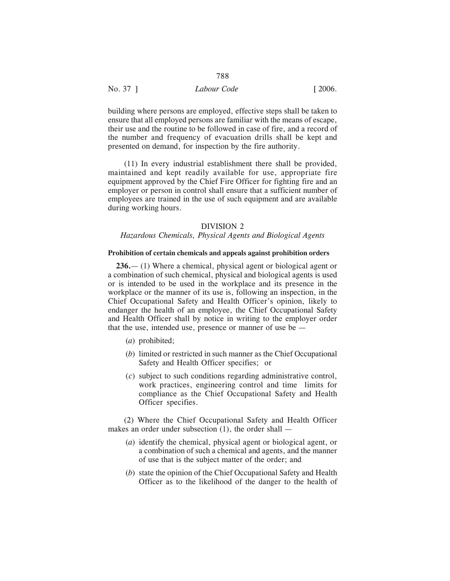building where persons are employed, effective steps shall be taken to ensure that all employed persons are familiar with the means of escape, their use and the routine to be followed in case of fire, and a record of the number and frequency of evacuation drills shall be kept and presented on demand, for inspection by the fire authority.

788

(11) In every industrial establishment there shall be provided, maintained and kept readily available for use, appropriate fire equipment approved by the Chief Fire Officer for fighting fire and an employer or person in control shall ensure that a sufficient number of employees are trained in the use of such equipment and are available during working hours.

## DIVISION 2

## *Hazardous Chemicals, Physical Agents and Biological Agents*

#### **Prohibition of certain chemicals and appeals against prohibition orders**

**236.**— (1) Where a chemical, physical agent or biological agent or a combination of such chemical, physical and biological agents is used or is intended to be used in the workplace and its presence in the workplace or the manner of its use is, following an inspection, in the Chief Occupational Safety and Health Officer's opinion, likely to endanger the health of an employee, the Chief Occupational Safety and Health Officer shall by notice in writing to the employer order that the use, intended use, presence or manner of use be —

- (*a*) prohibited;
- (*b*) limited or restricted in such manner as the Chief Occupational Safety and Health Officer specifies; or
- (*c*) subject to such conditions regarding administrative control, work practices, engineering control and time limits for compliance as the Chief Occupational Safety and Health Officer specifies.

(2) Where the Chief Occupational Safety and Health Officer makes an order under subsection (1), the order shall —

- (*a*) identify the chemical, physical agent or biological agent, or a combination of such a chemical and agents, and the manner of use that is the subject matter of the order; and
- (*b*) state the opinion of the Chief Occupational Safety and Health Officer as to the likelihood of the danger to the health of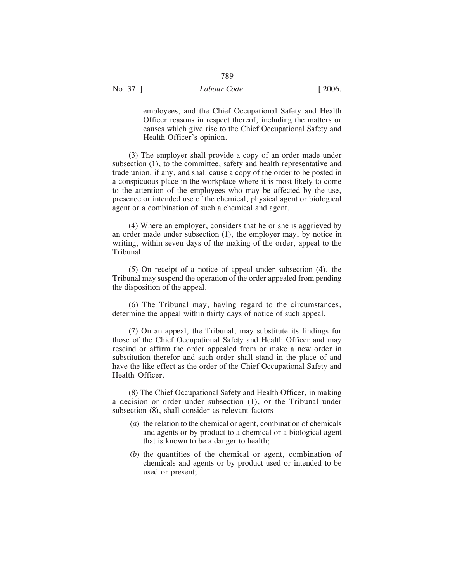employees, and the Chief Occupational Safety and Health Officer reasons in respect thereof, including the matters or causes which give rise to the Chief Occupational Safety and Health Officer's opinion.

(3) The employer shall provide a copy of an order made under subsection (1), to the committee, safety and health representative and trade union, if any, and shall cause a copy of the order to be posted in a conspicuous place in the workplace where it is most likely to come to the attention of the employees who may be affected by the use, presence or intended use of the chemical, physical agent or biological agent or a combination of such a chemical and agent.

(4) Where an employer, considers that he or she is aggrieved by an order made under subsection (1), the employer may, by notice in writing, within seven days of the making of the order, appeal to the Tribunal.

(5) On receipt of a notice of appeal under subsection (4), the Tribunal may suspend the operation of the order appealed from pending the disposition of the appeal.

(6) The Tribunal may, having regard to the circumstances, determine the appeal within thirty days of notice of such appeal.

(7) On an appeal, the Tribunal, may substitute its findings for those of the Chief Occupational Safety and Health Officer and may rescind or affirm the order appealed from or make a new order in substitution therefor and such order shall stand in the place of and have the like effect as the order of the Chief Occupational Safety and Health Officer.

(8) The Chief Occupational Safety and Health Officer, in making a decision or order under subsection (1), or the Tribunal under subsection (8), shall consider as relevant factors —

- (*a*) the relation to the chemical or agent, combination of chemicals and agents or by product to a chemical or a biological agent that is known to be a danger to health;
- (*b*) the quantities of the chemical or agent, combination of chemicals and agents or by product used or intended to be used or present;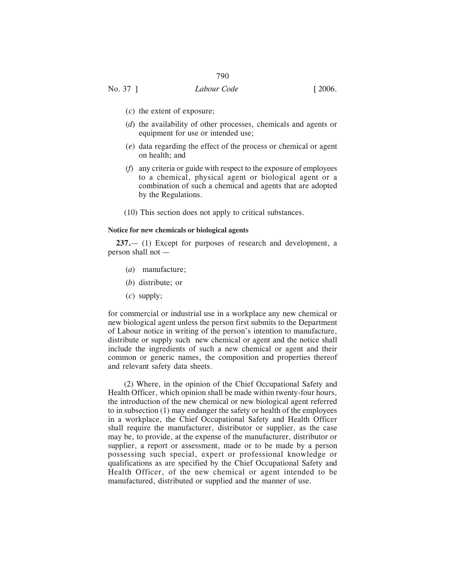- (*c*) the extent of exposure;
- (*d*) the availability of other processes, chemicals and agents or equipment for use or intended use;
- (*e*) data regarding the effect of the process or chemical or agent on health; and
- (*f*) any criteria or guide with respect to the exposure of employees to a chemical, physical agent or biological agent or a combination of such a chemical and agents that are adopted by the Regulations.
- (10) This section does not apply to critical substances.

#### **Notice for new chemicals or biological agents**

**237.**— (1) Except for purposes of research and development, a person shall not —

- (*a*) manufacture;
- (*b*) distribute; or
- (*c*) supply;

for commercial or industrial use in a workplace any new chemical or new biological agent unless the person first submits to the Department of Labour notice in writing of the person's intention to manufacture, distribute or supply such new chemical or agent and the notice shall include the ingredients of such a new chemical or agent and their common or generic names, the composition and properties thereof and relevant safety data sheets.

(2) Where, in the opinion of the Chief Occupational Safety and Health Officer, which opinion shall be made within twenty-four hours, the introduction of the new chemical or new biological agent referred to in subsection (1) may endanger the safety or health of the employees in a workplace, the Chief Occupational Safety and Health Officer shall require the manufacturer, distributor or supplier, as the case may be, to provide, at the expense of the manufacturer, distributor or supplier, a report or assessment, made or to be made by a person possessing such special, expert or professional knowledge or qualifications as are specified by the Chief Occupational Safety and Health Officer, of the new chemical or agent intended to be manufactured, distributed or supplied and the manner of use.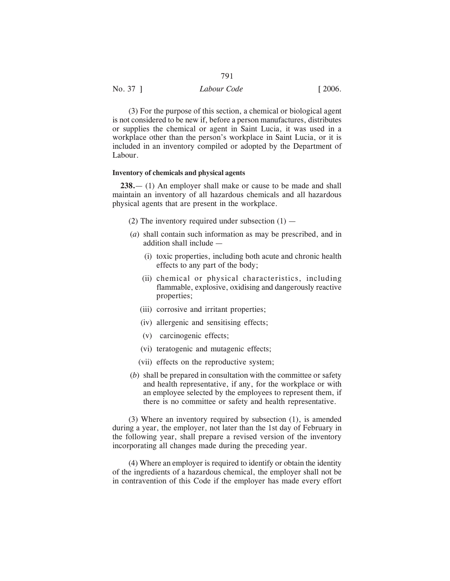| No. 37 ] | Labour Code | $\lceil 2006. \rceil$ |
|----------|-------------|-----------------------|

(3) For the purpose of this section, a chemical or biological agent is not considered to be new if, before a person manufactures, distributes or supplies the chemical or agent in Saint Lucia, it was used in a workplace other than the person's workplace in Saint Lucia, or it is included in an inventory compiled or adopted by the Department of Labour.

## **Inventory of chemicals and physical agents**

**238.**— (1) An employer shall make or cause to be made and shall maintain an inventory of all hazardous chemicals and all hazardous physical agents that are present in the workplace.

- (2) The inventory required under subsection  $(1)$  —
- (*a*) shall contain such information as may be prescribed, and in addition shall include —
	- (i) toxic properties, including both acute and chronic health effects to any part of the body;
	- (ii) chemical or physical characteristics, including flammable, explosive, oxidising and dangerously reactive properties;
	- (iii) corrosive and irritant properties;
	- (iv) allergenic and sensitising effects;
	- (v) carcinogenic effects;
	- (vi) teratogenic and mutagenic effects;
	- (vii) effects on the reproductive system;
- (*b*) shall be prepared in consultation with the committee or safety and health representative, if any, for the workplace or with an employee selected by the employees to represent them, if there is no committee or safety and health representative.

(3) Where an inventory required by subsection (1), is amended during a year, the employer, not later than the 1st day of February in the following year, shall prepare a revised version of the inventory incorporating all changes made during the preceding year.

(4) Where an employer is required to identify or obtain the identity of the ingredients of a hazardous chemical, the employer shall not be in contravention of this Code if the employer has made every effort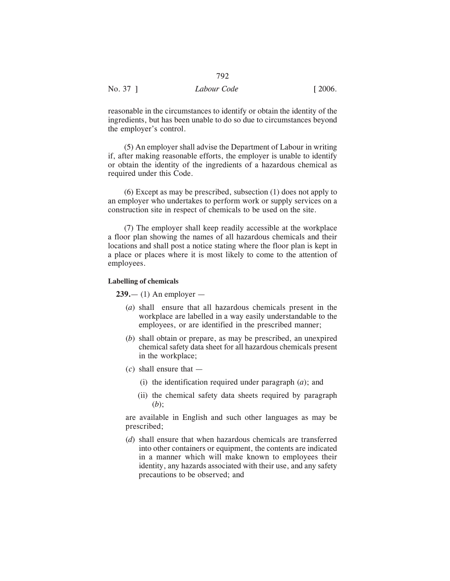| No. 37 | Labour Code | [2006] |
|--------|-------------|--------|
|        |             |        |

reasonable in the circumstances to identify or obtain the identity of the ingredients, but has been unable to do so due to circumstances beyond the employer's control.

(5) An employer shall advise the Department of Labour in writing if, after making reasonable efforts, the employer is unable to identify or obtain the identity of the ingredients of a hazardous chemical as required under this Code.

(6) Except as may be prescribed, subsection (1) does not apply to an employer who undertakes to perform work or supply services on a construction site in respect of chemicals to be used on the site.

(7) The employer shall keep readily accessible at the workplace a floor plan showing the names of all hazardous chemicals and their locations and shall post a notice stating where the floor plan is kept in a place or places where it is most likely to come to the attention of employees.

#### **Labelling of chemicals**

**239.**— (1) An employer —

- (*a*) shall ensure that all hazardous chemicals present in the workplace are labelled in a way easily understandable to the employees, or are identified in the prescribed manner;
- (*b*) shall obtain or prepare, as may be prescribed, an unexpired chemical safety data sheet for all hazardous chemicals present in the workplace;
- (*c*) shall ensure that
	- (i) the identification required under paragraph (*a*); and
	- (ii) the chemical safety data sheets required by paragraph (*b*);

are available in English and such other languages as may be prescribed;

(*d*) shall ensure that when hazardous chemicals are transferred into other containers or equipment, the contents are indicated in a manner which will make known to employees their identity, any hazards associated with their use, and any safety precautions to be observed; and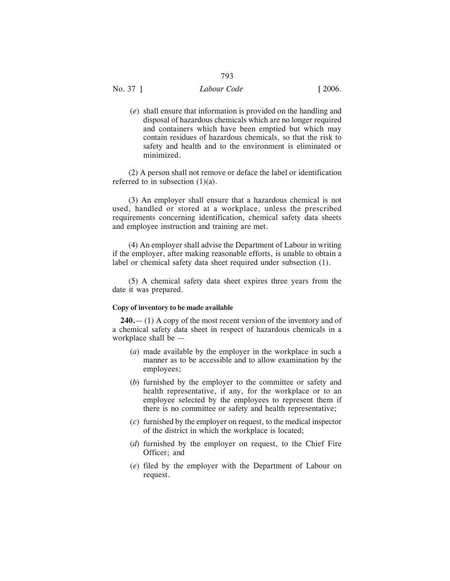## No. 37 ] *Labour Code* [ 2006.

(*e*) shall ensure that information is provided on the handling and disposal of hazardous chemicals which are no longer required and containers which have been emptied but which may contain residues of hazardous chemicals, so that the risk to safety and health and to the environment is eliminated or minimized.

(2) A person shall not remove or deface the label or identification referred to in subsection  $(1)(a)$ .

(3) An employer shall ensure that a hazardous chemical is not used, handled or stored at a workplace, unless the prescribed requirements concerning identification, chemical safety data sheets and employee instruction and training are met.

(4) An employer shall advise the Department of Labour in writing if the employer, after making reasonable efforts, is unable to obtain a label or chemical safety data sheet required under subsection (1).

(5) A chemical safety data sheet expires three years from the date it was prepared.

#### **Copy of inventory to be made available**

**240.**— (1) A copy of the most recent version of the inventory and of a chemical safety data sheet in respect of hazardous chemicals in a workplace shall be —

- (*a*) made available by the employer in the workplace in such a manner as to be accessible and to allow examination by the employees;
- (*b*) furnished by the employer to the committee or safety and health representative, if any, for the workplace or to an employee selected by the employees to represent them if there is no committee or safety and health representative;
- (*c*) furnished by the employer on request, to the medical inspector of the district in which the workplace is located;
- (*d*) furnished by the employer on request, to the Chief Fire Officer; and
- (*e*) filed by the employer with the Department of Labour on request.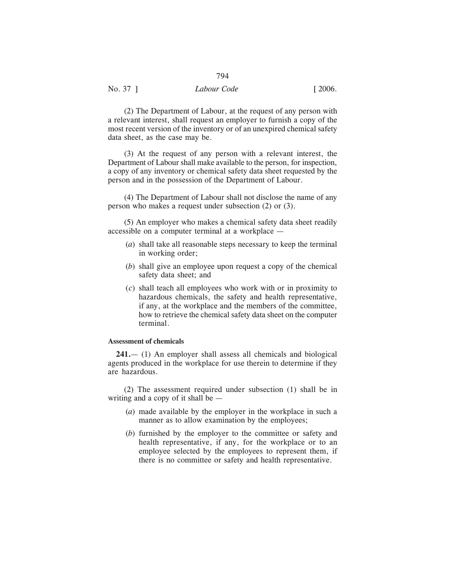(2) The Department of Labour, at the request of any person with a relevant interest, shall request an employer to furnish a copy of the most recent version of the inventory or of an unexpired chemical safety data sheet, as the case may be.

794

(3) At the request of any person with a relevant interest, the Department of Labour shall make available to the person, for inspection, a copy of any inventory or chemical safety data sheet requested by the person and in the possession of the Department of Labour.

(4) The Department of Labour shall not disclose the name of any person who makes a request under subsection (2) or (3).

(5) An employer who makes a chemical safety data sheet readily accessible on a computer terminal at a workplace —

- (*a*) shall take all reasonable steps necessary to keep the terminal in working order;
- (*b*) shall give an employee upon request a copy of the chemical safety data sheet; and
- (*c*) shall teach all employees who work with or in proximity to hazardous chemicals, the safety and health representative, if any, at the workplace and the members of the committee, how to retrieve the chemical safety data sheet on the computer terminal.

## **Assessment of chemicals**

**241.**— (1) An employer shall assess all chemicals and biological agents produced in the workplace for use therein to determine if they are hazardous.

(2) The assessment required under subsection (1) shall be in writing and a copy of it shall be —

- (*a*) made available by the employer in the workplace in such a manner as to allow examination by the employees;
- (*b*) furnished by the employer to the committee or safety and health representative, if any, for the workplace or to an employee selected by the employees to represent them, if there is no committee or safety and health representative.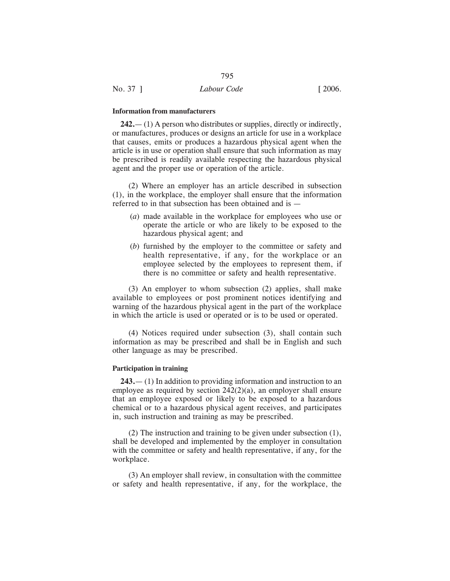#### **Information from manufacturers**

**242.**— (1) A person who distributes or supplies, directly or indirectly, or manufactures, produces or designs an article for use in a workplace that causes, emits or produces a hazardous physical agent when the article is in use or operation shall ensure that such information as may be prescribed is readily available respecting the hazardous physical agent and the proper use or operation of the article.

(2) Where an employer has an article described in subsection (1), in the workplace, the employer shall ensure that the information referred to in that subsection has been obtained and is —

- (*a*) made available in the workplace for employees who use or operate the article or who are likely to be exposed to the hazardous physical agent; and
- (*b*) furnished by the employer to the committee or safety and health representative, if any, for the workplace or an employee selected by the employees to represent them, if there is no committee or safety and health representative.

(3) An employer to whom subsection (2) applies, shall make available to employees or post prominent notices identifying and warning of the hazardous physical agent in the part of the workplace in which the article is used or operated or is to be used or operated.

(4) Notices required under subsection (3), shall contain such information as may be prescribed and shall be in English and such other language as may be prescribed.

#### **Participation in training**

**243.**— (1) In addition to providing information and instruction to an employee as required by section 242(2)(a), an employer shall ensure that an employee exposed or likely to be exposed to a hazardous chemical or to a hazardous physical agent receives, and participates in, such instruction and training as may be prescribed.

(2) The instruction and training to be given under subsection (1), shall be developed and implemented by the employer in consultation with the committee or safety and health representative, if any, for the workplace.

(3) An employer shall review, in consultation with the committee or safety and health representative, if any, for the workplace, the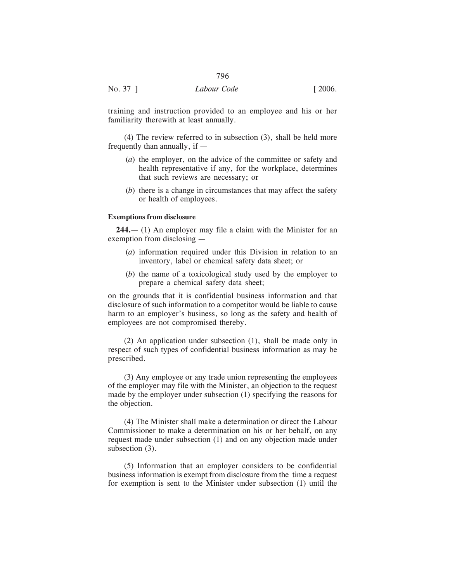training and instruction provided to an employee and his or her familiarity therewith at least annually.

(4) The review referred to in subsection (3), shall be held more frequently than annually, if —

- (*a*) the employer, on the advice of the committee or safety and health representative if any, for the workplace, determines that such reviews are necessary; or
- (*b*) there is a change in circumstances that may affect the safety or health of employees.

## **Exemptions from disclosure**

**244.**— (1) An employer may file a claim with the Minister for an exemption from disclosing —

- (*a*) information required under this Division in relation to an inventory, label or chemical safety data sheet; or
- (*b*) the name of a toxicological study used by the employer to prepare a chemical safety data sheet;

on the grounds that it is confidential business information and that disclosure of such information to a competitor would be liable to cause harm to an employer's business, so long as the safety and health of employees are not compromised thereby.

(2) An application under subsection (1), shall be made only in respect of such types of confidential business information as may be prescribed.

(3) Any employee or any trade union representing the employees of the employer may file with the Minister, an objection to the request made by the employer under subsection (1) specifying the reasons for the objection.

(4) The Minister shall make a determination or direct the Labour Commissioner to make a determination on his or her behalf, on any request made under subsection (1) and on any objection made under subsection (3).

(5) Information that an employer considers to be confidential business information is exempt from disclosure from the time a request for exemption is sent to the Minister under subsection (1) until the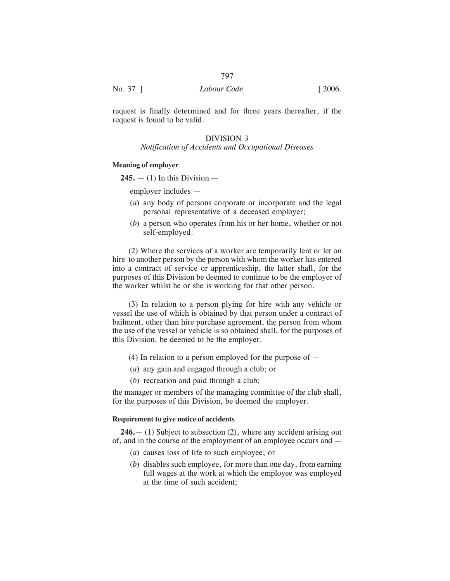| No. 37 ] | Labour Code | [2006] |
|----------|-------------|--------|
|          |             |        |

request is finally determined and for three years thereafter, if the request is found to be valid.

# DIVISION 3

# *Notification of Accidents and Occupational Diseases*

## **Meaning of employer**

 $245. - (1)$  In this Division  $-$ 

employer includes —

- (*a*) any body of persons corporate or incorporate and the legal personal representative of a deceased employer;
- (*b*) a person who operates from his or her home, whether or not self-employed.

(2) Where the services of a worker are temporarily lent or let on hire to another person by the person with whom the worker has entered into a contract of service or apprenticeship, the latter shall, for the purposes of this Division be deemed to continue to be the employer of the worker whilst he or she is working for that other person.

(3) In relation to a person plying for hire with any vehicle or vessel the use of which is obtained by that person under a contract of bailment, other than hire purchase agreement, the person from whom the use of the vessel or vehicle is so obtained shall, for the purposes of this Division, be deemed to be the employer.

- (4) In relation to a person employed for the purpose of  $-$
- (*a*) any gain and engaged through a club; or
- (*b*) recreation and paid through a club;

the manager or members of the managing committee of the club shall, for the purposes of this Division, be deemed the employer.

# **Requirement to give notice of accidents**

**246.**— (1) Subject to subsection (2), where any accident arising out of, and in the course of the employment of an employee occurs and —

- (*a*) causes loss of life to such employee; or
- (*b*) disables such employee, for more than one day, from earning full wages at the work at which the employee was employed at the time of such accident;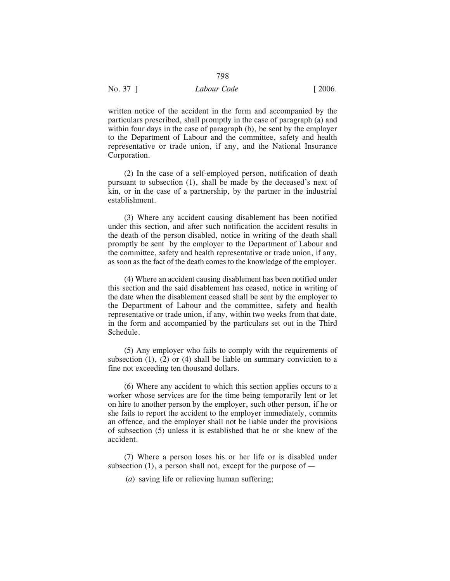written notice of the accident in the form and accompanied by the particulars prescribed, shall promptly in the case of paragraph (a) and within four days in the case of paragraph (b), be sent by the employer to the Department of Labour and the committee, safety and health representative or trade union, if any, and the National Insurance Corporation.

798

(2) In the case of a self-employed person, notification of death pursuant to subsection (1), shall be made by the deceased's next of kin, or in the case of a partnership, by the partner in the industrial establishment.

(3) Where any accident causing disablement has been notified under this section, and after such notification the accident results in the death of the person disabled, notice in writing of the death shall promptly be sent by the employer to the Department of Labour and the committee, safety and health representative or trade union, if any, as soon as the fact of the death comes to the knowledge of the employer.

(4) Where an accident causing disablement has been notified under this section and the said disablement has ceased, notice in writing of the date when the disablement ceased shall be sent by the employer to the Department of Labour and the committee, safety and health representative or trade union, if any, within two weeks from that date, in the form and accompanied by the particulars set out in the Third Schedule.

(5) Any employer who fails to comply with the requirements of subsection  $(1)$ ,  $(2)$  or  $(4)$  shall be liable on summary conviction to a fine not exceeding ten thousand dollars.

(6) Where any accident to which this section applies occurs to a worker whose services are for the time being temporarily lent or let on hire to another person by the employer, such other person, if he or she fails to report the accident to the employer immediately, commits an offence, and the employer shall not be liable under the provisions of subsection (5) unless it is established that he or she knew of the accident.

(7) Where a person loses his or her life or is disabled under subsection  $(1)$ , a person shall not, except for the purpose of  $-$ 

(*a*) saving life or relieving human suffering;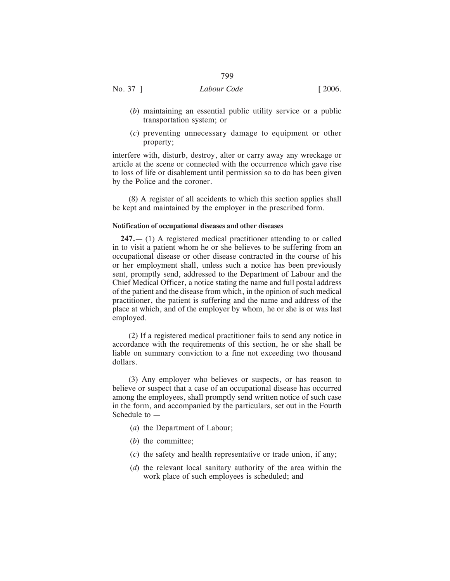- (*b*) maintaining an essential public utility service or a public transportation system; or
- (*c*) preventing unnecessary damage to equipment or other property;

interfere with, disturb, destroy, alter or carry away any wreckage or article at the scene or connected with the occurrence which gave rise to loss of life or disablement until permission so to do has been given by the Police and the coroner.

(8) A register of all accidents to which this section applies shall be kept and maintained by the employer in the prescribed form.

#### **Notification of occupational diseases and other diseases**

**247.**— (1) A registered medical practitioner attending to or called in to visit a patient whom he or she believes to be suffering from an occupational disease or other disease contracted in the course of his or her employment shall, unless such a notice has been previously sent, promptly send, addressed to the Department of Labour and the Chief Medical Officer, a notice stating the name and full postal address of the patient and the disease from which, in the opinion of such medical practitioner, the patient is suffering and the name and address of the place at which, and of the employer by whom, he or she is or was last employed.

(2) If a registered medical practitioner fails to send any notice in accordance with the requirements of this section, he or she shall be liable on summary conviction to a fine not exceeding two thousand dollars.

(3) Any employer who believes or suspects, or has reason to believe or suspect that a case of an occupational disease has occurred among the employees, shall promptly send written notice of such case in the form, and accompanied by the particulars, set out in the Fourth Schedule to  $-$ 

- (*a*) the Department of Labour;
- (*b*) the committee;
- (*c*) the safety and health representative or trade union, if any;
- (*d*) the relevant local sanitary authority of the area within the work place of such employees is scheduled; and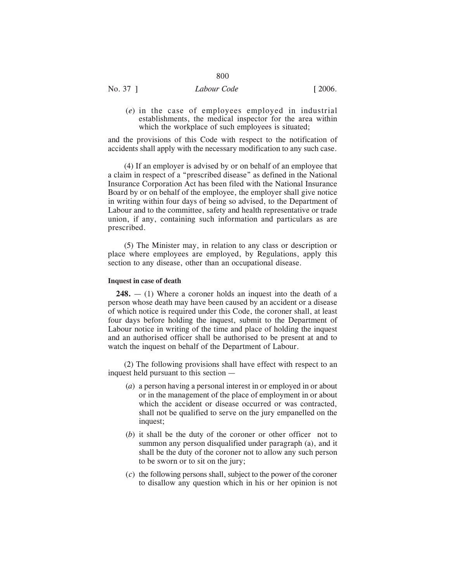No. 37 ] *Labour Code* [ 2006.

(*e*) in the case of employees employed in industrial establishments, the medical inspector for the area within which the workplace of such employees is situated;

and the provisions of this Code with respect to the notification of accidents shall apply with the necessary modification to any such case.

(4) If an employer is advised by or on behalf of an employee that a claim in respect of a "prescribed disease" as defined in the National Insurance Corporation Act has been filed with the National Insurance Board by or on behalf of the employee, the employer shall give notice in writing within four days of being so advised, to the Department of Labour and to the committee, safety and health representative or trade union, if any, containing such information and particulars as are prescribed.

(5) The Minister may, in relation to any class or description or place where employees are employed, by Regulations, apply this section to any disease, other than an occupational disease.

#### **Inquest in case of death**

**248.** — (1) Where a coroner holds an inquest into the death of a person whose death may have been caused by an accident or a disease of which notice is required under this Code, the coroner shall, at least four days before holding the inquest, submit to the Department of Labour notice in writing of the time and place of holding the inquest and an authorised officer shall be authorised to be present at and to watch the inquest on behalf of the Department of Labour.

(2) The following provisions shall have effect with respect to an inquest held pursuant to this section —

- (*a*) a person having a personal interest in or employed in or about or in the management of the place of employment in or about which the accident or disease occurred or was contracted, shall not be qualified to serve on the jury empanelled on the inquest;
- (*b*) it shall be the duty of the coroner or other officer not to summon any person disqualified under paragraph (a), and it shall be the duty of the coroner not to allow any such person to be sworn or to sit on the jury;
- (*c*) the following persons shall, subject to the power of the coroner to disallow any question which in his or her opinion is not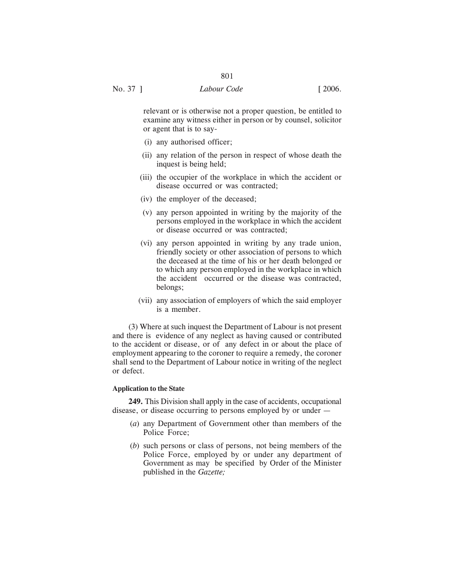relevant or is otherwise not a proper question, be entitled to examine any witness either in person or by counsel, solicitor or agent that is to say-

- (i) any authorised officer;
- (ii) any relation of the person in respect of whose death the inquest is being held;
- (iii) the occupier of the workplace in which the accident or disease occurred or was contracted;
- (iv) the employer of the deceased;
- (v) any person appointed in writing by the majority of the persons employed in the workplace in which the accident or disease occurred or was contracted;
- (vi) any person appointed in writing by any trade union, friendly society or other association of persons to which the deceased at the time of his or her death belonged or to which any person employed in the workplace in which the accident occurred or the disease was contracted, belongs;
- (vii) any association of employers of which the said employer is a member.

(3) Where at such inquest the Department of Labour is not present and there is evidence of any neglect as having caused or contributed to the accident or disease, or of any defect in or about the place of employment appearing to the coroner to require a remedy, the coroner shall send to the Department of Labour notice in writing of the neglect or defect.

#### **Application to the State**

**249.** This Division shall apply in the case of accidents, occupational disease, or disease occurring to persons employed by or under —

- (*a*) any Department of Government other than members of the Police Force;
- (*b*) such persons or class of persons, not being members of the Police Force, employed by or under any department of Government as may be specified by Order of the Minister published in the *Gazette;*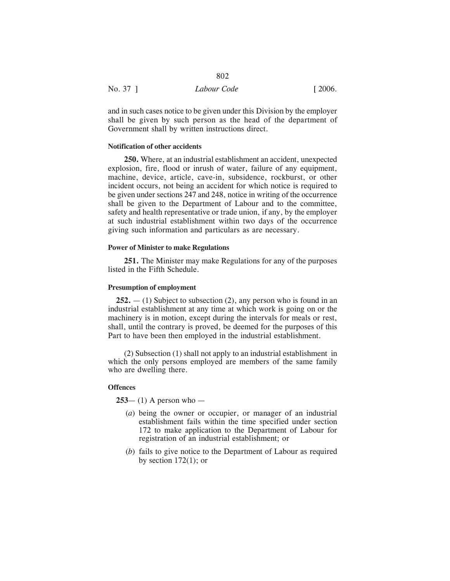| No. 37 ] | Labour Code | $\lceil 2006. \rceil$ |
|----------|-------------|-----------------------|
|          |             |                       |

and in such cases notice to be given under this Division by the employer shall be given by such person as the head of the department of Government shall by written instructions direct.

## **Notification of other accidents**

**250.** Where, at an industrial establishment an accident, unexpected explosion, fire, flood or inrush of water, failure of any equipment, machine, device, article, cave-in, subsidence, rockburst, or other incident occurs, not being an accident for which notice is required to be given under sections 247 and 248, notice in writing of the occurrence shall be given to the Department of Labour and to the committee, safety and health representative or trade union, if any, by the employer at such industrial establishment within two days of the occurrence giving such information and particulars as are necessary.

### **Power of Minister to make Regulations**

**251.** The Minister may make Regulations for any of the purposes listed in the Fifth Schedule.

#### **Presumption of employment**

**252.** — (1) Subject to subsection (2), any person who is found in an industrial establishment at any time at which work is going on or the machinery is in motion, except during the intervals for meals or rest, shall, until the contrary is proved, be deemed for the purposes of this Part to have been then employed in the industrial establishment.

(2) Subsection (1) shall not apply to an industrial establishment in which the only persons employed are members of the same family who are dwelling there.

#### **Offences**

**253**— (1) A person who —

- (*a*) being the owner or occupier, or manager of an industrial establishment fails within the time specified under section 172 to make application to the Department of Labour for registration of an industrial establishment; or
- (*b*) fails to give notice to the Department of Labour as required by section  $172(1)$ ; or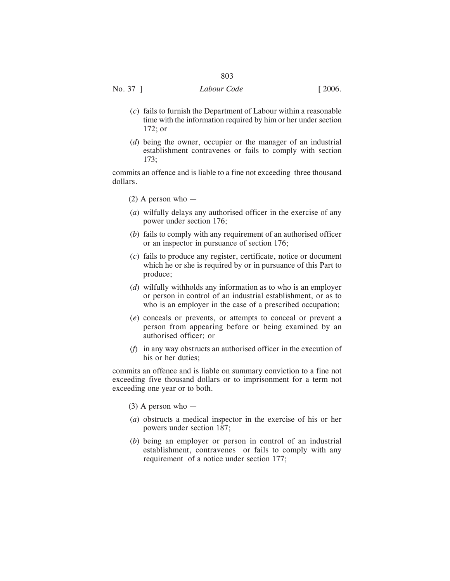No. 37 ] *Labour Code* [ 2006.

- (*c*) fails to furnish the Department of Labour within a reasonable time with the information required by him or her under section 172; or
- (*d*) being the owner, occupier or the manager of an industrial establishment contravenes or fails to comply with section 173;

commits an offence and is liable to a fine not exceeding three thousand dollars.

- $(2)$  A person who —
- (*a*) wilfully delays any authorised officer in the exercise of any power under section 176;
- (*b*) fails to comply with any requirement of an authorised officer or an inspector in pursuance of section 176;
- (*c*) fails to produce any register, certificate, notice or document which he or she is required by or in pursuance of this Part to produce;
- (*d*) wilfully withholds any information as to who is an employer or person in control of an industrial establishment, or as to who is an employer in the case of a prescribed occupation;
- (*e*) conceals or prevents, or attempts to conceal or prevent a person from appearing before or being examined by an authorised officer; or
- (*f*) in any way obstructs an authorised officer in the execution of his or her duties;

commits an offence and is liable on summary conviction to a fine not exceeding five thousand dollars or to imprisonment for a term not exceeding one year or to both.

- $(3)$  A person who —
- (*a*) obstructs a medical inspector in the exercise of his or her powers under section 187;
- (*b*) being an employer or person in control of an industrial establishment, contravenes or fails to comply with any requirement of a notice under section 177;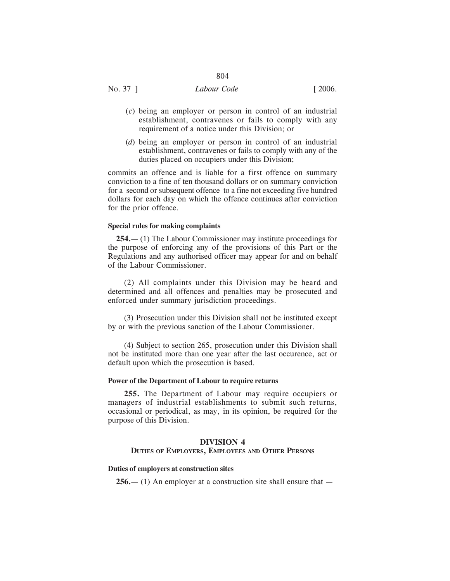# No. 37 ] *Labour Code* [ 2006.

- (*c*) being an employer or person in control of an industrial establishment, contravenes or fails to comply with any requirement of a notice under this Division; or
- (*d*) being an employer or person in control of an industrial establishment, contravenes or fails to comply with any of the duties placed on occupiers under this Division;

commits an offence and is liable for a first offence on summary conviction to a fine of ten thousand dollars or on summary conviction for a second or subsequent offence to a fine not exceeding five hundred dollars for each day on which the offence continues after conviction for the prior offence.

## **Special rules for making complaints**

**254.**— (1) The Labour Commissioner may institute proceedings for the purpose of enforcing any of the provisions of this Part or the Regulations and any authorised officer may appear for and on behalf of the Labour Commissioner.

(2) All complaints under this Division may be heard and determined and all offences and penalties may be prosecuted and enforced under summary jurisdiction proceedings.

(3) Prosecution under this Division shall not be instituted except by or with the previous sanction of the Labour Commissioner.

(4) Subject to section 265, prosecution under this Division shall not be instituted more than one year after the last occurence, act or default upon which the prosecution is based.

#### **Power of the Department of Labour to require returns**

**255.** The Department of Labour may require occupiers or managers of industrial establishments to submit such returns, occasional or periodical, as may, in its opinion, be required for the purpose of this Division.

## **DIVISION 4**

#### **DUTIES OF EMPLOYERS, EMPLOYEES AND OTHER PERSONS**

#### **Duties of employers at construction sites**

**256.**— (1) An employer at a construction site shall ensure that —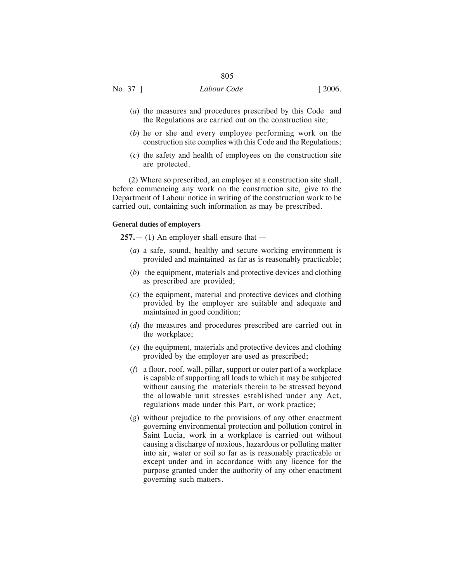- (*a*) the measures and procedures prescribed by this Code and the Regulations are carried out on the construction site;
- (*b*) he or she and every employee performing work on the construction site complies with this Code and the Regulations;
- (*c*) the safety and health of employees on the construction site are protected.

(2) Where so prescribed, an employer at a construction site shall, before commencing any work on the construction site, give to the Department of Labour notice in writing of the construction work to be carried out, containing such information as may be prescribed.

#### **General duties of employers**

**257.**— (1) An employer shall ensure that —

- (*a*) a safe, sound, healthy and secure working environment is provided and maintained as far as is reasonably practicable;
- (*b*) the equipment, materials and protective devices and clothing as prescribed are provided;
- (*c*) the equipment, material and protective devices and clothing provided by the employer are suitable and adequate and maintained in good condition;
- (*d*) the measures and procedures prescribed are carried out in the workplace;
- (*e*) the equipment, materials and protective devices and clothing provided by the employer are used as prescribed;
- (*f*) a floor, roof, wall, pillar, support or outer part of a workplace is capable of supporting all loads to which it may be subjected without causing the materials therein to be stressed beyond the allowable unit stresses established under any Act, regulations made under this Part, or work practice;
- (*g*) without prejudice to the provisions of any other enactment governing environmental protection and pollution control in Saint Lucia, work in a workplace is carried out without causing a discharge of noxious, hazardous or polluting matter into air, water or soil so far as is reasonably practicable or except under and in accordance with any licence for the purpose granted under the authority of any other enactment governing such matters.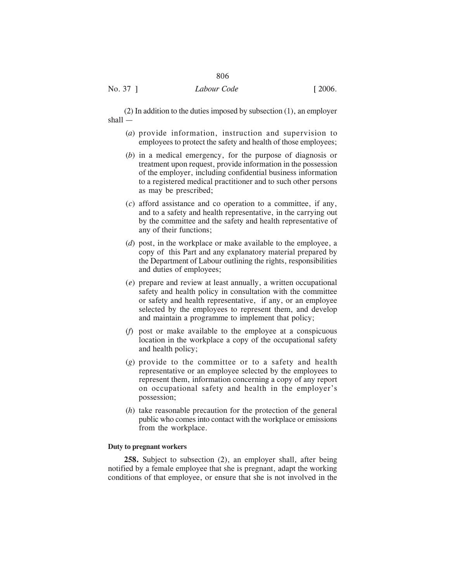(2) In addition to the duties imposed by subsection (1), an employer shall —

806

- (*a*) provide information, instruction and supervision to employees to protect the safety and health of those employees;
- (*b*) in a medical emergency, for the purpose of diagnosis or treatment upon request, provide information in the possession of the employer, including confidential business information to a registered medical practitioner and to such other persons as may be prescribed;
- (*c*) afford assistance and co operation to a committee, if any, and to a safety and health representative, in the carrying out by the committee and the safety and health representative of any of their functions;
- (*d*) post, in the workplace or make available to the employee, a copy of this Part and any explanatory material prepared by the Department of Labour outlining the rights, responsibilities and duties of employees;
- (*e*) prepare and review at least annually, a written occupational safety and health policy in consultation with the committee or safety and health representative, if any, or an employee selected by the employees to represent them, and develop and maintain a programme to implement that policy;
- (*f*) post or make available to the employee at a conspicuous location in the workplace a copy of the occupational safety and health policy;
- (*g*) provide to the committee or to a safety and health representative or an employee selected by the employees to represent them, information concerning a copy of any report on occupational safety and health in the employer's possession;
- (*h*) take reasonable precaution for the protection of the general public who comes into contact with the workplace or emissions from the workplace.

## **Duty to pregnant workers**

**258.** Subject to subsection (2), an employer shall, after being notified by a female employee that she is pregnant, adapt the working conditions of that employee, or ensure that she is not involved in the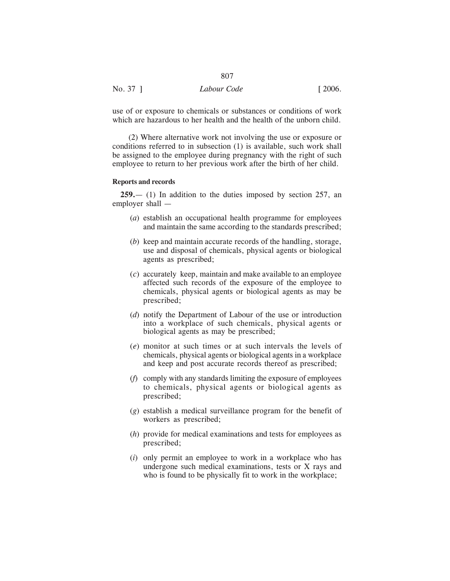| No. 37 ] | Labour Code | [2006] |
|----------|-------------|--------|

use of or exposure to chemicals or substances or conditions of work which are hazardous to her health and the health of the unborn child.

807

(2) Where alternative work not involving the use or exposure or conditions referred to in subsection (1) is available, such work shall be assigned to the employee during pregnancy with the right of such employee to return to her previous work after the birth of her child.

#### **Reports and records**

**259.**— (1) In addition to the duties imposed by section 257, an employer shall —

- (*a*) establish an occupational health programme for employees and maintain the same according to the standards prescribed;
- (*b*) keep and maintain accurate records of the handling, storage, use and disposal of chemicals, physical agents or biological agents as prescribed;
- (*c*) accurately keep, maintain and make available to an employee affected such records of the exposure of the employee to chemicals, physical agents or biological agents as may be prescribed;
- (*d*) notify the Department of Labour of the use or introduction into a workplace of such chemicals, physical agents or biological agents as may be prescribed;
- (*e*) monitor at such times or at such intervals the levels of chemicals, physical agents or biological agents in a workplace and keep and post accurate records thereof as prescribed;
- (*f*) comply with any standards limiting the exposure of employees to chemicals, physical agents or biological agents as prescribed;
- (*g*) establish a medical surveillance program for the benefit of workers as prescribed;
- (*h*) provide for medical examinations and tests for employees as prescribed;
- (*i*) only permit an employee to work in a workplace who has undergone such medical examinations, tests or X rays and who is found to be physically fit to work in the workplace;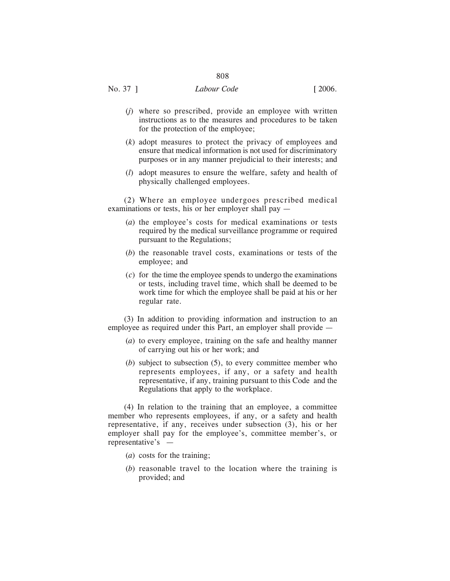# No. 37 ] *Labour Code* [ 2006.

- (*j*) where so prescribed, provide an employee with written instructions as to the measures and procedures to be taken for the protection of the employee;
- (*k*) adopt measures to protect the privacy of employees and ensure that medical information is not used for discriminatory purposes or in any manner prejudicial to their interests; and
- (*l*) adopt measures to ensure the welfare, safety and health of physically challenged employees.

(2) Where an employee undergoes prescribed medical examinations or tests, his or her employer shall pay —

- (*a*) the employee's costs for medical examinations or tests required by the medical surveillance programme or required pursuant to the Regulations;
- (*b*) the reasonable travel costs, examinations or tests of the employee; and
- (*c*) for the time the employee spends to undergo the examinations or tests, including travel time, which shall be deemed to be work time for which the employee shall be paid at his or her regular rate.

(3) In addition to providing information and instruction to an employee as required under this Part, an employer shall provide —

- (*a*) to every employee, training on the safe and healthy manner of carrying out his or her work; and
- (*b*) subject to subsection (5), to every committee member who represents employees, if any, or a safety and health representative, if any, training pursuant to this Code and the Regulations that apply to the workplace.

(4) In relation to the training that an employee, a committee member who represents employees, if any, or a safety and health representative, if any, receives under subsection (3), his or her employer shall pay for the employee's, committee member's, or representative's —

- (*a*) costs for the training;
- (*b*) reasonable travel to the location where the training is provided; and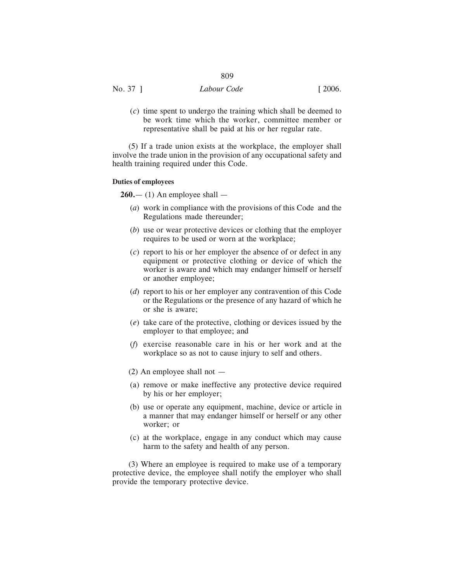|          | $\sim$ $\sim$ $\sim$ |        |
|----------|----------------------|--------|
| No. 37 ] | Labour Code          | [2006] |

(*c*) time spent to undergo the training which shall be deemed to be work time which the worker, committee member or representative shall be paid at his or her regular rate.

(5) If a trade union exists at the workplace, the employer shall involve the trade union in the provision of any occupational safety and health training required under this Code.

#### **Duties of employees**

 $260 - (1)$  An employee shall  $-$ 

- (*a*) work in compliance with the provisions of this Code and the Regulations made thereunder;
- (*b*) use or wear protective devices or clothing that the employer requires to be used or worn at the workplace;
- (*c*) report to his or her employer the absence of or defect in any equipment or protective clothing or device of which the worker is aware and which may endanger himself or herself or another employee;
- (*d*) report to his or her employer any contravention of this Code or the Regulations or the presence of any hazard of which he or she is aware;
- (*e*) take care of the protective, clothing or devices issued by the employer to that employee; and
- (*f*) exercise reasonable care in his or her work and at the workplace so as not to cause injury to self and others.
- (2) An employee shall not —
- (a) remove or make ineffective any protective device required by his or her employer;
- (b) use or operate any equipment, machine, device or article in a manner that may endanger himself or herself or any other worker; or
- (c) at the workplace, engage in any conduct which may cause harm to the safety and health of any person.

(3) Where an employee is required to make use of a temporary protective device, the employee shall notify the employer who shall provide the temporary protective device.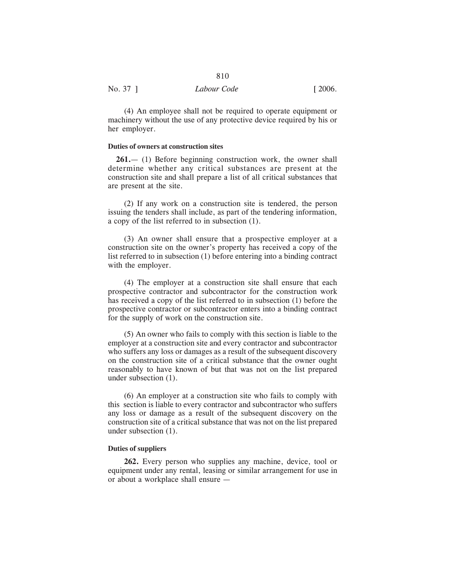| No. 37 ] | Labour Code | $\lceil 2006. \rceil$ |
|----------|-------------|-----------------------|
|          |             |                       |

(4) An employee shall not be required to operate equipment or machinery without the use of any protective device required by his or her employer.

# **Duties of owners at construction sites**

**261.**— (1) Before beginning construction work, the owner shall determine whether any critical substances are present at the construction site and shall prepare a list of all critical substances that are present at the site.

(2) If any work on a construction site is tendered, the person issuing the tenders shall include, as part of the tendering information, a copy of the list referred to in subsection (1).

(3) An owner shall ensure that a prospective employer at a construction site on the owner's property has received a copy of the list referred to in subsection (1) before entering into a binding contract with the employer.

(4) The employer at a construction site shall ensure that each prospective contractor and subcontractor for the construction work has received a copy of the list referred to in subsection (1) before the prospective contractor or subcontractor enters into a binding contract for the supply of work on the construction site.

(5) An owner who fails to comply with this section is liable to the employer at a construction site and every contractor and subcontractor who suffers any loss or damages as a result of the subsequent discovery on the construction site of a critical substance that the owner ought reasonably to have known of but that was not on the list prepared under subsection (1).

(6) An employer at a construction site who fails to comply with this section is liable to every contractor and subcontractor who suffers any loss or damage as a result of the subsequent discovery on the construction site of a critical substance that was not on the list prepared under subsection (1).

# **Duties of suppliers**

**262.** Every person who supplies any machine, device, tool or equipment under any rental, leasing or similar arrangement for use in or about a workplace shall ensure —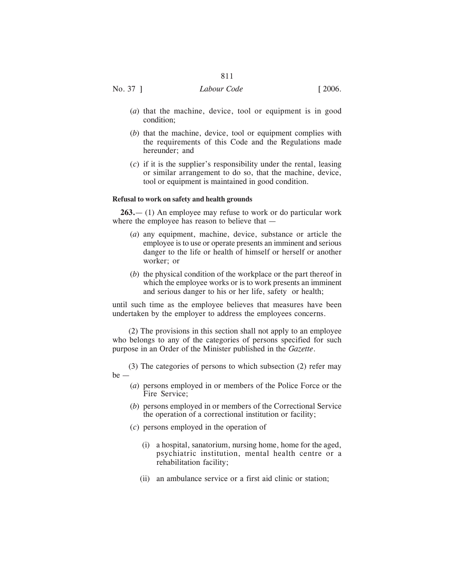No. 37 ] *Labour Code* [ 2006.

- (*a*) that the machine, device, tool or equipment is in good condition;
- (*b*) that the machine, device, tool or equipment complies with the requirements of this Code and the Regulations made hereunder; and
- (*c*) if it is the supplier's responsibility under the rental, leasing or similar arrangement to do so, that the machine, device, tool or equipment is maintained in good condition.

#### **Refusal to work on safety and health grounds**

**263.**— (1) An employee may refuse to work or do particular work where the employee has reason to believe that —

- (*a*) any equipment, machine, device, substance or article the employee is to use or operate presents an imminent and serious danger to the life or health of himself or herself or another worker; or
- (*b*) the physical condition of the workplace or the part thereof in which the employee works or is to work presents an imminent and serious danger to his or her life, safety or health;

until such time as the employee believes that measures have been undertaken by the employer to address the employees concerns.

(2) The provisions in this section shall not apply to an employee who belongs to any of the categories of persons specified for such purpose in an Order of the Minister published in the *Gazette*.

(3) The categories of persons to which subsection (2) refer may be —

- (*a*) persons employed in or members of the Police Force or the Fire Service;
- (*b*) persons employed in or members of the Correctional Service the operation of a correctional institution or facility;
- (*c*) persons employed in the operation of
	- (i) a hospital, sanatorium, nursing home, home for the aged, psychiatric institution, mental health centre or a rehabilitation facility;
	- (ii) an ambulance service or a first aid clinic or station;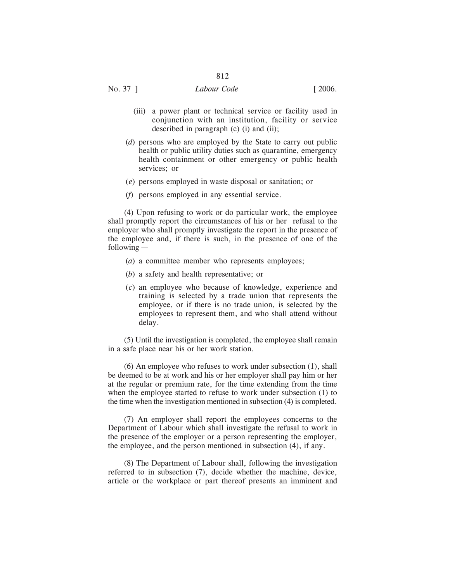- (iii) a power plant or technical service or facility used in conjunction with an institution, facility or service described in paragraph (c) (i) and (ii);
- (*d*) persons who are employed by the State to carry out public health or public utility duties such as quarantine, emergency health containment or other emergency or public health services; or
- (*e*) persons employed in waste disposal or sanitation; or
- (*f*) persons employed in any essential service.

(4) Upon refusing to work or do particular work, the employee shall promptly report the circumstances of his or her refusal to the employer who shall promptly investigate the report in the presence of the employee and, if there is such, in the presence of one of the following —

- (*a*) a committee member who represents employees;
- (*b*) a safety and health representative; or
- (*c*) an employee who because of knowledge, experience and training is selected by a trade union that represents the employee, or if there is no trade union, is selected by the employees to represent them, and who shall attend without delay.

(5) Until the investigation is completed, the employee shall remain in a safe place near his or her work station.

(6) An employee who refuses to work under subsection (1), shall be deemed to be at work and his or her employer shall pay him or her at the regular or premium rate, for the time extending from the time when the employee started to refuse to work under subsection (1) to the time when the investigation mentioned in subsection (4) is completed.

(7) An employer shall report the employees concerns to the Department of Labour which shall investigate the refusal to work in the presence of the employer or a person representing the employer, the employee, and the person mentioned in subsection (4), if any.

(8) The Department of Labour shall, following the investigation referred to in subsection (7), decide whether the machine, device, article or the workplace or part thereof presents an imminent and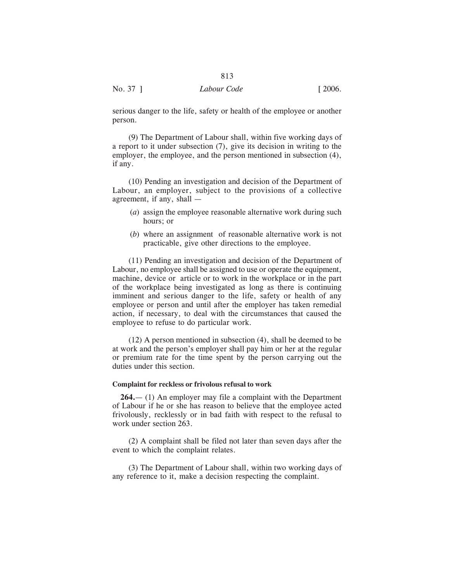serious danger to the life, safety or health of the employee or another person.

813

(9) The Department of Labour shall, within five working days of a report to it under subsection (7), give its decision in writing to the employer, the employee, and the person mentioned in subsection (4), if any.

(10) Pending an investigation and decision of the Department of Labour, an employer, subject to the provisions of a collective agreement, if any, shall —

- (*a*) assign the employee reasonable alternative work during such hours; or
- (*b*) where an assignment of reasonable alternative work is not practicable, give other directions to the employee.

(11) Pending an investigation and decision of the Department of Labour, no employee shall be assigned to use or operate the equipment, machine, device or article or to work in the workplace or in the part of the workplace being investigated as long as there is continuing imminent and serious danger to the life, safety or health of any employee or person and until after the employer has taken remedial action, if necessary, to deal with the circumstances that caused the employee to refuse to do particular work.

(12) A person mentioned in subsection (4), shall be deemed to be at work and the person's employer shall pay him or her at the regular or premium rate for the time spent by the person carrying out the duties under this section.

#### **Complaint for reckless or frivolous refusal to work**

**264.**— (1) An employer may file a complaint with the Department of Labour if he or she has reason to believe that the employee acted frivolously, recklessly or in bad faith with respect to the refusal to work under section 263.

(2) A complaint shall be filed not later than seven days after the event to which the complaint relates.

(3) The Department of Labour shall, within two working days of any reference to it, make a decision respecting the complaint.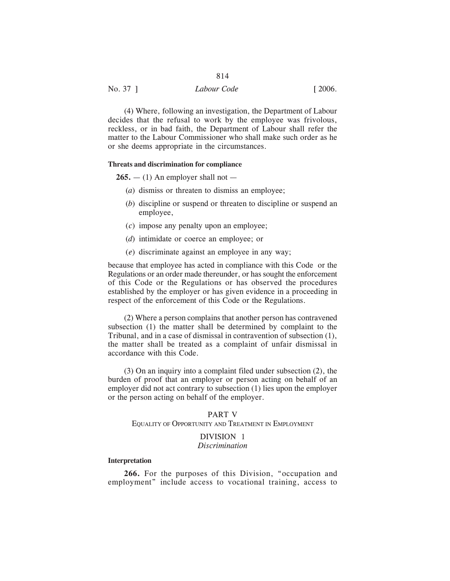No. 37 ] *Labour Code* [ 2006.

(4) Where, following an investigation, the Department of Labour decides that the refusal to work by the employee was frivolous, reckless, or in bad faith, the Department of Labour shall refer the matter to the Labour Commissioner who shall make such order as he or she deems appropriate in the circumstances.

#### **Threats and discrimination for compliance**

 $265. - (1)$  An employer shall not  $-$ 

- (*a*) dismiss or threaten to dismiss an employee;
- (*b*) discipline or suspend or threaten to discipline or suspend an employee,
- (*c*) impose any penalty upon an employee;
- (*d*) intimidate or coerce an employee; or
- (*e*) discriminate against an employee in any way;

because that employee has acted in compliance with this Code or the Regulations or an order made thereunder, or has sought the enforcement of this Code or the Regulations or has observed the procedures established by the employer or has given evidence in a proceeding in respect of the enforcement of this Code or the Regulations.

(2) Where a person complains that another person has contravened subsection (1) the matter shall be determined by complaint to the Tribunal, and in a case of dismissal in contravention of subsection (1), the matter shall be treated as a complaint of unfair dismissal in accordance with this Code.

(3) On an inquiry into a complaint filed under subsection (2), the burden of proof that an employer or person acting on behalf of an employer did not act contrary to subsection (1) lies upon the employer or the person acting on behalf of the employer.

# PART V EQUALITY OF OPPORTUNITY AND TREATMENT IN EMPLOYMENT

# DIVISION 1 *Discrimination*

# **Interpretation**

**266.** For the purposes of this Division, "occupation and employment" include access to vocational training, access to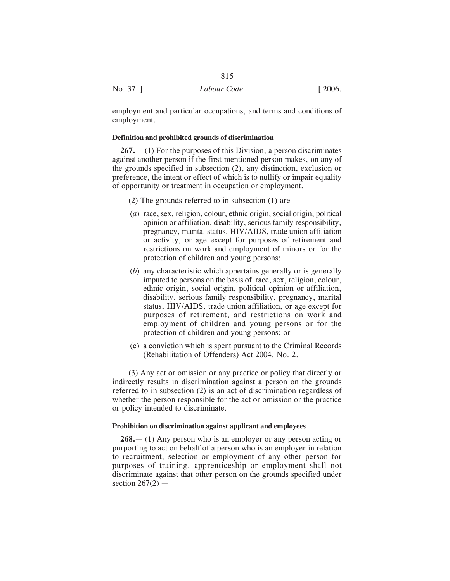|          | 815         |        |
|----------|-------------|--------|
| No. 37 ] | Labour Code | [2006] |

employment and particular occupations, and terms and conditions of employment.

## **Definition and prohibited grounds of discrimination**

**267.**— (1) For the purposes of this Division, a person discriminates against another person if the first-mentioned person makes, on any of the grounds specified in subsection (2), any distinction, exclusion or preference, the intent or effect of which is to nullify or impair equality of opportunity or treatment in occupation or employment.

- (2) The grounds referred to in subsection (1) are —
- (*a*) race, sex, religion, colour, ethnic origin, social origin, political opinion or affiliation, disability, serious family responsibility, pregnancy, marital status, HIV/AIDS, trade union affiliation or activity, or age except for purposes of retirement and restrictions on work and employment of minors or for the protection of children and young persons;
- (*b*) any characteristic which appertains generally or is generally imputed to persons on the basis of race, sex, religion, colour, ethnic origin, social origin, political opinion or affiliation, disability, serious family responsibility, pregnancy, marital status, HIV/AIDS, trade union affiliation, or age except for purposes of retirement, and restrictions on work and employment of children and young persons or for the protection of children and young persons; or
- (c) a conviction which is spent pursuant to the Criminal Records (Rehabilitation of Offenders) Act 2004, No. 2.

(3) Any act or omission or any practice or policy that directly or indirectly results in discrimination against a person on the grounds referred to in subsection (2) is an act of discrimination regardless of whether the person responsible for the act or omission or the practice or policy intended to discriminate.

## **Prohibition on discrimination against applicant and employees**

**268.**— (1) Any person who is an employer or any person acting or purporting to act on behalf of a person who is an employer in relation to recruitment, selection or employment of any other person for purposes of training, apprenticeship or employment shall not discriminate against that other person on the grounds specified under section  $267(2)$  —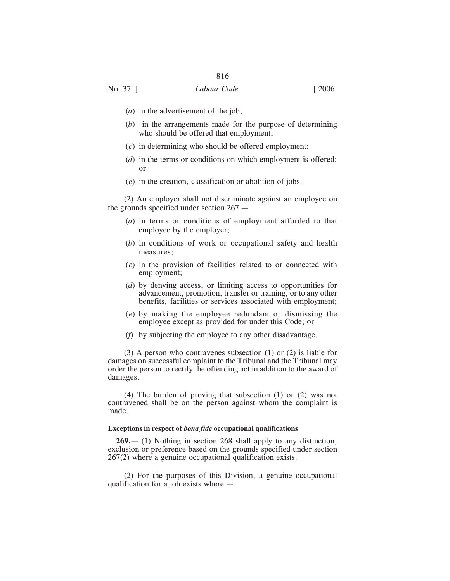# No. 37 ] *Labour Code* [ 2006.

- (*a*) in the advertisement of the job;
- (*b*) in the arrangements made for the purpose of determining who should be offered that employment;
- (*c*) in determining who should be offered employment;
- (*d*) in the terms or conditions on which employment is offered; or
- (*e*) in the creation, classification or abolition of jobs.

(2) An employer shall not discriminate against an employee on the grounds specified under section 267 —

- (*a*) in terms or conditions of employment afforded to that employee by the employer;
- (*b*) in conditions of work or occupational safety and health measures;
- (*c*) in the provision of facilities related to or connected with employment;
- (*d*) by denying access, or limiting access to opportunities for advancement, promotion, transfer or training, or to any other benefits, facilities or services associated with employment;
- (*e*) by making the employee redundant or dismissing the employee except as provided for under this Code; or
- (*f*) by subjecting the employee to any other disadvantage.

(3) A person who contravenes subsection (1) or (2) is liable for damages on successful complaint to the Tribunal and the Tribunal may order the person to rectify the offending act in addition to the award of damages.

(4) The burden of proving that subsection (1) or (2) was not contravened shall be on the person against whom the complaint is made.

# **Exceptions in respect of** *bona fide* **occupational qualifications**

**269.**— (1) Nothing in section 268 shall apply to any distinction, exclusion or preference based on the grounds specified under section 267(2) where a genuine occupational qualification exists.

(2) For the purposes of this Division, a genuine occupational qualification for a job exists where —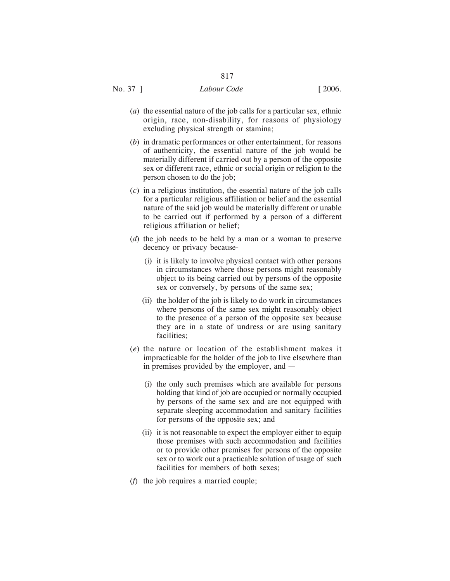- (*a*) the essential nature of the job calls for a particular sex, ethnic origin, race, non-disability, for reasons of physiology excluding physical strength or stamina;
- (*b*) in dramatic performances or other entertainment, for reasons of authenticity, the essential nature of the job would be materially different if carried out by a person of the opposite sex or different race, ethnic or social origin or religion to the person chosen to do the job;
- (*c*) in a religious institution, the essential nature of the job calls for a particular religious affiliation or belief and the essential nature of the said job would be materially different or unable to be carried out if performed by a person of a different religious affiliation or belief;
- (*d*) the job needs to be held by a man or a woman to preserve decency or privacy because-
	- (i) it is likely to involve physical contact with other persons in circumstances where those persons might reasonably object to its being carried out by persons of the opposite sex or conversely, by persons of the same sex;
	- (ii) the holder of the job is likely to do work in circumstances where persons of the same sex might reasonably object to the presence of a person of the opposite sex because they are in a state of undress or are using sanitary facilities;
- (*e*) the nature or location of the establishment makes it impracticable for the holder of the job to live elsewhere than in premises provided by the employer, and —
	- (i) the only such premises which are available for persons holding that kind of job are occupied or normally occupied by persons of the same sex and are not equipped with separate sleeping accommodation and sanitary facilities for persons of the opposite sex; and
	- (ii) it is not reasonable to expect the employer either to equip those premises with such accommodation and facilities or to provide other premises for persons of the opposite sex or to work out a practicable solution of usage of such facilities for members of both sexes;
- (*f*) the job requires a married couple;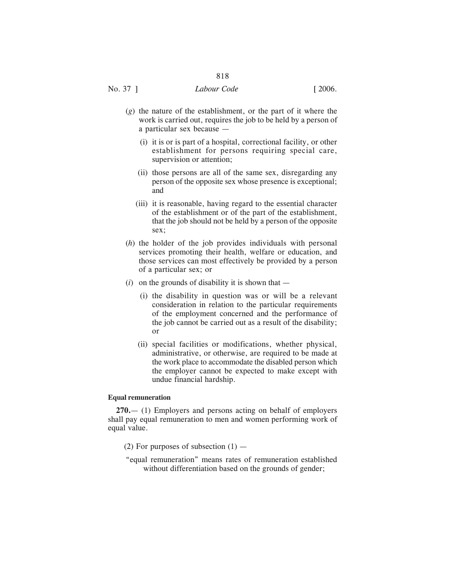- (*g*) the nature of the establishment, or the part of it where the work is carried out, requires the job to be held by a person of a particular sex because —
	- (i) it is or is part of a hospital, correctional facility, or other establishment for persons requiring special care, supervision or attention;
	- (ii) those persons are all of the same sex, disregarding any person of the opposite sex whose presence is exceptional; and
	- (iii) it is reasonable, having regard to the essential character of the establishment or of the part of the establishment, that the job should not be held by a person of the opposite sex;
- (*h*) the holder of the job provides individuals with personal services promoting their health, welfare or education, and those services can most effectively be provided by a person of a particular sex; or
- $(i)$  on the grounds of disability it is shown that
	- (i) the disability in question was or will be a relevant consideration in relation to the particular requirements of the employment concerned and the performance of the job cannot be carried out as a result of the disability; or
	- (ii) special facilities or modifications, whether physical, administrative, or otherwise, are required to be made at the work place to accommodate the disabled person which the employer cannot be expected to make except with undue financial hardship.

### **Equal remuneration**

**270.**— (1) Employers and persons acting on behalf of employers shall pay equal remuneration to men and women performing work of equal value.

- (2) For purposes of subsection  $(1)$  —
- "equal remuneration" means rates of remuneration established without differentiation based on the grounds of gender;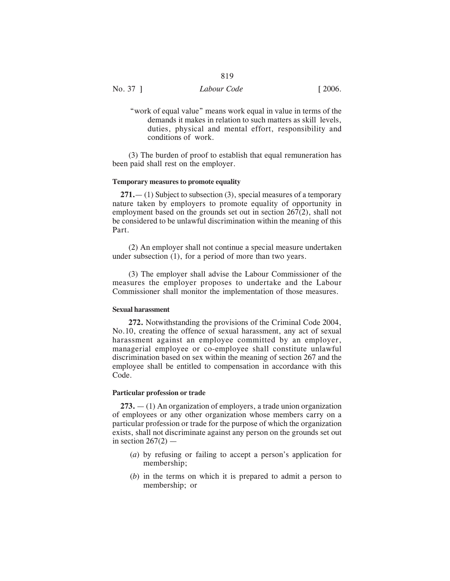"work of equal value" means work equal in value in terms of the demands it makes in relation to such matters as skill levels, duties, physical and mental effort, responsibility and conditions of work.

(3) The burden of proof to establish that equal remuneration has been paid shall rest on the employer.

#### **Temporary measures to promote equality**

**271.**— (1) Subject to subsection (3), special measures of a temporary nature taken by employers to promote equality of opportunity in employment based on the grounds set out in section 267(2), shall not be considered to be unlawful discrimination within the meaning of this Part.

(2) An employer shall not continue a special measure undertaken under subsection (1), for a period of more than two years.

(3) The employer shall advise the Labour Commissioner of the measures the employer proposes to undertake and the Labour Commissioner shall monitor the implementation of those measures.

#### **Sexual harassment**

**272.** Notwithstanding the provisions of the Criminal Code 2004, No.10, creating the offence of sexual harassment, any act of sexual harassment against an employee committed by an employer, managerial employee or co-employee shall constitute unlawful discrimination based on sex within the meaning of section 267 and the employee shall be entitled to compensation in accordance with this Code.

## **Particular profession or trade**

**273.** — (1) An organization of employers, a trade union organization of employees or any other organization whose members carry on a particular profession or trade for the purpose of which the organization exists, shall not discriminate against any person on the grounds set out in section  $267(2)$  —

- (*a*) by refusing or failing to accept a person's application for membership;
- (*b*) in the terms on which it is prepared to admit a person to membership; or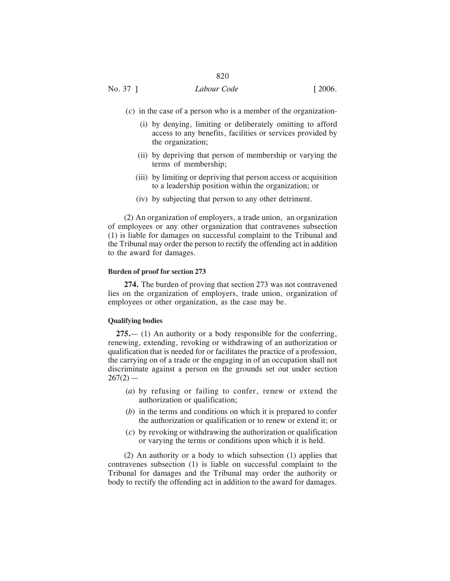# No. 37 ] *Labour Code* [ 2006.

- (*c*) in the case of a person who is a member of the organization-
	- (i) by denying, limiting or deliberately omitting to afford access to any benefits, facilities or services provided by the organization;
	- (ii) by depriving that person of membership or varying the terms of membership;
	- (iii) by limiting or depriving that person access or acquisition to a leadership position within the organization; or
	- (iv) by subjecting that person to any other detriment.

(2) An organization of employers, a trade union, an organization of employees or any other organization that contravenes subsection (1) is liable for damages on successful complaint to the Tribunal and the Tribunal may order the person to rectify the offending act in addition to the award for damages.

### **Burden of proof for section 273**

**274.** The burden of proving that section 273 was not contravened lies on the organization of employers, trade union, organization of employees or other organization, as the case may be.

#### **Qualifying bodies**

**275.**— (1) An authority or a body responsible for the conferring, renewing, extending, revoking or withdrawing of an authorization or qualification that is needed for or facilitates the practice of a profession, the carrying on of a trade or the engaging in of an occupation shall not discriminate against a person on the grounds set out under section  $267(2)$  —

- (*a*) by refusing or failing to confer, renew or extend the authorization or qualification;
- (*b*) in the terms and conditions on which it is prepared to confer the authorization or qualification or to renew or extend it; or
- (*c*) by revoking or withdrawing the authorization or qualification or varying the terms or conditions upon which it is held.

(2) An authority or a body to which subsection (1) applies that contravenes subsection (1) is liable on successful complaint to the Tribunal for damages and the Tribunal may order the authority or body to rectify the offending act in addition to the award for damages.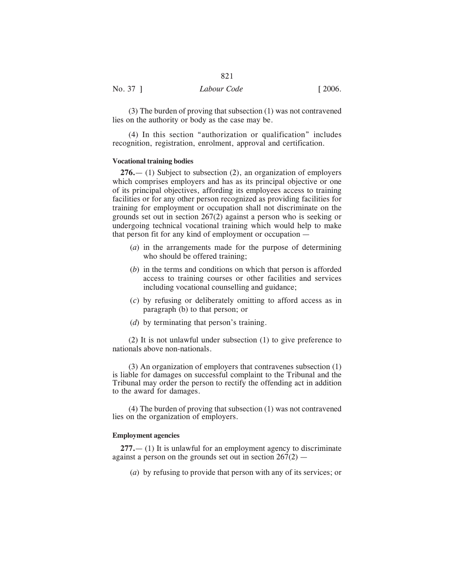(3) The burden of proving that subsection (1) was not contravened lies on the authority or body as the case may be.

(4) In this section "authorization or qualification" includes recognition, registration, enrolment, approval and certification.

## **Vocational training bodies**

**276.**— (1) Subject to subsection (2), an organization of employers which comprises employers and has as its principal objective or one of its principal objectives, affording its employees access to training facilities or for any other person recognized as providing facilities for training for employment or occupation shall not discriminate on the grounds set out in section 267(2) against a person who is seeking or undergoing technical vocational training which would help to make that person fit for any kind of employment or occupation —

- (*a*) in the arrangements made for the purpose of determining who should be offered training;
- (*b*) in the terms and conditions on which that person is afforded access to training courses or other facilities and services including vocational counselling and guidance;
- (*c*) by refusing or deliberately omitting to afford access as in paragraph (b) to that person; or
- (*d*) by terminating that person's training.

(2) It is not unlawful under subsection (1) to give preference to nationals above non-nationals.

(3) An organization of employers that contravenes subsection (1) is liable for damages on successful complaint to the Tribunal and the Tribunal may order the person to rectify the offending act in addition to the award for damages.

(4) The burden of proving that subsection (1) was not contravened lies on the organization of employers.

#### **Employment agencies**

**277.**— (1) It is unlawful for an employment agency to discriminate against a person on the grounds set out in section  $267(2)$  —

(*a*) by refusing to provide that person with any of its services; or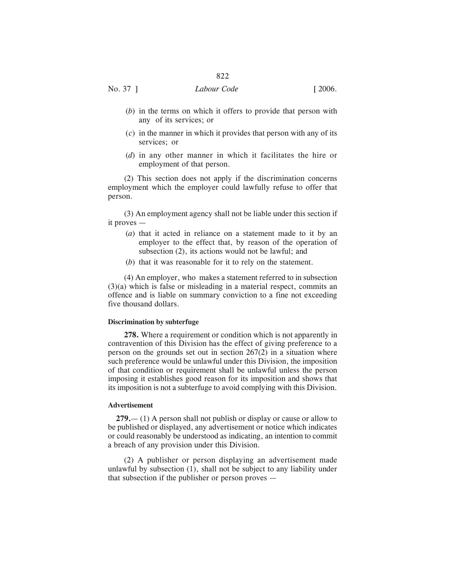# No. 37 ] *Labour Code* [ 2006.

- (*b*) in the terms on which it offers to provide that person with any of its services; or
- (*c*) in the manner in which it provides that person with any of its services; or
- (*d*) in any other manner in which it facilitates the hire or employment of that person.

(2) This section does not apply if the discrimination concerns employment which the employer could lawfully refuse to offer that person.

(3) An employment agency shall not be liable under this section if it proves —

- (*a*) that it acted in reliance on a statement made to it by an employer to the effect that, by reason of the operation of subsection (2), its actions would not be lawful; and
- (*b*) that it was reasonable for it to rely on the statement.

(4) An employer, who makes a statement referred to in subsection (3)(a) which is false or misleading in a material respect, commits an offence and is liable on summary conviction to a fine not exceeding five thousand dollars.

#### **Discrimination by subterfuge**

**278.** Where a requirement or condition which is not apparently in contravention of this Division has the effect of giving preference to a person on the grounds set out in section 267(2) in a situation where such preference would be unlawful under this Division, the imposition of that condition or requirement shall be unlawful unless the person imposing it establishes good reason for its imposition and shows that its imposition is not a subterfuge to avoid complying with this Division.

#### **Advertisement**

**279.**— (1) A person shall not publish or display or cause or allow to be published or displayed, any advertisement or notice which indicates or could reasonably be understood as indicating, an intention to commit a breach of any provision under this Division.

(2) A publisher or person displaying an advertisement made unlawful by subsection (1), shall not be subject to any liability under that subsection if the publisher or person proves —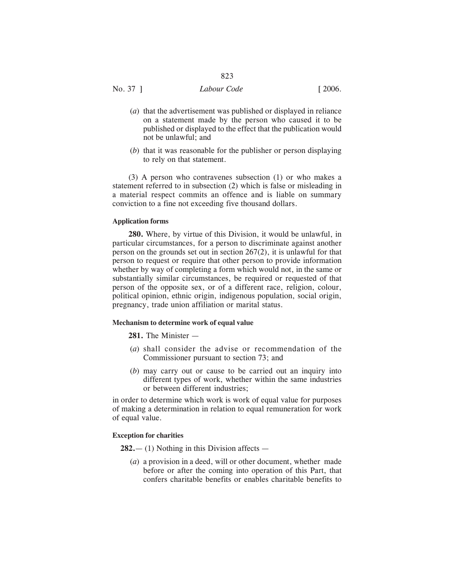No. 37 ] *Labour Code* [ 2006.

- (*a*) that the advertisement was published or displayed in reliance on a statement made by the person who caused it to be published or displayed to the effect that the publication would not be unlawful; and
- (*b*) that it was reasonable for the publisher or person displaying to rely on that statement.

(3) A person who contravenes subsection (1) or who makes a statement referred to in subsection (2) which is false or misleading in a material respect commits an offence and is liable on summary conviction to a fine not exceeding five thousand dollars.

# **Application forms**

**280.** Where, by virtue of this Division, it would be unlawful, in particular circumstances, for a person to discriminate against another person on the grounds set out in section 267(2), it is unlawful for that person to request or require that other person to provide information whether by way of completing a form which would not, in the same or substantially similar circumstances, be required or requested of that person of the opposite sex, or of a different race, religion, colour, political opinion, ethnic origin, indigenous population, social origin, pregnancy, trade union affiliation or marital status.

# **Mechanism to determine work of equal value**

**281.** The Minister —

- (*a*) shall consider the advise or recommendation of the Commissioner pursuant to section 73; and
- (*b*) may carry out or cause to be carried out an inquiry into different types of work, whether within the same industries or between different industries;

in order to determine which work is work of equal value for purposes of making a determination in relation to equal remuneration for work of equal value.

# **Exception for charities**

**282.**— (1) Nothing in this Division affects —

(*a*) a provision in a deed, will or other document, whether made before or after the coming into operation of this Part, that confers charitable benefits or enables charitable benefits to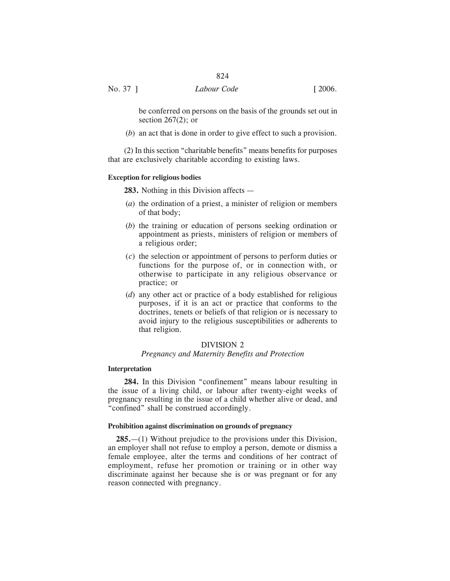No. 37 ] *Labour Code* [ 2006.

be conferred on persons on the basis of the grounds set out in section  $267(2)$ ; or

(*b*) an act that is done in order to give effect to such a provision.

(2) In this section "charitable benefits" means benefits for purposes that are exclusively charitable according to existing laws.

#### **Exception for religious bodies**

**283.** Nothing in this Division affects —

- (*a*) the ordination of a priest, a minister of religion or members of that body;
- (*b*) the training or education of persons seeking ordination or appointment as priests, ministers of religion or members of a religious order;
- (*c*) the selection or appointment of persons to perform duties or functions for the purpose of, or in connection with, or otherwise to participate in any religious observance or practice; or
- (*d*) any other act or practice of a body established for religious purposes, if it is an act or practice that conforms to the doctrines, tenets or beliefs of that religion or is necessary to avoid injury to the religious susceptibilities or adherents to that religion.

# DIVISION 2

#### *Pregnancy and Maternity Benefits and Protection*

#### **Interpretation**

**284.** In this Division "confinement" means labour resulting in the issue of a living child, or labour after twenty-eight weeks of pregnancy resulting in the issue of a child whether alive or dead, and "confined" shall be construed accordingly.

#### **Prohibition against discrimination on grounds of pregnancy**

**285.**—(1) Without prejudice to the provisions under this Division, an employer shall not refuse to employ a person, demote or dismiss a female employee, alter the terms and conditions of her contract of employment, refuse her promotion or training or in other way discriminate against her because she is or was pregnant or for any reason connected with pregnancy.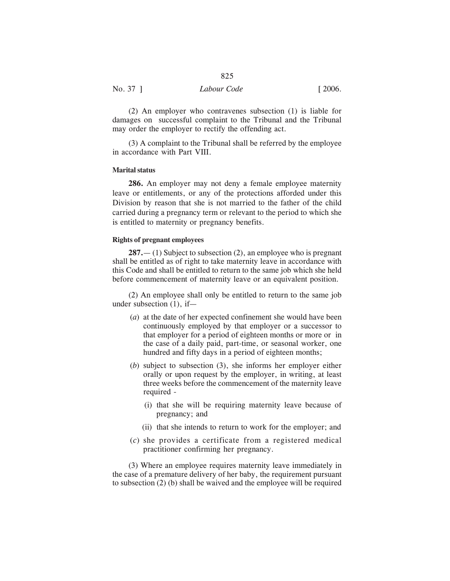(2) An employer who contravenes subsection (1) is liable for damages on successful complaint to the Tribunal and the Tribunal may order the employer to rectify the offending act.

(3) A complaint to the Tribunal shall be referred by the employee in accordance with Part VIII.

# **Marital status**

**286.** An employer may not deny a female employee maternity leave or entitlements, or any of the protections afforded under this Division by reason that she is not married to the father of the child carried during a pregnancy term or relevant to the period to which she is entitled to maternity or pregnancy benefits.

#### **Rights of pregnant employees**

**287.**— (1) Subject to subsection (2), an employee who is pregnant shall be entitled as of right to take maternity leave in accordance with this Code and shall be entitled to return to the same job which she held before commencement of maternity leave or an equivalent position.

(2) An employee shall only be entitled to return to the same job under subsection (1), if—

- (*a*) at the date of her expected confinement she would have been continuously employed by that employer or a successor to that employer for a period of eighteen months or more or in the case of a daily paid, part-time, or seasonal worker, one hundred and fifty days in a period of eighteen months;
- (*b*) subject to subsection (3), she informs her employer either orally or upon request by the employer, in writing, at least three weeks before the commencement of the maternity leave required -
	- (i) that she will be requiring maternity leave because of pregnancy; and
	- (ii) that she intends to return to work for the employer; and
- (*c*) she provides a certificate from a registered medical practitioner confirming her pregnancy.

(3) Where an employee requires maternity leave immediately in the case of a premature delivery of her baby, the requirement pursuant to subsection (2) (b) shall be waived and the employee will be required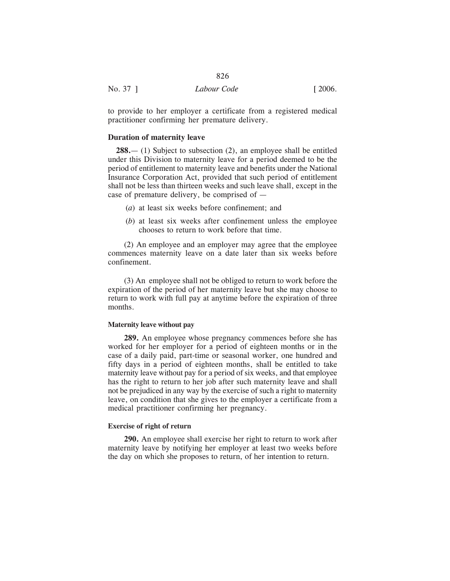| No. 37 | Labour Code | [2006] |
|--------|-------------|--------|
|        |             |        |

to provide to her employer a certificate from a registered medical practitioner confirming her premature delivery.

## **Duration of maternity leave**

**288.**— (1) Subject to subsection (2), an employee shall be entitled under this Division to maternity leave for a period deemed to be the period of entitlement to maternity leave and benefits under the National Insurance Corporation Act, provided that such period of entitlement shall not be less than thirteen weeks and such leave shall, except in the case of premature delivery, be comprised of —

- (*a*) at least six weeks before confinement; and
- (*b*) at least six weeks after confinement unless the employee chooses to return to work before that time.

(2) An employee and an employer may agree that the employee commences maternity leave on a date later than six weeks before confinement.

(3) An employee shall not be obliged to return to work before the expiration of the period of her maternity leave but she may choose to return to work with full pay at anytime before the expiration of three months.

### **Maternity leave without pay**

**289.** An employee whose pregnancy commences before she has worked for her employer for a period of eighteen months or in the case of a daily paid, part-time or seasonal worker, one hundred and fifty days in a period of eighteen months, shall be entitled to take maternity leave without pay for a period of six weeks, and that employee has the right to return to her job after such maternity leave and shall not be prejudiced in any way by the exercise of such a right to maternity leave, on condition that she gives to the employer a certificate from a medical practitioner confirming her pregnancy.

## **Exercise of right of return**

**290.** An employee shall exercise her right to return to work after maternity leave by notifying her employer at least two weeks before the day on which she proposes to return, of her intention to return.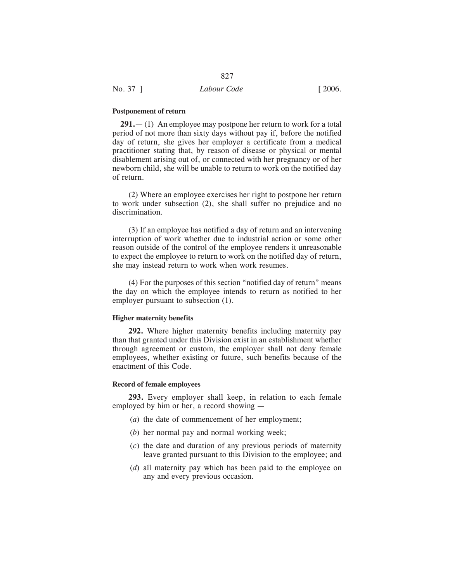#### **Postponement of return**

**291.**— (1) An employee may postpone her return to work for a total period of not more than sixty days without pay if, before the notified day of return, she gives her employer a certificate from a medical practitioner stating that, by reason of disease or physical or mental disablement arising out of, or connected with her pregnancy or of her newborn child, she will be unable to return to work on the notified day of return.

(2) Where an employee exercises her right to postpone her return to work under subsection (2), she shall suffer no prejudice and no discrimination.

(3) If an employee has notified a day of return and an intervening interruption of work whether due to industrial action or some other reason outside of the control of the employee renders it unreasonable to expect the employee to return to work on the notified day of return, she may instead return to work when work resumes.

(4) For the purposes of this section "notified day of return" means the day on which the employee intends to return as notified to her employer pursuant to subsection (1).

# **Higher maternity benefits**

**292.** Where higher maternity benefits including maternity pay than that granted under this Division exist in an establishment whether through agreement or custom, the employer shall not deny female employees, whether existing or future, such benefits because of the enactment of this Code.

## **Record of female employees**

**293.** Every employer shall keep, in relation to each female employed by him or her, a record showing —

- (*a*) the date of commencement of her employment;
- (*b*) her normal pay and normal working week;
- (*c*) the date and duration of any previous periods of maternity leave granted pursuant to this Division to the employee; and
- (*d*) all maternity pay which has been paid to the employee on any and every previous occasion.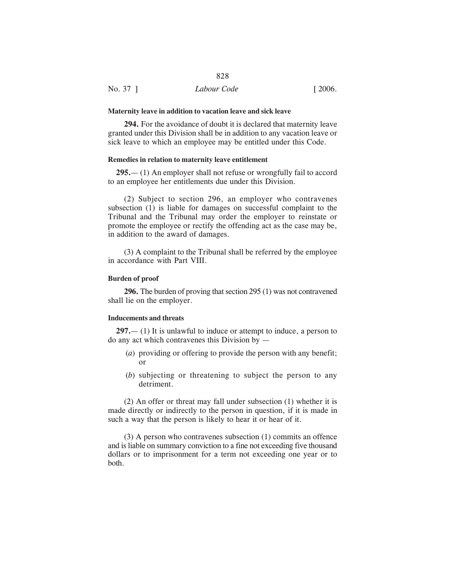#### **Maternity leave in addition to vacation leave and sick leave**

**294.** For the avoidance of doubt it is declared that maternity leave granted under this Division shall be in addition to any vacation leave or sick leave to which an employee may be entitled under this Code.

# **Remedies in relation to maternity leave entitlement**

**295.**— (1) An employer shall not refuse or wrongfully fail to accord to an employee her entitlements due under this Division.

(2) Subject to section 296, an employer who contravenes subsection (1) is liable for damages on successful complaint to the Tribunal and the Tribunal may order the employer to reinstate or promote the employee or rectify the offending act as the case may be, in addition to the award of damages.

(3) A complaint to the Tribunal shall be referred by the employee in accordance with Part VIII.

#### **Burden of proof**

**296.** The burden of proving that section 295 (1) was not contravened shall lie on the employer.

## **Inducements and threats**

**297.**— (1) It is unlawful to induce or attempt to induce, a person to do any act which contravenes this Division by —

- (*a*) providing or offering to provide the person with any benefit; or
- (*b*) subjecting or threatening to subject the person to any detriment.

(2) An offer or threat may fall under subsection (1) whether it is made directly or indirectly to the person in question, if it is made in such a way that the person is likely to hear it or hear of it.

(3) A person who contravenes subsection (1) commits an offence and is liable on summary conviction to a fine not exceeding five thousand dollars or to imprisonment for a term not exceeding one year or to both.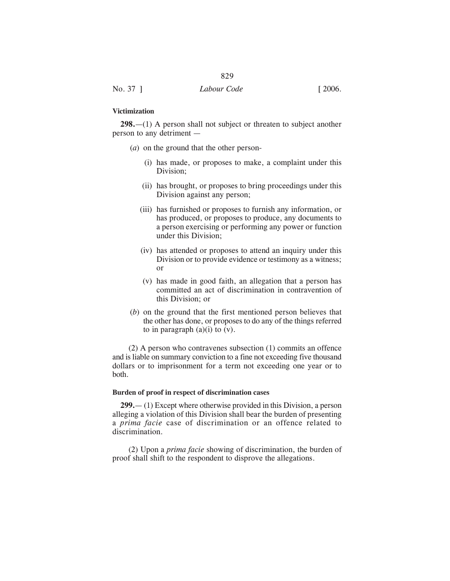## **Victimization**

**298.**—(1) A person shall not subject or threaten to subject another person to any detriment —

- (*a*) on the ground that the other person-
	- (i) has made, or proposes to make, a complaint under this Division;
	- (ii) has brought, or proposes to bring proceedings under this Division against any person;
	- (iii) has furnished or proposes to furnish any information, or has produced, or proposes to produce, any documents to a person exercising or performing any power or function under this Division;
	- (iv) has attended or proposes to attend an inquiry under this Division or to provide evidence or testimony as a witness; or
	- (v) has made in good faith, an allegation that a person has committed an act of discrimination in contravention of this Division; or
- (*b*) on the ground that the first mentioned person believes that the other has done, or proposes to do any of the things referred to in paragraph  $(a)(i)$  to  $(v)$ .

(2) A person who contravenes subsection (1) commits an offence and is liable on summary conviction to a fine not exceeding five thousand dollars or to imprisonment for a term not exceeding one year or to both.

#### **Burden of proof in respect of discrimination cases**

**299.**— (1) Except where otherwise provided in this Division, a person alleging a violation of this Division shall bear the burden of presenting a *prima facie* case of discrimination or an offence related to discrimination.

(2) Upon a *prima facie* showing of discrimination, the burden of proof shall shift to the respondent to disprove the allegations.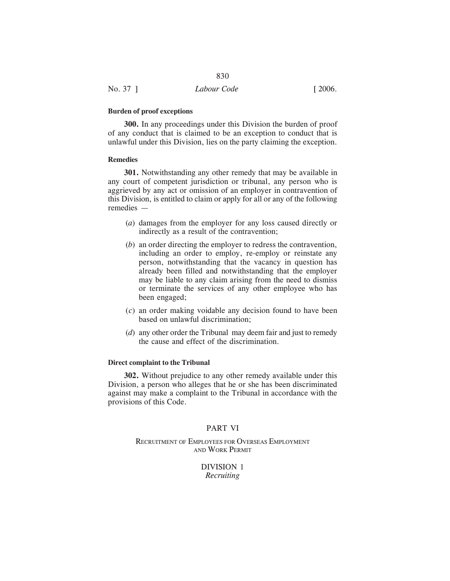#### **Burden of proof exceptions**

**300.** In any proceedings under this Division the burden of proof of any conduct that is claimed to be an exception to conduct that is unlawful under this Division, lies on the party claiming the exception.

830

## **Remedies**

**301.** Notwithstanding any other remedy that may be available in any court of competent jurisdiction or tribunal, any person who is aggrieved by any act or omission of an employer in contravention of this Division, is entitled to claim or apply for all or any of the following remedies —

- (*a*) damages from the employer for any loss caused directly or indirectly as a result of the contravention;
- (*b*) an order directing the employer to redress the contravention, including an order to employ, re-employ or reinstate any person, notwithstanding that the vacancy in question has already been filled and notwithstanding that the employer may be liable to any claim arising from the need to dismiss or terminate the services of any other employee who has been engaged;
- (*c*) an order making voidable any decision found to have been based on unlawful discrimination;
- (*d*) any other order the Tribunal may deem fair and just to remedy the cause and effect of the discrimination.

### **Direct complaint to the Tribunal**

**302.** Without prejudice to any other remedy available under this Division, a person who alleges that he or she has been discriminated against may make a complaint to the Tribunal in accordance with the provisions of this Code.

# PART VI

RECRUITMENT OF EMPLOYEES FOR OVERSEAS EMPLOYMENT AND WORK PERMIT

> DIVISION 1 *Recruiting*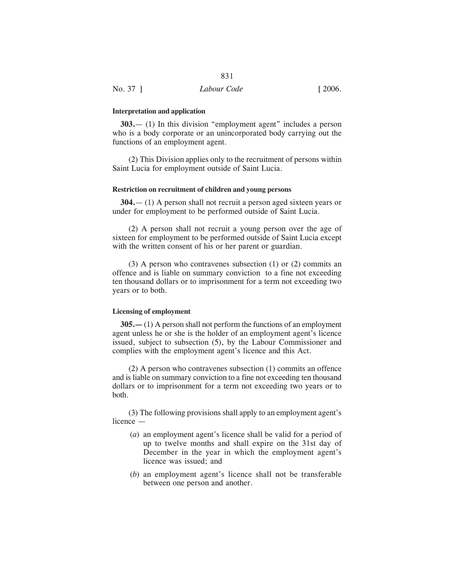#### **Interpretation and application**

**303.**— (1) In this division "employment agent" includes a person who is a body corporate or an unincorporated body carrying out the functions of an employment agent.

(2) This Division applies only to the recruitment of persons within Saint Lucia for employment outside of Saint Lucia.

#### **Restriction on recruitment of children and young persons**

**304.**— (1) A person shall not recruit a person aged sixteen years or under for employment to be performed outside of Saint Lucia.

(2) A person shall not recruit a young person over the age of sixteen for employment to be performed outside of Saint Lucia except with the written consent of his or her parent or guardian.

(3) A person who contravenes subsection (1) or (2) commits an offence and is liable on summary conviction to a fine not exceeding ten thousand dollars or to imprisonment for a term not exceeding two years or to both.

#### **Licensing of employment**

**305.—** (1) A person shall not perform the functions of an employment agent unless he or she is the holder of an employment agent's licence issued, subject to subsection (5), by the Labour Commissioner and complies with the employment agent's licence and this Act.

(2) A person who contravenes subsection (1) commits an offence and is liable on summary conviction to a fine not exceeding ten thousand dollars or to imprisonment for a term not exceeding two years or to both.

(3) The following provisions shall apply to an employment agent's licence —

- (*a*) an employment agent's licence shall be valid for a period of up to twelve months and shall expire on the 31st day of December in the year in which the employment agent's licence was issued; and
- (*b*) an employment agent's licence shall not be transferable between one person and another.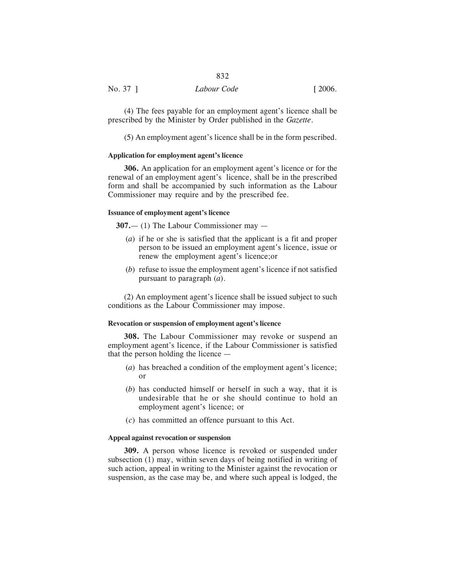# No. 37 ] *Labour Code* [ 2006.

(4) The fees payable for an employment agent's licence shall be prescribed by the Minister by Order published in the *Gazette*.

(5) An employment agent's licence shall be in the form pescribed.

#### **Application for employment agent's licence**

**306.** An application for an employment agent's licence or for the renewal of an employment agent's licence, shall be in the prescribed form and shall be accompanied by such information as the Labour Commissioner may require and by the prescribed fee.

#### **Issuance of employment agent's licence**

**307.**— (1) The Labour Commissioner may —

- (*a*) if he or she is satisfied that the applicant is a fit and proper person to be issued an employment agent's licence, issue or renew the employment agent's licence;or
- (*b*) refuse to issue the employment agent's licence if not satisfied pursuant to paragraph (*a*).

(2) An employment agent's licence shall be issued subject to such conditions as the Labour Commissioner may impose.

#### **Revocation or suspension of employment agent's licence**

**308.** The Labour Commissioner may revoke or suspend an employment agent's licence, if the Labour Commissioner is satisfied that the person holding the licence —

- (*a*) has breached a condition of the employment agent's licence; or
- (*b*) has conducted himself or herself in such a way, that it is undesirable that he or she should continue to hold an employment agent's licence; or
- (*c*) has committed an offence pursuant to this Act.

#### **Appeal against revocation or suspension**

**309.** A person whose licence is revoked or suspended under subsection (1) may, within seven days of being notified in writing of such action, appeal in writing to the Minister against the revocation or suspension, as the case may be, and where such appeal is lodged, the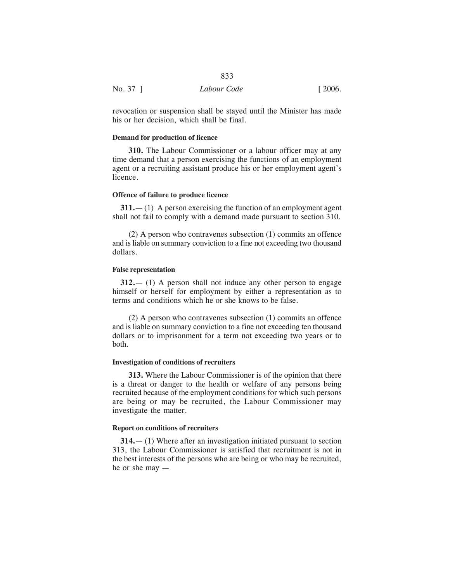|          | 833         |        |
|----------|-------------|--------|
| No. 37 ] | Labour Code | [2006] |

revocation or suspension shall be stayed until the Minister has made his or her decision, which shall be final.

# **Demand for production of licence**

**310.** The Labour Commissioner or a labour officer may at any time demand that a person exercising the functions of an employment agent or a recruiting assistant produce his or her employment agent's licence.

#### **Offence of failure to produce licence**

**311.**— (1) A person exercising the function of an employment agent shall not fail to comply with a demand made pursuant to section 310.

(2) A person who contravenes subsection (1) commits an offence and is liable on summary conviction to a fine not exceeding two thousand dollars.

# **False representation**

**312.**— (1) A person shall not induce any other person to engage himself or herself for employment by either a representation as to terms and conditions which he or she knows to be false.

(2) A person who contravenes subsection (1) commits an offence and is liable on summary conviction to a fine not exceeding ten thousand dollars or to imprisonment for a term not exceeding two years or to both.

# **Investigation of conditions of recruiters**

**313.** Where the Labour Commissioner is of the opinion that there is a threat or danger to the health or welfare of any persons being recruited because of the employment conditions for which such persons are being or may be recruited, the Labour Commissioner may investigate the matter.

# **Report on conditions of recruiters**

**314.**— (1) Where after an investigation initiated pursuant to section 313, the Labour Commissioner is satisfied that recruitment is not in the best interests of the persons who are being or who may be recruited, he or she may —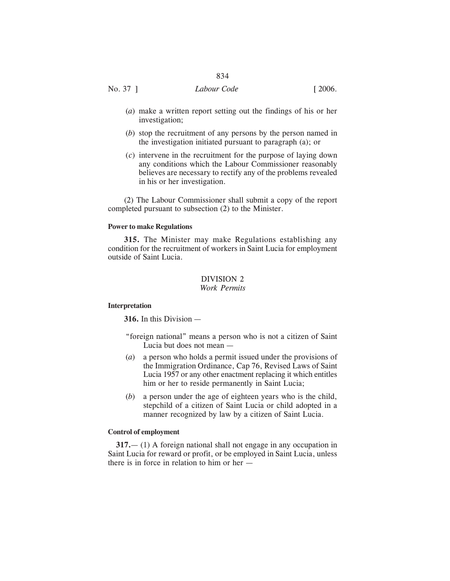# No. 37 ] *Labour Code* [ 2006.

- (*a*) make a written report setting out the findings of his or her investigation;
- (*b*) stop the recruitment of any persons by the person named in the investigation initiated pursuant to paragraph (a); or
- (*c*) intervene in the recruitment for the purpose of laying down any conditions which the Labour Commissioner reasonably believes are necessary to rectify any of the problems revealed in his or her investigation.

(2) The Labour Commissioner shall submit a copy of the report completed pursuant to subsection (2) to the Minister.

## **Power to make Regulations**

**315.** The Minister may make Regulations establishing any condition for the recruitment of workers in Saint Lucia for employment outside of Saint Lucia.

# DIVISION 2 *Work Permits*

#### **Interpretation**

**316.** In this Division —

- "foreign national" means a person who is not a citizen of Saint Lucia but does not mean —
- (*a*) a person who holds a permit issued under the provisions of the Immigration Ordinance, Cap 76, Revised Laws of Saint Lucia 1957 or any other enactment replacing it which entitles him or her to reside permanently in Saint Lucia;
- (*b*) a person under the age of eighteen years who is the child, stepchild of a citizen of Saint Lucia or child adopted in a manner recognized by law by a citizen of Saint Lucia.

# **Control of employment**

**317.**— (1) A foreign national shall not engage in any occupation in Saint Lucia for reward or profit, or be employed in Saint Lucia, unless there is in force in relation to him or her —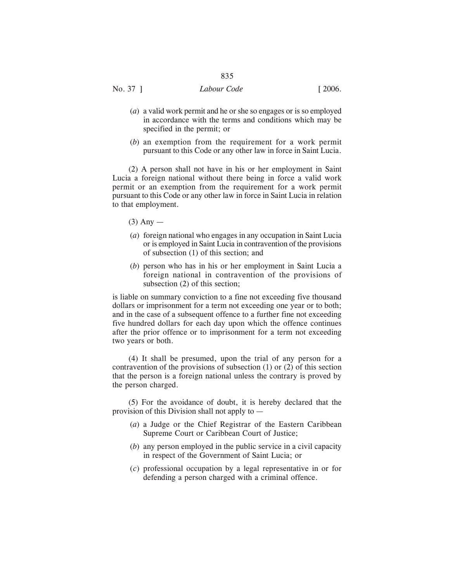- (*a*) a valid work permit and he or she so engages or is so employed in accordance with the terms and conditions which may be specified in the permit; or
- (*b*) an exemption from the requirement for a work permit pursuant to this Code or any other law in force in Saint Lucia.

(2) A person shall not have in his or her employment in Saint Lucia a foreign national without there being in force a valid work permit or an exemption from the requirement for a work permit pursuant to this Code or any other law in force in Saint Lucia in relation to that employment.

- $(3)$  Any —
- (*a*) foreign national who engages in any occupation in Saint Lucia or is employed in Saint Lucia in contravention of the provisions of subsection (1) of this section; and
- (*b*) person who has in his or her employment in Saint Lucia a foreign national in contravention of the provisions of subsection (2) of this section;

is liable on summary conviction to a fine not exceeding five thousand dollars or imprisonment for a term not exceeding one year or to both; and in the case of a subsequent offence to a further fine not exceeding five hundred dollars for each day upon which the offence continues after the prior offence or to imprisonment for a term not exceeding two years or both.

(4) It shall be presumed, upon the trial of any person for a contravention of the provisions of subsection (1) or (2) of this section that the person is a foreign national unless the contrary is proved by the person charged.

(5) For the avoidance of doubt, it is hereby declared that the provision of this Division shall not apply to —

- (*a*) a Judge or the Chief Registrar of the Eastern Caribbean Supreme Court or Caribbean Court of Justice;
- (*b*) any person employed in the public service in a civil capacity in respect of the Government of Saint Lucia; or
- (*c*) professional occupation by a legal representative in or for defending a person charged with a criminal offence.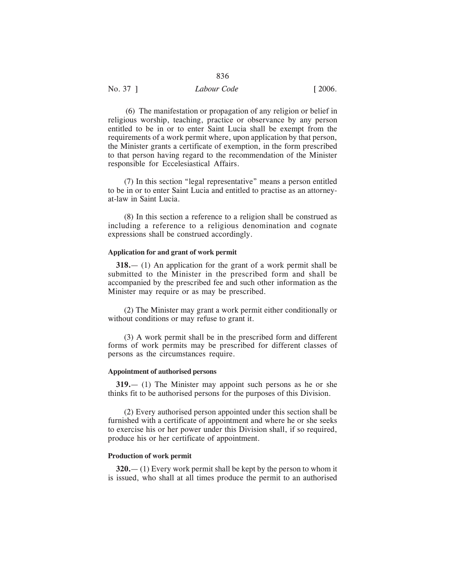(6) The manifestation or propagation of any religion or belief in religious worship, teaching, practice or observance by any person entitled to be in or to enter Saint Lucia shall be exempt from the requirements of a work permit where, upon application by that person, the Minister grants a certificate of exemption, in the form prescribed to that person having regard to the recommendation of the Minister responsible for Eccelesiastical Affairs.

(7) In this section "legal representative" means a person entitled to be in or to enter Saint Lucia and entitled to practise as an attorneyat-law in Saint Lucia.

(8) In this section a reference to a religion shall be construed as including a reference to a religious denomination and cognate expressions shall be construed accordingly.

#### **Application for and grant of work permit**

**318.**— (1) An application for the grant of a work permit shall be submitted to the Minister in the prescribed form and shall be accompanied by the prescribed fee and such other information as the Minister may require or as may be prescribed.

(2) The Minister may grant a work permit either conditionally or without conditions or may refuse to grant it.

(3) A work permit shall be in the prescribed form and different forms of work permits may be prescribed for different classes of persons as the circumstances require.

#### **Appointment of authorised persons**

**319.**— (1) The Minister may appoint such persons as he or she thinks fit to be authorised persons for the purposes of this Division.

(2) Every authorised person appointed under this section shall be furnished with a certificate of appointment and where he or she seeks to exercise his or her power under this Division shall, if so required, produce his or her certificate of appointment.

# **Production of work permit**

**320.**— (1) Every work permit shall be kept by the person to whom it is issued, who shall at all times produce the permit to an authorised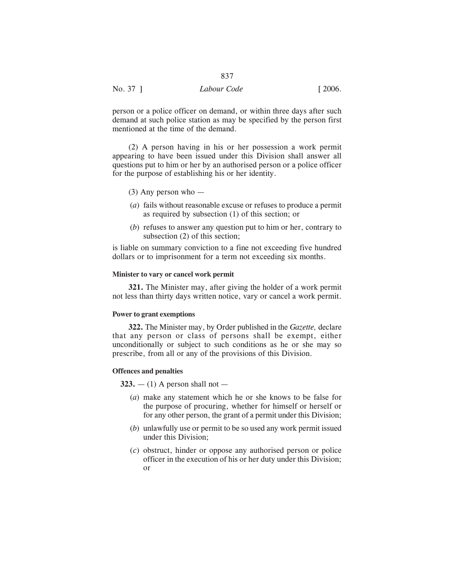| No. 37 ] | Labour Code | [2006] |
|----------|-------------|--------|
|          |             |        |

person or a police officer on demand, or within three days after such demand at such police station as may be specified by the person first mentioned at the time of the demand.

(2) A person having in his or her possession a work permit appearing to have been issued under this Division shall answer all questions put to him or her by an authorised person or a police officer for the purpose of establishing his or her identity.

- (3) Any person who —
- (*a*) fails without reasonable excuse or refuses to produce a permit as required by subsection (1) of this section; or
- (*b*) refuses to answer any question put to him or her, contrary to subsection (2) of this section;

is liable on summary conviction to a fine not exceeding five hundred dollars or to imprisonment for a term not exceeding six months.

## **Minister to vary or cancel work permit**

**321.** The Minister may, after giving the holder of a work permit not less than thirty days written notice, vary or cancel a work permit.

# **Power to grant exemptions**

**322.** The Minister may, by Order published in the *Gazette,* declare that any person or class of persons shall be exempt, either unconditionally or subject to such conditions as he or she may so prescribe, from all or any of the provisions of this Division.

# **Offences and penalties**

**323.**  $- (1)$  A person shall not  $-$ 

- (*a*) make any statement which he or she knows to be false for the purpose of procuring, whether for himself or herself or for any other person, the grant of a permit under this Division;
- (*b*) unlawfully use or permit to be so used any work permit issued under this Division;
- (*c*) obstruct, hinder or oppose any authorised person or police officer in the execution of his or her duty under this Division; or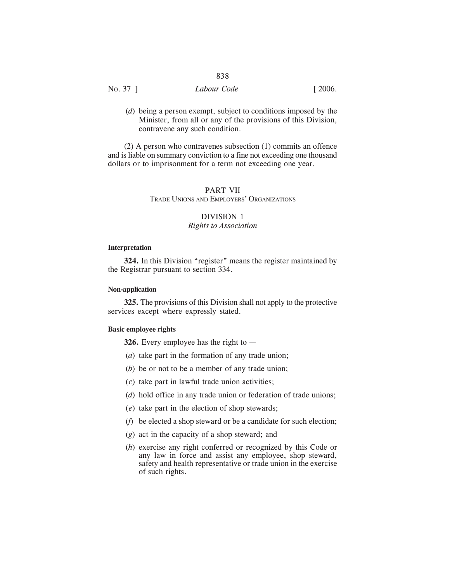# No. 37 ] *Labour Code* [ 2006.

(*d*) being a person exempt, subject to conditions imposed by the Minister, from all or any of the provisions of this Division, contravene any such condition.

(2) A person who contravenes subsection (1) commits an offence and is liable on summary conviction to a fine not exceeding one thousand dollars or to imprisonment for a term not exceeding one year.

# PART VII

TRADE UNIONS AND EMPLOYERS' ORGANIZATIONS

# DIVISION 1 *Rights to Association*

#### **Interpretation**

**324.** In this Division "register" means the register maintained by the Registrar pursuant to section 334.

# **Non-application**

**325.** The provisions of this Division shall not apply to the protective services except where expressly stated.

#### **Basic employee rights**

**326.** Every employee has the right to —

- (*a*) take part in the formation of any trade union;
- (*b*) be or not to be a member of any trade union;
- (*c*) take part in lawful trade union activities;
- (*d*) hold office in any trade union or federation of trade unions;
- (*e*) take part in the election of shop stewards;
- (*f*) be elected a shop steward or be a candidate for such election;
- (*g*) act in the capacity of a shop steward; and
- (*h*) exercise any right conferred or recognized by this Code or any law in force and assist any employee, shop steward, safety and health representative or trade union in the exercise of such rights.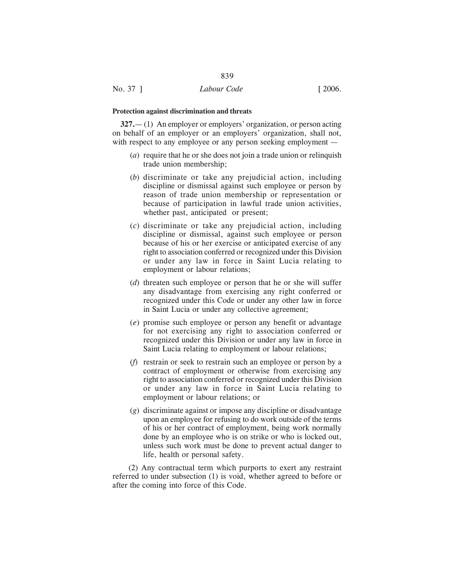**327.**— (1) An employer or employers' organization, or person acting on behalf of an employer or an employers' organization, shall not, with respect to any employee or any person seeking employment —

839

- (*a*) require that he or she does not join a trade union or relinquish trade union membership;
- (*b*) discriminate or take any prejudicial action, including discipline or dismissal against such employee or person by reason of trade union membership or representation or because of participation in lawful trade union activities, whether past, anticipated or present;
- (*c*) discriminate or take any prejudicial action, including discipline or dismissal, against such employee or person because of his or her exercise or anticipated exercise of any right to association conferred or recognized under this Division or under any law in force in Saint Lucia relating to employment or labour relations;
- (*d*) threaten such employee or person that he or she will suffer any disadvantage from exercising any right conferred or recognized under this Code or under any other law in force in Saint Lucia or under any collective agreement;
- (*e*) promise such employee or person any benefit or advantage for not exercising any right to association conferred or recognized under this Division or under any law in force in Saint Lucia relating to employment or labour relations;
- (*f*) restrain or seek to restrain such an employee or person by a contract of employment or otherwise from exercising any right to association conferred or recognized under this Division or under any law in force in Saint Lucia relating to employment or labour relations; or
- (*g*) discriminate against or impose any discipline or disadvantage upon an employee for refusing to do work outside of the terms of his or her contract of employment, being work normally done by an employee who is on strike or who is locked out, unless such work must be done to prevent actual danger to life, health or personal safety.

(2) Any contractual term which purports to exert any restraint referred to under subsection (1) is void, whether agreed to before or after the coming into force of this Code.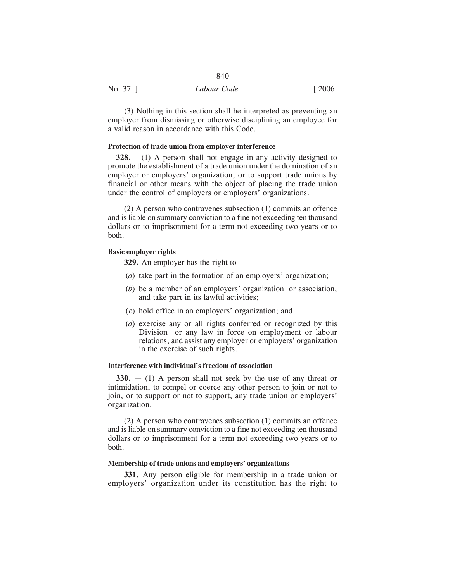(3) Nothing in this section shall be interpreted as preventing an employer from dismissing or otherwise disciplining an employee for a valid reason in accordance with this Code.

840

#### **Protection of trade union from employer interference**

**328.**— (1) A person shall not engage in any activity designed to promote the establishment of a trade union under the domination of an employer or employers' organization, or to support trade unions by financial or other means with the object of placing the trade union under the control of employers or employers' organizations.

(2) A person who contravenes subsection (1) commits an offence and is liable on summary conviction to a fine not exceeding ten thousand dollars or to imprisonment for a term not exceeding two years or to both.

#### **Basic employer rights**

**329.** An employer has the right to —

- (*a*) take part in the formation of an employers' organization;
- (*b*) be a member of an employers' organization or association, and take part in its lawful activities;
- (*c*) hold office in an employers' organization; and
- (*d*) exercise any or all rights conferred or recognized by this Division or any law in force on employment or labour relations, and assist any employer or employers' organization in the exercise of such rights.

#### **Interference with individual's freedom of association**

**330.** — (1) A person shall not seek by the use of any threat or intimidation, to compel or coerce any other person to join or not to join, or to support or not to support, any trade union or employers' organization.

(2) A person who contravenes subsection (1) commits an offence and is liable on summary conviction to a fine not exceeding ten thousand dollars or to imprisonment for a term not exceeding two years or to both.

## **Membership of trade unions and employers' organizations**

**331.** Any person eligible for membership in a trade union or employers' organization under its constitution has the right to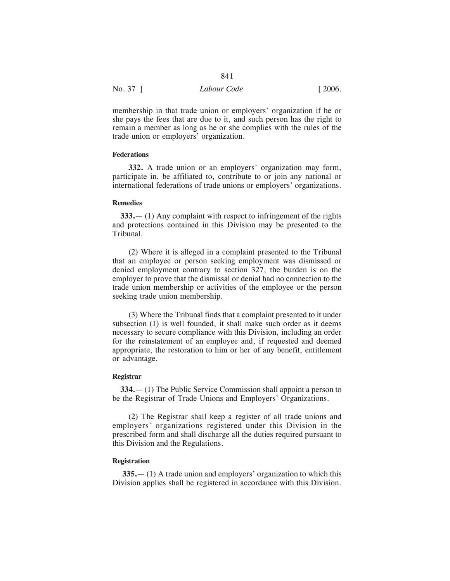| No. 37 ] | Labour Code | [2006] |
|----------|-------------|--------|

membership in that trade union or employers' organization if he or she pays the fees that are due to it, and such person has the right to remain a member as long as he or she complies with the rules of the trade union or employers' organization.

841

#### **Federations**

**332.** A trade union or an employers' organization may form, participate in, be affiliated to, contribute to or join any national or international federations of trade unions or employers' organizations.

#### **Remedies**

**333.**— (1) Any complaint with respect to infringement of the rights and protections contained in this Division may be presented to the Tribunal.

(2) Where it is alleged in a complaint presented to the Tribunal that an employee or person seeking employment was dismissed or denied employment contrary to section 327, the burden is on the employer to prove that the dismissal or denial had no connection to the trade union membership or activities of the employee or the person seeking trade union membership.

(3) Where the Tribunal finds that a complaint presented to it under subsection (1) is well founded, it shall make such order as it deems necessary to secure compliance with this Division, including an order for the reinstatement of an employee and, if requested and deemed appropriate, the restoration to him or her of any benefit, entitlement or advantage.

#### **Registrar**

**334.**— (1) The Public Service Commission shall appoint a person to be the Registrar of Trade Unions and Employers' Organizations.

(2) The Registrar shall keep a register of all trade unions and employers' organizations registered under this Division in the prescribed form and shall discharge all the duties required pursuant to this Division and the Regulations.

# **Registration**

**335.**— (1) A trade union and employers' organization to which this Division applies shall be registered in accordance with this Division.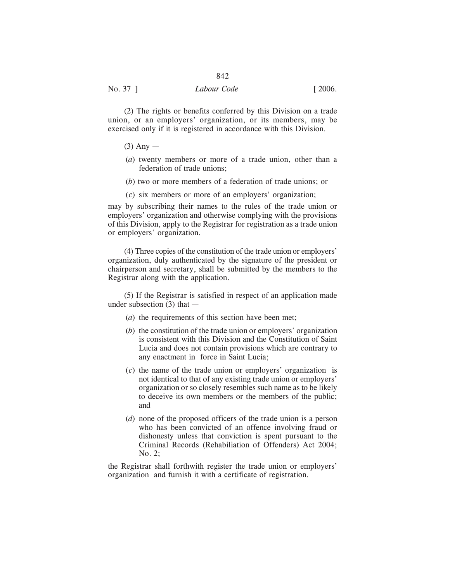(2) The rights or benefits conferred by this Division on a trade union, or an employers' organization, or its members, may be exercised only if it is registered in accordance with this Division.

# $(3)$  Any —

- (*a*) twenty members or more of a trade union, other than a federation of trade unions;
- (*b*) two or more members of a federation of trade unions; or
- (*c*) six members or more of an employers' organization;

may by subscribing their names to the rules of the trade union or employers' organization and otherwise complying with the provisions of this Division, apply to the Registrar for registration as a trade union or employers' organization.

(4) Three copies of the constitution of the trade union or employers' organization, duly authenticated by the signature of the president or chairperson and secretary, shall be submitted by the members to the Registrar along with the application.

(5) If the Registrar is satisfied in respect of an application made under subsection (3) that —

- (*a*) the requirements of this section have been met;
- (*b*) the constitution of the trade union or employers' organization is consistent with this Division and the Constitution of Saint Lucia and does not contain provisions which are contrary to any enactment in force in Saint Lucia;
- (*c*) the name of the trade union or employers' organization is not identical to that of any existing trade union or employers' organization or so closely resembles such name as to be likely to deceive its own members or the members of the public; and
- (*d*) none of the proposed officers of the trade union is a person who has been convicted of an offence involving fraud or dishonesty unless that conviction is spent pursuant to the Criminal Records (Rehabiliation of Offenders) Act 2004; No. 2;

the Registrar shall forthwith register the trade union or employers' organization and furnish it with a certificate of registration.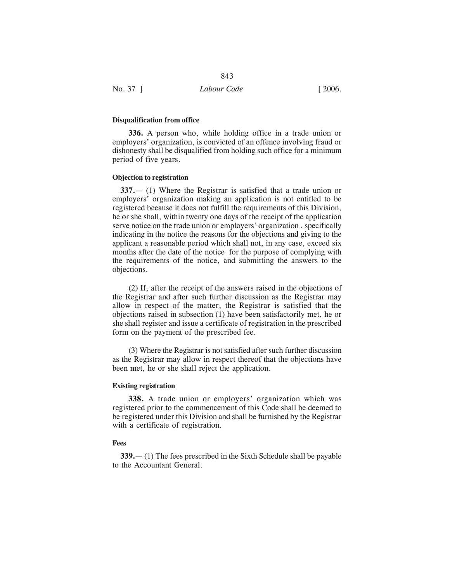|          | $\cup$ 12   |                       |
|----------|-------------|-----------------------|
| No. 37 ] | Labour Code | $\lceil 2006. \rceil$ |
|          |             |                       |

# **Disqualification from office**

**336.** A person who, while holding office in a trade union or employers' organization, is convicted of an offence involving fraud or dishonesty shall be disqualified from holding such office for a minimum period of five years.

# **Objection to registration**

**337.**— (1) Where the Registrar is satisfied that a trade union or employers' organization making an application is not entitled to be registered because it does not fulfill the requirements of this Division, he or she shall, within twenty one days of the receipt of the application serve notice on the trade union or employers' organization , specifically indicating in the notice the reasons for the objections and giving to the applicant a reasonable period which shall not, in any case, exceed six months after the date of the notice for the purpose of complying with the requirements of the notice, and submitting the answers to the objections.

(2) If, after the receipt of the answers raised in the objections of the Registrar and after such further discussion as the Registrar may allow in respect of the matter, the Registrar is satisfied that the objections raised in subsection (1) have been satisfactorily met, he or she shall register and issue a certificate of registration in the prescribed form on the payment of the prescribed fee.

(3) Where the Registrar is not satisfied after such further discussion as the Registrar may allow in respect thereof that the objections have been met, he or she shall reject the application.

#### **Existing registration**

**338.** A trade union or employers' organization which was registered prior to the commencement of this Code shall be deemed to be registered under this Division and shall be furnished by the Registrar with a certificate of registration.

#### **Fees**

**339.**— (1) The fees prescribed in the Sixth Schedule shall be payable to the Accountant General.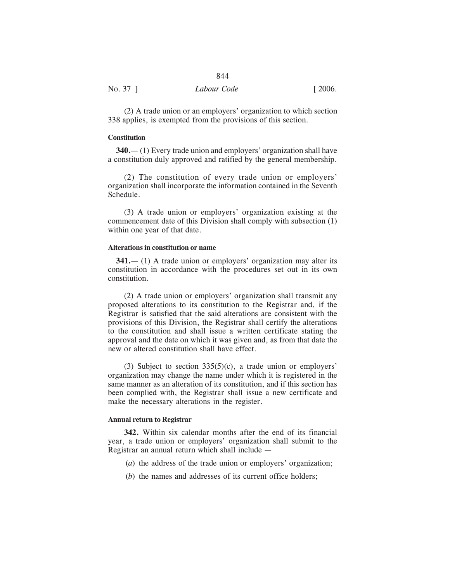| No. 37 1 | Labour Code | $\lceil 2006. \rceil$ |
|----------|-------------|-----------------------|

(2) A trade union or an employers' organization to which section 338 applies, is exempted from the provisions of this section.

# **Constitution**

**340.**— (1) Every trade union and employers' organization shall have a constitution duly approved and ratified by the general membership.

(2) The constitution of every trade union or employers' organization shall incorporate the information contained in the Seventh Schedule.

(3) A trade union or employers' organization existing at the commencement date of this Division shall comply with subsection (1) within one year of that date.

#### **Alterations in constitution or name**

**341.**— (1) A trade union or employers' organization may alter its constitution in accordance with the procedures set out in its own constitution.

(2) A trade union or employers' organization shall transmit any proposed alterations to its constitution to the Registrar and, if the Registrar is satisfied that the said alterations are consistent with the provisions of this Division, the Registrar shall certify the alterations to the constitution and shall issue a written certificate stating the approval and the date on which it was given and, as from that date the new or altered constitution shall have effect.

(3) Subject to section  $335(5)(c)$ , a trade union or employers' organization may change the name under which it is registered in the same manner as an alteration of its constitution, and if this section has been complied with, the Registrar shall issue a new certificate and make the necessary alterations in the register.

#### **Annual return to Registrar**

**342.** Within six calendar months after the end of its financial year, a trade union or employers' organization shall submit to the Registrar an annual return which shall include —

- (*a*) the address of the trade union or employers' organization;
- (*b*) the names and addresses of its current office holders;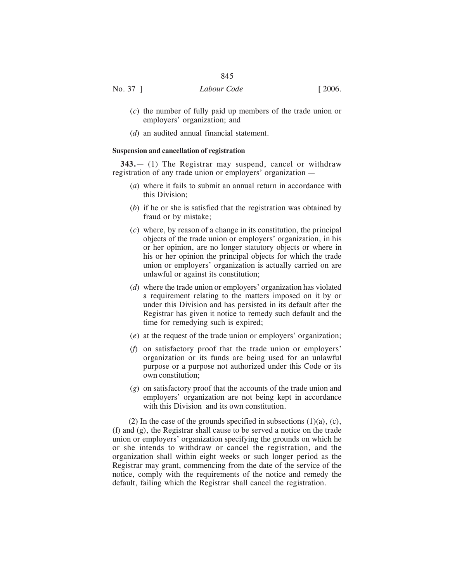- (*c*) the number of fully paid up members of the trade union or employers' organization; and
- (*d*) an audited annual financial statement.

#### **Suspension and cancellation of registration**

**343.**— (1) The Registrar may suspend, cancel or withdraw registration of any trade union or employers' organization —

- (*a*) where it fails to submit an annual return in accordance with this Division;
- (*b*) if he or she is satisfied that the registration was obtained by fraud or by mistake;
- (*c*) where, by reason of a change in its constitution, the principal objects of the trade union or employers' organization, in his or her opinion, are no longer statutory objects or where in his or her opinion the principal objects for which the trade union or employers' organization is actually carried on are unlawful or against its constitution;
- (*d*) where the trade union or employers' organization has violated a requirement relating to the matters imposed on it by or under this Division and has persisted in its default after the Registrar has given it notice to remedy such default and the time for remedying such is expired;
- (*e*) at the request of the trade union or employers' organization;
- (*f*) on satisfactory proof that the trade union or employers' organization or its funds are being used for an unlawful purpose or a purpose not authorized under this Code or its own constitution;
- (*g*) on satisfactory proof that the accounts of the trade union and employers' organization are not being kept in accordance with this Division and its own constitution.

(2) In the case of the grounds specified in subsections  $(1)(a)$ ,  $(c)$ , (f) and (g), the Registrar shall cause to be served a notice on the trade union or employers' organization specifying the grounds on which he or she intends to withdraw or cancel the registration, and the organization shall within eight weeks or such longer period as the Registrar may grant, commencing from the date of the service of the notice, comply with the requirements of the notice and remedy the default, failing which the Registrar shall cancel the registration.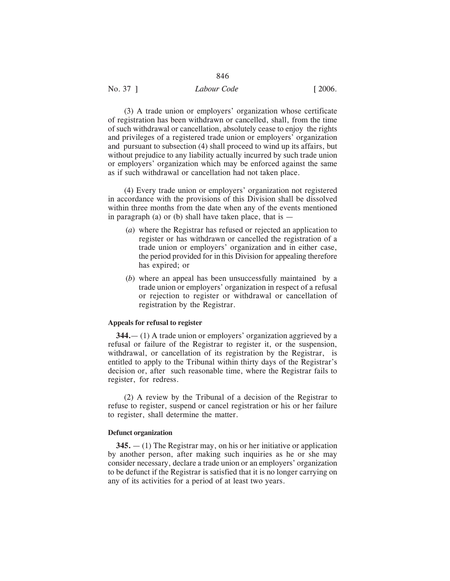| No. 37 ] | Labour Code | $\lceil 2006. \rceil$ |
|----------|-------------|-----------------------|
|          |             |                       |

(3) A trade union or employers' organization whose certificate of registration has been withdrawn or cancelled, shall, from the time of such withdrawal or cancellation, absolutely cease to enjoy the rights and privileges of a registered trade union or employers' organization and pursuant to subsection (4) shall proceed to wind up its affairs, but without prejudice to any liability actually incurred by such trade union or employers' organization which may be enforced against the same as if such withdrawal or cancellation had not taken place.

(4) Every trade union or employers' organization not registered in accordance with the provisions of this Division shall be dissolved within three months from the date when any of the events mentioned in paragraph (a) or (b) shall have taken place, that is  $-$ 

- (*a*) where the Registrar has refused or rejected an application to register or has withdrawn or cancelled the registration of a trade union or employers' organization and in either case, the period provided for in this Division for appealing therefore has expired; or
- (*b*) where an appeal has been unsuccessfully maintained by a trade union or employers' organization in respect of a refusal or rejection to register or withdrawal or cancellation of registration by the Registrar.

# **Appeals for refusal to register**

**344.**— (1) A trade union or employers' organization aggrieved by a refusal or failure of the Registrar to register it, or the suspension, withdrawal, or cancellation of its registration by the Registrar, is entitled to apply to the Tribunal within thirty days of the Registrar's decision or, after such reasonable time, where the Registrar fails to register, for redress.

(2) A review by the Tribunal of a decision of the Registrar to refuse to register, suspend or cancel registration or his or her failure to register, shall determine the matter.

#### **Defunct organization**

**345.** — (1) The Registrar may, on his or her initiative or application by another person, after making such inquiries as he or she may consider necessary, declare a trade union or an employers' organization to be defunct if the Registrar is satisfied that it is no longer carrying on any of its activities for a period of at least two years.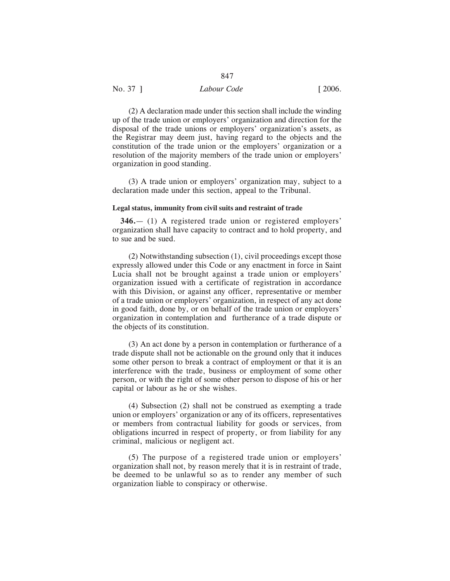| Labour Code<br>$\lceil 2006. \rceil$<br>No. 37 ] |  |
|--------------------------------------------------|--|

(2) A declaration made under this section shall include the winding up of the trade union or employers' organization and direction for the disposal of the trade unions or employers' organization's assets, as the Registrar may deem just, having regard to the objects and the constitution of the trade union or the employers' organization or a resolution of the majority members of the trade union or employers' organization in good standing.

(3) A trade union or employers' organization may, subject to a declaration made under this section, appeal to the Tribunal.

#### **Legal status, immunity from civil suits and restraint of trade**

**346.**— (1) A registered trade union or registered employers' organization shall have capacity to contract and to hold property, and to sue and be sued.

(2) Notwithstanding subsection (1), civil proceedings except those expressly allowed under this Code or any enactment in force in Saint Lucia shall not be brought against a trade union or employers' organization issued with a certificate of registration in accordance with this Division, or against any officer, representative or member of a trade union or employers' organization, in respect of any act done in good faith, done by, or on behalf of the trade union or employers' organization in contemplation and furtherance of a trade dispute or the objects of its constitution.

(3) An act done by a person in contemplation or furtherance of a trade dispute shall not be actionable on the ground only that it induces some other person to break a contract of employment or that it is an interference with the trade, business or employment of some other person, or with the right of some other person to dispose of his or her capital or labour as he or she wishes.

(4) Subsection (2) shall not be construed as exempting a trade union or employers' organization or any of its officers, representatives or members from contractual liability for goods or services, from obligations incurred in respect of property, or from liability for any criminal, malicious or negligent act.

(5) The purpose of a registered trade union or employers' organization shall not, by reason merely that it is in restraint of trade, be deemed to be unlawful so as to render any member of such organization liable to conspiracy or otherwise.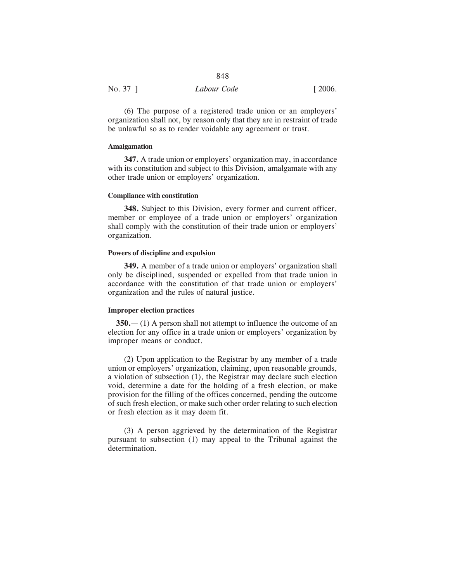| No. 37 1 | Labour Code | $\lceil 2006. \rceil$ |
|----------|-------------|-----------------------|

(6) The purpose of a registered trade union or an employers' organization shall not, by reason only that they are in restraint of trade be unlawful so as to render voidable any agreement or trust.

#### **Amalgamation**

**347.** A trade union or employers' organization may, in accordance with its constitution and subject to this Division, amalgamate with any other trade union or employers' organization.

#### **Compliance with constitution**

**348.** Subject to this Division, every former and current officer, member or employee of a trade union or employers' organization shall comply with the constitution of their trade union or employers' organization.

#### **Powers of discipline and expulsion**

**349.** A member of a trade union or employers' organization shall only be disciplined, suspended or expelled from that trade union in accordance with the constitution of that trade union or employers' organization and the rules of natural justice.

## **Improper election practices**

**350.**— (1) A person shall not attempt to influence the outcome of an election for any office in a trade union or employers' organization by improper means or conduct.

(2) Upon application to the Registrar by any member of a trade union or employers' organization, claiming, upon reasonable grounds, a violation of subsection (1), the Registrar may declare such election void, determine a date for the holding of a fresh election, or make provision for the filling of the offices concerned, pending the outcome of such fresh election, or make such other order relating to such election or fresh election as it may deem fit.

(3) A person aggrieved by the determination of the Registrar pursuant to subsection (1) may appeal to the Tribunal against the determination.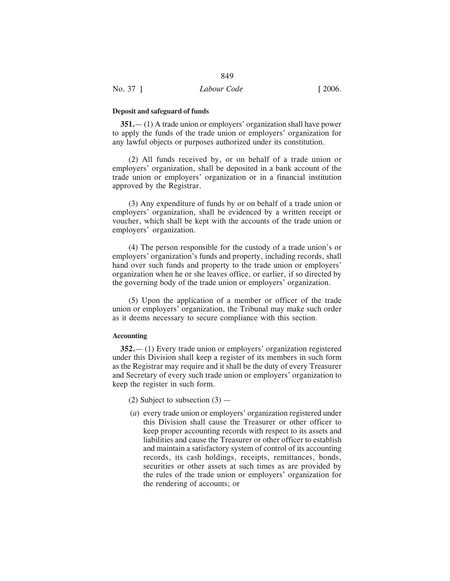#### **Deposit and safeguard of funds**

**351.**— (1) A trade union or employers' organization shall have power to apply the funds of the trade union or employers' organization for any lawful objects or purposes authorized under its constitution.

849

(2) All funds received by, or on behalf of a trade union or employers' organization, shall be deposited in a bank account of the trade union or employers' organization or in a financial institution approved by the Registrar.

(3) Any expenditure of funds by or on behalf of a trade union or employers' organization, shall be evidenced by a written receipt or voucher, which shall be kept with the accounts of the trade union or employers' organization.

(4) The person responsible for the custody of a trade union's or employers' organization's funds and property, including records, shall hand over such funds and property to the trade union or employers' organization when he or she leaves office, or earlier, if so directed by the governing body of the trade union or employers' organization.

(5) Upon the application of a member or officer of the trade union or employers' organization, the Tribunal may make such order as it deems necessary to secure compliance with this section.

#### **Accounting**

**352.**— (1) Every trade union or employers' organization registered under this Division shall keep a register of its members in such form as the Registrar may require and it shall be the duty of every Treasurer and Secretary of every such trade union or employers' organization to keep the register in such form.

- (2) Subject to subsection  $(3)$  —
- (*a*) every trade union or employers' organization registered under this Division shall cause the Treasurer or other officer to keep proper accounting records with respect to its assets and liabilities and cause the Treasurer or other officer to establish and maintain a satisfactory system of control of its accounting records, its cash holdings, receipts, remittances, bonds, securities or other assets at such times as are provided by the rules of the trade union or employers' organization for the rendering of accounts; or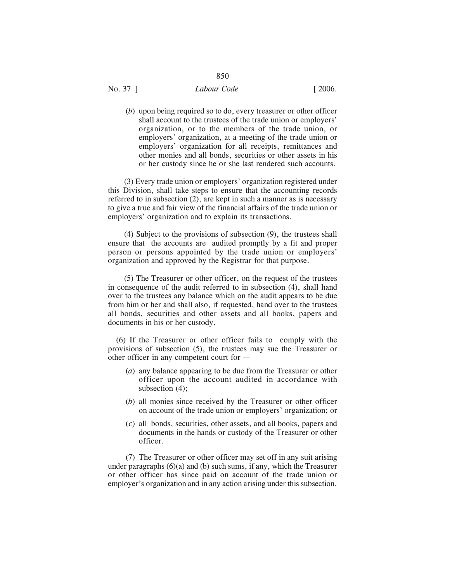# No. 37 ] *Labour Code* [ 2006.

(*b*) upon being required so to do, every treasurer or other officer shall account to the trustees of the trade union or employers' organization, or to the members of the trade union, or employers' organization, at a meeting of the trade union or employers' organization for all receipts, remittances and other monies and all bonds, securities or other assets in his or her custody since he or she last rendered such accounts.

(3) Every trade union or employers' organization registered under this Division, shall take steps to ensure that the accounting records referred to in subsection (2), are kept in such a manner as is necessary to give a true and fair view of the financial affairs of the trade union or employers' organization and to explain its transactions.

(4) Subject to the provisions of subsection (9), the trustees shall ensure that the accounts are audited promptly by a fit and proper person or persons appointed by the trade union or employers' organization and approved by the Registrar for that purpose.

(5) The Treasurer or other officer, on the request of the trustees in consequence of the audit referred to in subsection (4), shall hand over to the trustees any balance which on the audit appears to be due from him or her and shall also, if requested, hand over to the trustees all bonds, securities and other assets and all books, papers and documents in his or her custody.

(6) If the Treasurer or other officer fails to comply with the provisions of subsection (5), the trustees may sue the Treasurer or other officer in any competent court for —

- (*a*) any balance appearing to be due from the Treasurer or other officer upon the account audited in accordance with subsection (4);
- (*b*) all monies since received by the Treasurer or other officer on account of the trade union or employers' organization; or
- (*c*) all bonds, securities, other assets, and all books, papers and documents in the hands or custody of the Treasurer or other officer.

(7) The Treasurer or other officer may set off in any suit arising under paragraphs (6)(a) and (b) such sums, if any, which the Treasurer or other officer has since paid on account of the trade union or employer's organization and in any action arising under this subsection,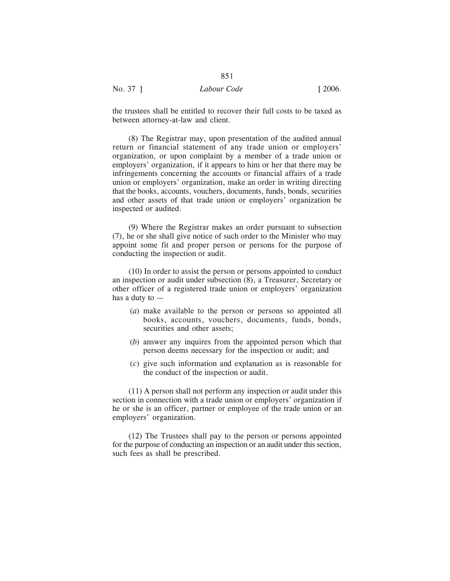the trustees shall be entitled to recover their full costs to be taxed as between attorney-at-law and client.

851

(8) The Registrar may, upon presentation of the audited annual return or financial statement of any trade union or employers' organization, or upon complaint by a member of a trade union or employers' organization, if it appears to him or her that there may be infringements concerning the accounts or financial affairs of a trade union or employers' organization, make an order in writing directing that the books, accounts, vouchers, documents, funds, bonds, securities and other assets of that trade union or employers' organization be inspected or audited.

(9) Where the Registrar makes an order pursuant to subsection (7), he or she shall give notice of such order to the Minister who may appoint some fit and proper person or persons for the purpose of conducting the inspection or audit.

(10) In order to assist the person or persons appointed to conduct an inspection or audit under subsection (8), a Treasurer, Secretary or other officer of a registered trade union or employers' organization has a duty to —

- (*a*) make available to the person or persons so appointed all books, accounts, vouchers, documents, funds, bonds, securities and other assets;
- (*b*) answer any inquires from the appointed person which that person deems necessary for the inspection or audit; and
- (*c*) give such information and explanation as is reasonable for the conduct of the inspection or audit.

(11) A person shall not perform any inspection or audit under this section in connection with a trade union or employers' organization if he or she is an officer, partner or employee of the trade union or an employers' organization.

(12) The Trustees shall pay to the person or persons appointed for the purpose of conducting an inspection or an audit under this section, such fees as shall be prescribed.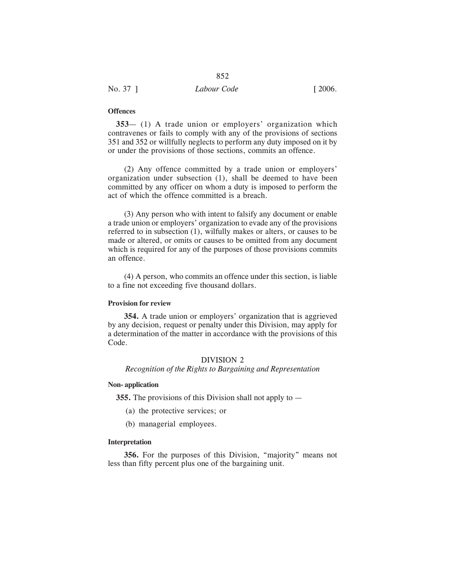# **Offences**

**353**— (1) A trade union or employers' organization which contravenes or fails to comply with any of the provisions of sections 351 and 352 or willfully neglects to perform any duty imposed on it by or under the provisions of those sections, commits an offence.

(2) Any offence committed by a trade union or employers' organization under subsection (1), shall be deemed to have been committed by any officer on whom a duty is imposed to perform the act of which the offence committed is a breach.

(3) Any person who with intent to falsify any document or enable a trade union or employers' organization to evade any of the provisions referred to in subsection (1), wilfully makes or alters, or causes to be made or altered, or omits or causes to be omitted from any document which is required for any of the purposes of those provisions commits an offence.

(4) A person, who commits an offence under this section, is liable to a fine not exceeding five thousand dollars.

#### **Provision for review**

**354.** A trade union or employers' organization that is aggrieved by any decision, request or penalty under this Division, may apply for a determination of the matter in accordance with the provisions of this Code.

### DIVISION 2

*Recognition of the Rights to Bargaining and Representation*

#### **Non- application**

**355.** The provisions of this Division shall not apply to —

- (a) the protective services; or
- (b) managerial employees.

### **Interpretation**

**356.** For the purposes of this Division, "majority" means not less than fifty percent plus one of the bargaining unit.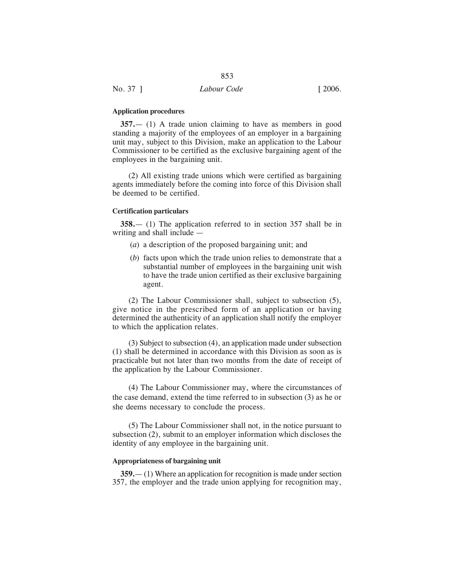#### **Application procedures**

**357.**— (1) A trade union claiming to have as members in good standing a majority of the employees of an employer in a bargaining unit may, subject to this Division, make an application to the Labour Commissioner to be certified as the exclusive bargaining agent of the employees in the bargaining unit.

(2) All existing trade unions which were certified as bargaining agents immediately before the coming into force of this Division shall be deemed to be certified.

#### **Certification particulars**

**358.**— (1) The application referred to in section 357 shall be in writing and shall include —

- (*a*) a description of the proposed bargaining unit; and
- (*b*) facts upon which the trade union relies to demonstrate that a substantial number of employees in the bargaining unit wish to have the trade union certified as their exclusive bargaining agent.

(2) The Labour Commissioner shall, subject to subsection (5), give notice in the prescribed form of an application or having determined the authenticity of an application shall notify the employer to which the application relates.

(3) Subject to subsection (4), an application made under subsection (1) shall be determined in accordance with this Division as soon as is practicable but not later than two months from the date of receipt of the application by the Labour Commissioner.

(4) The Labour Commissioner may, where the circumstances of the case demand, extend the time referred to in subsection (3) as he or she deems necessary to conclude the process.

(5) The Labour Commissioner shall not, in the notice pursuant to subsection (2), submit to an employer information which discloses the identity of any employee in the bargaining unit.

#### **Appropriateness of bargaining unit**

**359.**— (1) Where an application for recognition is made under section 357, the employer and the trade union applying for recognition may,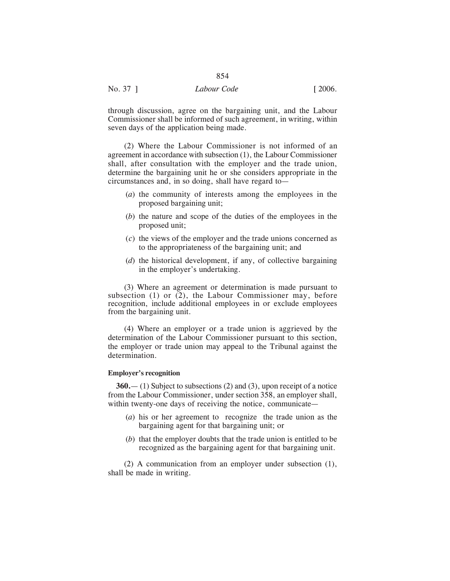| No. 37 ] | Labour Code | $\lceil 2006. \rceil$ |
|----------|-------------|-----------------------|
|          |             |                       |

through discussion, agree on the bargaining unit, and the Labour Commissioner shall be informed of such agreement, in writing, within seven days of the application being made.

(2) Where the Labour Commissioner is not informed of an agreement in accordance with subsection (1), the Labour Commissioner shall, after consultation with the employer and the trade union, determine the bargaining unit he or she considers appropriate in the circumstances and, in so doing, shall have regard to—

- (*a*) the community of interests among the employees in the proposed bargaining unit;
- (*b*) the nature and scope of the duties of the employees in the proposed unit;
- (*c*) the views of the employer and the trade unions concerned as to the appropriateness of the bargaining unit; and
- (*d*) the historical development, if any, of collective bargaining in the employer's undertaking.

(3) Where an agreement or determination is made pursuant to subsection (1) or (2), the Labour Commissioner may, before recognition, include additional employees in or exclude employees from the bargaining unit.

(4) Where an employer or a trade union is aggrieved by the determination of the Labour Commissioner pursuant to this section, the employer or trade union may appeal to the Tribunal against the determination.

#### **Employer's recognition**

**360.**— (1) Subject to subsections (2) and (3), upon receipt of a notice from the Labour Commissioner, under section 358, an employer shall, within twenty-one days of receiving the notice, communicate—

- (*a*) his or her agreement to recognize the trade union as the bargaining agent for that bargaining unit; or
- (*b*) that the employer doubts that the trade union is entitled to be recognized as the bargaining agent for that bargaining unit.

(2) A communication from an employer under subsection (1), shall be made in writing.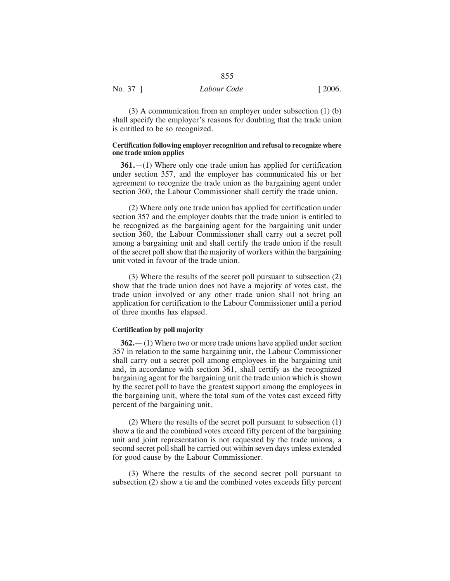(3) A communication from an employer under subsection (1) (b) shall specify the employer's reasons for doubting that the trade union is entitled to be so recognized.

### **Certification following employer recognition and refusal to recognize where one trade union applies**

**361.**—(1) Where only one trade union has applied for certification under section 357, and the employer has communicated his or her agreement to recognize the trade union as the bargaining agent under section 360, the Labour Commissioner shall certify the trade union.

(2) Where only one trade union has applied for certification under section 357 and the employer doubts that the trade union is entitled to be recognized as the bargaining agent for the bargaining unit under section 360, the Labour Commissioner shall carry out a secret poll among a bargaining unit and shall certify the trade union if the result of the secret poll show that the majority of workers within the bargaining unit voted in favour of the trade union.

(3) Where the results of the secret poll pursuant to subsection (2) show that the trade union does not have a majority of votes cast, the trade union involved or any other trade union shall not bring an application for certification to the Labour Commissioner until a period of three months has elapsed.

#### **Certification by poll majority**

**362.**— (1) Where two or more trade unions have applied under section 357 in relation to the same bargaining unit, the Labour Commissioner shall carry out a secret poll among employees in the bargaining unit and, in accordance with section 361, shall certify as the recognized bargaining agent for the bargaining unit the trade union which is shown by the secret poll to have the greatest support among the employees in the bargaining unit, where the total sum of the votes cast exceed fifty percent of the bargaining unit.

(2) Where the results of the secret poll pursuant to subsection (1) show a tie and the combined votes exceed fifty percent of the bargaining unit and joint representation is not requested by the trade unions, a second secret poll shall be carried out within seven days unless extended for good cause by the Labour Commissioner.

(3) Where the results of the second secret poll pursuant to subsection (2) show a tie and the combined votes exceeds fifty percent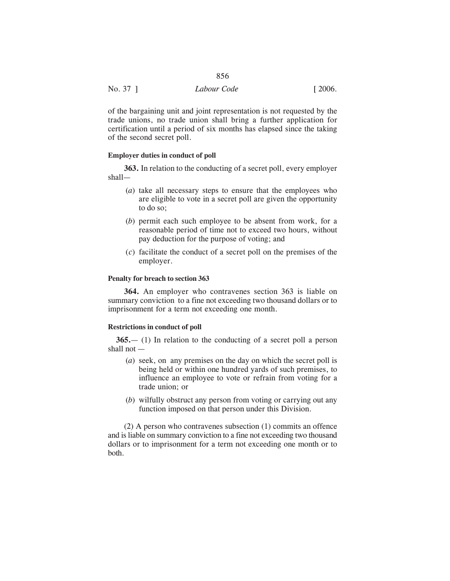| No. 37 1 | Labour Code | $\lceil 2006. \rceil$ |
|----------|-------------|-----------------------|

of the bargaining unit and joint representation is not requested by the trade unions, no trade union shall bring a further application for certification until a period of six months has elapsed since the taking of the second secret poll.

#### **Employer duties in conduct of poll**

**363.** In relation to the conducting of a secret poll, every employer shall—

- (*a*) take all necessary steps to ensure that the employees who are eligible to vote in a secret poll are given the opportunity to do so;
- (*b*) permit each such employee to be absent from work, for a reasonable period of time not to exceed two hours, without pay deduction for the purpose of voting; and
- (*c*) facilitate the conduct of a secret poll on the premises of the employer.

# **Penalty for breach to section 363**

**364.** An employer who contravenes section 363 is liable on summary conviction to a fine not exceeding two thousand dollars or to imprisonment for a term not exceeding one month.

#### **Restrictions in conduct of poll**

**365.**— (1) In relation to the conducting of a secret poll a person shall not —

- (*a*) seek, on any premises on the day on which the secret poll is being held or within one hundred yards of such premises, to influence an employee to vote or refrain from voting for a trade union; or
- (*b*) wilfully obstruct any person from voting or carrying out any function imposed on that person under this Division.

(2) A person who contravenes subsection (1) commits an offence and is liable on summary conviction to a fine not exceeding two thousand dollars or to imprisonment for a term not exceeding one month or to both.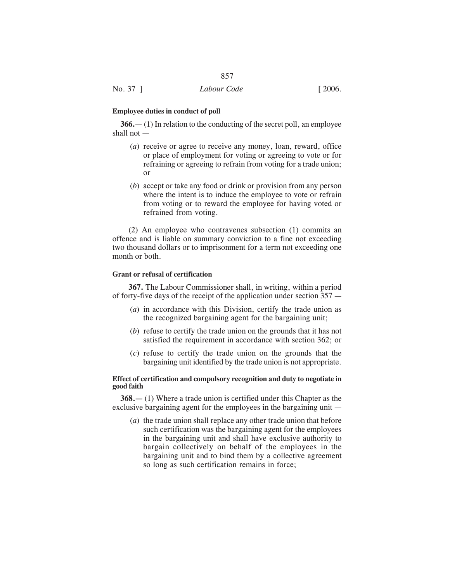# **Employee duties in conduct of poll**

**366.**— (1) In relation to the conducting of the secret poll, an employee shall not —

- (*a*) receive or agree to receive any money, loan, reward, office or place of employment for voting or agreeing to vote or for refraining or agreeing to refrain from voting for a trade union; or
- (*b*) accept or take any food or drink or provision from any person where the intent is to induce the employee to vote or refrain from voting or to reward the employee for having voted or refrained from voting.

(2) An employee who contravenes subsection (1) commits an offence and is liable on summary conviction to a fine not exceeding two thousand dollars or to imprisonment for a term not exceeding one month or both.

# **Grant or refusal of certification**

**367.** The Labour Commissioner shall, in writing, within a period of forty-five days of the receipt of the application under section 357 —

- (*a*) in accordance with this Division, certify the trade union as the recognized bargaining agent for the bargaining unit;
- (*b*) refuse to certify the trade union on the grounds that it has not satisfied the requirement in accordance with section 362; or
- (*c*) refuse to certify the trade union on the grounds that the bargaining unit identified by the trade union is not appropriate.

## **Effect of certification and compulsory recognition and duty to negotiate in good faith**

**368.—** (1) Where a trade union is certified under this Chapter as the exclusive bargaining agent for the employees in the bargaining unit —

(*a*) the trade union shall replace any other trade union that before such certification was the bargaining agent for the employees in the bargaining unit and shall have exclusive authority to bargain collectively on behalf of the employees in the bargaining unit and to bind them by a collective agreement so long as such certification remains in force;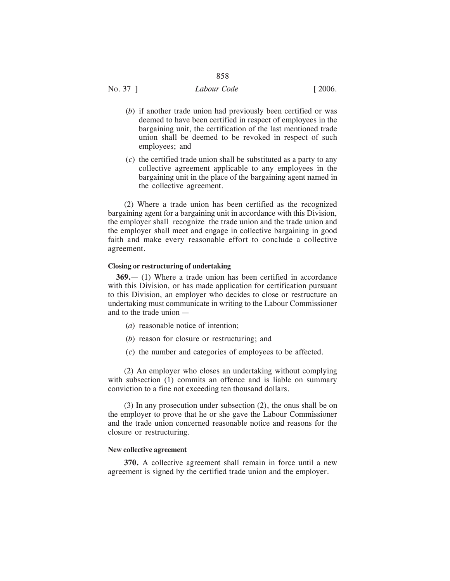# No. 37 ] *Labour Code* [ 2006.

- (*b*) if another trade union had previously been certified or was deemed to have been certified in respect of employees in the bargaining unit, the certification of the last mentioned trade union shall be deemed to be revoked in respect of such employees; and
- (*c*) the certified trade union shall be substituted as a party to any collective agreement applicable to any employees in the bargaining unit in the place of the bargaining agent named in the collective agreement.

(2) Where a trade union has been certified as the recognized bargaining agent for a bargaining unit in accordance with this Division, the employer shall recognize the trade union and the trade union and the employer shall meet and engage in collective bargaining in good faith and make every reasonable effort to conclude a collective agreement.

# **Closing or restructuring of undertaking**

**369.**— (1) Where a trade union has been certified in accordance with this Division, or has made application for certification pursuant to this Division, an employer who decides to close or restructure an undertaking must communicate in writing to the Labour Commissioner and to the trade union —

- (*a*) reasonable notice of intention;
- (*b*) reason for closure or restructuring; and
- (*c*) the number and categories of employees to be affected.

(2) An employer who closes an undertaking without complying with subsection (1) commits an offence and is liable on summary conviction to a fine not exceeding ten thousand dollars.

(3) In any prosecution under subsection (2), the onus shall be on the employer to prove that he or she gave the Labour Commissioner and the trade union concerned reasonable notice and reasons for the closure or restructuring.

#### **New collective agreement**

**370.** A collective agreement shall remain in force until a new agreement is signed by the certified trade union and the employer.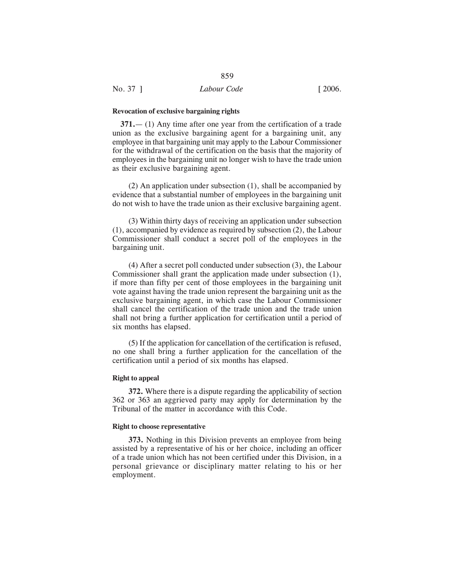#### **Revocation of exclusive bargaining rights**

**371.**— (1) Any time after one year from the certification of a trade union as the exclusive bargaining agent for a bargaining unit, any employee in that bargaining unit may apply to the Labour Commissioner for the withdrawal of the certification on the basis that the majority of employees in the bargaining unit no longer wish to have the trade union as their exclusive bargaining agent.

859

(2) An application under subsection (1), shall be accompanied by evidence that a substantial number of employees in the bargaining unit do not wish to have the trade union as their exclusive bargaining agent.

(3) Within thirty days of receiving an application under subsection (1), accompanied by evidence as required by subsection (2), the Labour Commissioner shall conduct a secret poll of the employees in the bargaining unit.

(4) After a secret poll conducted under subsection (3), the Labour Commissioner shall grant the application made under subsection (1), if more than fifty per cent of those employees in the bargaining unit vote against having the trade union represent the bargaining unit as the exclusive bargaining agent, in which case the Labour Commissioner shall cancel the certification of the trade union and the trade union shall not bring a further application for certification until a period of six months has elapsed.

(5) If the application for cancellation of the certification is refused, no one shall bring a further application for the cancellation of the certification until a period of six months has elapsed.

#### **Right to appeal**

**372.** Where there is a dispute regarding the applicability of section 362 or 363 an aggrieved party may apply for determination by the Tribunal of the matter in accordance with this Code.

#### **Right to choose representative**

**373.** Nothing in this Division prevents an employee from being assisted by a representative of his or her choice, including an officer of a trade union which has not been certified under this Division, in a personal grievance or disciplinary matter relating to his or her employment.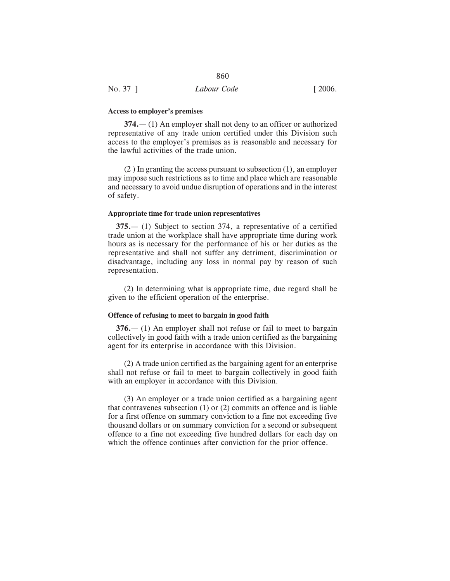#### **Access to employer's premises**

**374.**— (1) An employer shall not deny to an officer or authorized representative of any trade union certified under this Division such access to the employer's premises as is reasonable and necessary for the lawful activities of the trade union.

(2 ) In granting the access pursuant to subsection (1), an employer may impose such restrictions as to time and place which are reasonable and necessary to avoid undue disruption of operations and in the interest of safety.

# **Appropriate time for trade union representatives**

**375.**— (1) Subject to section 374, a representative of a certified trade union at the workplace shall have appropriate time during work hours as is necessary for the performance of his or her duties as the representative and shall not suffer any detriment, discrimination or disadvantage, including any loss in normal pay by reason of such representation.

(2) In determining what is appropriate time, due regard shall be given to the efficient operation of the enterprise.

#### **Offence of refusing to meet to bargain in good faith**

**376.**— (1) An employer shall not refuse or fail to meet to bargain collectively in good faith with a trade union certified as the bargaining agent for its enterprise in accordance with this Division.

(2) A trade union certified as the bargaining agent for an enterprise shall not refuse or fail to meet to bargain collectively in good faith with an employer in accordance with this Division.

(3) An employer or a trade union certified as a bargaining agent that contravenes subsection (1) or (2) commits an offence and is liable for a first offence on summary conviction to a fine not exceeding five thousand dollars or on summary conviction for a second or subsequent offence to a fine not exceeding five hundred dollars for each day on which the offence continues after conviction for the prior offence.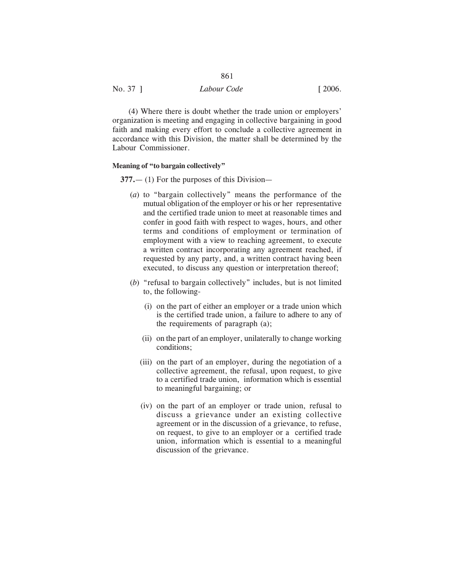| .                                                |  |
|--------------------------------------------------|--|
| No. 37 ]<br>$\lceil 2006. \rceil$<br>Labour Code |  |

(4) Where there is doubt whether the trade union or employers' organization is meeting and engaging in collective bargaining in good faith and making every effort to conclude a collective agreement in accordance with this Division, the matter shall be determined by the Labour Commissioner.

# **Meaning of "to bargain collectively"**

**377.**— (1) For the purposes of this Division—

- (*a*) to "bargain collectively" means the performance of the mutual obligation of the employer or his or her representative and the certified trade union to meet at reasonable times and confer in good faith with respect to wages, hours, and other terms and conditions of employment or termination of employment with a view to reaching agreement, to execute a written contract incorporating any agreement reached, if requested by any party, and, a written contract having been executed, to discuss any question or interpretation thereof;
- (*b*) "refusal to bargain collectively" includes, but is not limited to, the following-
	- (i) on the part of either an employer or a trade union which is the certified trade union, a failure to adhere to any of the requirements of paragraph (a);
	- (ii) on the part of an employer, unilaterally to change working conditions;
	- (iii) on the part of an employer, during the negotiation of a collective agreement, the refusal, upon request, to give to a certified trade union, information which is essential to meaningful bargaining; or
	- (iv) on the part of an employer or trade union, refusal to discuss a grievance under an existing collective agreement or in the discussion of a grievance, to refuse, on request, to give to an employer or a certified trade union, information which is essential to a meaningful discussion of the grievance.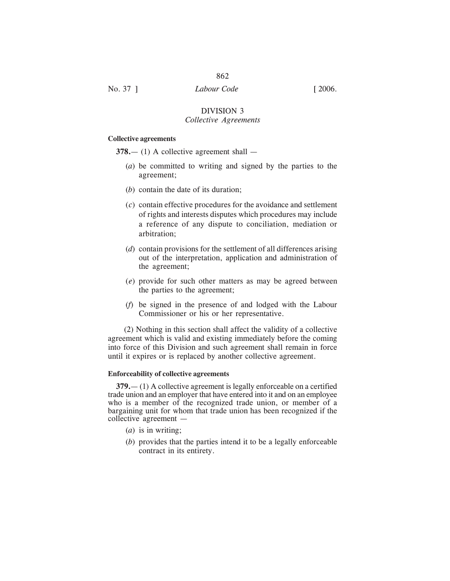862

# DIVISION 3 *Collective Agreements*

### **Collective agreements**

**378.**— (1) A collective agreement shall —

- (*a*) be committed to writing and signed by the parties to the agreement;
- (*b*) contain the date of its duration;
- (*c*) contain effective procedures for the avoidance and settlement of rights and interests disputes which procedures may include a reference of any dispute to conciliation, mediation or arbitration;
- (*d*) contain provisions for the settlement of all differences arising out of the interpretation, application and administration of the agreement;
- (*e*) provide for such other matters as may be agreed between the parties to the agreement;
- (*f*) be signed in the presence of and lodged with the Labour Commissioner or his or her representative.

(2) Nothing in this section shall affect the validity of a collective agreement which is valid and existing immediately before the coming into force of this Division and such agreement shall remain in force until it expires or is replaced by another collective agreement.

#### **Enforceability of collective agreements**

**379.**— (1) A collective agreement is legally enforceable on a certified trade union and an employer that have entered into it and on an employee who is a member of the recognized trade union, or member of a bargaining unit for whom that trade union has been recognized if the collective agreement —

- (*a*) is in writing;
- (*b*) provides that the parties intend it to be a legally enforceable contract in its entirety.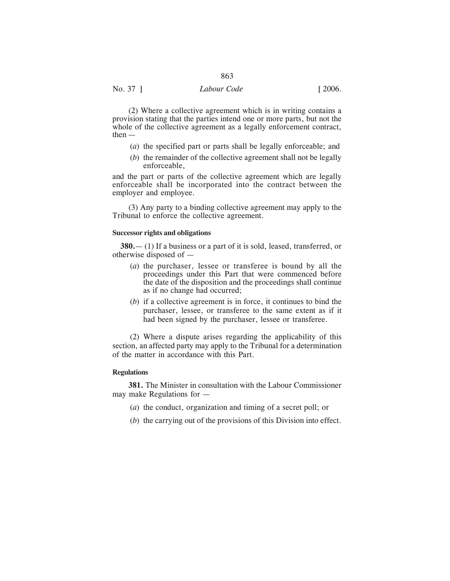(2) Where a collective agreement which is in writing contains a provision stating that the parties intend one or more parts, but not the whole of the collective agreement as a legally enforcement contract,  $then$  —

- (*a*) the specified part or parts shall be legally enforceable; and
- (*b*) the remainder of the collective agreement shall not be legally enforceable,

and the part or parts of the collective agreement which are legally enforceable shall be incorporated into the contract between the employer and employee.

(3) Any party to a binding collective agreement may apply to the Tribunal to enforce the collective agreement.

#### **Successor rights and obligations**

**380.**— (1) If a business or a part of it is sold, leased, transferred, or otherwise disposed of —

- (*a*) the purchaser, lessee or transferee is bound by all the proceedings under this Part that were commenced before the date of the disposition and the proceedings shall continue as if no change had occurred;
- (*b*) if a collective agreement is in force, it continues to bind the purchaser, lessee, or transferee to the same extent as if it had been signed by the purchaser, lessee or transferee.

(2) Where a dispute arises regarding the applicability of this section, an affected party may apply to the Tribunal for a determination of the matter in accordance with this Part.

# **Regulations**

**381.** The Minister in consultation with the Labour Commissioner may make Regulations for —

- (*a*) the conduct, organization and timing of a secret poll; or
- (*b*) the carrying out of the provisions of this Division into effect.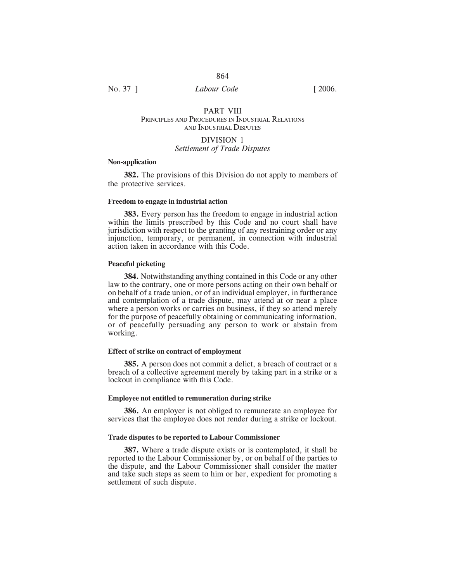# PART VIII PRINCIPLES AND PROCEDURES IN INDUSTRIAL RELATIONS AND INDUSTRIAL DISPUTES

#### DIVISION 1

# *Settlement of Trade Disputes*

#### **Non-application**

**382.** The provisions of this Division do not apply to members of the protective services.

## **Freedom to engage in industrial action**

**383.** Every person has the freedom to engage in industrial action within the limits prescribed by this Code and no court shall have jurisdiction with respect to the granting of any restraining order or any injunction, temporary, or permanent, in connection with industrial action taken in accordance with this Code.

#### **Peaceful picketing**

**384.** Notwithstanding anything contained in this Code or any other law to the contrary, one or more persons acting on their own behalf or on behalf of a trade union, or of an individual employer, in furtherance and contemplation of a trade dispute, may attend at or near a place where a person works or carries on business, if they so attend merely for the purpose of peacefully obtaining or communicating information, or of peacefully persuading any person to work or abstain from working.

# **Effect of strike on contract of employment**

**385.** A person does not commit a delict, a breach of contract or a breach of a collective agreement merely by taking part in a strike or a lockout in compliance with this Code.

#### **Employee not entitled to remuneration during strike**

**386.** An employer is not obliged to remunerate an employee for services that the employee does not render during a strike or lockout.

#### **Trade disputes to be reported to Labour Commissioner**

**387.** Where a trade dispute exists or is contemplated, it shall be reported to the Labour Commissioner by, or on behalf of the parties to the dispute, and the Labour Commissioner shall consider the matter and take such steps as seem to him or her, expedient for promoting a settlement of such dispute.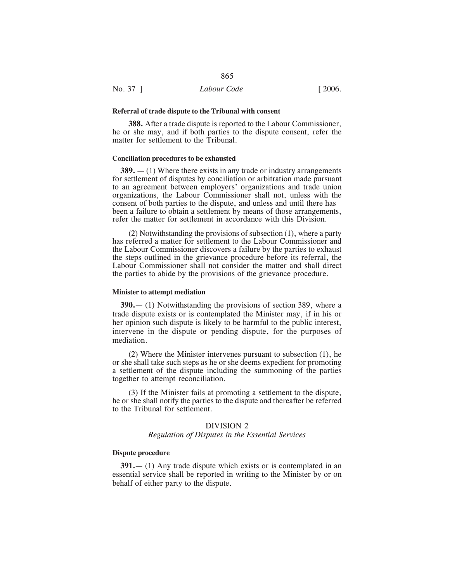#### **Referral of trade dispute to the Tribunal with consent**

**388.** After a trade dispute is reported to the Labour Commissioner, he or she may, and if both parties to the dispute consent, refer the matter for settlement to the Tribunal.

#### **Conciliation procedures to be exhausted**

**389.** — (1) Where there exists in any trade or industry arrangements for settlement of disputes by conciliation or arbitration made pursuant to an agreement between employers' organizations and trade union organizations, the Labour Commissioner shall not, unless with the consent of both parties to the dispute, and unless and until there has been a failure to obtain a settlement by means of those arrangements, refer the matter for settlement in accordance with this Division.

(2) Notwithstanding the provisions of subsection (1), where a party has referred a matter for settlement to the Labour Commissioner and the Labour Commissioner discovers a failure by the parties to exhaust the steps outlined in the grievance procedure before its referral, the Labour Commissioner shall not consider the matter and shall direct the parties to abide by the provisions of the grievance procedure.

#### **Minister to attempt mediation**

**390.**— (1) Notwithstanding the provisions of section 389, where a trade dispute exists or is contemplated the Minister may, if in his or her opinion such dispute is likely to be harmful to the public interest, intervene in the dispute or pending dispute, for the purposes of mediation.

(2) Where the Minister intervenes pursuant to subsection (1), he or she shall take such steps as he or she deems expedient for promoting a settlement of the dispute including the summoning of the parties together to attempt reconciliation.

(3) If the Minister fails at promoting a settlement to the dispute, he or she shall notify the parties to the dispute and thereafter be referred to the Tribunal for settlement.

#### DIVISION 2

#### *Regulation of Disputes in the Essential Services*

#### **Dispute procedure**

**391.**— (1) Any trade dispute which exists or is contemplated in an essential service shall be reported in writing to the Minister by or on behalf of either party to the dispute.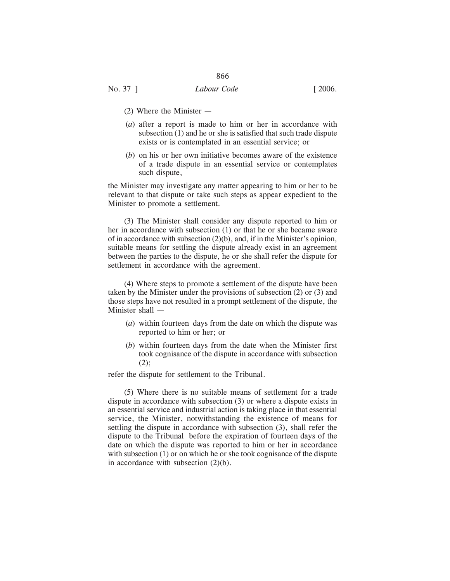- (2) Where the Minister —
- (*a*) after a report is made to him or her in accordance with subsection (1) and he or she is satisfied that such trade dispute exists or is contemplated in an essential service; or
- (*b*) on his or her own initiative becomes aware of the existence of a trade dispute in an essential service or contemplates such dispute,

the Minister may investigate any matter appearing to him or her to be relevant to that dispute or take such steps as appear expedient to the Minister to promote a settlement.

(3) The Minister shall consider any dispute reported to him or her in accordance with subsection (1) or that he or she became aware of in accordance with subsection (2)(b), and, if in the Minister's opinion, suitable means for settling the dispute already exist in an agreement between the parties to the dispute, he or she shall refer the dispute for settlement in accordance with the agreement.

(4) Where steps to promote a settlement of the dispute have been taken by the Minister under the provisions of subsection (2) or (3) and those steps have not resulted in a prompt settlement of the dispute, the Minister shall —

- (*a*) within fourteen days from the date on which the dispute was reported to him or her; or
- (*b*) within fourteen days from the date when the Minister first took cognisance of the dispute in accordance with subsection  $(2)$ ;

refer the dispute for settlement to the Tribunal.

(5) Where there is no suitable means of settlement for a trade dispute in accordance with subsection (3) or where a dispute exists in an essential service and industrial action is taking place in that essential service, the Minister, notwithstanding the existence of means for settling the dispute in accordance with subsection (3), shall refer the dispute to the Tribunal before the expiration of fourteen days of the date on which the dispute was reported to him or her in accordance with subsection (1) or on which he or she took cognisance of the dispute in accordance with subsection (2)(b).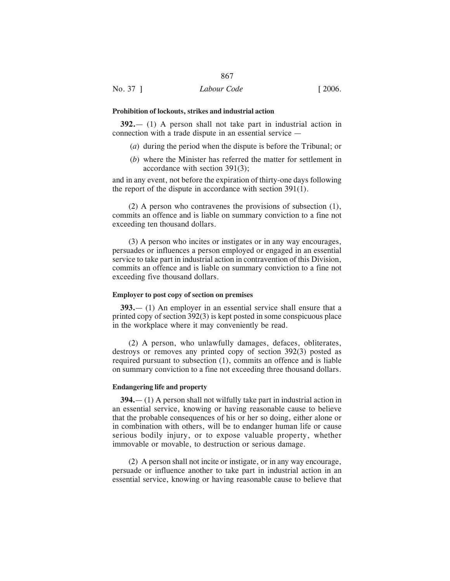#### **Prohibition of lockouts, strikes and industrial action**

**392.**— (1) A person shall not take part in industrial action in connection with a trade dispute in an essential service —

- (*a*) during the period when the dispute is before the Tribunal; or
- (*b*) where the Minister has referred the matter for settlement in accordance with section 391(3);

and in any event, not before the expiration of thirty-one days following the report of the dispute in accordance with section 391(1).

(2) A person who contravenes the provisions of subsection (1), commits an offence and is liable on summary conviction to a fine not exceeding ten thousand dollars.

(3) A person who incites or instigates or in any way encourages, persuades or influences a person employed or engaged in an essential service to take part in industrial action in contravention of this Division, commits an offence and is liable on summary conviction to a fine not exceeding five thousand dollars.

# **Employer to post copy of section on premises**

**393.**— (1) An employer in an essential service shall ensure that a printed copy of section 392(3) is kept posted in some conspicuous place in the workplace where it may conveniently be read.

(2) A person, who unlawfully damages, defaces, obliterates, destroys or removes any printed copy of section 392(3) posted as required pursuant to subsection (1), commits an offence and is liable on summary conviction to a fine not exceeding three thousand dollars.

#### **Endangering life and property**

**394.**— (1) A person shall not wilfully take part in industrial action in an essential service, knowing or having reasonable cause to believe that the probable consequences of his or her so doing, either alone or in combination with others, will be to endanger human life or cause serious bodily injury, or to expose valuable property, whether immovable or movable, to destruction or serious damage.

(2) A person shall not incite or instigate, or in any way encourage, persuade or influence another to take part in industrial action in an essential service, knowing or having reasonable cause to believe that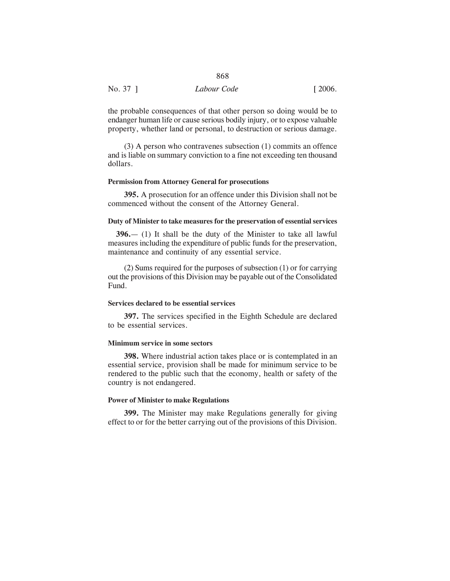| No. 37 ] | Labour Code | $\lceil 2006. \rceil$ |
|----------|-------------|-----------------------|

the probable consequences of that other person so doing would be to endanger human life or cause serious bodily injury, or to expose valuable property, whether land or personal, to destruction or serious damage.

(3) A person who contravenes subsection (1) commits an offence and is liable on summary conviction to a fine not exceeding ten thousand dollars.

#### **Permission from Attorney General for prosecutions**

**395.** A prosecution for an offence under this Division shall not be commenced without the consent of the Attorney General.

# **Duty of Minister to take measures for the preservation of essential services**

**396.**— (1) It shall be the duty of the Minister to take all lawful measures including the expenditure of public funds for the preservation, maintenance and continuity of any essential service.

(2) Sums required for the purposes of subsection (1) or for carrying out the provisions of this Division may be payable out of the Consolidated Fund.

# **Services declared to be essential services**

**397.** The services specified in the Eighth Schedule are declared to be essential services.

# **Minimum service in some sectors**

**398.** Where industrial action takes place or is contemplated in an essential service, provision shall be made for minimum service to be rendered to the public such that the economy, health or safety of the country is not endangered.

#### **Power of Minister to make Regulations**

**399.** The Minister may make Regulations generally for giving effect to or for the better carrying out of the provisions of this Division.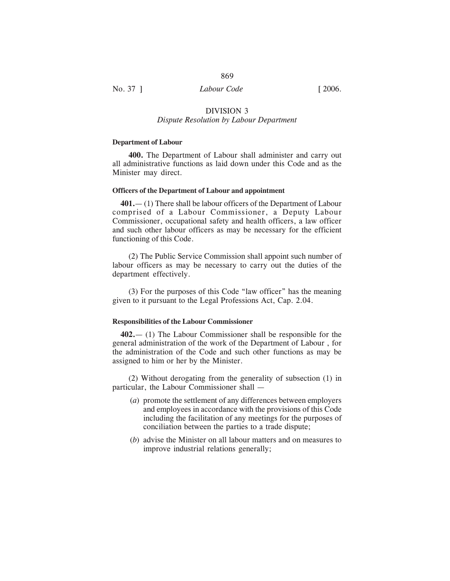## No. 37 ] *Labour Code* [ 2006.

## DIVISION 3 *Dispute Resolution by Labour Department*

#### **Department of Labour**

**400.** The Department of Labour shall administer and carry out all administrative functions as laid down under this Code and as the Minister may direct.

#### **Officers of the Department of Labour and appointment**

**401.**— (1) There shall be labour officers of the Department of Labour comprised of a Labour Commissioner, a Deputy Labour Commissioner, occupational safety and health officers, a law officer and such other labour officers as may be necessary for the efficient functioning of this Code.

(2) The Public Service Commission shall appoint such number of labour officers as may be necessary to carry out the duties of the department effectively.

(3) For the purposes of this Code "law officer" has the meaning given to it pursuant to the Legal Professions Act, Cap. 2.04.

#### **Responsibilities of the Labour Commissioner**

**402.**— (1) The Labour Commissioner shall be responsible for the general administration of the work of the Department of Labour , for the administration of the Code and such other functions as may be assigned to him or her by the Minister.

(2) Without derogating from the generality of subsection (1) in particular, the Labour Commissioner shall —

- (*a*) promote the settlement of any differences between employers and employees in accordance with the provisions of this Code including the facilitation of any meetings for the purposes of conciliation between the parties to a trade dispute;
- (*b*) advise the Minister on all labour matters and on measures to improve industrial relations generally;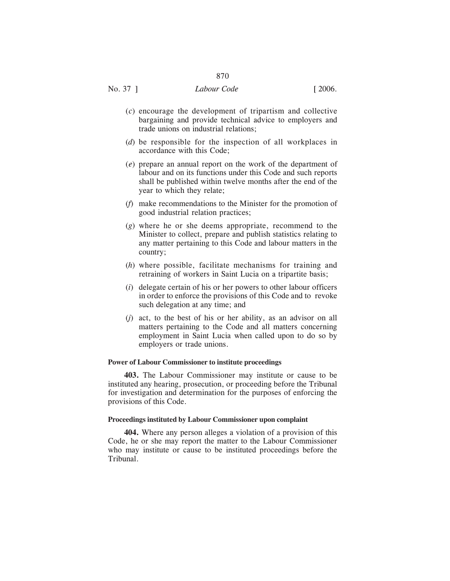- (*c*) encourage the development of tripartism and collective bargaining and provide technical advice to employers and trade unions on industrial relations;
- (*d*) be responsible for the inspection of all workplaces in accordance with this Code;
- (*e*) prepare an annual report on the work of the department of labour and on its functions under this Code and such reports shall be published within twelve months after the end of the year to which they relate;
- (*f*) make recommendations to the Minister for the promotion of good industrial relation practices;
- (*g*) where he or she deems appropriate, recommend to the Minister to collect, prepare and publish statistics relating to any matter pertaining to this Code and labour matters in the country;
- (*h*) where possible, facilitate mechanisms for training and retraining of workers in Saint Lucia on a tripartite basis;
- (*i*) delegate certain of his or her powers to other labour officers in order to enforce the provisions of this Code and to revoke such delegation at any time; and
- (*j*) act, to the best of his or her ability, as an advisor on all matters pertaining to the Code and all matters concerning employment in Saint Lucia when called upon to do so by employers or trade unions.

## **Power of Labour Commissioner to institute proceedings**

**403.** The Labour Commissioner may institute or cause to be instituted any hearing, prosecution, or proceeding before the Tribunal for investigation and determination for the purposes of enforcing the provisions of this Code.

## **Proceedings instituted by Labour Commissioner upon complaint**

**404.** Where any person alleges a violation of a provision of this Code, he or she may report the matter to the Labour Commissioner who may institute or cause to be instituted proceedings before the Tribunal.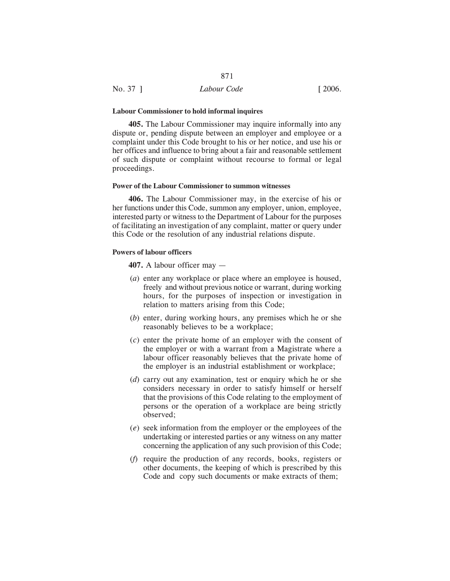| No. 37 ] | Labour Code | [2006] |
|----------|-------------|--------|

#### **Labour Commissioner to hold informal inquires**

**405.** The Labour Commissioner may inquire informally into any dispute or, pending dispute between an employer and employee or a complaint under this Code brought to his or her notice, and use his or her offices and influence to bring about a fair and reasonable settlement of such dispute or complaint without recourse to formal or legal proceedings.

## **Power of the Labour Commissioner to summon witnesses**

**406.** The Labour Commissioner may, in the exercise of his or her functions under this Code, summon any employer, union, employee, interested party or witness to the Department of Labour for the purposes of facilitating an investigation of any complaint, matter or query under this Code or the resolution of any industrial relations dispute.

#### **Powers of labour officers**

**407.** A labour officer may —

- (*a*) enter any workplace or place where an employee is housed, freely and without previous notice or warrant, during working hours, for the purposes of inspection or investigation in relation to matters arising from this Code;
- (*b*) enter, during working hours, any premises which he or she reasonably believes to be a workplace;
- (*c*) enter the private home of an employer with the consent of the employer or with a warrant from a Magistrate where a labour officer reasonably believes that the private home of the employer is an industrial establishment or workplace;
- (*d*) carry out any examination, test or enquiry which he or she considers necessary in order to satisfy himself or herself that the provisions of this Code relating to the employment of persons or the operation of a workplace are being strictly observed;
- (*e*) seek information from the employer or the employees of the undertaking or interested parties or any witness on any matter concerning the application of any such provision of this Code;
- (*f*) require the production of any records, books, registers or other documents, the keeping of which is prescribed by this Code and copy such documents or make extracts of them;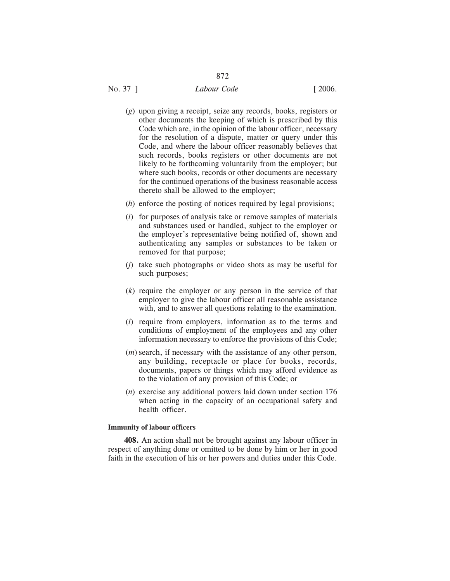# No. 37 ] *Labour Code* [ 2006.

- (*g*) upon giving a receipt, seize any records, books, registers or other documents the keeping of which is prescribed by this Code which are, in the opinion of the labour officer, necessary for the resolution of a dispute, matter or query under this Code, and where the labour officer reasonably believes that such records, books registers or other documents are not likely to be forthcoming voluntarily from the employer; but where such books, records or other documents are necessary for the continued operations of the business reasonable access thereto shall be allowed to the employer;
- (*h*) enforce the posting of notices required by legal provisions;
- (*i*) for purposes of analysis take or remove samples of materials and substances used or handled, subject to the employer or the employer's representative being notified of, shown and authenticating any samples or substances to be taken or removed for that purpose;
- (*j*) take such photographs or video shots as may be useful for such purposes;
- (*k*) require the employer or any person in the service of that employer to give the labour officer all reasonable assistance with, and to answer all questions relating to the examination.
- (*l*) require from employers, information as to the terms and conditions of employment of the employees and any other information necessary to enforce the provisions of this Code;
- (*m*) search, if necessary with the assistance of any other person, any building, receptacle or place for books, records, documents, papers or things which may afford evidence as to the violation of any provision of this Code; or
- (*n*) exercise any additional powers laid down under section 176 when acting in the capacity of an occupational safety and health officer.

## **Immunity of labour officers**

**408.** An action shall not be brought against any labour officer in respect of anything done or omitted to be done by him or her in good faith in the execution of his or her powers and duties under this Code.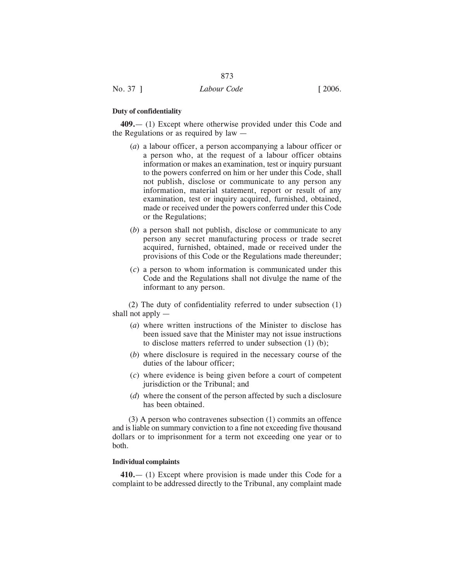## **Duty of confidentiality**

**409.**— (1) Except where otherwise provided under this Code and the Regulations or as required by law —

873

- (*a*) a labour officer, a person accompanying a labour officer or a person who, at the request of a labour officer obtains information or makes an examination, test or inquiry pursuant to the powers conferred on him or her under this Code, shall not publish, disclose or communicate to any person any information, material statement, report or result of any examination, test or inquiry acquired, furnished, obtained, made or received under the powers conferred under this Code or the Regulations;
- (*b*) a person shall not publish, disclose or communicate to any person any secret manufacturing process or trade secret acquired, furnished, obtained, made or received under the provisions of this Code or the Regulations made thereunder;
- (*c*) a person to whom information is communicated under this Code and the Regulations shall not divulge the name of the informant to any person.

(2) The duty of confidentiality referred to under subsection (1) shall not apply —

- (*a*) where written instructions of the Minister to disclose has been issued save that the Minister may not issue instructions to disclose matters referred to under subsection (1) (b);
- (*b*) where disclosure is required in the necessary course of the duties of the labour officer;
- (*c*) where evidence is being given before a court of competent jurisdiction or the Tribunal; and
- (*d*) where the consent of the person affected by such a disclosure has been obtained.

(3) A person who contravenes subsection (1) commits an offence and is liable on summary conviction to a fine not exceeding five thousand dollars or to imprisonment for a term not exceeding one year or to both.

#### **Individual complaints**

**410.**— (1) Except where provision is made under this Code for a complaint to be addressed directly to the Tribunal, any complaint made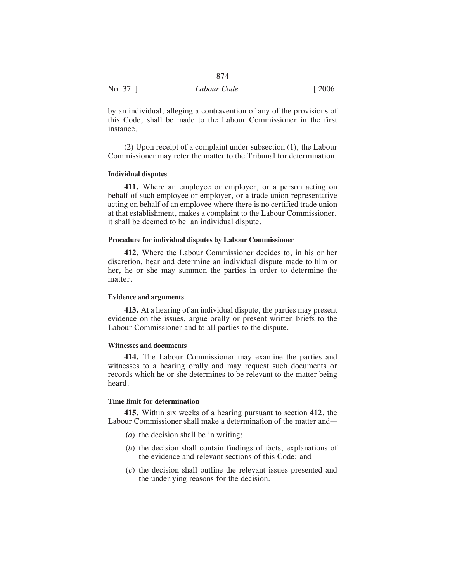| No. 37 ] | Labour Code | $\lceil 2006. \rceil$ |
|----------|-------------|-----------------------|

by an individual, alleging a contravention of any of the provisions of this Code, shall be made to the Labour Commissioner in the first instance.

(2) Upon receipt of a complaint under subsection (1), the Labour Commissioner may refer the matter to the Tribunal for determination.

### **Individual disputes**

**411.** Where an employee or employer, or a person acting on behalf of such employee or employer, or a trade union representative acting on behalf of an employee where there is no certified trade union at that establishment, makes a complaint to the Labour Commissioner, it shall be deemed to be an individual dispute.

## **Procedure for individual disputes by Labour Commissioner**

**412.** Where the Labour Commissioner decides to, in his or her discretion, hear and determine an individual dispute made to him or her, he or she may summon the parties in order to determine the matter.

#### **Evidence and arguments**

**413.** At a hearing of an individual dispute, the parties may present evidence on the issues, argue orally or present written briefs to the Labour Commissioner and to all parties to the dispute.

#### **Witnesses and documents**

**414.** The Labour Commissioner may examine the parties and witnesses to a hearing orally and may request such documents or records which he or she determines to be relevant to the matter being heard.

## **Time limit for determination**

**415.** Within six weeks of a hearing pursuant to section 412, the Labour Commissioner shall make a determination of the matter and—

- (*a*) the decision shall be in writing;
- (*b*) the decision shall contain findings of facts, explanations of the evidence and relevant sections of this Code; and
- (*c*) the decision shall outline the relevant issues presented and the underlying reasons for the decision.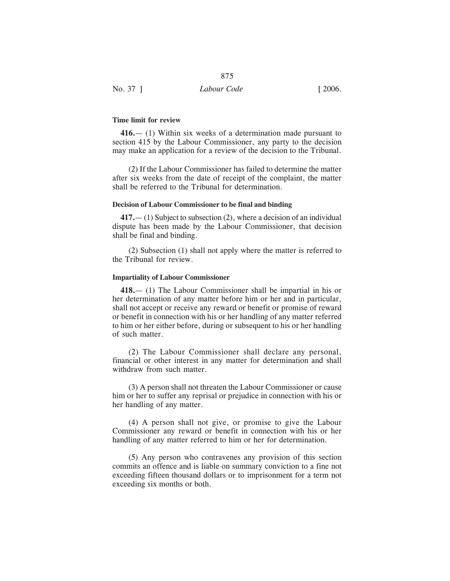| No. 37 ]<br>Labour Code | $\lceil 2006. \rceil$ |
|-------------------------|-----------------------|

## **Time limit for review**

**416.**— (1) Within six weeks of a determination made pursuant to section 415 by the Labour Commissioner, any party to the decision may make an application for a review of the decision to the Tribunal.

875

(2) If the Labour Commissioner has failed to determine the matter after six weeks from the date of receipt of the complaint, the matter shall be referred to the Tribunal for determination.

#### **Decision of Labour Commissioner to be final and binding**

**417.**— (1) Subject to subsection (2), where a decision of an individual dispute has been made by the Labour Commissioner, that decision shall be final and binding.

(2) Subsection (1) shall not apply where the matter is referred to the Tribunal for review.

#### **Impartiality of Labour Commissioner**

**418.**— (1) The Labour Commissioner shall be impartial in his or her determination of any matter before him or her and in particular, shall not accept or receive any reward or benefit or promise of reward or benefit in connection with his or her handling of any matter referred to him or her either before, during or subsequent to his or her handling of such matter.

(2) The Labour Commissioner shall declare any personal, financial or other interest in any matter for determination and shall withdraw from such matter.

(3) A person shall not threaten the Labour Commissioner or cause him or her to suffer any reprisal or prejudice in connection with his or her handling of any matter.

(4) A person shall not give, or promise to give the Labour Commissioner any reward or benefit in connection with his or her handling of any matter referred to him or her for determination.

(5) Any person who contravenes any provision of this section commits an offence and is liable on summary conviction to a fine not exceeding fifteen thousand dollars or to imprisonment for a term not exceeding six months or both.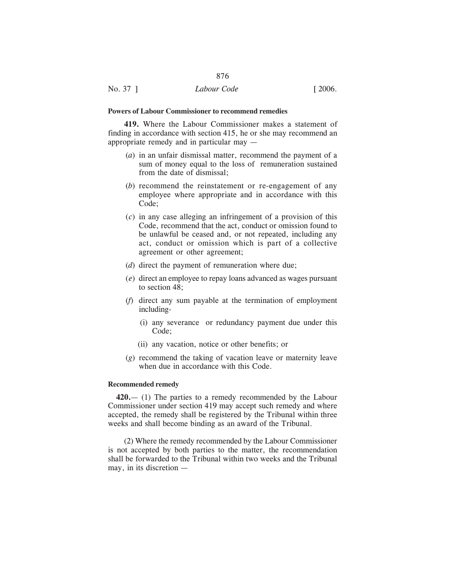## **Powers of Labour Commissioner to recommend remedies**

**419.** Where the Labour Commissioner makes a statement of finding in accordance with section 415, he or she may recommend an appropriate remedy and in particular may —

876

- (*a*) in an unfair dismissal matter, recommend the payment of a sum of money equal to the loss of remuneration sustained from the date of dismissal;
- (*b*) recommend the reinstatement or re-engagement of any employee where appropriate and in accordance with this Code;
- (*c*) in any case alleging an infringement of a provision of this Code, recommend that the act, conduct or omission found to be unlawful be ceased and, or not repeated, including any act, conduct or omission which is part of a collective agreement or other agreement;
- (*d*) direct the payment of remuneration where due;
- (*e*) direct an employee to repay loans advanced as wages pursuant to section 48;
- (*f*) direct any sum payable at the termination of employment including-
	- (i) any severance or redundancy payment due under this Code;
	- (ii) any vacation, notice or other benefits; or
- (*g*) recommend the taking of vacation leave or maternity leave when due in accordance with this Code.

## **Recommended remedy**

**420.**— (1) The parties to a remedy recommended by the Labour Commissioner under section 419 may accept such remedy and where accepted, the remedy shall be registered by the Tribunal within three weeks and shall become binding as an award of the Tribunal.

(2) Where the remedy recommended by the Labour Commissioner is not accepted by both parties to the matter, the recommendation shall be forwarded to the Tribunal within two weeks and the Tribunal may, in its discretion —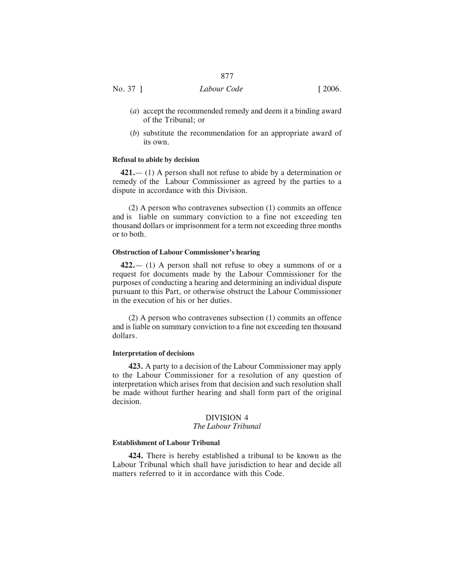- (*a*) accept the recommended remedy and deem it a binding award of the Tribunal; or
- (*b*) substitute the recommendation for an appropriate award of its own.

#### **Refusal to abide by decision**

**421.**— (1) A person shall not refuse to abide by a determination or remedy of the Labour Commissioner as agreed by the parties to a dispute in accordance with this Division.

(2) A person who contravenes subsection (1) commits an offence and is liable on summary conviction to a fine not exceeding ten thousand dollars or imprisonment for a term not exceeding three months or to both.

#### **Obstruction of Labour Commissioner's hearing**

**422.**— (1) A person shall not refuse to obey a summons of or a request for documents made by the Labour Commissioner for the purposes of conducting a hearing and determining an individual dispute pursuant to this Part, or otherwise obstruct the Labour Commissioner in the execution of his or her duties.

(2) A person who contravenes subsection (1) commits an offence and is liable on summary conviction to a fine not exceeding ten thousand dollars.

#### **Interpretation of decisions**

**423.** A party to a decision of the Labour Commissioner may apply to the Labour Commissioner for a resolution of any question of interpretation which arises from that decision and such resolution shall be made without further hearing and shall form part of the original decision.

## DIVISION 4

## *The Labour Tribunal*

## **Establishment of Labour Tribunal**

**424.** There is hereby established a tribunal to be known as the Labour Tribunal which shall have jurisdiction to hear and decide all matters referred to it in accordance with this Code.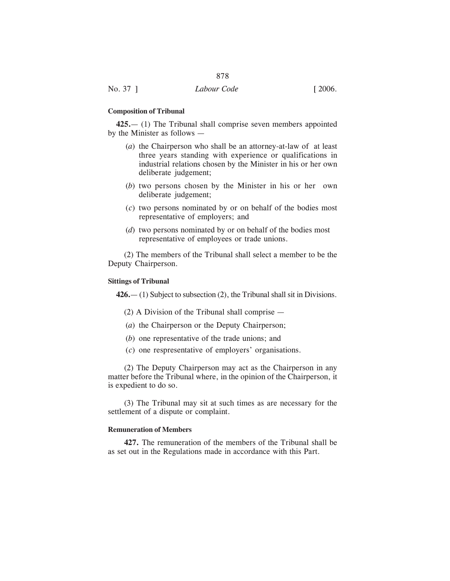#### **Composition of Tribunal**

**425.**— (1) The Tribunal shall comprise seven members appointed by the Minister as follows —

- (*a*) the Chairperson who shall be an attorney-at-law of at least three years standing with experience or qualifications in industrial relations chosen by the Minister in his or her own deliberate judgement;
- (*b*) two persons chosen by the Minister in his or her own deliberate judgement;
- (*c*) two persons nominated by or on behalf of the bodies most representative of employers; and
- (*d*) two persons nominated by or on behalf of the bodies most representative of employees or trade unions.

(2) The members of the Tribunal shall select a member to be the Deputy Chairperson.

#### **Sittings of Tribunal**

**426.**— (1) Subject to subsection (2), the Tribunal shall sit in Divisions.

(2) A Division of the Tribunal shall comprise —

- (*a*) the Chairperson or the Deputy Chairperson;
- (*b*) one representative of the trade unions; and
- (*c*) one respresentative of employers' organisations.

(2) The Deputy Chairperson may act as the Chairperson in any matter before the Tribunal where, in the opinion of the Chairperson, it is expedient to do so.

(3) The Tribunal may sit at such times as are necessary for the settlement of a dispute or complaint.

#### **Remuneration of Members**

**427.** The remuneration of the members of the Tribunal shall be as set out in the Regulations made in accordance with this Part.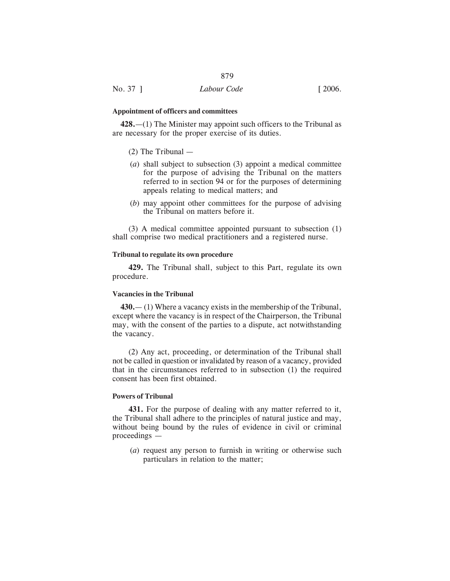## **Appointment of officers and committees**

**428.**—(1) The Minister may appoint such officers to the Tribunal as are necessary for the proper exercise of its duties.

- (2) The Tribunal —
- (*a*) shall subject to subsection (3) appoint a medical committee for the purpose of advising the Tribunal on the matters referred to in section 94 or for the purposes of determining appeals relating to medical matters; and
- (*b*) may appoint other committees for the purpose of advising the Tribunal on matters before it.

(3) A medical committee appointed pursuant to subsection (1) shall comprise two medical practitioners and a registered nurse.

## **Tribunal to regulate its own procedure**

**429.** The Tribunal shall, subject to this Part, regulate its own procedure.

## **Vacancies in the Tribunal**

**430.**— (1) Where a vacancy exists in the membership of the Tribunal, except where the vacancy is in respect of the Chairperson, the Tribunal may, with the consent of the parties to a dispute, act notwithstanding the vacancy.

(2) Any act, proceeding, or determination of the Tribunal shall not be called in question or invalidated by reason of a vacancy, provided that in the circumstances referred to in subsection (1) the required consent has been first obtained.

## **Powers of Tribunal**

**431.** For the purpose of dealing with any matter referred to it, the Tribunal shall adhere to the principles of natural justice and may, without being bound by the rules of evidence in civil or criminal proceedings —

(*a*) request any person to furnish in writing or otherwise such particulars in relation to the matter;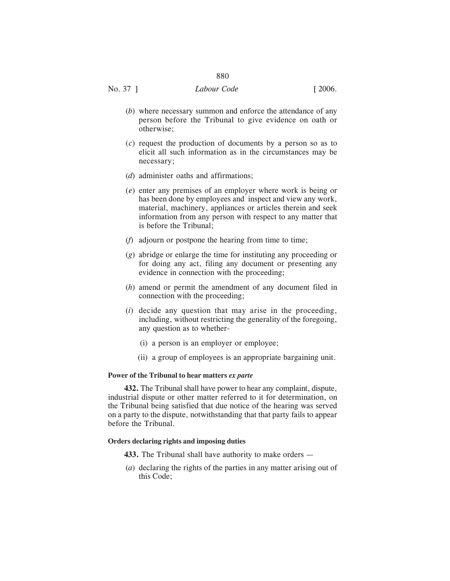# No. 37 ] *Labour Code* [ 2006.

- (*b*) where necessary summon and enforce the attendance of any person before the Tribunal to give evidence on oath or otherwise;
- (*c*) request the production of documents by a person so as to elicit all such information as in the circumstances may be necessary;
- (*d*) administer oaths and affirmations;
- (*e*) enter any premises of an employer where work is being or has been done by employees and inspect and view any work, material, machinery, appliances or articles therein and seek information from any person with respect to any matter that is before the Tribunal;
- (*f*) adjourn or postpone the hearing from time to time;
- (*g*) abridge or enlarge the time for instituting any proceeding or for doing any act, filing any document or presenting any evidence in connection with the proceeding;
- (*h*) amend or permit the amendment of any document filed in connection with the proceeding;
- (*i*) decide any question that may arise in the proceeding, including, without restricting the generality of the foregoing, any question as to whether-
	- (i) a person is an employer or employee;
	- (ii) a group of employees is an appropriate bargaining unit.

## **Power of the Tribunal to hear matters** *ex parte*

**432.** The Tribunal shall have power to hear any complaint, dispute, industrial dispute or other matter referred to it for determination, on the Tribunal being satisfied that due notice of the hearing was served on a party to the dispute, notwithstanding that that party fails to appear before the Tribunal.

## **Orders declaring rights and imposing duties**

- **433.** The Tribunal shall have authority to make orders —
- (*a*) declaring the rights of the parties in any matter arising out of this Code;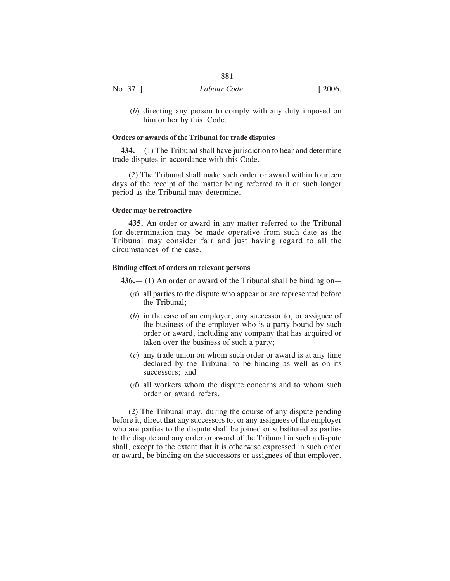| ۰.<br>v |  |
|---------|--|
|---------|--|

| No. 37<br>Labour Code | [2006] |
|-----------------------|--------|
|-----------------------|--------|

(*b*) directing any person to comply with any duty imposed on him or her by this Code.

## **Orders or awards of the Tribunal for trade disputes**

**434.**— (1) The Tribunal shall have jurisdiction to hear and determine trade disputes in accordance with this Code.

(2) The Tribunal shall make such order or award within fourteen days of the receipt of the matter being referred to it or such longer period as the Tribunal may determine.

## **Order may be retroactive**

**435.** An order or award in any matter referred to the Tribunal for determination may be made operative from such date as the Tribunal may consider fair and just having regard to all the circumstances of the case.

## **Binding effect of orders on relevant persons**

**436.**— (1) An order or award of the Tribunal shall be binding on—

- (*a*) all parties to the dispute who appear or are represented before the Tribunal;
- (*b*) in the case of an employer, any successor to, or assignee of the business of the employer who is a party bound by such order or award, including any company that has acquired or taken over the business of such a party;
- (*c*) any trade union on whom such order or award is at any time declared by the Tribunal to be binding as well as on its successors; and
- (*d*) all workers whom the dispute concerns and to whom such order or award refers.

(2) The Tribunal may, during the course of any dispute pending before it, direct that any successors to, or any assignees of the employer who are parties to the dispute shall be joined or substituted as parties to the dispute and any order or award of the Tribunal in such a dispute shall, except to the extent that it is otherwise expressed in such order or award, be binding on the successors or assignees of that employer.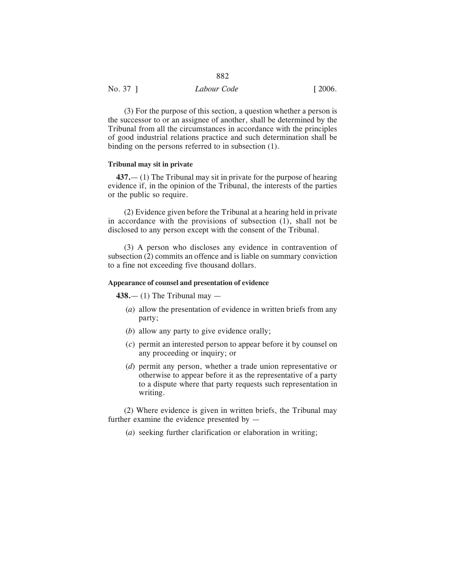| No. 37 ] | Labour Code | [2006] |
|----------|-------------|--------|

(3) For the purpose of this section, a question whether a person is the successor to or an assignee of another, shall be determined by the Tribunal from all the circumstances in accordance with the principles of good industrial relations practice and such determination shall be binding on the persons referred to in subsection (1).

#### **Tribunal may sit in private**

**437.**— (1) The Tribunal may sit in private for the purpose of hearing evidence if, in the opinion of the Tribunal, the interests of the parties or the public so require.

(2) Evidence given before the Tribunal at a hearing held in private in accordance with the provisions of subsection (1), shall not be disclosed to any person except with the consent of the Tribunal.

(3) A person who discloses any evidence in contravention of subsection (2) commits an offence and is liable on summary conviction to a fine not exceeding five thousand dollars.

## **Appearance of counsel and presentation of evidence**

**438.**— (1) The Tribunal may —

- (*a*) allow the presentation of evidence in written briefs from any party;
- (*b*) allow any party to give evidence orally;
- (*c*) permit an interested person to appear before it by counsel on any proceeding or inquiry; or
- (*d*) permit any person, whether a trade union representative or otherwise to appear before it as the representative of a party to a dispute where that party requests such representation in writing.

(2) Where evidence is given in written briefs, the Tribunal may further examine the evidence presented by —

(*a*) seeking further clarification or elaboration in writing;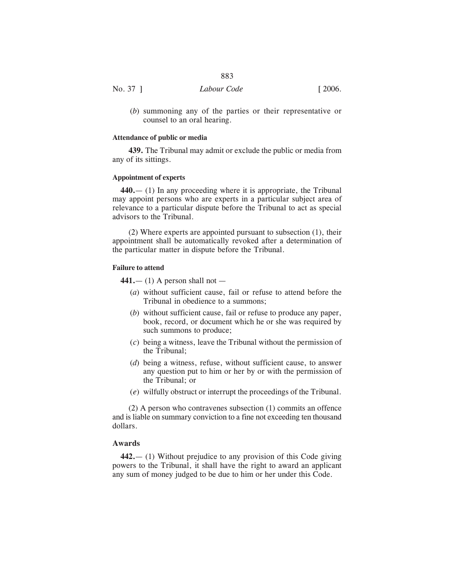|          | 883         |        |
|----------|-------------|--------|
| No. 37 ] | Labour Code | [2006] |

(*b*) summoning any of the parties or their representative or counsel to an oral hearing.

## **Attendance of public or media**

**439.** The Tribunal may admit or exclude the public or media from any of its sittings.

## **Appointment of experts**

**440.**— (1) In any proceeding where it is appropriate, the Tribunal may appoint persons who are experts in a particular subject area of relevance to a particular dispute before the Tribunal to act as special advisors to the Tribunal.

(2) Where experts are appointed pursuant to subsection (1), their appointment shall be automatically revoked after a determination of the particular matter in dispute before the Tribunal.

## **Failure to attend**

**441.**— (1) A person shall not —

- (*a*) without sufficient cause, fail or refuse to attend before the Tribunal in obedience to a summons;
- (*b*) without sufficient cause, fail or refuse to produce any paper, book, record, or document which he or she was required by such summons to produce;
- (*c*) being a witness, leave the Tribunal without the permission of the Tribunal;
- (*d*) being a witness, refuse, without sufficient cause, to answer any question put to him or her by or with the permission of the Tribunal; or
- (*e*) wilfully obstruct or interrupt the proceedings of the Tribunal.

(2) A person who contravenes subsection (1) commits an offence and is liable on summary conviction to a fine not exceeding ten thousand dollars.

## **Awards**

**442.**— (1) Without prejudice to any provision of this Code giving powers to the Tribunal, it shall have the right to award an applicant any sum of money judged to be due to him or her under this Code.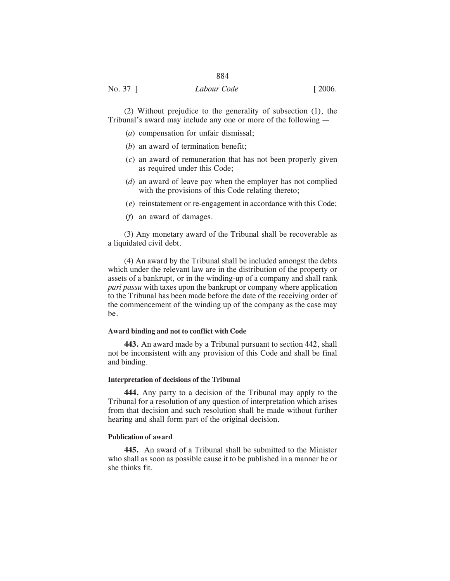# 884 No. 37 ] *Labour Code* [ 2006.

(2) Without prejudice to the generality of subsection (1), the Tribunal's award may include any one or more of the following —

- (*a*) compensation for unfair dismissal;
- (*b*) an award of termination benefit;
- (*c*) an award of remuneration that has not been properly given as required under this Code;
- (*d*) an award of leave pay when the employer has not complied with the provisions of this Code relating thereto;
- (*e*) reinstatement or re-engagement in accordance with this Code;
- (*f*) an award of damages.

(3) Any monetary award of the Tribunal shall be recoverable as a liquidated civil debt.

(4) An award by the Tribunal shall be included amongst the debts which under the relevant law are in the distribution of the property or assets of a bankrupt, or in the winding-up of a company and shall rank *pari passu* with taxes upon the bankrupt or company where application to the Tribunal has been made before the date of the receiving order of the commencement of the winding up of the company as the case may be.

#### **Award binding and not to conflict with Code**

**443.** An award made by a Tribunal pursuant to section 442, shall not be inconsistent with any provision of this Code and shall be final and binding.

#### **Interpretation of decisions of the Tribunal**

**444.** Any party to a decision of the Tribunal may apply to the Tribunal for a resolution of any question of interpretation which arises from that decision and such resolution shall be made without further hearing and shall form part of the original decision.

#### **Publication of award**

**445.** An award of a Tribunal shall be submitted to the Minister who shall as soon as possible cause it to be published in a manner he or she thinks fit.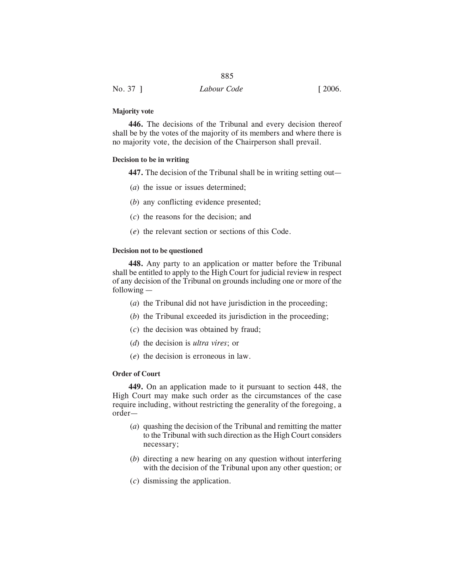| No. 37 ] | Labour Code | $\lceil 2006. \rceil$ |
|----------|-------------|-----------------------|
|          |             |                       |

#### **Majority vote**

**446.** The decisions of the Tribunal and every decision thereof shall be by the votes of the majority of its members and where there is no majority vote, the decision of the Chairperson shall prevail.

### **Decision to be in writing**

**447.** The decision of the Tribunal shall be in writing setting out—

- (*a*) the issue or issues determined;
- (*b*) any conflicting evidence presented;
- (*c*) the reasons for the decision; and
- (*e*) the relevant section or sections of this Code.

## **Decision not to be questioned**

**448.** Any party to an application or matter before the Tribunal shall be entitled to apply to the High Court for judicial review in respect of any decision of the Tribunal on grounds including one or more of the following —

- (*a*) the Tribunal did not have jurisdiction in the proceeding;
- (*b*) the Tribunal exceeded its jurisdiction in the proceeding;
- (*c*) the decision was obtained by fraud;
- (*d*) the decision is *ultra vires*; or
- (*e*) the decision is erroneous in law.

## **Order of Court**

**449.** On an application made to it pursuant to section 448, the High Court may make such order as the circumstances of the case require including, without restricting the generality of the foregoing, a order—

- (*a*) quashing the decision of the Tribunal and remitting the matter to the Tribunal with such direction as the High Court considers necessary;
- (*b*) directing a new hearing on any question without interfering with the decision of the Tribunal upon any other question; or
- (*c*) dismissing the application.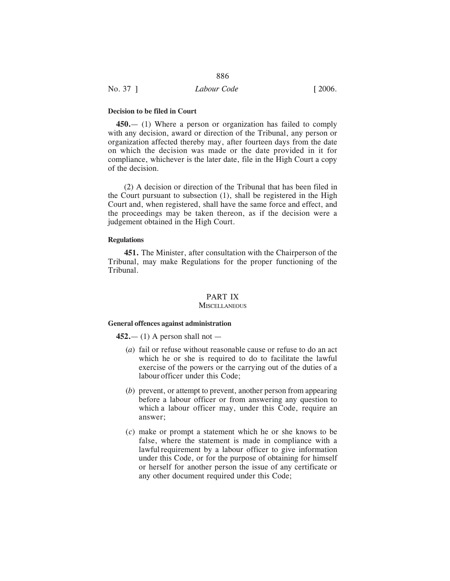#### **Decision to be filed in Court**

**450.**— (1) Where a person or organization has failed to comply with any decision, award or direction of the Tribunal, any person or organization affected thereby may, after fourteen days from the date on which the decision was made or the date provided in it for compliance, whichever is the later date, file in the High Court a copy of the decision.

(2) A decision or direction of the Tribunal that has been filed in the Court pursuant to subsection (1), shall be registered in the High Court and, when registered, shall have the same force and effect, and the proceedings may be taken thereon, as if the decision were a judgement obtained in the High Court.

## **Regulations**

**451.** The Minister, after consultation with the Chairperson of the Tribunal, may make Regulations for the proper functioning of the Tribunal.

## PART IX

#### **MISCELLANEOUS**

#### **General offences against administration**

**452.**— (1) A person shall not —

- (*a*) fail or refuse without reasonable cause or refuse to do an act which he or she is required to do to facilitate the lawful exercise of the powers or the carrying out of the duties of a labourofficer under this Code;
- (*b*) prevent, or attempt to prevent, another person from appearing before a labour officer or from answering any question to which a labour officer may, under this Code, require an answer;
- (*c*) make or prompt a statement which he or she knows to be false, where the statement is made in compliance with a lawful requirement by a labour officer to give information under this Code, or for the purpose of obtaining for himself or herself for another person the issue of any certificate or any other document required under this Code;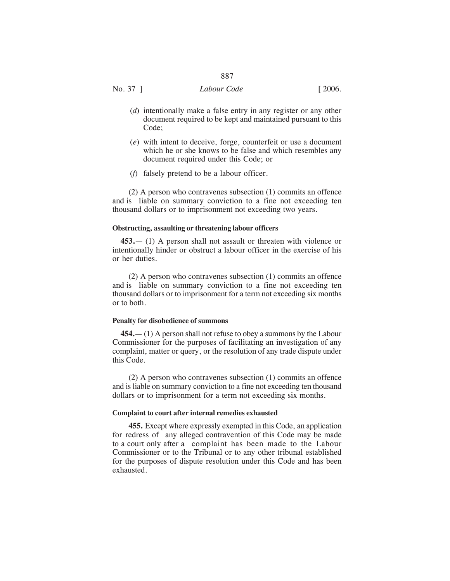No. 37 ] *Labour Code* [ 2006.

- (*d*) intentionally make a false entry in any register or any other document required to be kept and maintained pursuant to this Code;
- (*e*) with intent to deceive, forge, counterfeit or use a document which he or she knows to be false and which resembles any document required under this Code; or
- (*f*) falsely pretend to be a labour officer.

(2) A person who contravenes subsection (1) commits an offence and is liable on summary conviction to a fine not exceeding ten thousand dollars or to imprisonment not exceeding two years.

## **Obstructing, assaulting or threatening labour officers**

**453.**— (1) A person shall not assault or threaten with violence or intentionally hinder or obstruct a labour officer in the exercise of his or her duties.

(2) A person who contravenes subsection (1) commits an offence and is liable on summary conviction to a fine not exceeding ten thousand dollars or to imprisonment for a term not exceeding six months or to both.

#### **Penalty for disobedience of summons**

**454.**— (1) A person shall not refuse to obey a summons by the Labour Commissioner for the purposes of facilitating an investigation of any complaint, matter or query, or the resolution of any trade dispute under this Code.

(2) A person who contravenes subsection (1) commits an offence and is liable on summary conviction to a fine not exceeding ten thousand dollars or to imprisonment for a term not exceeding six months.

## **Complaint to court after internal remedies exhausted**

**455.** Except where expressly exempted in this Code, an application for redress of any alleged contravention of this Code may be made to a court only after a complaint has been made to the Labour Commissioner or to the Tribunal or to any other tribunal established for the purposes of dispute resolution under this Code and has been exhausted.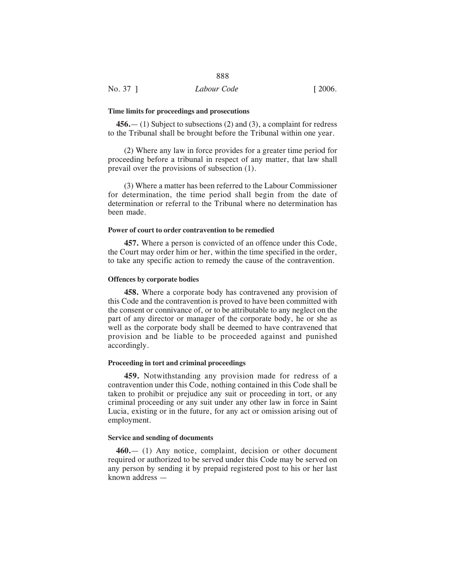#### **Time limits for proceedings and prosecutions**

**456.**— (1) Subject to subsections (2) and (3), a complaint for redress to the Tribunal shall be brought before the Tribunal within one year.

(2) Where any law in force provides for a greater time period for proceeding before a tribunal in respect of any matter, that law shall prevail over the provisions of subsection (1).

(3) Where a matter has been referred to the Labour Commissioner for determination, the time period shall begin from the date of determination or referral to the Tribunal where no determination has been made.

## **Power of court to order contravention to be remedied**

**457.** Where a person is convicted of an offence under this Code, the Court may order him or her, within the time specified in the order, to take any specific action to remedy the cause of the contravention.

## **Offences by corporate bodies**

**458.** Where a corporate body has contravened any provision of this Code and the contravention is proved to have been committed with the consent or connivance of, or to be attributable to any neglect on the part of any director or manager of the corporate body, he or she as well as the corporate body shall be deemed to have contravened that provision and be liable to be proceeded against and punished accordingly.

## **Proceeding in tort and criminal proceedings**

**459.** Notwithstanding any provision made for redress of a contravention under this Code, nothing contained in this Code shall be taken to prohibit or prejudice any suit or proceeding in tort, or any criminal proceeding or any suit under any other law in force in Saint Lucia, existing or in the future, for any act or omission arising out of employment.

#### **Service and sending of documents**

**460.**— (1) Any notice, complaint, decision or other document required or authorized to be served under this Code may be served on any person by sending it by prepaid registered post to his or her last known address —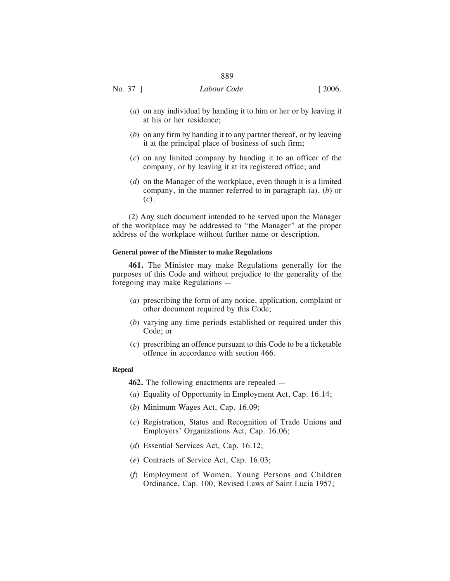No. 37 ] *Labour Code* [ 2006.

- (*a*) on any individual by handing it to him or her or by leaving it at his or her residence;
- (*b*) on any firm by handing it to any partner thereof, or by leaving it at the principal place of business of such firm;
- (*c*) on any limited company by handing it to an officer of the company, or by leaving it at its registered office; and
- (*d*) on the Manager of the workplace, even though it is a limited company, in the manner referred to in paragraph (a), (*b*) or (*c*).

(2) Any such document intended to be served upon the Manager of the workplace may be addressed to "the Manager" at the proper address of the workplace without further name or description.

#### **General power of the Minister to make Regulations**

**461.** The Minister may make Regulations generally for the purposes of this Code and without prejudice to the generality of the foregoing may make Regulations —

- (*a*) prescribing the form of any notice, application, complaint or other document required by this Code;
- (*b*) varying any time periods established or required under this Code; or
- (*c*) prescribing an offence pursuant to this Code to be a ticketable offence in accordance with section 466.

#### **Repeal**

- **462.** The following enactments are repealed —
- (*a*) Equality of Opportunity in Employment Act, Cap. 16.14;
- (*b*) Minimum Wages Act, Cap. 16.09;
- (*c*) Registration, Status and Recognition of Trade Unions and Employers' Organizations Act, Cap. 16.06;
- (*d*) Essential Services Act, Cap. 16.12;
- (*e*) Contracts of Service Act, Cap. 16.03;
- (*f*) Employment of Women, Young Persons and Children Ordinance, Cap. 100, Revised Laws of Saint Lucia 1957;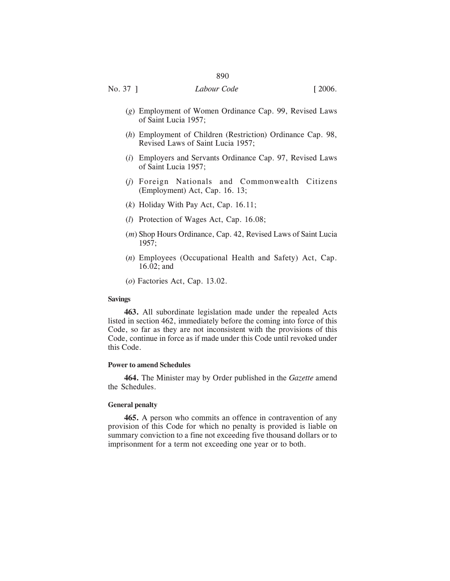- (*g*) Employment of Women Ordinance Cap. 99, Revised Laws of Saint Lucia 1957;
- (*h*) Employment of Children (Restriction) Ordinance Cap. 98, Revised Laws of Saint Lucia 1957;
- (*i*) Employers and Servants Ordinance Cap. 97, Revised Laws of Saint Lucia 1957;
- (*j*) Foreign Nationals and Commonwealth Citizens (Employment) Act, Cap. 16. 13;
- (*k*) Holiday With Pay Act, Cap. 16.11;
- (*l*) Protection of Wages Act, Cap. 16.08;
- (*m*) Shop Hours Ordinance, Cap. 42, Revised Laws of Saint Lucia 1957;
- (*n*) Employees (Occupational Health and Safety) Act, Cap. 16.02; and
- (*o*) Factories Act, Cap. 13.02.

#### **Savings**

**463.** All subordinate legislation made under the repealed Acts listed in section 462, immediately before the coming into force of this Code, so far as they are not inconsistent with the provisions of this Code, continue in force as if made under this Code until revoked under this Code.

## **Power to amend Schedules**

**464.** The Minister may by Order published in the *Gazette* amend the Schedules.

## **General penalty**

**465.** A person who commits an offence in contravention of any provision of this Code for which no penalty is provided is liable on summary conviction to a fine not exceeding five thousand dollars or to imprisonment for a term not exceeding one year or to both.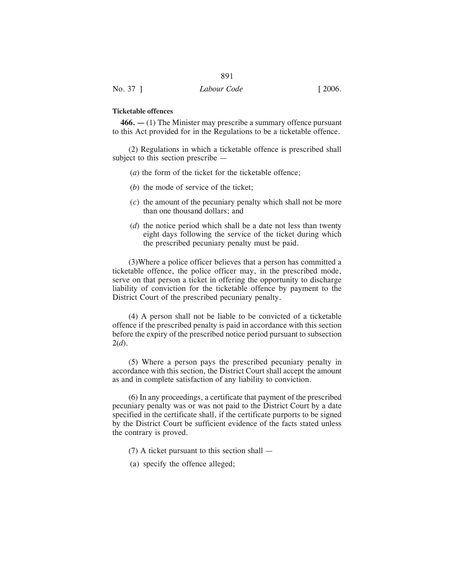## **Ticketable offences**

**466. —** (1) The Minister may prescribe a summary offence pursuant to this Act provided for in the Regulations to be a ticketable offence.

891

(2) Regulations in which a ticketable offence is prescribed shall subject to this section prescribe —

- (*a*) the form of the ticket for the ticketable offence;
- (*b*) the mode of service of the ticket;
- (*c*) the amount of the pecuniary penalty which shall not be more than one thousand dollars; and
- (*d*) the notice period which shall be a date not less than twenty eight days following the service of the ticket during which the prescribed pecuniary penalty must be paid.

(3)Where a police officer believes that a person has committed a ticketable offence, the police officer may, in the prescribed mode, serve on that person a ticket in offering the opportunity to discharge liability of conviction for the ticketable offence by payment to the District Court of the prescribed pecuniary penalty.

(4) A person shall not be liable to be convicted of a ticketable offence if the prescribed penalty is paid in accordance with this section before the expiry of the prescribed notice period pursuant to subsection 2(*d*).

(5) Where a person pays the prescribed pecuniary penalty in accordance with this section, the District Court shall accept the amount as and in complete satisfaction of any liability to conviction.

(6) In any proceedings, a certificate that payment of the prescribed pecuniary penalty was or was not paid to the District Court by a date specified in the certificate shall, if the certificate purports to be signed by the District Court be sufficient evidence of the facts stated unless the contrary is proved.

- (7) A ticket pursuant to this section shall —
- (a) specify the offence alleged;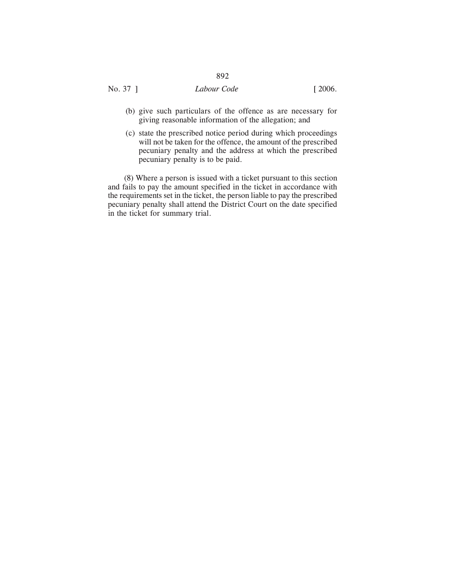# No. 37 ] *Labour Code* [ 2006.

- 
- (b) give such particulars of the offence as are necessary for giving reasonable information of the allegation; and
- (c) state the prescribed notice period during which proceedings will not be taken for the offence, the amount of the prescribed pecuniary penalty and the address at which the prescribed pecuniary penalty is to be paid.

(8) Where a person is issued with a ticket pursuant to this section and fails to pay the amount specified in the ticket in accordance with the requirements set in the ticket, the person liable to pay the prescribed pecuniary penalty shall attend the District Court on the date specified in the ticket for summary trial.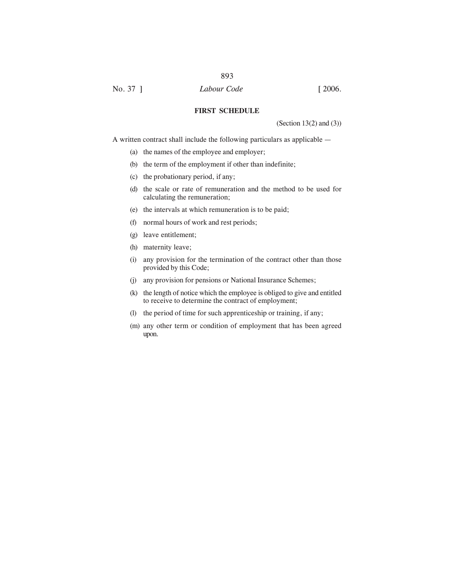**FIRST SCHEDULE**

(Section 13(2) and (3))

A written contract shall include the following particulars as applicable —

- (a) the names of the employee and employer;
- (b) the term of the employment if other than indefinite;
- (c) the probationary period, if any;
- (d) the scale or rate of remuneration and the method to be used for calculating the remuneration;
- (e) the intervals at which remuneration is to be paid;
- (f) normal hours of work and rest periods;
- (g) leave entitlement;
- (h) maternity leave;
- (i) any provision for the termination of the contract other than those provided by this Code;
- (j) any provision for pensions or National Insurance Schemes;
- (k) the length of notice which the employee is obliged to give and entitled to receive to determine the contract of employment;
- (l) the period of time for such apprenticeship or training, if any;
- (m) any other term or condition of employment that has been agreed upon.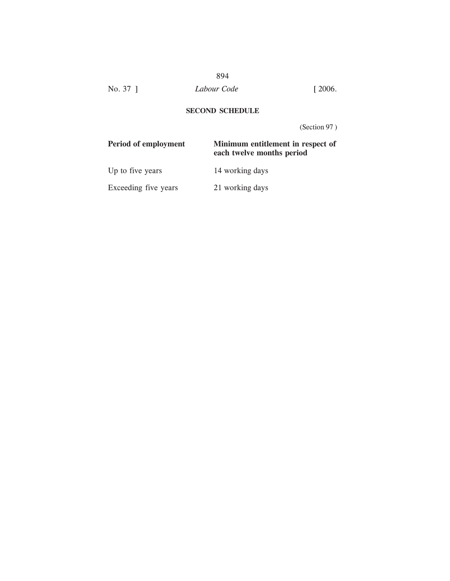No. 37 ] *Labour Code* [ 2006.

# **SECOND SCHEDULE**

(Section 97 )

| Period of employment | Minimum entitlement in respect of<br>each twelve months period |
|----------------------|----------------------------------------------------------------|
| Up to five years     | 14 working days                                                |
| Exceeding five years | 21 working days                                                |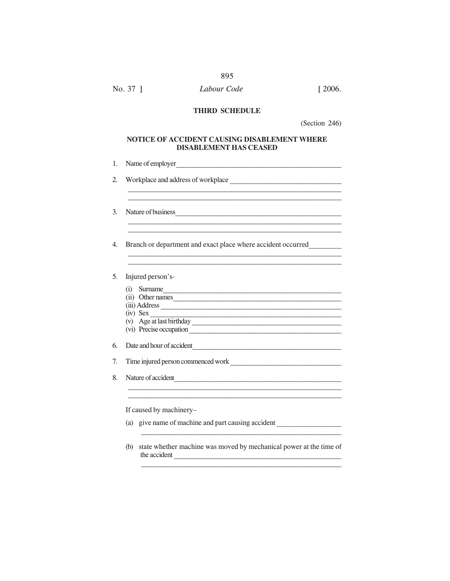| No. 37 1 | Labour Code | $\lceil 2006. \rceil$ |
|----------|-------------|-----------------------|
|----------|-------------|-----------------------|

## THIRD SCHEDULE

(Section 246)

# NOTICE OF ACCIDENT CAUSING DISABLEMENT WHERE DISABLEMENT HAS CEASED

|     | Nature of business                                           |
|-----|--------------------------------------------------------------|
|     | Branch or department and exact place where accident occurred |
|     | Injured person's-                                            |
| (i) | Surname                                                      |
|     | (ii) Other names                                             |
|     | (iii) Address                                                |
|     | $(iv)$ Sex                                                   |
|     | (v) Age at last birthday                                     |
|     | (vi) Precise occupation                                      |
|     | Date and hour of accident                                    |
|     | Time injured person commenced work                           |
|     | Nature of accident                                           |
|     | If caused by machinery-                                      |
|     | (a) give name of machine and part causing accident           |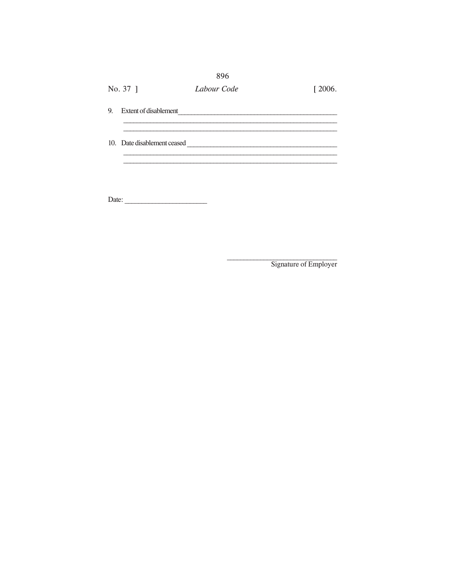|    |                             | 896         |        |
|----|-----------------------------|-------------|--------|
|    | No. 37 ]                    | Labour Code | [2006] |
| 9. | Extent of disablement       |             |        |
|    | 10. Date disablement ceased |             |        |
|    |                             |             |        |

Date:

Signature of Employer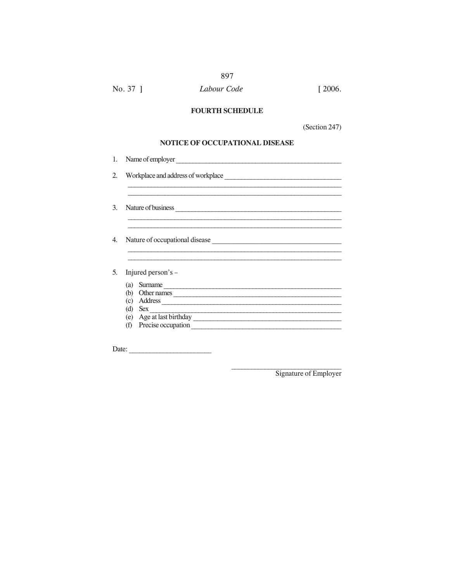#### No. 37 ] Labour Code  $[2006.$

897

## **FOURTH SCHEDULE**

(Section 247)

## NOTICE OF OCCUPATIONAL DISEASE

|     | Name of employer                               |
|-----|------------------------------------------------|
|     |                                                |
|     | Nature of business                             |
|     |                                                |
|     | Nature of occupational disease                 |
|     | Injured person's –                             |
| (a) |                                                |
| (b) | Surname                                        |
| (c) | Other names                                    |
| (d) | <b>Sex</b>                                     |
| (f) | (e) Age at last birthday<br>Precise occupation |

Date:

Signature of Employer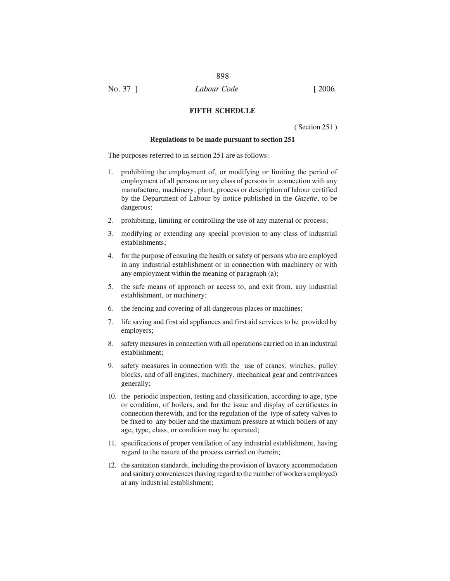## **FIFTH SCHEDULE**

( Section 251 )

#### **Regulations to be made pursuant to section 251**

The purposes referred to in section 251 are as follows:

- 1. prohibiting the employment of, or modifying or limiting the period of employment of all persons or any class of persons in connection with any manufacture, machinery, plant, process or description of labour certified by the Department of Labour by notice published in the *Gazette*, to be dangerous;
- 2. prohibiting, limiting or controlling the use of any material or process;
- 3. modifying or extending any special provision to any class of industrial establishments;
- 4. for the purpose of ensuring the health or safety of persons who are employed in any industrial establishment or in connection with machinery or with any employment within the meaning of paragraph (a);
- 5. the safe means of approach or access to, and exit from, any industrial establishment, or machinery;
- 6. the fencing and covering of all dangerous places or machines;
- 7. life saving and first aid appliances and first aid services to be provided by employers;
- 8. safety measures in connection with all operations carried on in an industrial establishment;
- 9. safety measures in connection with the use of cranes, winches, pulley blocks, and of all engines, machinery, mechanical gear and contrivances generally;
- 10. the periodic inspection, testing and classification, according to age, type or condition, of boilers, and for the issue and display of certificates in connection therewith, and for the regulation of the type of safety valves to be fixed to any boiler and the maximum pressure at which boilers of any age, type, class, or condition may be operated;
- 11. specifications of proper ventilation of any industrial establishment, having regard to the nature of the process carried on therein;
- 12. the sanitation standards, including the provision of lavatory accommodation and sanitary conveniences (having regard to the number of workers employed) at any industrial establishment;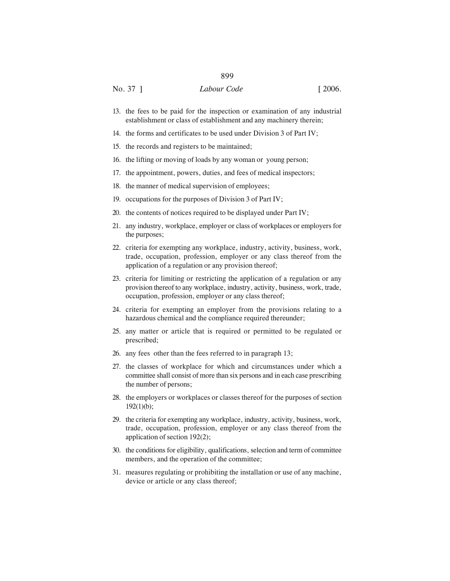- 13. the fees to be paid for the inspection or examination of any industrial establishment or class of establishment and any machinery therein;
- 14. the forms and certificates to be used under Division 3 of Part IV;
- 15. the records and registers to be maintained;
- 16. the lifting or moving of loads by any woman or young person;
- 17. the appointment, powers, duties, and fees of medical inspectors;
- 18. the manner of medical supervision of employees;
- 19. occupations for the purposes of Division 3 of Part IV;
- 20. the contents of notices required to be displayed under Part IV;
- 21. any industry, workplace, employer or class of workplaces or employers for the purposes;
- 22. criteria for exempting any workplace, industry, activity, business, work, trade, occupation, profession, employer or any class thereof from the application of a regulation or any provision thereof;
- 23. criteria for limiting or restricting the application of a regulation or any provision thereof to any workplace, industry, activity, business, work, trade, occupation, profession, employer or any class thereof;
- 24. criteria for exempting an employer from the provisions relating to a hazardous chemical and the compliance required thereunder;
- 25. any matter or article that is required or permitted to be regulated or prescribed;
- 26. any fees other than the fees referred to in paragraph 13;
- 27. the classes of workplace for which and circumstances under which a committee shall consist of more than six persons and in each case prescribing the number of persons;
- 28. the employers or workplaces or classes thereof for the purposes of section  $192(1)(b)$ ;
- 29. the criteria for exempting any workplace, industry, activity, business, work, trade, occupation, profession, employer or any class thereof from the application of section 192(2);
- 30. the conditions for eligibility, qualifications, selection and term of committee members, and the operation of the committee;
- 31. measures regulating or prohibiting the installation or use of any machine, device or article or any class thereof;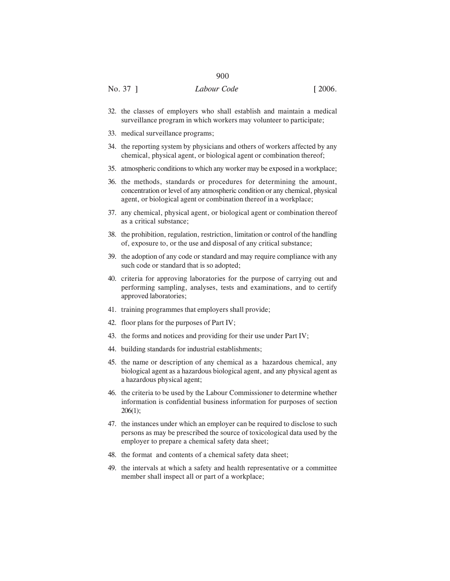- 32. the classes of employers who shall establish and maintain a medical surveillance program in which workers may volunteer to participate;
- 33. medical surveillance programs;
- 34. the reporting system by physicians and others of workers affected by any chemical, physical agent, or biological agent or combination thereof;
- 35. atmospheric conditions to which any worker may be exposed in a workplace;
- 36. the methods, standards or procedures for determining the amount, concentration or level of any atmospheric condition or any chemical, physical agent, or biological agent or combination thereof in a workplace;
- 37. any chemical, physical agent, or biological agent or combination thereof as a critical substance;
- 38. the prohibition, regulation, restriction, limitation or control of the handling of, exposure to, or the use and disposal of any critical substance;
- 39. the adoption of any code or standard and may require compliance with any such code or standard that is so adopted;
- 40. criteria for approving laboratories for the purpose of carrying out and performing sampling, analyses, tests and examinations, and to certify approved laboratories;
- 41. training programmes that employers shall provide;
- 42. floor plans for the purposes of Part IV;
- 43. the forms and notices and providing for their use under Part IV;
- 44. building standards for industrial establishments;
- 45. the name or description of any chemical as a hazardous chemical, any biological agent as a hazardous biological agent, and any physical agent as a hazardous physical agent;
- 46. the criteria to be used by the Labour Commissioner to determine whether information is confidential business information for purposes of section 206(1);
- 47. the instances under which an employer can be required to disclose to such persons as may be prescribed the source of toxicological data used by the employer to prepare a chemical safety data sheet;
- 48. the format and contents of a chemical safety data sheet;
- 49. the intervals at which a safety and health representative or a committee member shall inspect all or part of a workplace;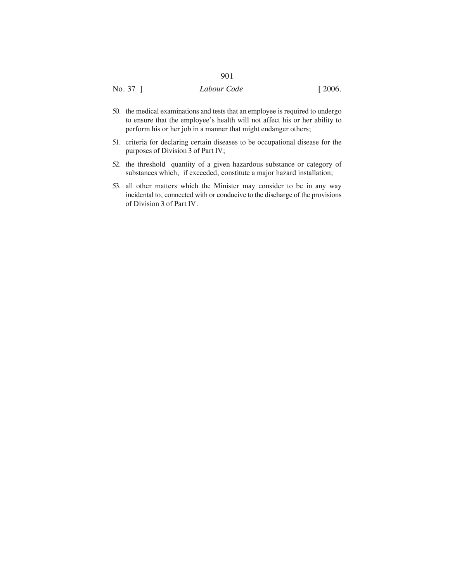- 50. the medical examinations and tests that an employee is required to undergo to ensure that the employee's health will not affect his or her ability to perform his or her job in a manner that might endanger others;
- 51. criteria for declaring certain diseases to be occupational disease for the purposes of Division 3 of Part IV;
- 52. the threshold quantity of a given hazardous substance or category of substances which, if exceeded, constitute a major hazard installation;
- 53. all other matters which the Minister may consider to be in any way incidental to, connected with or conducive to the discharge of the provisions of Division 3 of Part IV.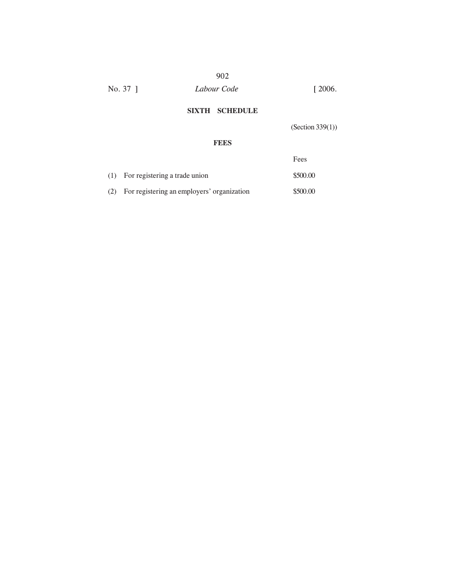# 902 No. 37 ] *Labour Code* [ 2006.

# **SIXTH SCHEDULE**

(Section 339(1))

## **FEES**

|     |                                            | Fees     |
|-----|--------------------------------------------|----------|
| (1) | For registering a trade union              | \$500.00 |
| (2) | For registering an employers' organization | \$500.00 |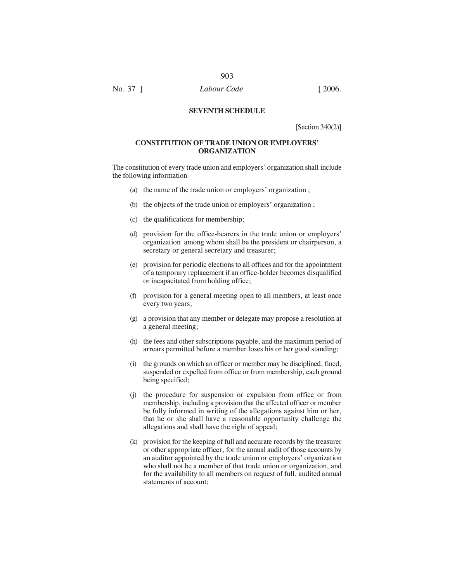No. 37 ] *Labour Code* [ 2006.

## **SEVENTH SCHEDULE**

[Section 340(2)]

## **CONSTITUTION OF TRADE UNION OR EMPLOYERS' ORGANIZATION**

The constitution of every trade union and employers' organization shall include the following information-

- (a) the name of the trade union or employers' organization ;
- (b) the objects of the trade union or employers' organization ;
- (c) the qualifications for membership;
- (d) provision for the office-bearers in the trade union or employers' organization among whom shall be the president or chairperson, a secretary or general secretary and treasurer;
- (e) provision for periodic elections to all offices and for the appointment of a temporary replacement if an office-holder becomes disqualified or incapacitated from holding office;
- (f) provision for a general meeting open to all members, at least once every two years;
- (g) a provision that any member or delegate may propose a resolution at a general meeting;
- (h) the fees and other subscriptions payable, and the maximum period of arrears permitted before a member loses his or her good standing;
- (i) the grounds on which an officer or member may be disciplined, fined, suspended or expelled from office or from membership, each ground being specified;
- (j) the procedure for suspension or expulsion from office or from membership, including a provision that the affected officer or member be fully informed in writing of the allegations against him or her, that he or she shall have a reasonable opportunity challenge the allegations and shall have the right of appeal;
- (k) provision for the keeping of full and accurate records by the treasurer or other appropriate officer, for the annual audit of those accounts by an auditor appointed by the trade union or employers' organization who shall not be a member of that trade union or organization, and for the availability to all members on request of full, audited annual statements of account;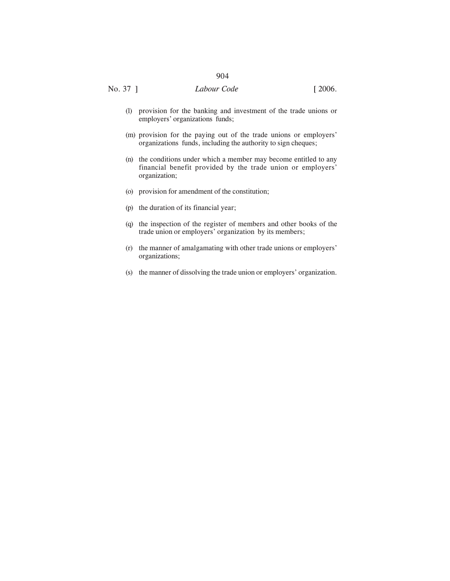- (l) provision for the banking and investment of the trade unions or employers' organizations funds;
- (m) provision for the paying out of the trade unions or employers' organizations funds, including the authority to sign cheques;
- (n) the conditions under which a member may become entitled to any financial benefit provided by the trade union or employers' organization;
- (o) provision for amendment of the constitution;
- (p) the duration of its financial year;
- (q) the inspection of the register of members and other books of the trade union or employers' organization by its members;
- (r) the manner of amalgamating with other trade unions or employers' organizations;
- (s) the manner of dissolving the trade union or employers' organization.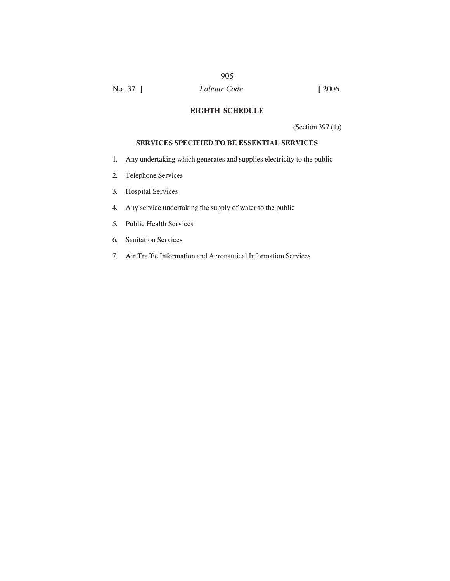# No. 37 ] *Labour Code* [ 2006.

#### **EIGHTH SCHEDULE**

905

(Section 397 (1))

## **SERVICES SPECIFIED TO BE ESSENTIAL SERVICES**

- 1. Any undertaking which generates and supplies electricity to the public
- 2. Telephone Services
- 3. Hospital Services
- 4. Any service undertaking the supply of water to the public
- 5. Public Health Services
- 6. Sanitation Services
- 7. Air Traffic Information and Aeronautical Information Services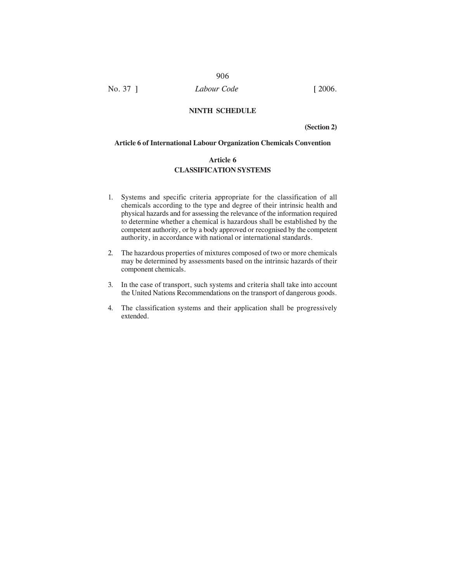### 906

No. 37 ] *Labour Code* [ 2006.

#### **NINTH SCHEDULE**

**(Section 2)**

#### **Article 6 of International Labour Organization Chemicals Convention**

# **Article 6 CLASSIFICATION SYSTEMS**

- 1. Systems and specific criteria appropriate for the classification of all chemicals according to the type and degree of their intrinsic health and physical hazards and for assessing the relevance of the information required to determine whether a chemical is hazardous shall be established by the competent authority, or by a body approved or recognised by the competent authority, in accordance with national or international standards.
- 2. The hazardous properties of mixtures composed of two or more chemicals may be determined by assessments based on the intrinsic hazards of their component chemicals.
- 3. In the case of transport, such systems and criteria shall take into account the United Nations Recommendations on the transport of dangerous goods.
- 4. The classification systems and their application shall be progressively extended.